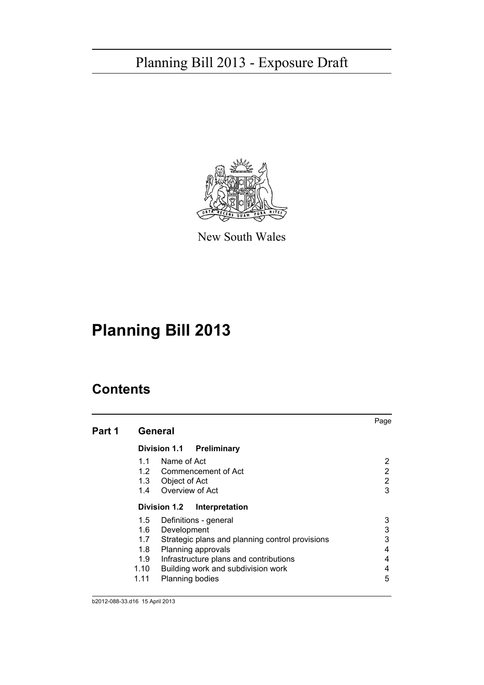

New South Wales

# **Planning Bill 2013**

| Part 1 | Page<br>General  |                        |                                                 |   |  |  |  |
|--------|------------------|------------------------|-------------------------------------------------|---|--|--|--|
|        |                  |                        | Division 1.1 Preliminary                        |   |  |  |  |
|        | 1.1              | Name of Act            |                                                 | 2 |  |  |  |
|        |                  |                        | 1.2 Commencement of Act                         | 2 |  |  |  |
|        |                  | 1.3 Object of Act      |                                                 | 2 |  |  |  |
|        |                  | 1.4 Overview of Act    |                                                 | 3 |  |  |  |
|        |                  |                        | Division 1.2 Interpretation                     |   |  |  |  |
|        |                  |                        | 1.5 Definitions - general                       | 3 |  |  |  |
|        |                  | 1.6 Development        |                                                 | 3 |  |  |  |
|        | 1.7              |                        | Strategic plans and planning control provisions | 3 |  |  |  |
|        | 1.8 <sup>1</sup> | Planning approvals     |                                                 | 4 |  |  |  |
|        | 1.9              |                        | Infrastructure plans and contributions          | 4 |  |  |  |
|        | 1.10             |                        | Building work and subdivision work              | 4 |  |  |  |
|        | 1.11             | <b>Planning bodies</b> |                                                 | 5 |  |  |  |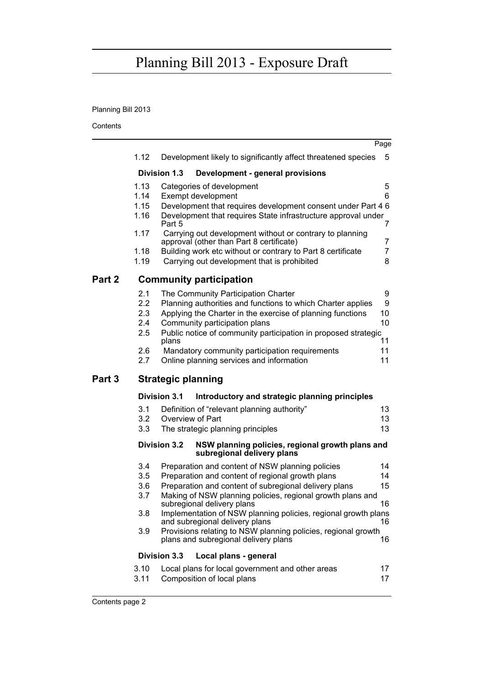# Planning Bill 2013

|        |              |                           |                                                                                                                               | Page                |
|--------|--------------|---------------------------|-------------------------------------------------------------------------------------------------------------------------------|---------------------|
|        | 1.12         |                           | Development likely to significantly affect threatened species                                                                 | 5                   |
|        |              | <b>Division 1.3</b>       | Development - general provisions                                                                                              |                     |
|        | 1.13         |                           | Categories of development                                                                                                     | 5                   |
|        | 1.14         |                           | Exempt development                                                                                                            | 6                   |
|        | 1.15<br>1.16 | Part 5                    | Development that requires development consent under Part 4 6<br>Development that requires State infrastructure approval under | 7                   |
|        | 1.17         |                           | Carrying out development without or contrary to planning<br>approval (other than Part 8 certificate)                          | 7                   |
|        | 1.18<br>1.19 |                           | Building work etc without or contrary to Part 8 certificate<br>Carrying out development that is prohibited                    | $\overline{7}$<br>8 |
| Part 2 |              |                           | <b>Community participation</b>                                                                                                |                     |
|        | 2.1          |                           | The Community Participation Charter                                                                                           | 9                   |
|        | 2.2          |                           | Planning authorities and functions to which Charter applies                                                                   | 9                   |
|        | 2.3          |                           | Applying the Charter in the exercise of planning functions                                                                    | 10                  |
|        | $2.4\,$      |                           | Community participation plans                                                                                                 | 10                  |
|        | 2.5          | plans                     | Public notice of community participation in proposed strategic                                                                | 11                  |
|        | 2.6          |                           | Mandatory community participation requirements                                                                                | 11                  |
|        | 2.7          |                           | Online planning services and information                                                                                      | 11                  |
| Part 3 |              | <b>Strategic planning</b> |                                                                                                                               |                     |
|        |              | <b>Division 3.1</b>       | Introductory and strategic planning principles                                                                                |                     |
|        | 3.1          |                           | Definition of "relevant planning authority"                                                                                   | 13                  |
|        | 3.2          |                           | Overview of Part                                                                                                              | 13                  |
|        | 3.3          |                           | The strategic planning principles                                                                                             | 13                  |
|        |              | <b>Division 3.2</b>       | NSW planning policies, regional growth plans and<br>subregional delivery plans                                                |                     |
|        | 3.4          |                           | Preparation and content of NSW planning policies                                                                              | 14                  |
|        | 3.5          |                           | Preparation and content of regional growth plans                                                                              | 14                  |
|        | 3.6          |                           | Preparation and content of subregional delivery plans                                                                         | 15                  |
|        | 3.7          |                           | Making of NSW planning policies, regional growth plans and<br>subregional delivery plans                                      | 16                  |
|        | 3.8          |                           | Implementation of NSW planning policies, regional growth plans<br>and subregional delivery plans                              | 16                  |
|        | 3.9          |                           | Provisions relating to NSW planning policies, regional growth<br>plans and subregional delivery plans                         | 16                  |
|        |              | <b>Division 3.3</b>       | Local plans - general                                                                                                         |                     |
|        | 3.10         |                           | Local plans for local government and other areas                                                                              | 17                  |
|        | 3.11         |                           | Composition of local plans                                                                                                    | 17                  |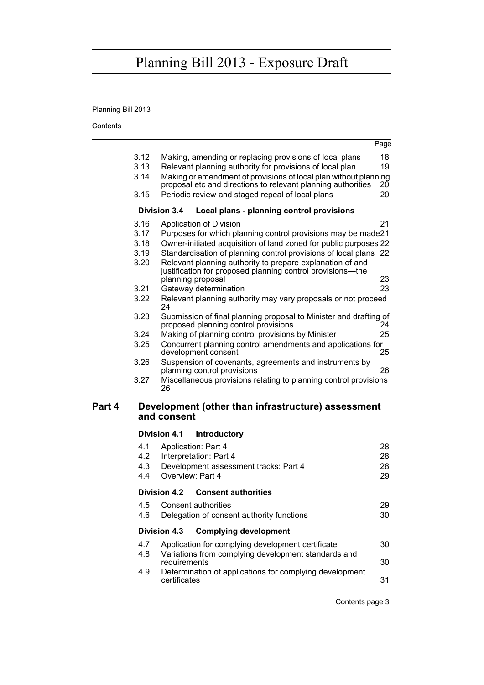# Planning Bill 2013

Contents

|        |      |                                                                         | Page |
|--------|------|-------------------------------------------------------------------------|------|
|        | 3.12 | Making, amending or replacing provisions of local plans                 | 18   |
|        | 3.13 | Relevant planning authority for provisions of local plan                | 19   |
|        | 3.14 | Making or amendment of provisions of local plan without planning        |      |
|        |      | proposal etc and directions to relevant planning authorities            | 20   |
|        | 3.15 | Periodic review and staged repeal of local plans                        | 20   |
|        |      | <b>Division 3.4</b><br>Local plans - planning control provisions        |      |
|        | 3.16 | Application of Division                                                 | 21   |
|        | 3.17 | Purposes for which planning control provisions may be made21            |      |
|        | 3.18 | Owner-initiated acquisition of land zoned for public purposes 22        |      |
|        | 3.19 | Standardisation of planning control provisions of local plans 22        |      |
|        | 3.20 | Relevant planning authority to prepare explanation of and               |      |
|        |      | justification for proposed planning control provisions—the              |      |
|        |      | planning proposal                                                       | 23   |
|        | 3.21 | Gateway determination                                                   | 23   |
|        | 3.22 | Relevant planning authority may vary proposals or not proceed<br>24     |      |
|        | 3.23 | Submission of final planning proposal to Minister and drafting of       |      |
|        |      | proposed planning control provisions                                    | 24   |
|        | 3.24 | Making of planning control provisions by Minister                       | 25   |
|        | 3.25 | Concurrent planning control amendments and applications for             |      |
|        |      | development consent                                                     | 25   |
|        | 3.26 | Suspension of covenants, agreements and instruments by                  |      |
|        |      | planning control provisions                                             | 26   |
|        | 3.27 | Miscellaneous provisions relating to planning control provisions<br>26  |      |
|        |      |                                                                         |      |
| Part 4 |      | Development (other than infrastructure) assessment                      |      |
|        |      | and consent                                                             |      |
|        |      | <b>Division 4.1</b><br><b>Introductory</b>                              |      |
|        | 4.1  | Application: Part 4                                                     | 28   |
|        | 4.2  | Interpretation: Part 4                                                  | 28   |
|        | 4.3  | Development assessment tracks: Part 4                                   | 28   |
|        | 4.4  | Overview: Part 4                                                        | 29   |
|        |      | Division 4.2<br><b>Consent authorities</b>                              |      |
|        | 4.5  | <b>Consent authorities</b>                                              | 29   |
|        | 4.6  | Delegation of consent authority functions                               | 30   |
|        |      |                                                                         |      |
|        |      | <b>Complying development</b><br>Division 4.3                            |      |
|        | 4.7  | Application for complying development certificate                       | 30   |
|        | 4.8  | Variations from complying development standards and                     |      |
|        |      | requirements                                                            | 30   |
|        | 4.9  | Determination of applications for complying development<br>certificates | 31   |
|        |      |                                                                         |      |
|        |      |                                                                         |      |

Contents page 3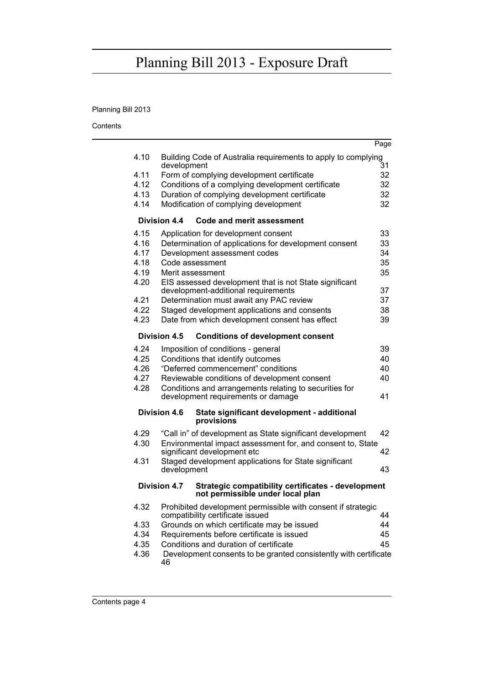# Planning Bill 2013

|      |                                                                                                               | Page |
|------|---------------------------------------------------------------------------------------------------------------|------|
| 4.10 | Building Code of Australia requirements to apply to complying                                                 |      |
|      | development                                                                                                   | 31   |
| 4.11 | Form of complying development certificate                                                                     | 32   |
| 4.12 | Conditions of a complying development certificate                                                             | 32   |
| 4.13 | Duration of complying development certificate                                                                 | 32   |
| 4.14 | Modification of complying development                                                                         | 32   |
|      | Division 4.4<br>Code and merit assessment                                                                     |      |
| 4.15 | Application for development consent                                                                           | 33   |
| 4.16 | Determination of applications for development consent                                                         | 33   |
| 4.17 | Development assessment codes                                                                                  | 34   |
| 4.18 | Code assessment                                                                                               | 35   |
| 4.19 | Merit assessment                                                                                              | 35   |
| 4.20 | EIS assessed development that is not State significant                                                        |      |
|      | development-additional requirements                                                                           | 37   |
| 4.21 | Determination must await any PAC review                                                                       | 37   |
| 4.22 | Staged development applications and consents                                                                  | 38   |
| 4.23 | Date from which development consent has effect                                                                | 39   |
|      | Division 4.5<br><b>Conditions of development consent</b>                                                      |      |
| 4.24 | Imposition of conditions - general                                                                            | 39   |
| 4.25 | Conditions that identify outcomes                                                                             | 40   |
| 4.26 | "Deferred commencement" conditions                                                                            | 40   |
| 4.27 | Reviewable conditions of development consent                                                                  | 40   |
| 4.28 | Conditions and arrangements relating to securities for                                                        |      |
|      | development requirements or damage                                                                            | 41   |
|      | <b>Division 4.6</b><br>State significant development - additional<br>provisions                               |      |
| 4.29 | "Call in" of development as State significant development                                                     | 42   |
| 4.30 | Environmental impact assessment for, and consent to, State                                                    |      |
|      | significant development etc                                                                                   | 42   |
| 4.31 | Staged development applications for State significant                                                         |      |
|      | development                                                                                                   | 43   |
|      | Division 4.7<br><b>Strategic compatibility certificates - development</b><br>not permissible under local plan |      |
| 4.32 | Prohibited development permissible with consent if strategic<br>compatibility certificate issued              | 44   |
| 4.33 | Grounds on which certificate may be issued                                                                    | 44   |
| 4.34 | Requirements before certificate is issued                                                                     | 45   |
| 4.35 | Conditions and duration of certificate                                                                        | 45   |
| 4.36 | Development consents to be granted consistently with certificate                                              |      |
|      | 46                                                                                                            |      |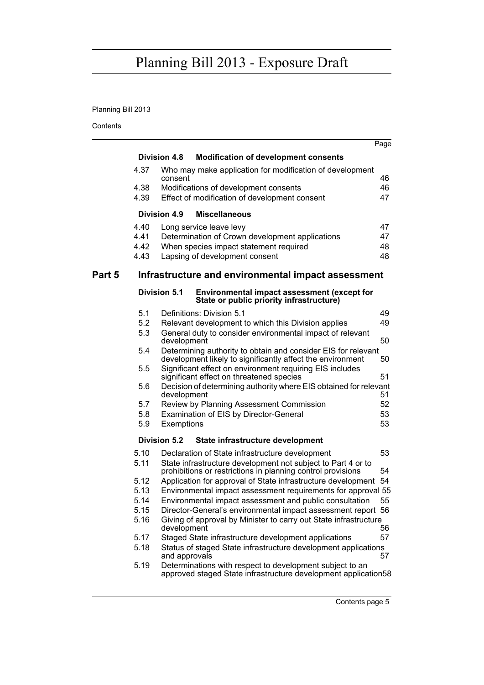# Planning Bill 2013

|        |      |                                                                                                                             | Page |
|--------|------|-----------------------------------------------------------------------------------------------------------------------------|------|
|        |      | <b>Division 4.8</b><br><b>Modification of development consents</b>                                                          |      |
|        | 4.37 | Who may make application for modification of development<br>consent                                                         | 46   |
|        | 4.38 | Modifications of development consents                                                                                       | 46   |
|        | 4.39 | Effect of modification of development consent                                                                               | 47   |
|        |      | Division 4.9<br><b>Miscellaneous</b>                                                                                        |      |
|        | 4.40 | Long service leave levy                                                                                                     | 47   |
|        | 4.41 | Determination of Crown development applications                                                                             | 47   |
|        | 4.42 | When species impact statement required                                                                                      | 48   |
|        | 4.43 | Lapsing of development consent                                                                                              | 48   |
| Part 5 |      | Infrastructure and environmental impact assessment                                                                          |      |
|        |      | Division 5.1<br><b>Environmental impact assessment (except for</b><br>State or public priority infrastructure)              |      |
|        | 5.1  | Definitions: Division 5.1                                                                                                   | 49   |
|        | 5.2  | Relevant development to which this Division applies                                                                         | 49   |
|        | 5.3  | General duty to consider environmental impact of relevant<br>development                                                    | 50   |
|        | 5.4  | Determining authority to obtain and consider EIS for relevant<br>development likely to significantly affect the environment | 50   |
|        | 5.5  | Significant effect on environment requiring EIS includes<br>significant effect on threatened species                        | 51   |
|        | 5.6  | Decision of determining authority where EIS obtained for relevant<br>development                                            | 51   |
|        | 5.7  | Review by Planning Assessment Commission                                                                                    | 52   |
|        | 5.8  | Examination of EIS by Director-General                                                                                      | 53   |
|        | 5.9  | Exemptions                                                                                                                  | 53   |
|        |      | Division 5.2<br>State infrastructure development                                                                            |      |
|        | 5.10 | Declaration of State infrastructure development                                                                             | 53   |
|        | 5.11 | State infrastructure development not subject to Part 4 or to<br>prohibitions or restrictions in planning control provisions | 54   |
|        | 5.12 | Application for approval of State infrastructure development 54                                                             |      |
|        | 5.13 | Environmental impact assessment requirements for approval 55                                                                |      |
|        | 5.14 | Environmental impact assessment and public consultation                                                                     | 55   |
|        | 5.15 | Director-General's environmental impact assessment report 56                                                                |      |
|        | 5.16 | Giving of approval by Minister to carry out State infrastructure<br>development                                             | 56   |
|        | 5.17 | Staged State infrastructure development applications                                                                        | 57   |
|        | 5.18 | Status of staged State infrastructure development applications<br>and approvals                                             | 57   |
|        | 5.19 | Determinations with respect to development subject to an<br>approved staged State infrastructure development application58  |      |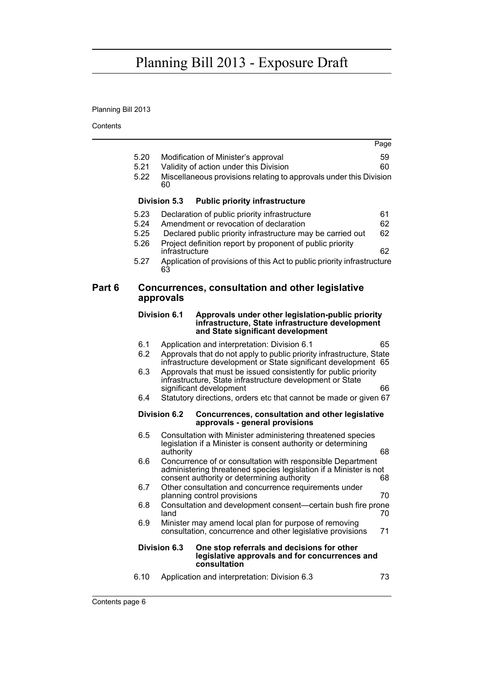# Planning Bill 2013

Contents ÷.

|        |                                      |                      |                                                                                                                                                                                                                                                                                               | Page                 |
|--------|--------------------------------------|----------------------|-----------------------------------------------------------------------------------------------------------------------------------------------------------------------------------------------------------------------------------------------------------------------------------------------|----------------------|
|        | 5.20<br>5.21<br>5.22                 | 60                   | Modification of Minister's approval<br>Validity of action under this Division<br>Miscellaneous provisions relating to approvals under this Division                                                                                                                                           | 59<br>60             |
|        |                                      | <b>Division 5.3</b>  | <b>Public priority infrastructure</b>                                                                                                                                                                                                                                                         |                      |
|        | 5.23<br>5.24<br>5.25<br>5.26<br>5.27 | infrastructure<br>63 | Declaration of public priority infrastructure<br>Amendment or revocation of declaration<br>Declared public priority infrastructure may be carried out<br>Project definition report by proponent of public priority<br>Application of provisions of this Act to public priority infrastructure | 61<br>62<br>62<br>62 |
| Part 6 |                                      | approvals            | Concurrences, consultation and other legislative                                                                                                                                                                                                                                              |                      |
|        |                                      | Division 6.1         | Approvals under other legislation-public priority<br>infrastructure, State infrastructure development<br>and State significant development                                                                                                                                                    |                      |
|        | 6.1<br>6.2                           |                      | Application and interpretation: Division 6.1<br>Approvals that do not apply to public priority infrastructure, State<br>infrastructure development or State significant development 65                                                                                                        | 65                   |
|        | 6.3<br>6.4                           |                      | Approvals that must be issued consistently for public priority<br>infrastructure, State infrastructure development or State<br>significant development<br>Statutory directions, orders etc that cannot be made or given 67                                                                    | 66                   |
|        |                                      | <b>Division 6.2</b>  | Concurrences, consultation and other legislative<br>approvals - general provisions                                                                                                                                                                                                            |                      |
|        | 6.5                                  | authority            | Consultation with Minister administering threatened species<br>legislation if a Minister is consent authority or determining                                                                                                                                                                  | 68                   |
|        | 6.6                                  |                      | Concurrence of or consultation with responsible Department<br>administering threatened species legislation if a Minister is not<br>consent authority or determining authority                                                                                                                 | 68                   |
|        | 6.7                                  |                      | Other consultation and concurrence requirements under<br>planning control provisions                                                                                                                                                                                                          | 70                   |
|        | 6.8                                  | land                 | Consultation and development consent-certain bush fire prone                                                                                                                                                                                                                                  | 70                   |
|        | 6.9                                  |                      | Minister may amend local plan for purpose of removing<br>consultation, concurrence and other legislative provisions                                                                                                                                                                           | 71                   |
|        |                                      | Division 6.3         | One stop referrals and decisions for other<br>legislative approvals and for concurrences and<br>consultation                                                                                                                                                                                  |                      |
|        | 6.10                                 |                      | Application and interpretation: Division 6.3                                                                                                                                                                                                                                                  | 73                   |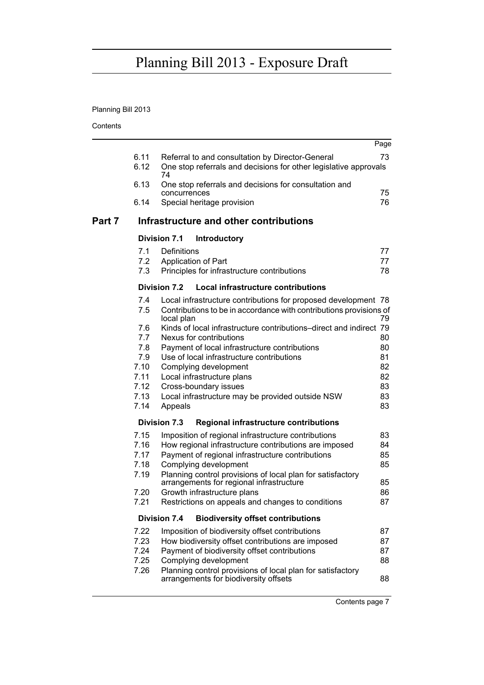# Planning Bill 2013

Contents

|        |              |                                                                                                                                                    | Page     |
|--------|--------------|----------------------------------------------------------------------------------------------------------------------------------------------------|----------|
|        | 6.11<br>6.12 | Referral to and consultation by Director-General<br>One stop referrals and decisions for other legislative approvals                               | 73       |
|        | 6.13         | 74<br>One stop referrals and decisions for consultation and<br>concurrences                                                                        | 75       |
|        | 6.14         | Special heritage provision                                                                                                                         | 76       |
| Part 7 |              | Infrastructure and other contributions                                                                                                             |          |
|        |              | <b>Division 7.1</b><br><b>Introductory</b>                                                                                                         |          |
|        | 7.1          | Definitions                                                                                                                                        | 77       |
|        | 7.2          | Application of Part                                                                                                                                | 77       |
|        | 7.3          | Principles for infrastructure contributions                                                                                                        | 78       |
|        |              | Division 7.2<br>Local infrastructure contributions                                                                                                 |          |
|        | 7.4<br>7.5   | Local infrastructure contributions for proposed development 78<br>Contributions to be in accordance with contributions provisions of<br>local plan | 79       |
|        | 7.6          | Kinds of local infrastructure contributions-direct and indirect 79                                                                                 |          |
|        | 7.7          | Nexus for contributions                                                                                                                            | 80       |
|        | 7.8          | Payment of local infrastructure contributions                                                                                                      | 80       |
|        | 7.9          | Use of local infrastructure contributions                                                                                                          | 81       |
|        | 7.10<br>7.11 | Complying development<br>Local infrastructure plans                                                                                                | 82<br>82 |
|        | 7.12         | Cross-boundary issues                                                                                                                              | 83       |
|        | 7.13         | Local infrastructure may be provided outside NSW                                                                                                   | 83       |
|        | 7.14         | Appeals                                                                                                                                            | 83       |
|        |              | Regional infrastructure contributions<br>Division 7.3                                                                                              |          |
|        | 7.15         | Imposition of regional infrastructure contributions                                                                                                | 83       |
|        | 7.16         | How regional infrastructure contributions are imposed                                                                                              | 84       |
|        | 7.17         | Payment of regional infrastructure contributions                                                                                                   | 85       |
|        | 7.18         | Complying development                                                                                                                              | 85       |
|        | 7.19         | Planning control provisions of local plan for satisfactory<br>arrangements for regional infrastructure                                             | 85       |
|        | 7.20         | Growth infrastructure plans                                                                                                                        | 86       |
|        | 7.21         | Restrictions on appeals and changes to conditions                                                                                                  | 87       |
|        |              | <b>Division 7.4</b><br><b>Biodiversity offset contributions</b>                                                                                    |          |
|        | 7.22         | Imposition of biodiversity offset contributions                                                                                                    | 87       |
|        | 7.23         | How biodiversity offset contributions are imposed                                                                                                  | 87       |
|        | 7.24         | Payment of biodiversity offset contributions                                                                                                       | 87       |
|        | 7.25<br>7.26 | Complying development<br>Planning control provisions of local plan for satisfactory                                                                | 88       |
|        |              | arrangements for biodiversity offsets                                                                                                              | 88       |
|        |              |                                                                                                                                                    |          |

Contents page 7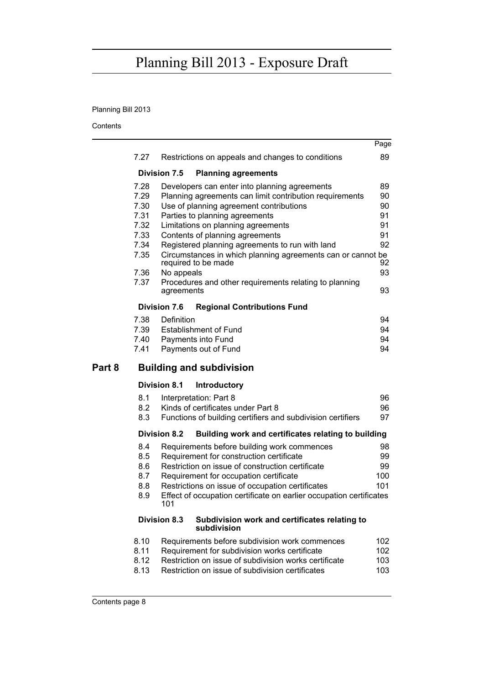# Planning Bill 2013

|        |      |                        |                                                                     | Page |
|--------|------|------------------------|---------------------------------------------------------------------|------|
|        | 7.27 |                        | Restrictions on appeals and changes to conditions                   | 89   |
|        |      | <b>Division 7.5</b>    | <b>Planning agreements</b>                                          |      |
|        | 7.28 |                        | Developers can enter into planning agreements                       | 89   |
|        | 7.29 |                        | Planning agreements can limit contribution requirements             | 90   |
|        | 7.30 |                        | Use of planning agreement contributions                             | 90   |
|        | 7.31 |                        | Parties to planning agreements                                      | 91   |
|        | 7.32 |                        | Limitations on planning agreements                                  | 91   |
|        | 7.33 |                        | Contents of planning agreements                                     | 91   |
|        | 7.34 |                        | Registered planning agreements to run with land                     | 92   |
|        | 7.35 | required to be made    | Circumstances in which planning agreements can or cannot be         | 92   |
|        | 7.36 | No appeals             |                                                                     | 93   |
|        | 7.37 | agreements             | Procedures and other requirements relating to planning              | 93   |
|        |      | <b>Division 7.6</b>    | <b>Regional Contributions Fund</b>                                  |      |
|        | 7.38 | Definition             |                                                                     | 94   |
|        | 7.39 |                        | <b>Establishment of Fund</b>                                        | 94   |
|        | 7.40 | Payments into Fund     |                                                                     | 94   |
|        | 7.41 |                        | Payments out of Fund                                                | 94   |
| Part 8 |      |                        | <b>Building and subdivision</b>                                     |      |
|        |      | <b>Division 8.1</b>    | <b>Introductory</b>                                                 |      |
|        | 8.1  | Interpretation: Part 8 |                                                                     | 96   |
|        | 8.2  |                        | Kinds of certificates under Part 8                                  | 96   |
|        | 8.3  |                        | Functions of building certifiers and subdivision certifiers         | 97   |
|        |      | Division 8.2           | Building work and certificates relating to building                 |      |
|        | 8.4  |                        | Requirements before building work commences                         | 98   |
|        | 8.5  |                        | Requirement for construction certificate                            | 99   |
|        | 8.6  |                        | Restriction on issue of construction certificate                    | 99   |
|        | 8.7  |                        | Requirement for occupation certificate                              | 100  |
|        | 8.8  |                        | Restrictions on issue of occupation certificates                    | 101  |
|        | 8.9  | 101                    | Effect of occupation certificate on earlier occupation certificates |      |
|        |      | <b>Division 8.3</b>    | Subdivision work and certificates relating to<br>subdivision        |      |
|        | 8.10 |                        | Requirements before subdivision work commences                      | 102  |
|        | 8.11 |                        | Requirement for subdivision works certificate                       | 102  |
|        | 8.12 |                        | Restriction on issue of subdivision works certificate               | 103  |
|        | 8.13 |                        | Restriction on issue of subdivision certificates                    | 103  |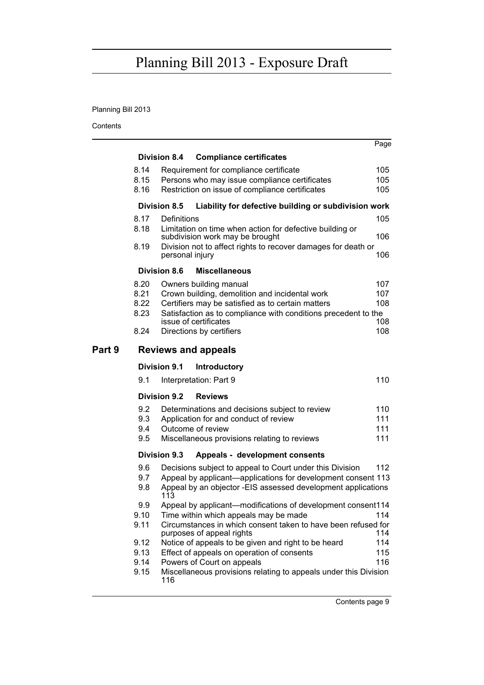# Planning Bill 2013

|        |      |                     |                                                                                             | Page |
|--------|------|---------------------|---------------------------------------------------------------------------------------------|------|
|        |      | <b>Division 8.4</b> | <b>Compliance certificates</b>                                                              |      |
|        | 8.14 |                     | Requirement for compliance certificate                                                      | 105  |
|        | 8.15 |                     | Persons who may issue compliance certificates                                               | 105  |
|        | 8.16 |                     | Restriction on issue of compliance certificates                                             | 105  |
|        |      | Division 8.5        | Liability for defective building or subdivision work                                        |      |
|        | 8.17 | Definitions         |                                                                                             | 105  |
|        | 8.18 |                     | Limitation on time when action for defective building or<br>subdivision work may be brought | 106  |
|        | 8.19 | personal injury     | Division not to affect rights to recover damages for death or                               | 106  |
|        |      | <b>Division 8.6</b> | <b>Miscellaneous</b>                                                                        |      |
|        | 8.20 |                     | Owners building manual                                                                      | 107  |
|        | 8.21 |                     | Crown building, demolition and incidental work                                              | 107  |
|        | 8.22 |                     | Certifiers may be satisfied as to certain matters                                           | 108  |
|        | 8.23 |                     | Satisfaction as to compliance with conditions precedent to the                              |      |
|        |      |                     | issue of certificates                                                                       | 108  |
|        | 8.24 |                     | Directions by certifiers                                                                    | 108  |
| Part 9 |      |                     | <b>Reviews and appeals</b>                                                                  |      |
|        |      | <b>Division 9.1</b> | <b>Introductory</b>                                                                         |      |
|        | 9.1  |                     | Interpretation: Part 9                                                                      | 110  |
|        |      | Division 9.2        | <b>Reviews</b>                                                                              |      |
|        | 9.2  |                     | Determinations and decisions subject to review                                              | 110  |
|        | 9.3  |                     | Application for and conduct of review                                                       | 111  |
|        | 9.4  |                     | Outcome of review                                                                           | 111  |
|        | 9.5  |                     | Miscellaneous provisions relating to reviews                                                | 111  |
|        |      | <b>Division 9.3</b> | Appeals - development consents                                                              |      |
|        | 9.6  |                     | Decisions subject to appeal to Court under this Division                                    | 112  |
|        | 9.7  |                     | Appeal by applicant—applications for development consent 113                                |      |
|        | 9.8  | 113                 | Appeal by an objector -EIS assessed development applications                                |      |
|        | 9.9  |                     | Appeal by applicant—modifications of development consent114                                 |      |
|        | 9.10 |                     | Time within which appeals may be made                                                       | 114  |
|        | 9.11 |                     | Circumstances in which consent taken to have been refused for<br>purposes of appeal rights  | 114  |
|        | 9.12 |                     | Notice of appeals to be given and right to be heard                                         | 114  |
|        | 9.13 |                     | Effect of appeals on operation of consents                                                  | 115  |
|        | 9.14 |                     | Powers of Court on appeals                                                                  | 116  |
|        | 9.15 | 116                 | Miscellaneous provisions relating to appeals under this Division                            |      |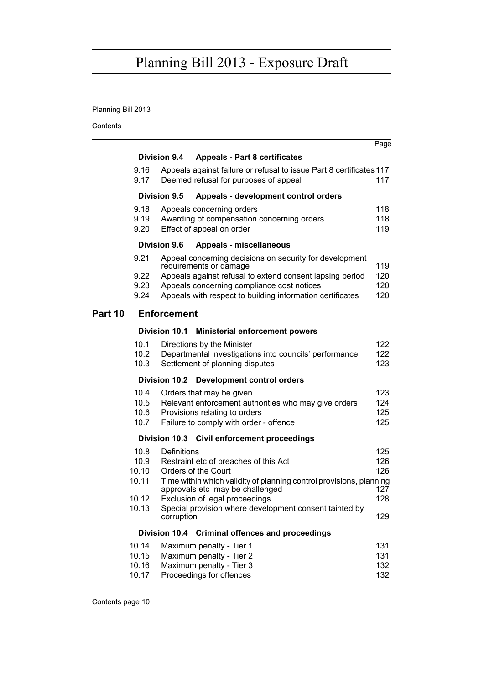# Planning Bill 2013

|         |                                  |                                                                                                                                                                                                                                                          | Page                     |
|---------|----------------------------------|----------------------------------------------------------------------------------------------------------------------------------------------------------------------------------------------------------------------------------------------------------|--------------------------|
|         |                                  | <b>Division 9.4</b><br><b>Appeals - Part 8 certificates</b>                                                                                                                                                                                              |                          |
|         | 9.16<br>9.17                     | Appeals against failure or refusal to issue Part 8 certificates 117<br>Deemed refusal for purposes of appeal                                                                                                                                             | 117                      |
|         |                                  | Division 9.5<br>Appeals - development control orders                                                                                                                                                                                                     |                          |
|         | 9.18<br>9.19<br>9.20             | Appeals concerning orders<br>Awarding of compensation concerning orders<br>Effect of appeal on order                                                                                                                                                     | 118<br>118<br>119        |
|         |                                  | <b>Division 9.6</b><br><b>Appeals - miscellaneous</b>                                                                                                                                                                                                    |                          |
|         | 9.21<br>9.22<br>9.23<br>9.24     | Appeal concerning decisions on security for development<br>requirements or damage<br>Appeals against refusal to extend consent lapsing period<br>Appeals concerning compliance cost notices<br>Appeals with respect to building information certificates | 119<br>120<br>120<br>120 |
| Part 10 |                                  | <b>Enforcement</b>                                                                                                                                                                                                                                       |                          |
|         |                                  | Division 10.1<br><b>Ministerial enforcement powers</b>                                                                                                                                                                                                   |                          |
|         | 10.1<br>10.2<br>10.3             | Directions by the Minister<br>Departmental investigations into councils' performance<br>Settlement of planning disputes                                                                                                                                  | 122<br>122<br>123        |
|         |                                  | Division 10.2 Development control orders                                                                                                                                                                                                                 |                          |
|         | 10.4<br>10.5<br>10.6<br>10.7     | Orders that may be given<br>Relevant enforcement authorities who may give orders<br>Provisions relating to orders<br>Failure to comply with order - offence                                                                                              | 123<br>124<br>125<br>125 |
|         |                                  | Division 10.3 Civil enforcement proceedings                                                                                                                                                                                                              |                          |
|         | 10.8<br>10.9<br>10.10<br>10.11   | Definitions<br>Restraint etc of breaches of this Act<br>Orders of the Court<br>Time within which validity of planning control provisions, planning<br>approvals etc may be challenged                                                                    | 125<br>126<br>126<br>127 |
|         | 10.12<br>10.13                   | Exclusion of legal proceedings<br>Special provision where development consent tainted by<br>corruption                                                                                                                                                   | 128<br>129               |
|         |                                  | Division 10.4 Criminal offences and proceedings                                                                                                                                                                                                          |                          |
|         | 10.14<br>10.15<br>10.16<br>10.17 | Maximum penalty - Tier 1<br>Maximum penalty - Tier 2<br>Maximum penalty - Tier 3<br>Proceedings for offences                                                                                                                                             | 131<br>131<br>132<br>132 |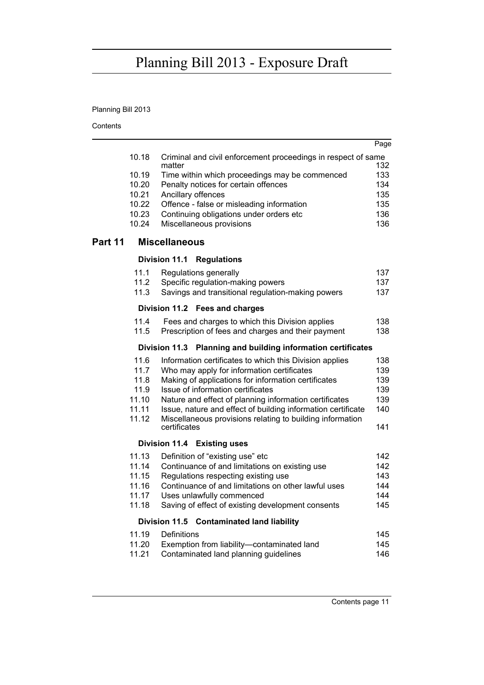# Planning Bill 2013

|                                                              |                |                                                                                                                        | Page       |  |  |
|--------------------------------------------------------------|----------------|------------------------------------------------------------------------------------------------------------------------|------------|--|--|
|                                                              | 10.18          | Criminal and civil enforcement proceedings in respect of same<br>matter                                                | 132        |  |  |
|                                                              | 10.19          | Time within which proceedings may be commenced                                                                         | 133        |  |  |
|                                                              | 10.20          | Penalty notices for certain offences                                                                                   | 134        |  |  |
|                                                              | 10.21          | Ancillary offences                                                                                                     | 135        |  |  |
|                                                              | 10.22          | Offence - false or misleading information                                                                              | 135        |  |  |
|                                                              | 10.23          | Continuing obligations under orders etc                                                                                | 136        |  |  |
|                                                              | 10.24          | Miscellaneous provisions                                                                                               | 136        |  |  |
| Part 11                                                      |                | <b>Miscellaneous</b>                                                                                                   |            |  |  |
|                                                              |                | Division 11.1 Regulations                                                                                              |            |  |  |
|                                                              | 11.1           | Regulations generally                                                                                                  | 137        |  |  |
|                                                              | 11.2           | Specific regulation-making powers                                                                                      | 137        |  |  |
|                                                              | 11.3           | Savings and transitional regulation-making powers                                                                      | 137        |  |  |
|                                                              |                | Division 11.2 Fees and charges                                                                                         |            |  |  |
|                                                              | 11.4           | Fees and charges to which this Division applies                                                                        | 138        |  |  |
|                                                              | 11.5           | Prescription of fees and charges and their payment                                                                     | 138        |  |  |
| Division 11.3 Planning and building information certificates |                |                                                                                                                        |            |  |  |
|                                                              | 11.6           | Information certificates to which this Division applies                                                                | 138        |  |  |
|                                                              | 11.7           | Who may apply for information certificates                                                                             | 139        |  |  |
|                                                              | 11.8           | Making of applications for information certificates                                                                    | 139        |  |  |
|                                                              | 11.9           | Issue of information certificates                                                                                      | 139        |  |  |
|                                                              | 11.10<br>11.11 | Nature and effect of planning information certificates<br>Issue, nature and effect of building information certificate | 139<br>140 |  |  |
|                                                              | 11.12          | Miscellaneous provisions relating to building information                                                              |            |  |  |
|                                                              |                | certificates                                                                                                           | 141        |  |  |
|                                                              |                | Division 11.4 Existing uses                                                                                            |            |  |  |
|                                                              | 11.13          | Definition of "existing use" etc                                                                                       | 142        |  |  |
|                                                              | 11.14          | Continuance of and limitations on existing use                                                                         | 142        |  |  |
|                                                              | 11.15          | Regulations respecting existing use                                                                                    | 143        |  |  |
|                                                              | 11.16          | Continuance of and limitations on other lawful uses                                                                    | 144        |  |  |
|                                                              | 11.17          | Uses unlawfully commenced                                                                                              | 144        |  |  |
|                                                              | 11.18          | Saving of effect of existing development consents                                                                      | 145        |  |  |
|                                                              |                | Division 11.5 Contaminated land liability                                                                              |            |  |  |
|                                                              | 11.19          | Definitions                                                                                                            | 145        |  |  |
|                                                              | 11.20          | Exemption from liability-contaminated land                                                                             | 145        |  |  |
|                                                              | 11.21          | Contaminated land planning guidelines                                                                                  | 146        |  |  |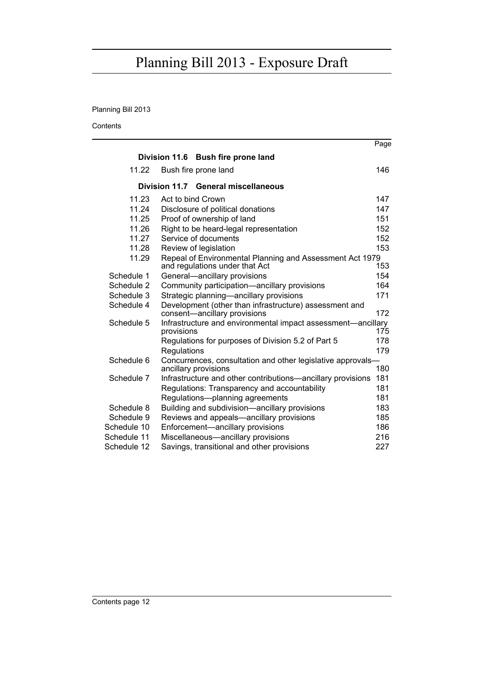# Planning Bill 2013

|             |             |                                                                                            | Page |
|-------------|-------------|--------------------------------------------------------------------------------------------|------|
|             |             | Division 11.6 Bush fire prone land                                                         |      |
| 11.22       |             | Bush fire prone land                                                                       | 146  |
|             |             | Division 11.7 General miscellaneous                                                        |      |
| 11.23       |             | Act to bind Crown                                                                          | 147  |
| 11.24       |             | Disclosure of political donations                                                          | 147  |
| 11.25       |             | Proof of ownership of land                                                                 | 151  |
| 11.26       |             | Right to be heard-legal representation                                                     | 152  |
| 11.27       |             | Service of documents                                                                       | 152  |
| 11.28       |             | Review of legislation                                                                      | 153  |
| 11.29       |             | Repeal of Environmental Planning and Assessment Act 1979<br>and regulations under that Act | 153  |
| Schedule 1  |             | General-ancillary provisions                                                               | 154  |
| Schedule 2  |             | Community participation-ancillary provisions                                               | 164  |
| Schedule 3  |             | Strategic planning—ancillary provisions                                                    | 171  |
| Schedule 4  |             | Development (other than infrastructure) assessment and                                     |      |
|             |             | consent-ancillary provisions                                                               | 172  |
| Schedule 5  | provisions  | Infrastructure and environmental impact assessment—ancillary                               | 175  |
|             |             | Regulations for purposes of Division 5.2 of Part 5                                         | 178  |
|             | Regulations |                                                                                            | 179  |
| Schedule 6  |             | Concurrences, consultation and other legislative approvals-                                |      |
|             |             | ancillary provisions                                                                       | 180  |
| Schedule 7  |             | Infrastructure and other contributions-ancillary provisions                                | 181  |
|             |             | Regulations: Transparency and accountability                                               | 181  |
|             |             | Regulations-planning agreements                                                            | 181  |
| Schedule 8  |             | Building and subdivision-ancillary provisions                                              | 183  |
| Schedule 9  |             | Reviews and appeals—ancillary provisions                                                   | 185  |
| Schedule 10 |             | Enforcement-ancillary provisions                                                           | 186  |
| Schedule 11 |             | Miscellaneous-ancillary provisions                                                         | 216  |
| Schedule 12 |             | Savings, transitional and other provisions                                                 | 227  |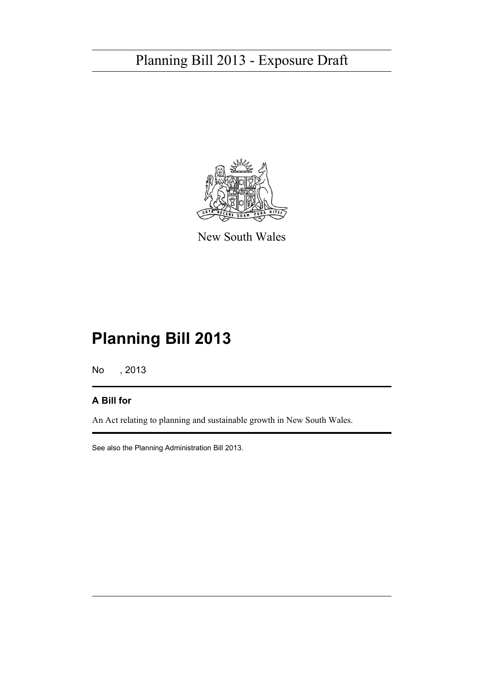

New South Wales

# **Planning Bill 2013**

No , 2013

# **A Bill for**

An Act relating to planning and sustainable growth in New South Wales.

See also the Planning Administration Bill 2013.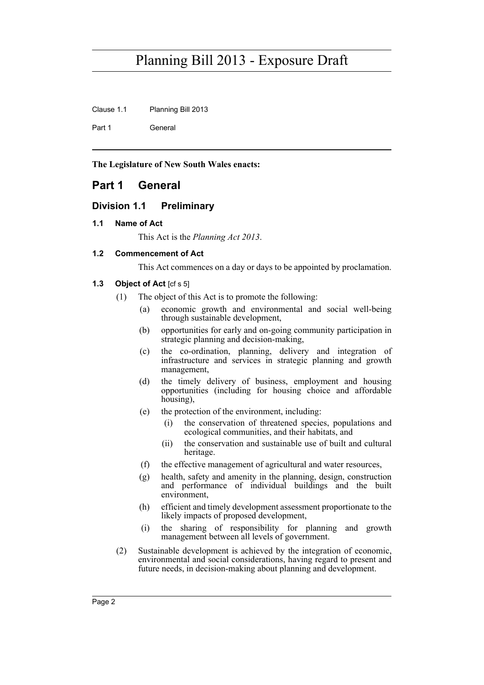Clause 1.1 Planning Bill 2013

Part 1 General

**The Legislature of New South Wales enacts:**

# <span id="page-13-0"></span>**Part 1 General**

## <span id="page-13-1"></span>**Division 1.1 Preliminary**

## <span id="page-13-2"></span>**1.1 Name of Act**

This Act is the *Planning Act 2013*.

## <span id="page-13-3"></span>**1.2 Commencement of Act**

This Act commences on a day or days to be appointed by proclamation.

## <span id="page-13-4"></span>**1.3 Object of Act** [cf s 5]

- (1) The object of this Act is to promote the following:
	- (a) economic growth and environmental and social well-being through sustainable development,
	- (b) opportunities for early and on-going community participation in strategic planning and decision-making,
	- (c) the co-ordination, planning, delivery and integration of infrastructure and services in strategic planning and growth management,
	- (d) the timely delivery of business, employment and housing opportunities (including for housing choice and affordable housing).
	- (e) the protection of the environment, including:
		- (i) the conservation of threatened species, populations and ecological communities, and their habitats, and
		- (ii) the conservation and sustainable use of built and cultural heritage.
	- (f) the effective management of agricultural and water resources,
	- (g) health, safety and amenity in the planning, design, construction and performance of individual buildings and the built environment,
	- (h) efficient and timely development assessment proportionate to the likely impacts of proposed development,
	- (i) the sharing of responsibility for planning and growth management between all levels of government.
- (2) Sustainable development is achieved by the integration of economic, environmental and social considerations, having regard to present and future needs, in decision-making about planning and development.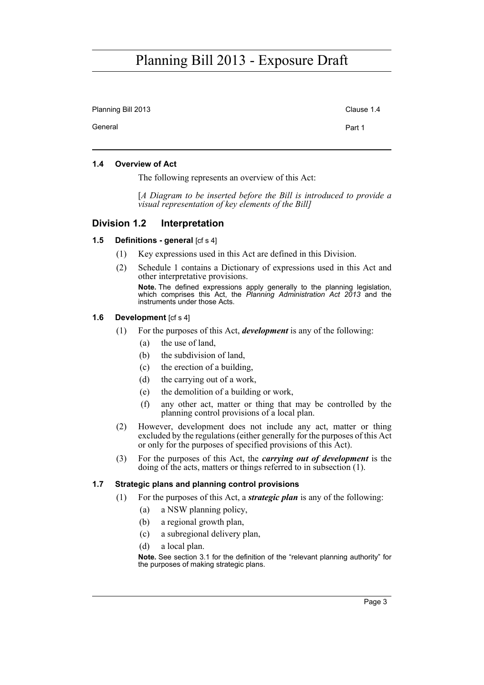Planning Bill 2013 Clause 1.4 General **Part 1** 

### <span id="page-14-0"></span>**1.4 Overview of Act**

The following represents an overview of this Act:

[*A Diagram to be inserted before the Bill is introduced to provide a visual representation of key elements of the Bill]*

### <span id="page-14-1"></span>**Division 1.2 Interpretation**

### <span id="page-14-2"></span>**1.5 Definitions - general [cf s 4]**

- (1) Key expressions used in this Act are defined in this Division.
- (2) Schedule 1 contains a Dictionary of expressions used in this Act and other interpretative provisions.

**Note.** The defined expressions apply generally to the planning legislation, which comprises this Act, the *Planning Administration Act 2013* and the instruments under those Acts.

#### <span id="page-14-3"></span>**1.6 Development** [cf s 4]

- (1) For the purposes of this Act, *development* is any of the following:
	- (a) the use of land,
	- (b) the subdivision of land,
	- (c) the erection of a building,
	- (d) the carrying out of a work,
	- (e) the demolition of a building or work,
	- (f) any other act, matter or thing that may be controlled by the planning control provisions of a local plan.
- (2) However, development does not include any act, matter or thing excluded by the regulations (either generally for the purposes of this Act or only for the purposes of specified provisions of this Act).
- (3) For the purposes of this Act, the *carrying out of development* is the doing of the acts, matters or things referred to in subsection (1).

#### <span id="page-14-4"></span>**1.7 Strategic plans and planning control provisions**

- (1) For the purposes of this Act, a *strategic plan* is any of the following:
	- (a) a NSW planning policy,
	- (b) a regional growth plan,
	- (c) a subregional delivery plan,
	- (d) a local plan.

**Note.** See section 3.1 for the definition of the "relevant planning authority" for the purposes of making strategic plans.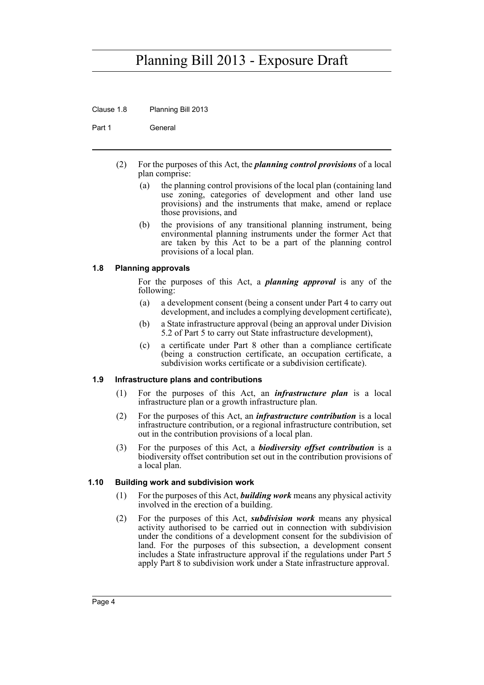Clause 1.8 Planning Bill 2013

Part 1 General

- (2) For the purposes of this Act, the *planning control provisions* of a local plan comprise:
	- (a) the planning control provisions of the local plan (containing land use zoning, categories of development and other land use provisions) and the instruments that make, amend or replace those provisions, and
	- (b) the provisions of any transitional planning instrument, being environmental planning instruments under the former Act that are taken by this Act to be a part of the planning control provisions of a local plan.

## <span id="page-15-0"></span>**1.8 Planning approvals**

For the purposes of this Act, a *planning approval* is any of the following:

- (a) a development consent (being a consent under Part 4 to carry out development, and includes a complying development certificate),
- (b) a State infrastructure approval (being an approval under Division 5.2 of Part 5 to carry out State infrastructure development),
- (c) a certificate under Part 8 other than a compliance certificate (being a construction certificate, an occupation certificate, a subdivision works certificate or a subdivision certificate).

## <span id="page-15-1"></span>**1.9 Infrastructure plans and contributions**

- (1) For the purposes of this Act, an *infrastructure plan* is a local infrastructure plan or a growth infrastructure plan.
- (2) For the purposes of this Act, an *infrastructure contribution* is a local infrastructure contribution, or a regional infrastructure contribution, set out in the contribution provisions of a local plan.
- (3) For the purposes of this Act, a *biodiversity offset contribution* is a biodiversity offset contribution set out in the contribution provisions of a local plan.

## <span id="page-15-2"></span>**1.10 Building work and subdivision work**

- (1) For the purposes of this Act, *building work* means any physical activity involved in the erection of a building.
- (2) For the purposes of this Act, *subdivision work* means any physical activity authorised to be carried out in connection with subdivision under the conditions of a development consent for the subdivision of land. For the purposes of this subsection, a development consent includes a State infrastructure approval if the regulations under Part 5 apply Part 8 to subdivision work under a State infrastructure approval.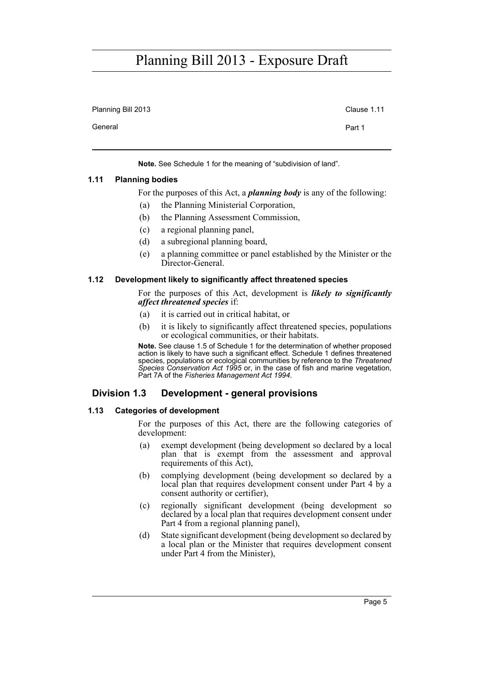Planning Bill 2013 Clause 1.11 General **Part 1** 

**Note.** See Schedule 1 for the meaning of "subdivision of land".

## <span id="page-16-0"></span>**1.11 Planning bodies**

For the purposes of this Act, a *planning body* is any of the following:

- (a) the Planning Ministerial Corporation,
- (b) the Planning Assessment Commission,
- (c) a regional planning panel,
- (d) a subregional planning board,
- (e) a planning committee or panel established by the Minister or the Director-General.

#### <span id="page-16-1"></span>**1.12 Development likely to significantly affect threatened species**

For the purposes of this Act, development is *likely to significantly affect threatened species* if:

- (a) it is carried out in critical habitat, or
- (b) it is likely to significantly affect threatened species, populations or ecological communities, or their habitats.

**Note.** See clause 1.5 of Schedule 1 for the determination of whether proposed action is likely to have such a significant effect. Schedule 1 defines threatened species, populations or ecological communities by reference to the *Threatened Species Conservation Act 1995* or, in the case of fish and marine vegetation, Part 7A of the *Fisheries Management Act 1994*.

## <span id="page-16-2"></span>**Division 1.3 Development - general provisions**

#### <span id="page-16-3"></span>**1.13 Categories of development**

For the purposes of this Act, there are the following categories of development:

- (a) exempt development (being development so declared by a local plan that is exempt from the assessment and approval requirements of this Act),
- (b) complying development (being development so declared by a local plan that requires development consent under Part 4 by a consent authority or certifier),
- (c) regionally significant development (being development so declared by a local plan that requires development consent under Part 4 from a regional planning panel),
- (d) State significant development (being development so declared by a local plan or the Minister that requires development consent under Part 4 from the Minister),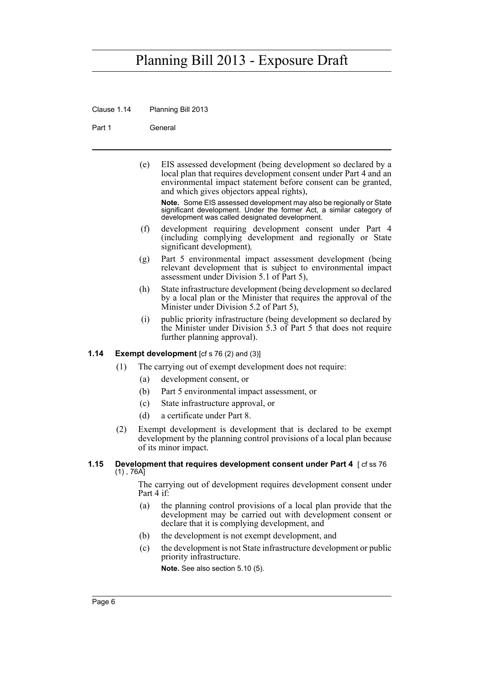Clause 1.14 Planning Bill 2013

Part 1 General

(e) EIS assessed development (being development so declared by a local plan that requires development consent under Part 4 and an environmental impact statement before consent can be granted, and which gives objectors appeal rights),

**Note.** Some EIS assessed development may also be regionally or State significant development. Under the former Act, a similar category of development was called designated development.

- (f) development requiring development consent under Part 4 (including complying development and regionally or State significant development)*,*
- (g) Part 5 environmental impact assessment development (being relevant development that is subject to environmental impact assessment under Division 5.1 of Part 5),
- (h) State infrastructure development (being development so declared by a local plan or the Minister that requires the approval of the Minister under Division 5.2 of Part 5),
- (i) public priority infrastructure (being development so declared by the Minister under Division 5.3 of Part 5 that does not require further planning approval).

## <span id="page-17-0"></span>**1.14 Exempt development** [cf s 76 (2) and (3)]

- (1) The carrying out of exempt development does not require:
	- (a) development consent, or
	- (b) Part 5 environmental impact assessment, or
	- (c) State infrastructure approval, or
	- (d) a certificate under Part 8.
- (2) Exempt development is development that is declared to be exempt development by the planning control provisions of a local plan because of its minor impact.

#### <span id="page-17-1"></span>**1.15 Development that requires development consent under Part 4** [cf ss 76] (1) , 76A]

The carrying out of development requires development consent under Part 4 if:

- (a) the planning control provisions of a local plan provide that the development may be carried out with development consent or declare that it is complying development, and
- (b) the development is not exempt development, and
- (c) the development is not State infrastructure development or public priority infrastructure.

**Note.** See also section 5.10 (5).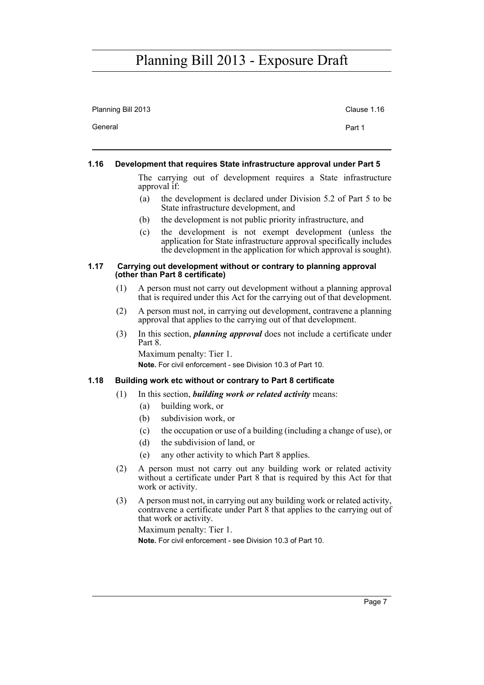| Planning Bill 2013 | Clause 1.16 |
|--------------------|-------------|
| General            | Part 1      |

#### <span id="page-18-0"></span>**1.16 Development that requires State infrastructure approval under Part 5**

The carrying out of development requires a State infrastructure approval if:

- (a) the development is declared under Division 5.2 of Part 5 to be State infrastructure development, and
- (b) the development is not public priority infrastructure, and
- (c) the development is not exempt development (unless the application for State infrastructure approval specifically includes the development in the application for which approval is sought).

#### <span id="page-18-1"></span>**1.17 Carrying out development without or contrary to planning approval (other than Part 8 certificate)**

- (1) A person must not carry out development without a planning approval that is required under this Act for the carrying out of that development.
- (2) A person must not, in carrying out development, contravene a planning approval that applies to the carrying out of that development.
- (3) In this section, *planning approval* does not include a certificate under Part 8. Maximum penalty: Tier 1.

**Note.** For civil enforcement - see Division 10.3 of Part 10.

## <span id="page-18-2"></span>**1.18 Building work etc without or contrary to Part 8 certificate**

- (1) In this section, *building work or related activity* means:
	- (a) building work, or
	- (b) subdivision work, or
	- (c) the occupation or use of a building (including a change of use), or
	- (d) the subdivision of land, or
	- (e) any other activity to which Part 8 applies.
- (2) A person must not carry out any building work or related activity without a certificate under Part 8 that is required by this Act for that work or activity.
- (3) A person must not, in carrying out any building work or related activity, contravene a certificate under Part 8 that applies to the carrying out of that work or activity. Maximum penalty: Tier 1.

**Note.** For civil enforcement - see Division 10.3 of Part 10.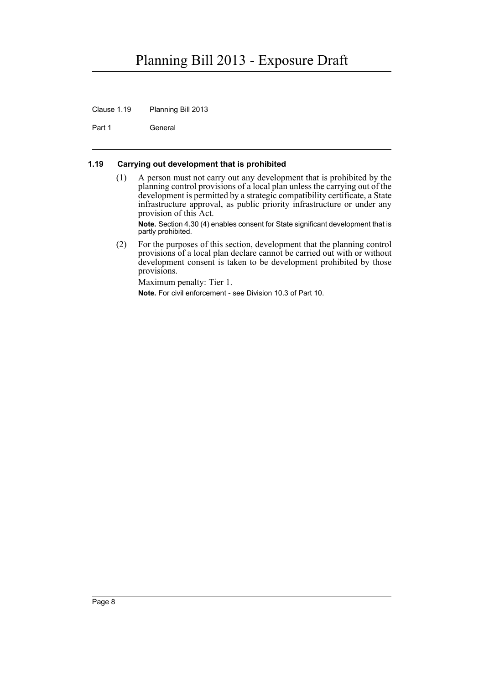Clause 1.19 Planning Bill 2013

Part 1 General

## <span id="page-19-0"></span>**1.19 Carrying out development that is prohibited**

(1) A person must not carry out any development that is prohibited by the planning control provisions of a local plan unless the carrying out of the development is permitted by a strategic compatibility certificate, a State infrastructure approval, as public priority infrastructure or under any provision of this Act.

**Note.** Section 4.30 (4) enables consent for State significant development that is partly prohibited.

(2) For the purposes of this section, development that the planning control provisions of a local plan declare cannot be carried out with or without development consent is taken to be development prohibited by those provisions.

Maximum penalty: Tier 1. **Note.** For civil enforcement - see Division 10.3 of Part 10.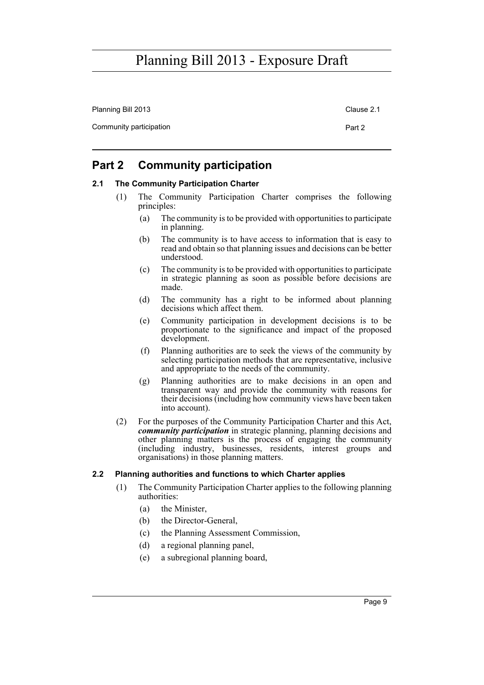Planning Bill 2013 Clause 2.1 Community participation **Part 2** 

# <span id="page-20-0"></span>**Part 2 Community participation**

## <span id="page-20-1"></span>**2.1 The Community Participation Charter**

- (1) The Community Participation Charter comprises the following principles:
	- (a) The community is to be provided with opportunities to participate in planning.
	- (b) The community is to have access to information that is easy to read and obtain so that planning issues and decisions can be better understood.
	- (c) The community is to be provided with opportunities to participate in strategic planning as soon as possible before decisions are made.
	- (d) The community has a right to be informed about planning decisions which affect them.
	- (e) Community participation in development decisions is to be proportionate to the significance and impact of the proposed development.
	- (f) Planning authorities are to seek the views of the community by selecting participation methods that are representative, inclusive and appropriate to the needs of the community.
	- (g) Planning authorities are to make decisions in an open and transparent way and provide the community with reasons for their decisions (including how community views have been taken into account).
- (2) For the purposes of the Community Participation Charter and this Act, *community participation* in strategic planning, planning decisions and other planning matters is the process of engaging the community (including industry, businesses, residents, interest groups and organisations) in those planning matters.

## <span id="page-20-2"></span>**2.2 Planning authorities and functions to which Charter applies**

- (1) The Community Participation Charter applies to the following planning authorities:
	- (a) the Minister,
	- (b) the Director-General,
	- (c) the Planning Assessment Commission,
	- (d) a regional planning panel,
	- (e) a subregional planning board,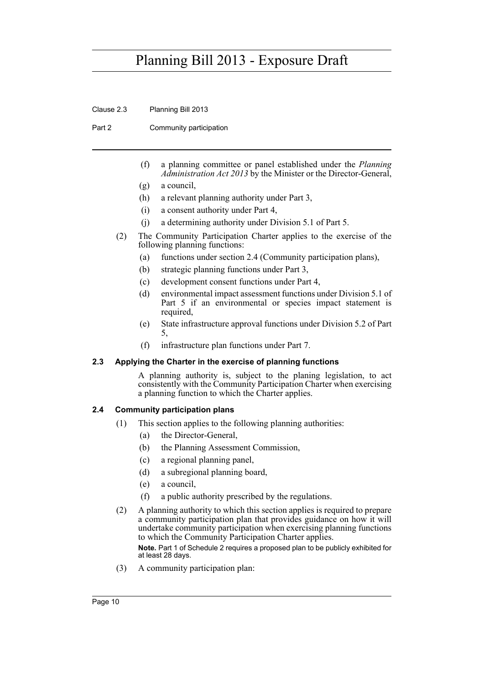Clause 2.3 Planning Bill 2013

Part 2 Community participation

- (f) a planning committee or panel established under the *Planning Administration Act 2013* by the Minister or the Director-General,
- (g) a council,
- (h) a relevant planning authority under Part 3,
- (i) a consent authority under Part 4,
- (j) a determining authority under Division 5.1 of Part 5.
- (2) The Community Participation Charter applies to the exercise of the following planning functions:
	- (a) functions under section 2.4 (Community participation plans),
	- (b) strategic planning functions under Part 3,
	- (c) development consent functions under Part 4,
	- (d) environmental impact assessment functions under Division 5.1 of Part 5 if an environmental or species impact statement is required,
	- (e) State infrastructure approval functions under Division 5.2 of Part 5,
	- (f) infrastructure plan functions under Part 7.

## <span id="page-21-0"></span>**2.3 Applying the Charter in the exercise of planning functions**

A planning authority is, subject to the planing legislation, to act consistently with the Community Participation Charter when exercising a planning function to which the Charter applies.

## <span id="page-21-1"></span>**2.4 Community participation plans**

- (1) This section applies to the following planning authorities:
	- (a) the Director-General,
	- (b) the Planning Assessment Commission,
	- (c) a regional planning panel,
	- (d) a subregional planning board,
	- (e) a council,
	- (f) a public authority prescribed by the regulations.
- (2) A planning authority to which this section applies is required to prepare a community participation plan that provides guidance on how it will undertake community participation when exercising planning functions to which the Community Participation Charter applies.

**Note.** Part 1 of Schedule 2 requires a proposed plan to be publicly exhibited for at least 28 days.

(3) A community participation plan: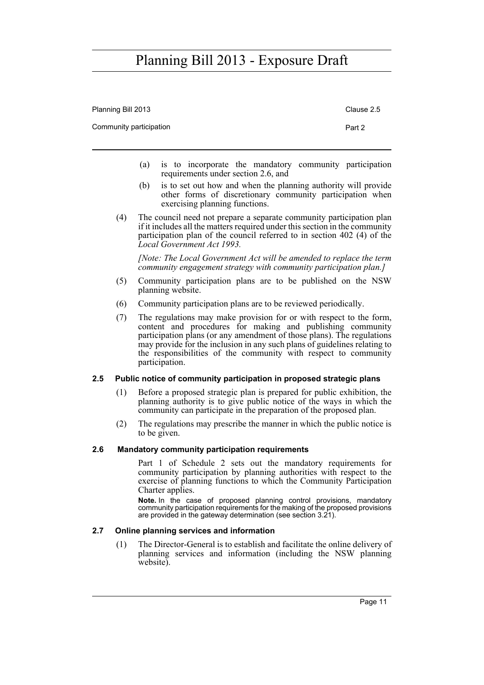| Planning Bill 2013      | Clause 2.5 |
|-------------------------|------------|
| Community participation | Part 2     |
|                         |            |

- (a) is to incorporate the mandatory community participation requirements under section 2.6, and
- (b) is to set out how and when the planning authority will provide other forms of discretionary community participation when exercising planning functions.
- (4) The council need not prepare a separate community participation plan if it includes all the matters required under this section in the community participation plan of the council referred to in section 402 (4) of the *Local Government Act 1993.*

*[Note: The Local Government Act will be amended to replace the term community engagement strategy with community participation plan.]*

- (5) Community participation plans are to be published on the NSW planning website.
- (6) Community participation plans are to be reviewed periodically.
- (7) The regulations may make provision for or with respect to the form, content and procedures for making and publishing community participation plans (or any amendment of those plans). The regulations may provide for the inclusion in any such plans of guidelines relating to the responsibilities of the community with respect to community participation.

## <span id="page-22-0"></span>**2.5 Public notice of community participation in proposed strategic plans**

- (1) Before a proposed strategic plan is prepared for public exhibition, the planning authority is to give public notice of the ways in which the community can participate in the preparation of the proposed plan.
- (2) The regulations may prescribe the manner in which the public notice is to be given.

## <span id="page-22-1"></span>**2.6 Mandatory community participation requirements**

Part 1 of Schedule 2 sets out the mandatory requirements for community participation by planning authorities with respect to the exercise of planning functions to which the Community Participation Charter applies.

**Note.** In the case of proposed planning control provisions, mandatory community participation requirements for the making of the proposed provisions are provided in the gateway determination (see section 3.21).

## <span id="page-22-2"></span>**2.7 Online planning services and information**

(1) The Director-General is to establish and facilitate the online delivery of planning services and information (including the NSW planning website).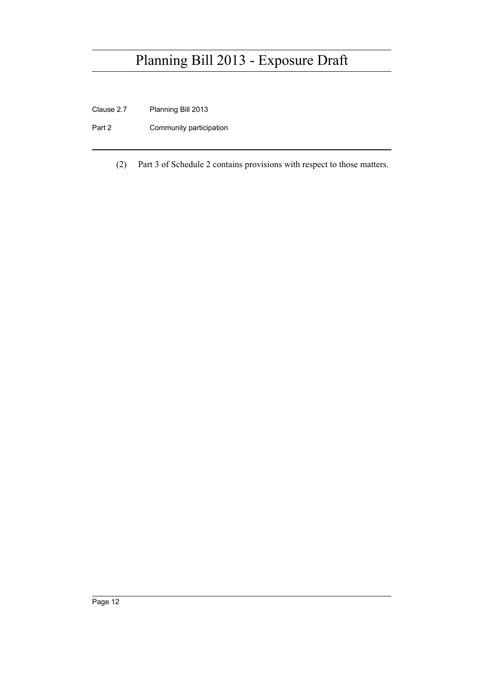- Clause 2.7 Planning Bill 2013
- Part 2 Community participation
	- (2) Part 3 of Schedule 2 contains provisions with respect to those matters.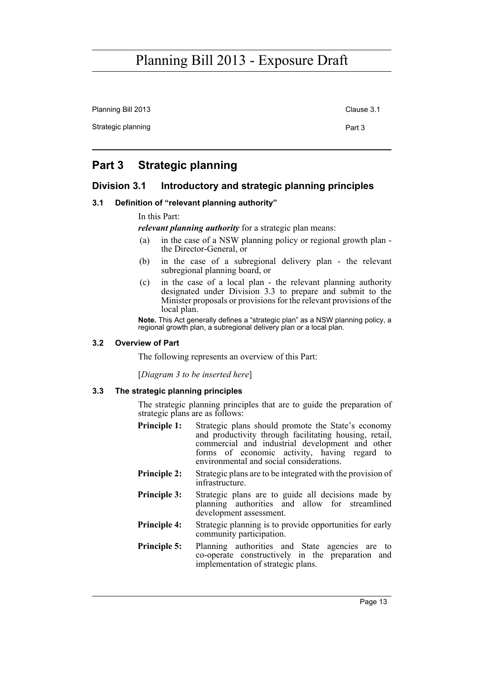Planning Bill 2013 Clause 3.1

Strategic planning Part 3

# <span id="page-24-0"></span>**Part 3 Strategic planning**

# <span id="page-24-1"></span>**Division 3.1 Introductory and strategic planning principles**

## <span id="page-24-2"></span>**3.1 Definition of "relevant planning authority"**

In this Part:

*relevant planning authority* for a strategic plan means:

- (a) in the case of a NSW planning policy or regional growth plan the Director-General, or
- (b) in the case of a subregional delivery plan the relevant subregional planning board, or
- (c) in the case of a local plan the relevant planning authority designated under Division 3.3 to prepare and submit to the Minister proposals or provisions for the relevant provisions of the local plan.

**Note.** This Act generally defines a "strategic plan" as a NSW planning policy, a regional growth plan, a subregional delivery plan or a local plan.

## <span id="page-24-3"></span>**3.2 Overview of Part**

The following represents an overview of this Part:

[*Diagram 3 to be inserted here*]

## <span id="page-24-4"></span>**3.3 The strategic planning principles**

The strategic planning principles that are to guide the preparation of strategic plans are as follows:

- **Principle 1:** Strategic plans should promote the State's economy and productivity through facilitating housing, retail, commercial and industrial development and other forms of economic activity, having regard to environmental and social considerations.
- **Principle 2:** Strategic plans are to be integrated with the provision of infrastructure.
- **Principle 3:** Strategic plans are to guide all decisions made by planning authorities and allow for streamlined development assessment.
- **Principle 4:** Strategic planning is to provide opportunities for early community participation.
- **Principle 5:** Planning authorities and State agencies are to co-operate constructively in the preparation and implementation of strategic plans.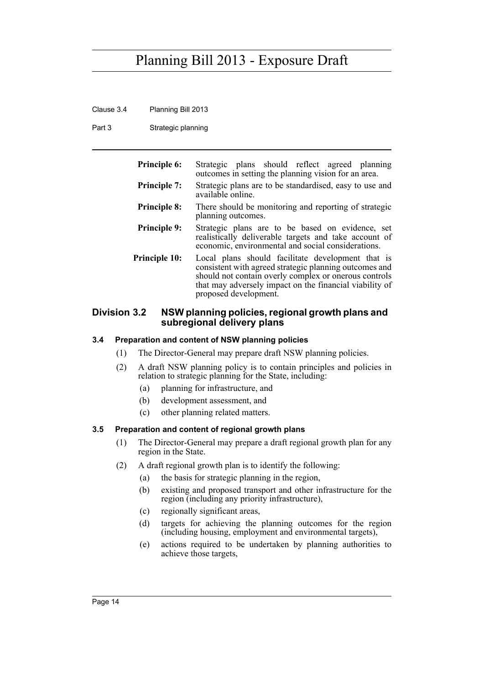- Clause 3.4 Planning Bill 2013
- Part 3 Strategic planning

| <b>Principle 6:</b>  | Strategic plans should reflect agreed planning<br>outcomes in setting the planning vision for an area.                                                                                                                                                   |
|----------------------|----------------------------------------------------------------------------------------------------------------------------------------------------------------------------------------------------------------------------------------------------------|
| <b>Principle 7:</b>  | Strategic plans are to be standardised, easy to use and<br>available online                                                                                                                                                                              |
| <b>Principle 8:</b>  | There should be monitoring and reporting of strategic<br>planning outcomes.                                                                                                                                                                              |
| <b>Principle 9:</b>  | Strategic plans are to be based on evidence, set<br>realistically deliverable targets and take account of<br>economic, environmental and social considerations.                                                                                          |
| <b>Principle 10:</b> | Local plans should facilitate development that is<br>consistent with agreed strategic planning outcomes and<br>should not contain overly complex or onerous controls<br>that may adversely impact on the financial viability of<br>proposed development. |

## <span id="page-25-0"></span>**Division 3.2 NSW planning policies, regional growth plans and subregional delivery plans**

## <span id="page-25-1"></span>**3.4 Preparation and content of NSW planning policies**

- (1) The Director-General may prepare draft NSW planning policies.
- (2) A draft NSW planning policy is to contain principles and policies in relation to strategic planning for the State, including:
	- (a) planning for infrastructure, and
	- (b) development assessment, and
	- (c) other planning related matters.

## <span id="page-25-2"></span>**3.5 Preparation and content of regional growth plans**

- (1) The Director-General may prepare a draft regional growth plan for any region in the State.
- (2) A draft regional growth plan is to identify the following:
	- (a) the basis for strategic planning in the region,
	- (b) existing and proposed transport and other infrastructure for the region (including any priority infrastructure),
	- (c) regionally significant areas,
	- (d) targets for achieving the planning outcomes for the region (including housing, employment and environmental targets),
	- (e) actions required to be undertaken by planning authorities to achieve those targets,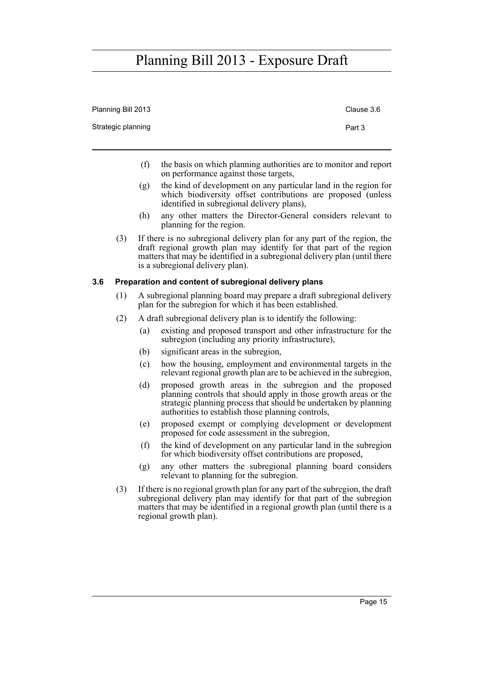| Planning Bill 2013 |     | Clause 3.6                                                                                                                                                                                                                                                        |
|--------------------|-----|-------------------------------------------------------------------------------------------------------------------------------------------------------------------------------------------------------------------------------------------------------------------|
| Strategic planning |     | Part 3                                                                                                                                                                                                                                                            |
|                    | (f) | the basis on which planning authorities are to monitor and report<br>on performance against those targets,                                                                                                                                                        |
|                    | (g) | the kind of development on any particular land in the region for<br>which biodiversity offset contributions are proposed (unless<br>identified in subregional delivery plans),                                                                                    |
|                    | (h) | any other matters the Director-General considers relevant to<br>planning for the region.                                                                                                                                                                          |
| (3)                |     | If there is no subregional delivery plan for any part of the region, the<br>draft regional growth plan may identify for that part of the region<br>matters that may be identified in a subregional delivery plan (until there<br>is a subregional delivery plan). |

### <span id="page-26-0"></span>**3.6 Preparation and content of subregional delivery plans**

- (1) A subregional planning board may prepare a draft subregional delivery plan for the subregion for which it has been established.
- (2) A draft subregional delivery plan is to identify the following:
	- (a) existing and proposed transport and other infrastructure for the subregion (including any priority infrastructure),
	- (b) significant areas in the subregion,
	- (c) how the housing, employment and environmental targets in the relevant regional growth plan are to be achieved in the subregion,
	- (d) proposed growth areas in the subregion and the proposed planning controls that should apply in those growth areas or the strategic planning process that should be undertaken by planning authorities to establish those planning controls,
	- (e) proposed exempt or complying development or development proposed for code assessment in the subregion,
	- (f) the kind of development on any particular land in the subregion for which biodiversity offset contributions are proposed,
	- (g) any other matters the subregional planning board considers relevant to planning for the subregion.
- (3) If there is no regional growth plan for any part of the subregion, the draft subregional delivery plan may identify for that part of the subregion matters that may be identified in a regional growth plan (until there is a regional growth plan).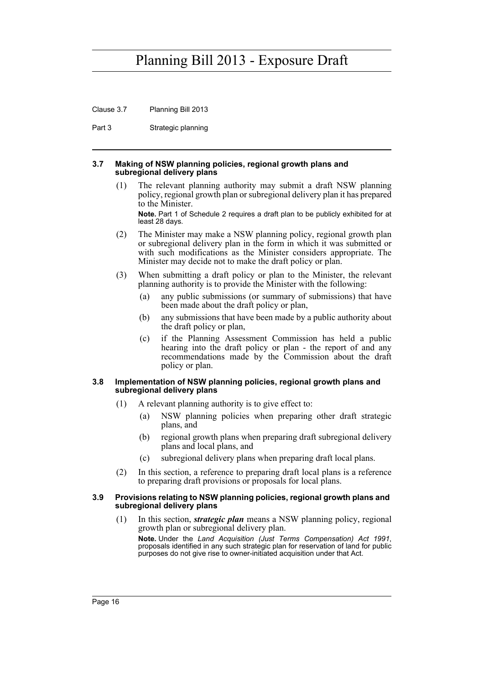Clause 3.7 Planning Bill 2013

Part 3 Strategic planning

#### <span id="page-27-0"></span>**3.7 Making of NSW planning policies, regional growth plans and subregional delivery plans**

(1) The relevant planning authority may submit a draft NSW planning policy, regional growth plan or subregional delivery plan it has prepared to the Minister.

**Note.** Part 1 of Schedule 2 requires a draft plan to be publicly exhibited for at least 28 days.

- (2) The Minister may make a NSW planning policy, regional growth plan or subregional delivery plan in the form in which it was submitted or with such modifications as the Minister considers appropriate. The Minister may decide not to make the draft policy or plan.
- (3) When submitting a draft policy or plan to the Minister, the relevant planning authority is to provide the Minister with the following:
	- (a) any public submissions (or summary of submissions) that have been made about the draft policy or plan,
	- (b) any submissions that have been made by a public authority about the draft policy or plan,
	- (c) if the Planning Assessment Commission has held a public hearing into the draft policy or plan - the report of and any recommendations made by the Commission about the draft policy or plan.

#### <span id="page-27-1"></span>**3.8 Implementation of NSW planning policies, regional growth plans and subregional delivery plans**

- (1) A relevant planning authority is to give effect to:
	- (a) NSW planning policies when preparing other draft strategic plans, and
	- (b) regional growth plans when preparing draft subregional delivery plans and local plans, and
	- (c) subregional delivery plans when preparing draft local plans.
- (2) In this section, a reference to preparing draft local plans is a reference to preparing draft provisions or proposals for local plans.

#### <span id="page-27-2"></span>**3.9 Provisions relating to NSW planning policies, regional growth plans and subregional delivery plans**

(1) In this section, *strategic plan* means a NSW planning policy, regional growth plan or subregional delivery plan.

**Note.** Under the *Land Acquisition (Just Terms Compensation) Act 1991*, proposals identified in any such strategic plan for reservation of land for public purposes do not give rise to owner-initiated acquisition under that Act.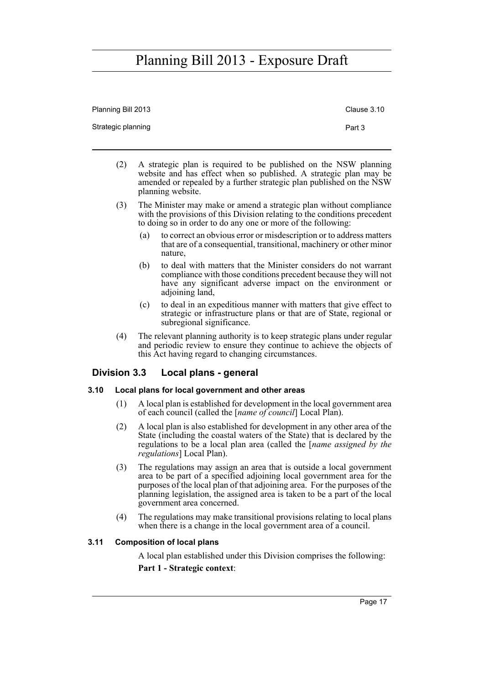| Planning Bill 2013 | Clause 3.10 |
|--------------------|-------------|
| Strategic planning | Part 3      |

- (2) A strategic plan is required to be published on the NSW planning website and has effect when so published. A strategic plan may be amended or repealed by a further strategic plan published on the NSW planning website.
- (3) The Minister may make or amend a strategic plan without compliance with the provisions of this Division relating to the conditions precedent to doing so in order to do any one or more of the following:
	- (a) to correct an obvious error or misdescription or to address matters that are of a consequential, transitional, machinery or other minor nature,
	- (b) to deal with matters that the Minister considers do not warrant compliance with those conditions precedent because they will not have any significant adverse impact on the environment or adjoining land,
	- (c) to deal in an expeditious manner with matters that give effect to strategic or infrastructure plans or that are of State, regional or subregional significance.
- (4) The relevant planning authority is to keep strategic plans under regular and periodic review to ensure they continue to achieve the objects of this Act having regard to changing circumstances.

## <span id="page-28-0"></span>**Division 3.3 Local plans - general**

## <span id="page-28-1"></span>**3.10 Local plans for local government and other areas**

- (1) A local plan is established for development in the local government area of each council (called the [*name of council*] Local Plan).
- (2) A local plan is also established for development in any other area of the State (including the coastal waters of the State) that is declared by the regulations to be a local plan area (called the [*name assigned by the regulations*] Local Plan).
- (3) The regulations may assign an area that is outside a local government area to be part of a specified adjoining local government area for the purposes of the local plan of that adjoining area. For the purposes of the planning legislation, the assigned area is taken to be a part of the local government area concerned.
- (4) The regulations may make transitional provisions relating to local plans when there is a change in the local government area of a council.

## <span id="page-28-2"></span>**3.11 Composition of local plans**

A local plan established under this Division comprises the following: **Part 1 - Strategic context**: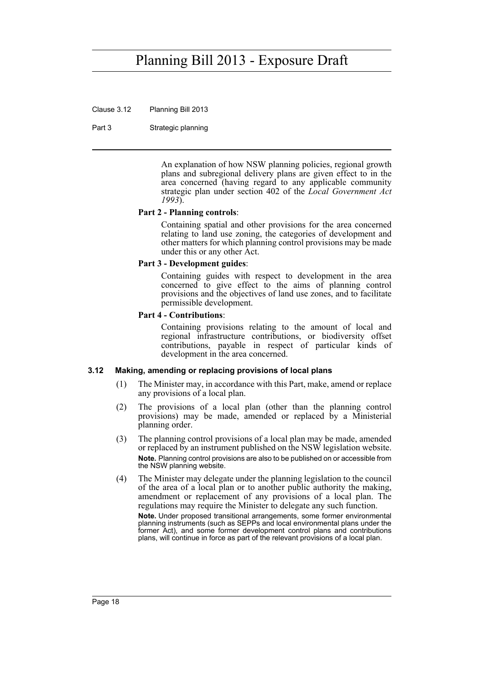Clause 3.12 Planning Bill 2013

Part 3 Strategic planning

An explanation of how NSW planning policies, regional growth plans and subregional delivery plans are given effect to in the area concerned (having regard to any applicable community strategic plan under section 402 of the *Local Government Act 1993*).

### **Part 2 - Planning controls**:

Containing spatial and other provisions for the area concerned relating to land use zoning, the categories of development and other matters for which planning control provisions may be made under this or any other Act.

#### **Part 3 - Development guides**:

Containing guides with respect to development in the area concerned to give effect to the aims of planning control provisions and the objectives of land use zones, and to facilitate permissible development.

#### **Part 4 - Contributions**:

Containing provisions relating to the amount of local and regional infrastructure contributions, or biodiversity offset contributions, payable in respect of particular kinds of development in the area concerned.

#### <span id="page-29-0"></span>**3.12 Making, amending or replacing provisions of local plans**

- (1) The Minister may, in accordance with this Part, make, amend or replace any provisions of a local plan.
- (2) The provisions of a local plan (other than the planning control provisions) may be made, amended or replaced by a Ministerial planning order.
- (3) The planning control provisions of a local plan may be made, amended or replaced by an instrument published on the NSW legislation website. **Note.** Planning control provisions are also to be published on or accessible from the NSW planning website.
- (4) The Minister may delegate under the planning legislation to the council of the area of a local plan or to another public authority the making, amendment or replacement of any provisions of a local plan. The regulations may require the Minister to delegate any such function. **Note.** Under proposed transitional arrangements, some former environmental planning instruments (such as SEPPs and local environmental plans under the former Act), and some former development control plans and contributions plans, will continue in force as part of the relevant provisions of a local plan.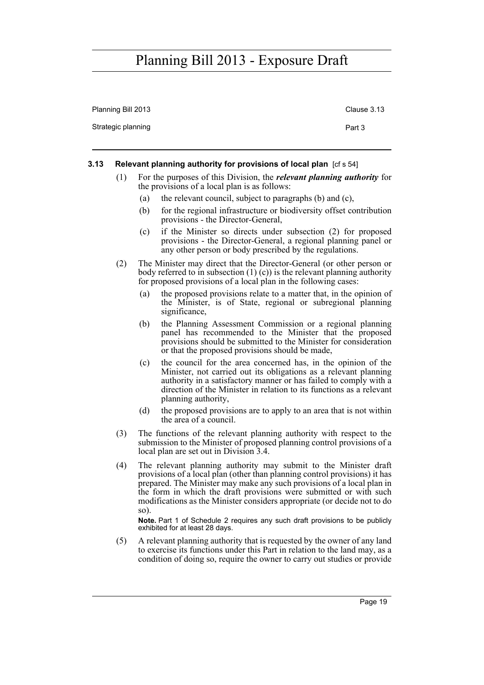| Planning Bill 2013 | Clause 3.13 |
|--------------------|-------------|
| Strategic planning | Part 3      |

#### <span id="page-30-0"></span>**3.13 Relevant planning authority for provisions of local plan** [cf s 54]

- (1) For the purposes of this Division, the *relevant planning authority* for the provisions of a local plan is as follows:
	- (a) the relevant council, subject to paragraphs (b) and (c),
	- (b) for the regional infrastructure or biodiversity offset contribution provisions - the Director-General,
	- (c) if the Minister so directs under subsection (2) for proposed provisions - the Director-General, a regional planning panel or any other person or body prescribed by the regulations.
- (2) The Minister may direct that the Director-General (or other person or body referred to in subsection  $(1)$  (c)) is the relevant planning authority for proposed provisions of a local plan in the following cases:
	- (a) the proposed provisions relate to a matter that, in the opinion of the Minister, is of State, regional or subregional planning significance,
	- (b) the Planning Assessment Commission or a regional planning panel has recommended to the Minister that the proposed provisions should be submitted to the Minister for consideration or that the proposed provisions should be made,
	- (c) the council for the area concerned has, in the opinion of the Minister, not carried out its obligations as a relevant planning authority in a satisfactory manner or has failed to comply with a direction of the Minister in relation to its functions as a relevant planning authority,
	- (d) the proposed provisions are to apply to an area that is not within the area of a council.
- (3) The functions of the relevant planning authority with respect to the submission to the Minister of proposed planning control provisions of a local plan are set out in Division 3.4.
- (4) The relevant planning authority may submit to the Minister draft provisions of a local plan (other than planning control provisions) it has prepared. The Minister may make any such provisions of a local plan in the form in which the draft provisions were submitted or with such modifications as the Minister considers appropriate (or decide not to do so).

**Note.** Part 1 of Schedule 2 requires any such draft provisions to be publicly exhibited for at least 28 days.

(5) A relevant planning authority that is requested by the owner of any land to exercise its functions under this Part in relation to the land may, as a condition of doing so, require the owner to carry out studies or provide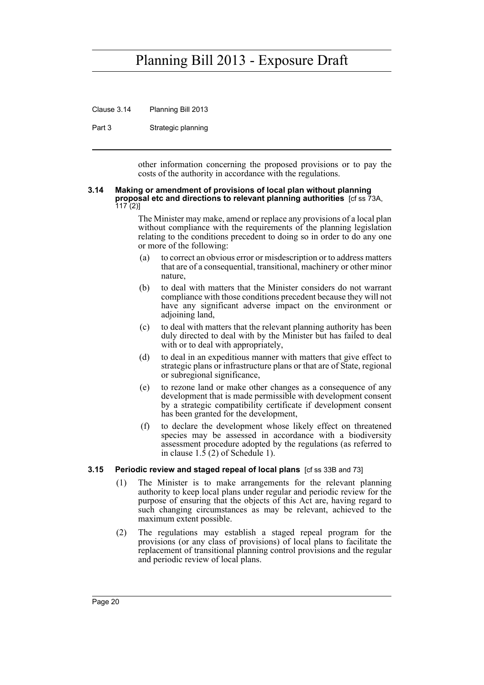Clause 3.14 Planning Bill 2013

Part 3 Strategic planning

other information concerning the proposed provisions or to pay the costs of the authority in accordance with the regulations.

#### <span id="page-31-0"></span>**3.14 Making or amendment of provisions of local plan without planning proposal etc and directions to relevant planning authorities** [cf ss 73A,  $117(2)$ ]

The Minister may make, amend or replace any provisions of a local plan without compliance with the requirements of the planning legislation relating to the conditions precedent to doing so in order to do any one or more of the following:

- (a) to correct an obvious error or misdescription or to address matters that are of a consequential, transitional, machinery or other minor nature,
- (b) to deal with matters that the Minister considers do not warrant compliance with those conditions precedent because they will not have any significant adverse impact on the environment or adjoining land,
- (c) to deal with matters that the relevant planning authority has been duly directed to deal with by the Minister but has failed to deal with or to deal with appropriately,
- (d) to deal in an expeditious manner with matters that give effect to strategic plans or infrastructure plans or that are of State, regional or subregional significance,
- (e) to rezone land or make other changes as a consequence of any development that is made permissible with development consent by a strategic compatibility certificate if development consent has been granted for the development,
- (f) to declare the development whose likely effect on threatened species may be assessed in accordance with a biodiversity assessment procedure adopted by the regulations (as referred to in clause 1.5 (2) of Schedule 1).

## <span id="page-31-1"></span>**3.15 Periodic review and staged repeal of local plans** [cf ss 33B and 73]

- (1) The Minister is to make arrangements for the relevant planning authority to keep local plans under regular and periodic review for the purpose of ensuring that the objects of this Act are, having regard to such changing circumstances as may be relevant, achieved to the maximum extent possible.
- (2) The regulations may establish a staged repeal program for the provisions (or any class of provisions) of local plans to facilitate the replacement of transitional planning control provisions and the regular and periodic review of local plans.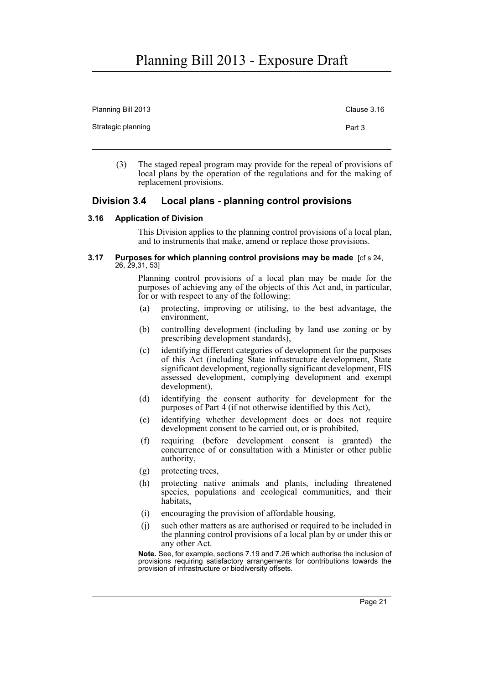| Planning Bill 2013 | Clause 3.16 |
|--------------------|-------------|
| Strategic planning | Part 3      |
|                    |             |

(3) The staged repeal program may provide for the repeal of provisions of local plans by the operation of the regulations and for the making of replacement provisions.

## <span id="page-32-0"></span>**Division 3.4 Local plans - planning control provisions**

### <span id="page-32-1"></span>**3.16 Application of Division**

This Division applies to the planning control provisions of a local plan, and to instruments that make, amend or replace those provisions.

#### <span id="page-32-2"></span>**3.17 Purposes for which planning control provisions may be made** [cf s 24, 26, 29,31, 53]

Planning control provisions of a local plan may be made for the purposes of achieving any of the objects of this Act and, in particular, for or with respect to any of the following:

- (a) protecting, improving or utilising, to the best advantage, the environment,
- (b) controlling development (including by land use zoning or by prescribing development standards),
- (c) identifying different categories of development for the purposes of this Act (including State infrastructure development, State significant development, regionally significant development, EIS assessed development, complying development and exempt development),
- (d) identifying the consent authority for development for the purposes of Part 4 (if not otherwise identified by this Act),
- (e) identifying whether development does or does not require development consent to be carried out, or is prohibited,
- (f) requiring (before development consent is granted) the concurrence of or consultation with a Minister or other public authority,
- (g) protecting trees,
- (h) protecting native animals and plants, including threatened species, populations and ecological communities, and their habitats,
- (i) encouraging the provision of affordable housing,
- (j) such other matters as are authorised or required to be included in the planning control provisions of a local plan by or under this or any other Act.

**Note.** See, for example, sections 7.19 and 7.26 which authorise the inclusion of provisions requiring satisfactory arrangements for contributions towards the provision of infrastructure or biodiversity offsets.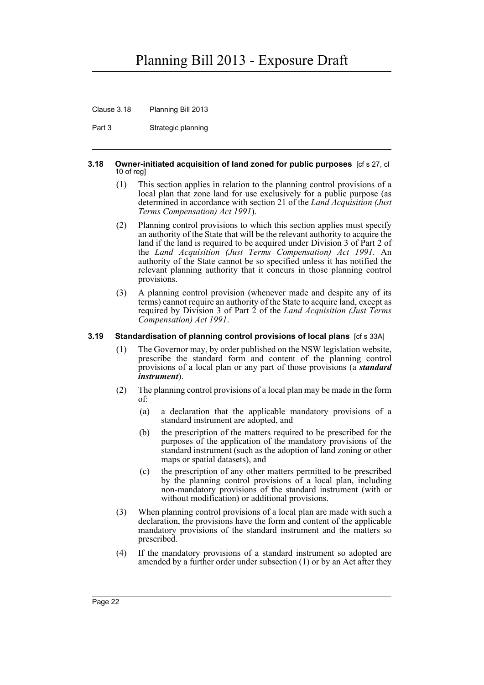Clause 3.18 Planning Bill 2013

Part 3 Strategic planning

#### <span id="page-33-0"></span>**3.18 Owner-initiated acquisition of land zoned for public purposes** [cf s 27, cl 10 of reg]

- (1) This section applies in relation to the planning control provisions of a local plan that zone land for use exclusively for a public purpose (as determined in accordance with section 21 of the *Land Acquisition (Just Terms Compensation) Act 1991*).
- (2) Planning control provisions to which this section applies must specify an authority of the State that will be the relevant authority to acquire the land if the land is required to be acquired under Division 3 of Part 2 of the *Land Acquisition (Just Terms Compensation) Act 1991*. An authority of the State cannot be so specified unless it has notified the relevant planning authority that it concurs in those planning control provisions.
- (3) A planning control provision (whenever made and despite any of its terms) cannot require an authority of the State to acquire land, except as required by Division 3 of Part 2 of the *Land Acquisition (Just Terms Compensation) Act 1991*.

## <span id="page-33-1"></span>**3.19 Standardisation of planning control provisions of local plans** [cf s 33A]

- (1) The Governor may, by order published on the NSW legislation website, prescribe the standard form and content of the planning control provisions of a local plan or any part of those provisions (a *standard instrument*).
- (2) The planning control provisions of a local plan may be made in the form of:
	- (a) a declaration that the applicable mandatory provisions of a standard instrument are adopted, and
	- (b) the prescription of the matters required to be prescribed for the purposes of the application of the mandatory provisions of the standard instrument (such as the adoption of land zoning or other maps or spatial datasets), and
	- (c) the prescription of any other matters permitted to be prescribed by the planning control provisions of a local plan, including non-mandatory provisions of the standard instrument (with or without modification) or additional provisions.
- (3) When planning control provisions of a local plan are made with such a declaration, the provisions have the form and content of the applicable mandatory provisions of the standard instrument and the matters so prescribed.
- (4) If the mandatory provisions of a standard instrument so adopted are amended by a further order under subsection (1) or by an Act after they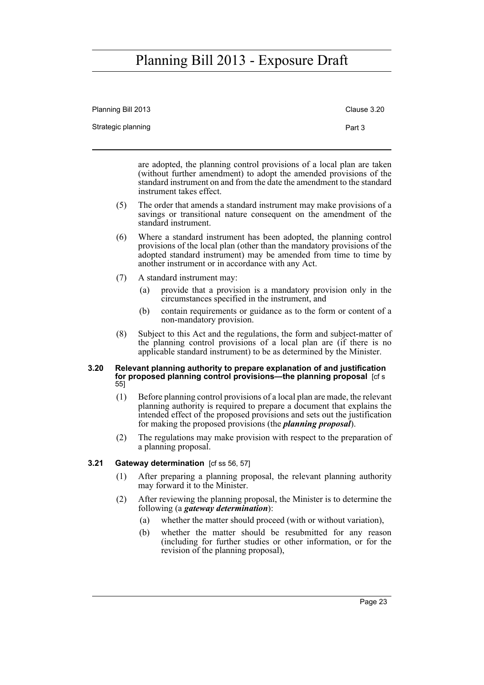| Planning Bill 2013 | Clause 3.20 |
|--------------------|-------------|
| Strategic planning | Part 3      |

are adopted, the planning control provisions of a local plan are taken (without further amendment) to adopt the amended provisions of the standard instrument on and from the date the amendment to the standard instrument takes effect.

- (5) The order that amends a standard instrument may make provisions of a savings or transitional nature consequent on the amendment of the standard instrument.
- (6) Where a standard instrument has been adopted, the planning control provisions of the local plan (other than the mandatory provisions of the adopted standard instrument) may be amended from time to time by another instrument or in accordance with any Act.
- (7) A standard instrument may:
	- (a) provide that a provision is a mandatory provision only in the circumstances specified in the instrument, and
	- (b) contain requirements or guidance as to the form or content of a non-mandatory provision.
- (8) Subject to this Act and the regulations, the form and subject-matter of the planning control provisions of a local plan are (if there is no applicable standard instrument) to be as determined by the Minister.

#### <span id="page-34-0"></span>**3.20 Relevant planning authority to prepare explanation of and justification for proposed planning control provisions—the planning proposal** [cf s 55]

- (1) Before planning control provisions of a local plan are made, the relevant planning authority is required to prepare a document that explains the intended effect of the proposed provisions and sets out the justification for making the proposed provisions (the *planning proposal*).
- (2) The regulations may make provision with respect to the preparation of a planning proposal.

## <span id="page-34-1"></span>**3.21 Gateway determination** [cf ss 56, 57]

- (1) After preparing a planning proposal, the relevant planning authority may forward it to the Minister.
- (2) After reviewing the planning proposal, the Minister is to determine the following (a *gateway determination*):
	- (a) whether the matter should proceed (with or without variation),
	- (b) whether the matter should be resubmitted for any reason (including for further studies or other information, or for the revision of the planning proposal),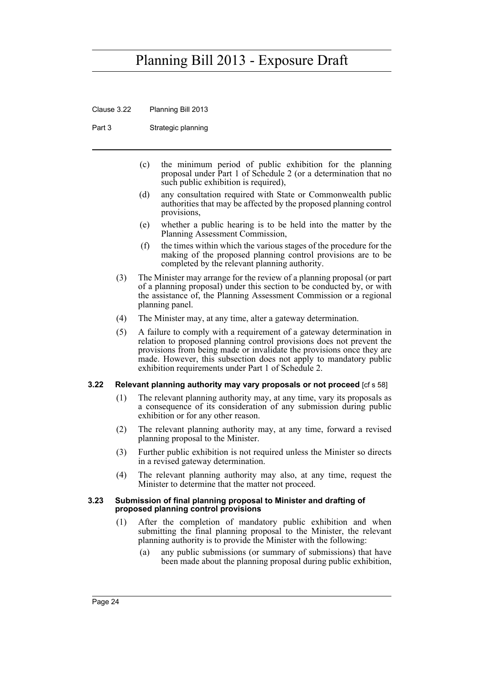Clause 3.22 Planning Bill 2013

Part 3 Strategic planning

- (c) the minimum period of public exhibition for the planning proposal under Part 1 of Schedule 2 (or a determination that no such public exhibition is required),
- (d) any consultation required with State or Commonwealth public authorities that may be affected by the proposed planning control provisions,
- (e) whether a public hearing is to be held into the matter by the Planning Assessment Commission,
- (f) the times within which the various stages of the procedure for the making of the proposed planning control provisions are to be completed by the relevant planning authority.
- (3) The Minister may arrange for the review of a planning proposal (or part of a planning proposal) under this section to be conducted by, or with the assistance of, the Planning Assessment Commission or a regional planning panel.
- (4) The Minister may, at any time, alter a gateway determination.
- (5) A failure to comply with a requirement of a gateway determination in relation to proposed planning control provisions does not prevent the provisions from being made or invalidate the provisions once they are made. However, this subsection does not apply to mandatory public exhibition requirements under Part 1 of Schedule 2.

#### <span id="page-35-0"></span>**3.22 Relevant planning authority may vary proposals or not proceed** [cf s 58]

- (1) The relevant planning authority may, at any time, vary its proposals as a consequence of its consideration of any submission during public exhibition or for any other reason.
- (2) The relevant planning authority may, at any time, forward a revised planning proposal to the Minister.
- (3) Further public exhibition is not required unless the Minister so directs in a revised gateway determination.
- (4) The relevant planning authority may also, at any time, request the Minister to determine that the matter not proceed.

#### <span id="page-35-1"></span>**3.23 Submission of final planning proposal to Minister and drafting of proposed planning control provisions**

- (1) After the completion of mandatory public exhibition and when submitting the final planning proposal to the Minister, the relevant planning authority is to provide the Minister with the following:
	- (a) any public submissions (or summary of submissions) that have been made about the planning proposal during public exhibition,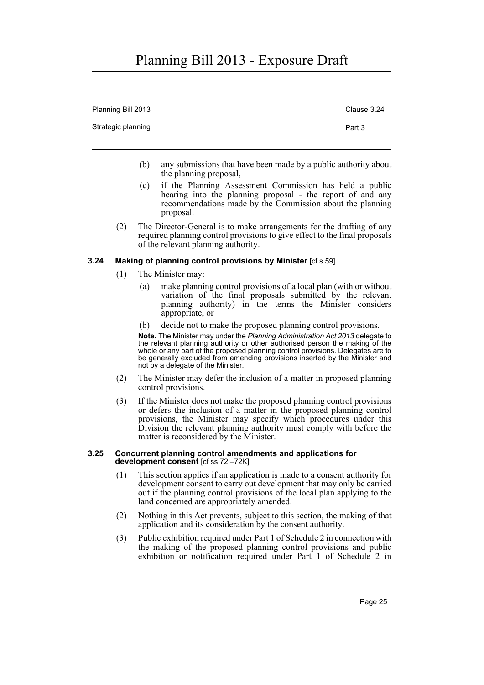| Planning Bill 2013 | Clause 3.24 |
|--------------------|-------------|
| Strategic planning | Part 3      |

- (b) any submissions that have been made by a public authority about the planning proposal,
- (c) if the Planning Assessment Commission has held a public hearing into the planning proposal - the report of and any recommendations made by the Commission about the planning proposal.
- (2) The Director-General is to make arrangements for the drafting of any required planning control provisions to give effect to the final proposals of the relevant planning authority.

### **3.24 Making of planning control provisions by Minister** [cf s 59]

- (1) The Minister may:
	- (a) make planning control provisions of a local plan (with or without variation of the final proposals submitted by the relevant planning authority) in the terms the Minister considers appropriate, or
	- (b) decide not to make the proposed planning control provisions.

**Note.** The Minister may under the *Planning Administration Act 2013* delegate to the relevant planning authority or other authorised person the making of the whole or any part of the proposed planning control provisions. Delegates are to be generally excluded from amending provisions inserted by the Minister and not by a delegate of the Minister.

- (2) The Minister may defer the inclusion of a matter in proposed planning control provisions.
- (3) If the Minister does not make the proposed planning control provisions or defers the inclusion of a matter in the proposed planning control provisions, the Minister may specify which procedures under this Division the relevant planning authority must comply with before the matter is reconsidered by the Minister.

#### **3.25 Concurrent planning control amendments and applications for development consent** [cf ss 72I–72K]

- (1) This section applies if an application is made to a consent authority for development consent to carry out development that may only be carried out if the planning control provisions of the local plan applying to the land concerned are appropriately amended.
- (2) Nothing in this Act prevents, subject to this section, the making of that application and its consideration by the consent authority.
- (3) Public exhibition required under Part 1 of Schedule 2 in connection with the making of the proposed planning control provisions and public exhibition or notification required under Part 1 of Schedule 2 in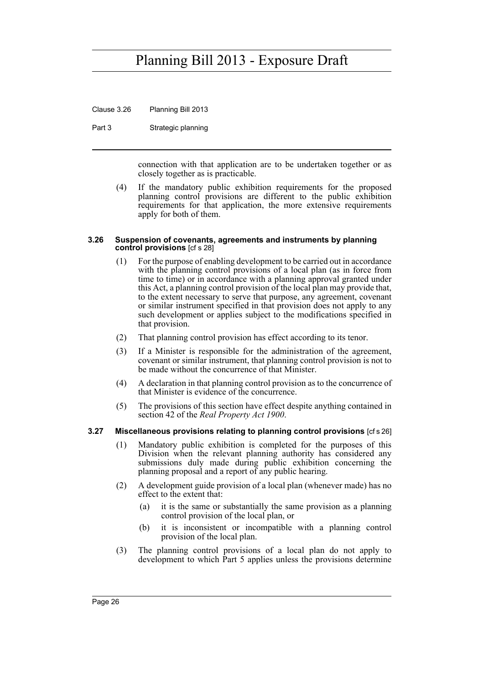Clause 3.26 Planning Bill 2013

Part 3 Strategic planning

connection with that application are to be undertaken together or as closely together as is practicable.

(4) If the mandatory public exhibition requirements for the proposed planning control provisions are different to the public exhibition requirements for that application, the more extensive requirements apply for both of them.

#### **3.26 Suspension of covenants, agreements and instruments by planning control provisions** [cf s 28]

- (1) For the purpose of enabling development to be carried out in accordance with the planning control provisions of a local plan (as in force from time to time) or in accordance with a planning approval granted under this Act, a planning control provision of the local plan may provide that, to the extent necessary to serve that purpose, any agreement, covenant or similar instrument specified in that provision does not apply to any such development or applies subject to the modifications specified in that provision.
- (2) That planning control provision has effect according to its tenor.
- (3) If a Minister is responsible for the administration of the agreement, covenant or similar instrument, that planning control provision is not to be made without the concurrence of that Minister.
- (4) A declaration in that planning control provision as to the concurrence of that Minister is evidence of the concurrence.
- (5) The provisions of this section have effect despite anything contained in section 42 of the *Real Property Act 1900*.

#### **3.27 Miscellaneous provisions relating to planning control provisions** [cf s 26]

- (1) Mandatory public exhibition is completed for the purposes of this Division when the relevant planning authority has considered any submissions duly made during public exhibition concerning the planning proposal and a report of any public hearing.
- (2) A development guide provision of a local plan (whenever made) has no effect to the extent that:
	- (a) it is the same or substantially the same provision as a planning control provision of the local plan, or
	- (b) it is inconsistent or incompatible with a planning control provision of the local plan.
- (3) The planning control provisions of a local plan do not apply to development to which Part 5 applies unless the provisions determine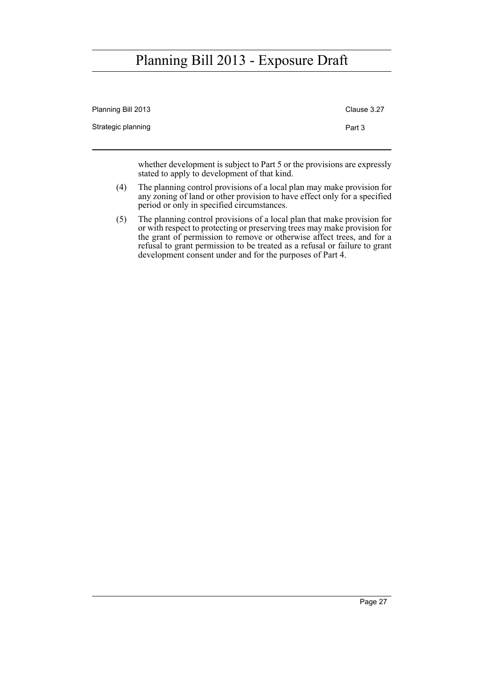| Clause 3.27 |
|-------------|
|             |
|             |

whether development is subject to Part 5 or the provisions are expressly stated to apply to development of that kind.

- (4) The planning control provisions of a local plan may make provision for any zoning of land or other provision to have effect only for a specified period or only in specified circumstances.
- (5) The planning control provisions of a local plan that make provision for or with respect to protecting or preserving trees may make provision for the grant of permission to remove or otherwise affect trees, and for a refusal to grant permission to be treated as a refusal or failure to grant development consent under and for the purposes of Part 4.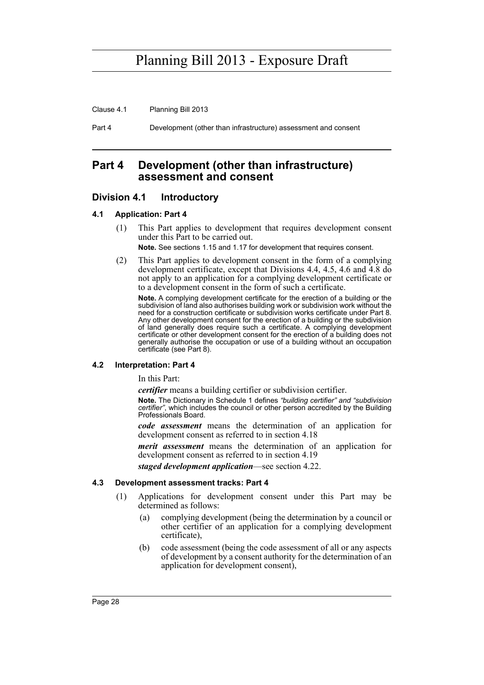Clause 4.1 Planning Bill 2013

Part 4 Development (other than infrastructure) assessment and consent

## **Part 4 Development (other than infrastructure) assessment and consent**

### **Division 4.1 Introductory**

### **4.1 Application: Part 4**

(1) This Part applies to development that requires development consent under this Part to be carried out.

**Note.** See sections 1.15 and 1.17 for development that requires consent.

(2) This Part applies to development consent in the form of a complying development certificate, except that Divisions 4.4, 4.5, 4.6 and 4.8 do not apply to an application for a complying development certificate or to a development consent in the form of such a certificate.

**Note.** A complying development certificate for the erection of a building or the subdivision of land also authorises building work or subdivision work without the need for a construction certificate or subdivision works certificate under Part 8. Any other development consent for the erection of a building or the subdivision of land generally does require such a certificate. A complying development certificate or other development consent for the erection of a building does not generally authorise the occupation or use of a building without an occupation certificate (see Part 8).

#### **4.2 Interpretation: Part 4**

In this Part:

*certifier* means a building certifier or subdivision certifier.

**Note.** The Dictionary in Schedule 1 defines *"building certifier" and "subdivision certifier"*, which includes the council or other person accredited by the Building Professionals Board.

*code assessment* means the determination of an application for development consent as referred to in section 4.18

*merit assessment* means the determination of an application for development consent as referred to in section 4.19

*staged development application*—see section 4.22.

#### **4.3 Development assessment tracks: Part 4**

- (1) Applications for development consent under this Part may be determined as follows:
	- (a) complying development (being the determination by a council or other certifier of an application for a complying development certificate),
	- (b) code assessment (being the code assessment of all or any aspects of development by a consent authority for the determination of an application for development consent),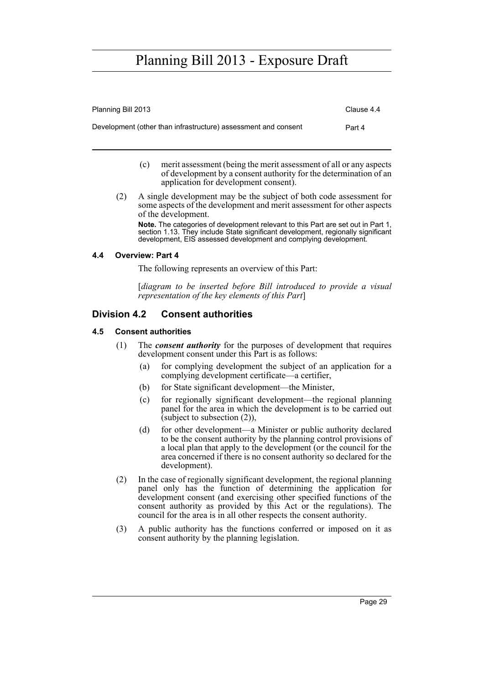| Planning Bill 2013                                             | Clause 4.4 |
|----------------------------------------------------------------|------------|
| Development (other than infrastructure) assessment and consent | Part 4     |

- (c) merit assessment (being the merit assessment of all or any aspects of development by a consent authority for the determination of an application for development consent).
- (2) A single development may be the subject of both code assessment for some aspects of the development and merit assessment for other aspects of the development.

**Note.** The categories of development relevant to this Part are set out in Part 1, section 1.13. They include State significant development, regionally significant development, EIS assessed development and complying development.

### **4.4 Overview: Part 4**

The following represents an overview of this Part:

[*diagram to be inserted before Bill introduced to provide a visual representation of the key elements of this Part*]

### **Division 4.2 Consent authorities**

### **4.5 Consent authorities**

- (1) The *consent authority* for the purposes of development that requires development consent under this Part is as follows:
	- (a) for complying development the subject of an application for a complying development certificate—a certifier,
	- (b) for State significant development—the Minister,
	- (c) for regionally significant development—the regional planning panel for the area in which the development is to be carried out (subject to subsection  $(2)$ ),
	- (d) for other development—a Minister or public authority declared to be the consent authority by the planning control provisions of a local plan that apply to the development (or the council for the area concerned if there is no consent authority so declared for the development).
- (2) In the case of regionally significant development, the regional planning panel only has the function of determining the application for development consent (and exercising other specified functions of the consent authority as provided by this Act or the regulations). The council for the area is in all other respects the consent authority.
- (3) A public authority has the functions conferred or imposed on it as consent authority by the planning legislation.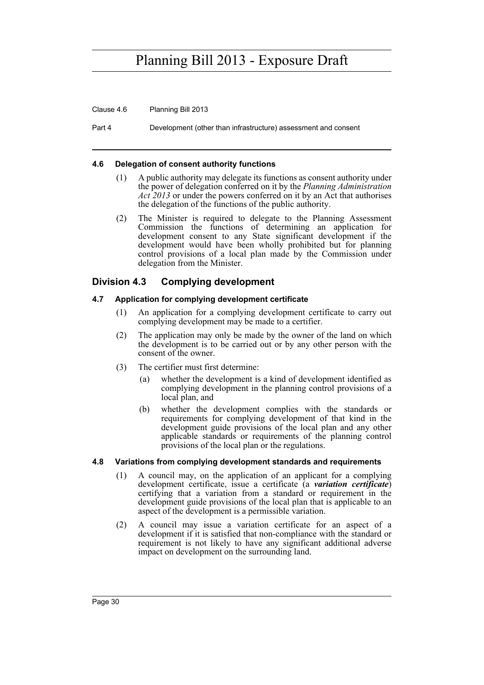Clause 4.6 Planning Bill 2013

Part 4 Development (other than infrastructure) assessment and consent

#### **4.6 Delegation of consent authority functions**

- (1) A public authority may delegate its functions as consent authority under the power of delegation conferred on it by the *Planning Administration Act 2013* or under the powers conferred on it by an Act that authorises the delegation of the functions of the public authority.
- (2) The Minister is required to delegate to the Planning Assessment Commission the functions of determining an application for development consent to any State significant development if the development would have been wholly prohibited but for planning control provisions of a local plan made by the Commission under delegation from the Minister.

## **Division 4.3 Complying development**

### **4.7 Application for complying development certificate**

- (1) An application for a complying development certificate to carry out complying development may be made to a certifier.
- (2) The application may only be made by the owner of the land on which the development is to be carried out or by any other person with the consent of the owner.
- (3) The certifier must first determine:
	- (a) whether the development is a kind of development identified as complying development in the planning control provisions of a local plan, and
	- (b) whether the development complies with the standards or requirements for complying development of that kind in the development guide provisions of the local plan and any other applicable standards or requirements of the planning control provisions of the local plan or the regulations.

### **4.8 Variations from complying development standards and requirements**

- (1) A council may, on the application of an applicant for a complying development certificate, issue a certificate (a *variation certificate*) certifying that a variation from a standard or requirement in the development guide provisions of the local plan that is applicable to an aspect of the development is a permissible variation.
- (2) A council may issue a variation certificate for an aspect of a development if it is satisfied that non-compliance with the standard or requirement is not likely to have any significant additional adverse impact on development on the surrounding land.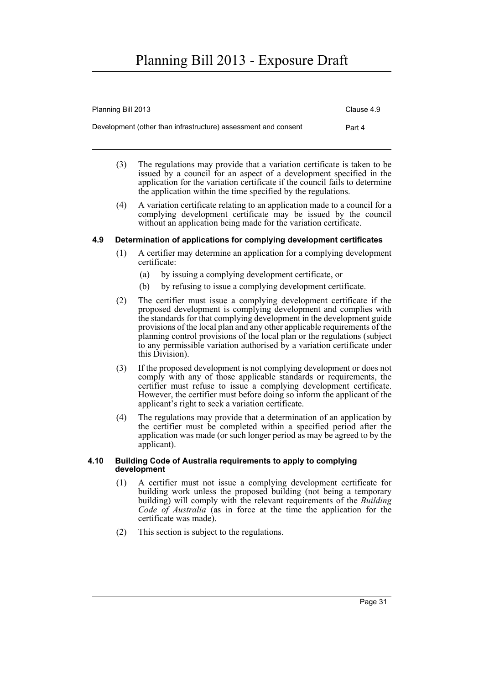| Planning Bill 2013                                             | Clause 4.9 |
|----------------------------------------------------------------|------------|
| Development (other than infrastructure) assessment and consent | Part 4     |
|                                                                |            |

- (3) The regulations may provide that a variation certificate is taken to be issued by a council for an aspect of a development specified in the application for the variation certificate if the council fails to determine the application within the time specified by the regulations.
- (4) A variation certificate relating to an application made to a council for a complying development certificate may be issued by the council without an application being made for the variation certificate.

### **4.9 Determination of applications for complying development certificates**

- (1) A certifier may determine an application for a complying development certificate:
	- (a) by issuing a complying development certificate, or
	- (b) by refusing to issue a complying development certificate.
- (2) The certifier must issue a complying development certificate if the proposed development is complying development and complies with the standards for that complying development in the development guide provisions of the local plan and any other applicable requirements of the planning control provisions of the local plan or the regulations (subject to any permissible variation authorised by a variation certificate under this Division).
- (3) If the proposed development is not complying development or does not comply with any of those applicable standards or requirements, the certifier must refuse to issue a complying development certificate. However, the certifier must before doing so inform the applicant of the applicant's right to seek a variation certificate.
- (4) The regulations may provide that a determination of an application by the certifier must be completed within a specified period after the application was made (or such longer period as may be agreed to by the applicant).

### **4.10 Building Code of Australia requirements to apply to complying development**

- (1) A certifier must not issue a complying development certificate for building work unless the proposed building (not being a temporary building) will comply with the relevant requirements of the *Building Code of Australia* (as in force at the time the application for the certificate was made).
- (2) This section is subject to the regulations.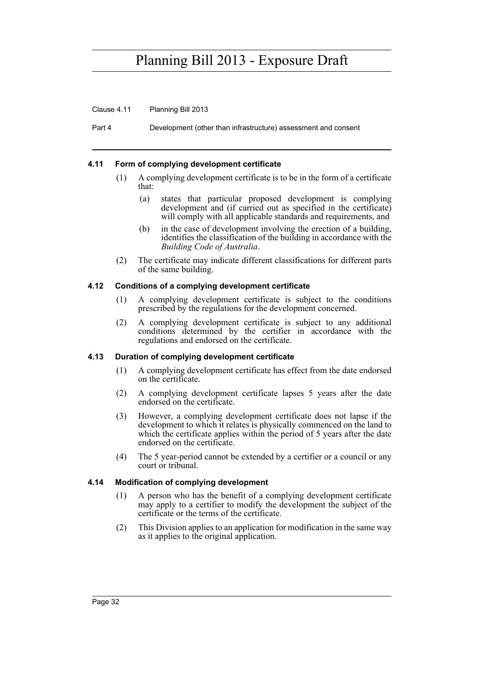Clause 4.11 Planning Bill 2013

Part 4 Development (other than infrastructure) assessment and consent

### **4.11 Form of complying development certificate**

- (1) A complying development certificate is to be in the form of a certificate that:
	- (a) states that particular proposed development is complying development and (if carried out as specified in the certificate) will comply with all applicable standards and requirements, and
	- (b) in the case of development involving the erection of a building, identifies the classification of the building in accordance with the *Building Code of Australia*.
- (2) The certificate may indicate different classifications for different parts of the same building.

#### **4.12 Conditions of a complying development certificate**

- (1) A complying development certificate is subject to the conditions prescribed by the regulations for the development concerned.
- (2) A complying development certificate is subject to any additional conditions determined by the certifier in accordance with the regulations and endorsed on the certificate.

#### **4.13 Duration of complying development certificate**

- (1) A complying development certificate has effect from the date endorsed on the certificate.
- (2) A complying development certificate lapses 5 years after the date endorsed on the certificate.
- (3) However, a complying development certificate does not lapse if the development to which it relates is physically commenced on the land to which the certificate applies within the period of 5 years after the date endorsed on the certificate.
- (4) The 5 year-period cannot be extended by a certifier or a council or any court or tribunal.

#### **4.14 Modification of complying development**

- (1) A person who has the benefit of a complying development certificate may apply to a certifier to modify the development the subject of the certificate or the terms of the certificate.
- (2) This Division applies to an application for modification in the same way as it applies to the original application.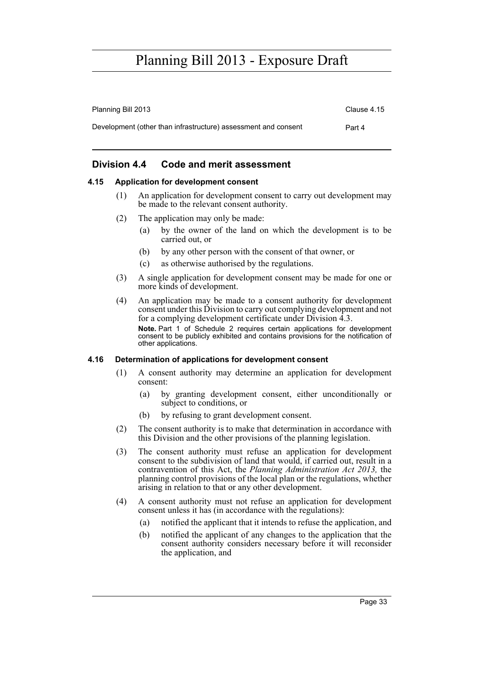| Planning Bill 2013                                             | Clause 4.15 |
|----------------------------------------------------------------|-------------|
| Development (other than infrastructure) assessment and consent | Part 4      |

## **Division 4.4 Code and merit assessment**

### **4.15 Application for development consent**

- (1) An application for development consent to carry out development may be made to the relevant consent authority.
- (2) The application may only be made:
	- (a) by the owner of the land on which the development is to be carried out, or
	- (b) by any other person with the consent of that owner, or
	- (c) as otherwise authorised by the regulations.
- (3) A single application for development consent may be made for one or more kinds of development.
- (4) An application may be made to a consent authority for development consent under this Division to carry out complying development and not for a complying development certificate under Division 4.3. **Note.** Part 1 of Schedule 2 requires certain applications for development consent to be publicly exhibited and contains provisions for the notification of other applications.

#### **4.16 Determination of applications for development consent**

- (1) A consent authority may determine an application for development consent:
	- (a) by granting development consent, either unconditionally or subject to conditions, or
	- (b) by refusing to grant development consent.
- (2) The consent authority is to make that determination in accordance with this Division and the other provisions of the planning legislation.
- (3) The consent authority must refuse an application for development consent to the subdivision of land that would, if carried out, result in a contravention of this Act, the *Planning Administration Act 2013,* the planning control provisions of the local plan or the regulations, whether arising in relation to that or any other development.
- (4) A consent authority must not refuse an application for development consent unless it has (in accordance with the regulations):
	- (a) notified the applicant that it intends to refuse the application, and
	- (b) notified the applicant of any changes to the application that the consent authority considers necessary before it will reconsider the application, and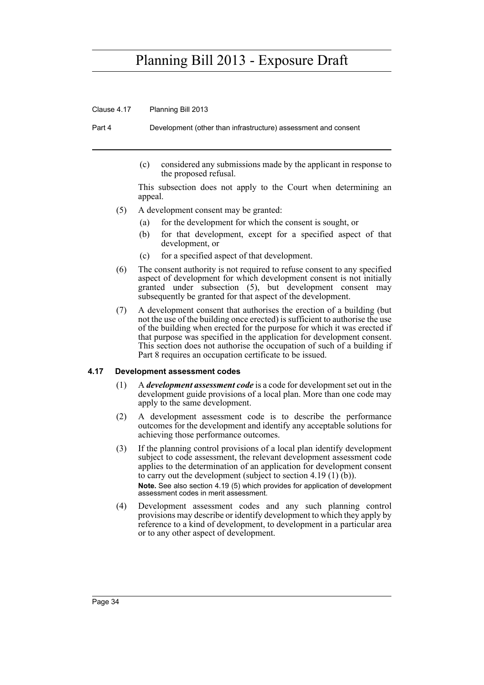Clause 4.17 Planning Bill 2013

Part 4 Development (other than infrastructure) assessment and consent

(c) considered any submissions made by the applicant in response to the proposed refusal.

This subsection does not apply to the Court when determining an appeal.

- (5) A development consent may be granted:
	- (a) for the development for which the consent is sought, or
	- (b) for that development, except for a specified aspect of that development, or
	- (c) for a specified aspect of that development.
- (6) The consent authority is not required to refuse consent to any specified aspect of development for which development consent is not initially granted under subsection (5), but development consent may subsequently be granted for that aspect of the development.
- (7) A development consent that authorises the erection of a building (but not the use of the building once erected) is sufficient to authorise the use of the building when erected for the purpose for which it was erected if that purpose was specified in the application for development consent. This section does not authorise the occupation of such of a building if Part 8 requires an occupation certificate to be issued.

### **4.17 Development assessment codes**

- (1) A *development assessment code* is a code for development set out in the development guide provisions of a local plan. More than one code may apply to the same development.
- (2) A development assessment code is to describe the performance outcomes for the development and identify any acceptable solutions for achieving those performance outcomes.
- (3) If the planning control provisions of a local plan identify development subject to code assessment, the relevant development assessment code applies to the determination of an application for development consent to carry out the development (subject to section  $4.19(1)(b)$ ). **Note.** See also section 4.19 (5) which provides for application of development assessment codes in merit assessment.
- (4) Development assessment codes and any such planning control provisions may describe or identify development to which they apply by reference to a kind of development, to development in a particular area or to any other aspect of development.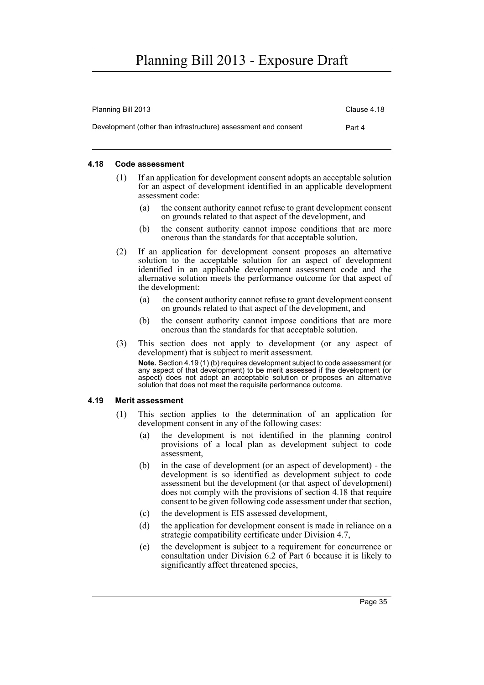| Planning Bill 2013                                             | Clause 4.18 |
|----------------------------------------------------------------|-------------|
| Development (other than infrastructure) assessment and consent | Part 4      |

### **4.18 Code assessment**

- (1) If an application for development consent adopts an acceptable solution for an aspect of development identified in an applicable development assessment code:
	- (a) the consent authority cannot refuse to grant development consent on grounds related to that aspect of the development, and
	- (b) the consent authority cannot impose conditions that are more onerous than the standards for that acceptable solution.
- (2) If an application for development consent proposes an alternative solution to the acceptable solution for an aspect of development identified in an applicable development assessment code and the alternative solution meets the performance outcome for that aspect of the development:
	- (a) the consent authority cannot refuse to grant development consent on grounds related to that aspect of the development, and
	- (b) the consent authority cannot impose conditions that are more onerous than the standards for that acceptable solution.
- (3) This section does not apply to development (or any aspect of development) that is subject to merit assessment. **Note.** Section 4.19 (1) (b) requires development subject to code assessment (or any aspect of that development) to be merit assessed if the development (or aspect) does not adopt an acceptable solution or proposes an alternative solution that does not meet the requisite performance outcome.

#### **4.19 Merit assessment**

- (1) This section applies to the determination of an application for development consent in any of the following cases:
	- (a) the development is not identified in the planning control provisions of a local plan as development subject to code assessment,
	- (b) in the case of development (or an aspect of development) the development is so identified as development subject to code assessment but the development (or that aspect of development) does not comply with the provisions of section 4.18 that require consent to be given following code assessment under that section,
	- (c) the development is EIS assessed development,
	- (d) the application for development consent is made in reliance on a strategic compatibility certificate under Division 4.7,
	- (e) the development is subject to a requirement for concurrence or consultation under Division 6.2 of Part 6 because it is likely to significantly affect threatened species,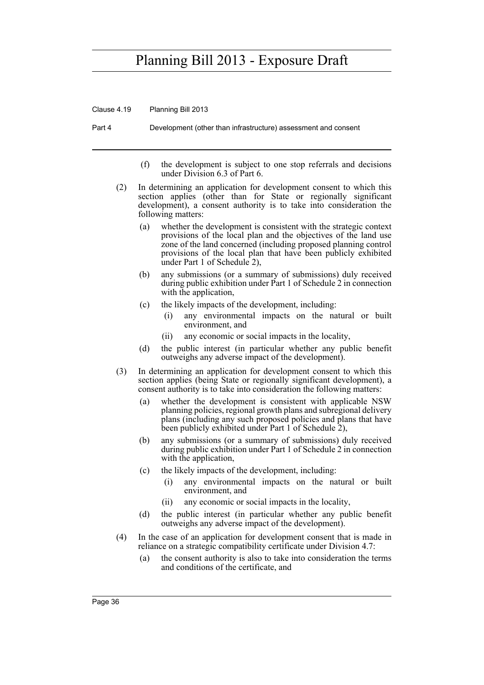Clause 4.19 Planning Bill 2013

Part 4 Development (other than infrastructure) assessment and consent

- (f) the development is subject to one stop referrals and decisions under Division 6.3 of Part 6.
- (2) In determining an application for development consent to which this section applies (other than for State or regionally significant development), a consent authority is to take into consideration the following matters:
	- (a) whether the development is consistent with the strategic context provisions of the local plan and the objectives of the land use zone of the land concerned (including proposed planning control provisions of the local plan that have been publicly exhibited under Part 1 of Schedule 2),
	- (b) any submissions (or a summary of submissions) duly received during public exhibition under Part 1 of Schedule 2 in connection with the application,
	- (c) the likely impacts of the development, including:
		- (i) any environmental impacts on the natural or built environment, and
		- (ii) any economic or social impacts in the locality,
	- (d) the public interest (in particular whether any public benefit outweighs any adverse impact of the development).
- (3) In determining an application for development consent to which this section applies (being State or regionally significant development), a consent authority is to take into consideration the following matters:
	- (a) whether the development is consistent with applicable NSW planning policies, regional growth plans and subregional delivery plans (including any such proposed policies and plans that have been publicly exhibited under Part 1 of Schedule 2),
	- (b) any submissions (or a summary of submissions) duly received during public exhibition under Part 1 of Schedule 2 in connection with the application,
	- (c) the likely impacts of the development, including:
		- (i) any environmental impacts on the natural or built environment, and
		- (ii) any economic or social impacts in the locality,
	- (d) the public interest (in particular whether any public benefit outweighs any adverse impact of the development).
- (4) In the case of an application for development consent that is made in reliance on a strategic compatibility certificate under Division 4.7:
	- (a) the consent authority is also to take into consideration the terms and conditions of the certificate, and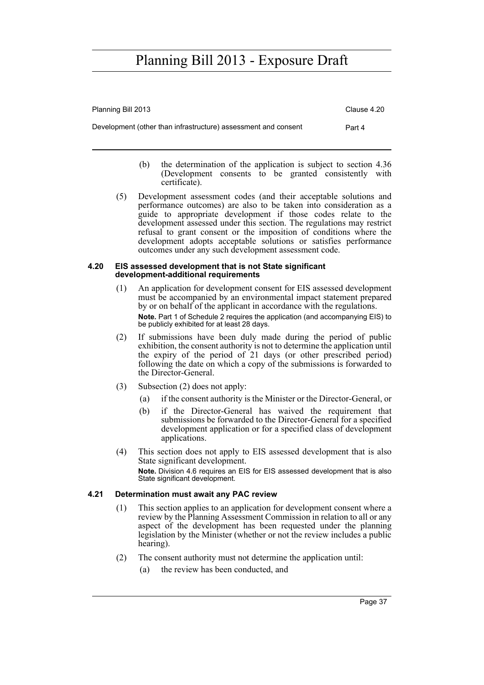| Planning Bill 2013                                             | Clause 4.20 |
|----------------------------------------------------------------|-------------|
| Development (other than infrastructure) assessment and consent | Part 4      |

- (b) the determination of the application is subject to section 4.36 (Development consents to be granted consistently with certificate).
- (5) Development assessment codes (and their acceptable solutions and performance outcomes) are also to be taken into consideration as a guide to appropriate development if those codes relate to the development assessed under this section. The regulations may restrict refusal to grant consent or the imposition of conditions where the development adopts acceptable solutions or satisfies performance outcomes under any such development assessment code.

#### **4.20 EIS assessed development that is not State significant development-additional requirements**

- (1) An application for development consent for EIS assessed development must be accompanied by an environmental impact statement prepared by or on behalf of the applicant in accordance with the regulations. **Note.** Part 1 of Schedule 2 requires the application (and accompanying EIS) to be publicly exhibited for at least 28 days.
- (2) If submissions have been duly made during the period of public exhibition, the consent authority is not to determine the application until the expiry of the period of 21 days (or other prescribed period) following the date on which a copy of the submissions is forwarded to the Director-General.
- (3) Subsection (2) does not apply:
	- (a) if the consent authority is the Minister or the Director-General, or
	- (b) if the Director-General has waived the requirement that submissions be forwarded to the Director-General for a specified development application or for a specified class of development applications.
- (4) This section does not apply to EIS assessed development that is also State significant development. **Note.** Division 4.6 requires an EIS for EIS assessed development that is also State significant development.

## **4.21 Determination must await any PAC review**

- (1) This section applies to an application for development consent where a review by the Planning Assessment Commission in relation to all or any aspect of the development has been requested under the planning legislation by the Minister (whether or not the review includes a public hearing).
- (2) The consent authority must not determine the application until:
	- (a) the review has been conducted, and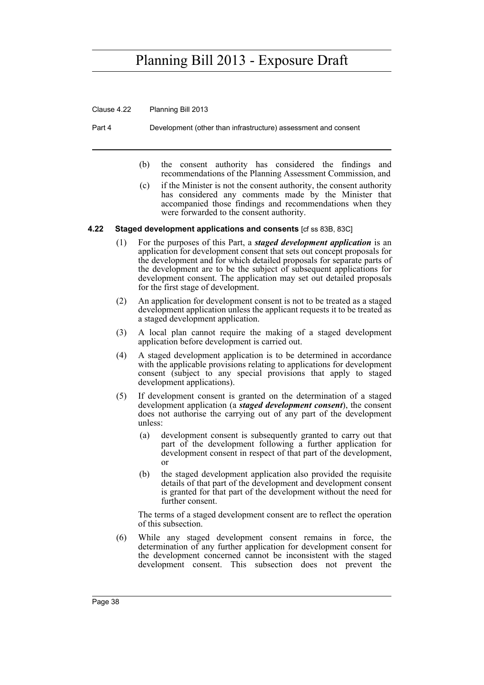Clause 4.22 Planning Bill 2013

Part 4 Development (other than infrastructure) assessment and consent

- (b) the consent authority has considered the findings and recommendations of the Planning Assessment Commission, and
- (c) if the Minister is not the consent authority, the consent authority has considered any comments made by the Minister that accompanied those findings and recommendations when they were forwarded to the consent authority.

#### **4.22 Staged development applications and consents** [cf ss 83B, 83C]

- (1) For the purposes of this Part, a *staged development application* is an application for development consent that sets out concept proposals for the development and for which detailed proposals for separate parts of the development are to be the subject of subsequent applications for development consent. The application may set out detailed proposals for the first stage of development.
- (2) An application for development consent is not to be treated as a staged development application unless the applicant requests it to be treated as a staged development application.
- (3) A local plan cannot require the making of a staged development application before development is carried out.
- (4) A staged development application is to be determined in accordance with the applicable provisions relating to applications for development consent (subject to any special provisions that apply to staged development applications).
- (5) If development consent is granted on the determination of a staged development application (a *staged development consent*), the consent does not authorise the carrying out of any part of the development unless:
	- (a) development consent is subsequently granted to carry out that part of the development following a further application for development consent in respect of that part of the development, or
	- (b) the staged development application also provided the requisite details of that part of the development and development consent is granted for that part of the development without the need for further consent.

The terms of a staged development consent are to reflect the operation of this subsection.

(6) While any staged development consent remains in force, the determination of any further application for development consent for the development concerned cannot be inconsistent with the staged development consent. This subsection does not prevent the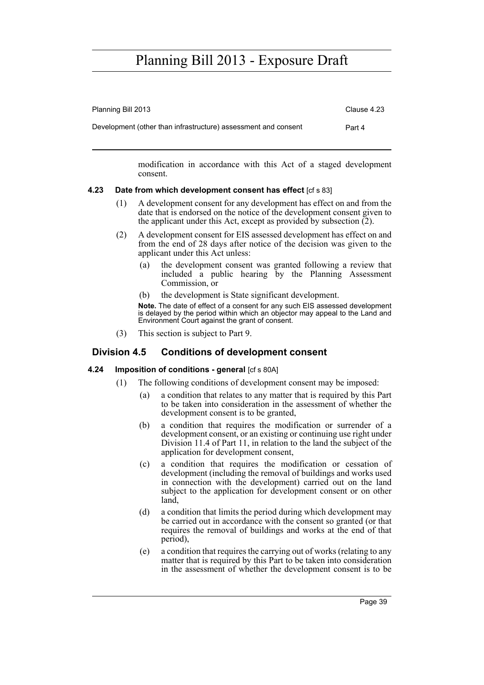| Planning Bill 2013                                             | Clause 4.23 |
|----------------------------------------------------------------|-------------|
| Development (other than infrastructure) assessment and consent | Part 4      |

modification in accordance with this Act of a staged development consent.

### **4.23 Date from which development consent has effect** [cf s 83]

- (1) A development consent for any development has effect on and from the date that is endorsed on the notice of the development consent given to the applicant under this Act, except as provided by subsection  $(2)$ .
- (2) A development consent for EIS assessed development has effect on and from the end of 28 days after notice of the decision was given to the applicant under this Act unless:
	- (a) the development consent was granted following a review that included a public hearing by the Planning Assessment Commission, or
	- (b) the development is State significant development.

**Note.** The date of effect of a consent for any such EIS assessed development is delayed by the period within which an objector may appeal to the Land and Environment Court against the grant of consent.

(3) This section is subject to Part 9.

## **Division 4.5 Conditions of development consent**

### **4.24 Imposition of conditions - general** [cf s 80A]

- (1) The following conditions of development consent may be imposed:
	- (a) a condition that relates to any matter that is required by this Part to be taken into consideration in the assessment of whether the development consent is to be granted,
	- (b) a condition that requires the modification or surrender of a development consent, or an existing or continuing use right under Division 11.4 of Part 11, in relation to the land the subject of the application for development consent,
	- (c) a condition that requires the modification or cessation of development (including the removal of buildings and works used in connection with the development) carried out on the land subject to the application for development consent or on other land,
	- (d) a condition that limits the period during which development may be carried out in accordance with the consent so granted (or that requires the removal of buildings and works at the end of that period),
	- (e) a condition that requires the carrying out of works (relating to any matter that is required by this Part to be taken into consideration in the assessment of whether the development consent is to be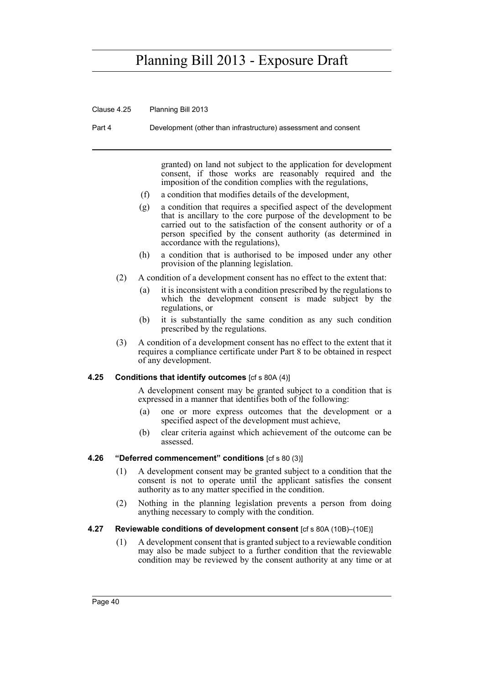Clause 4.25 Planning Bill 2013

Part 4 Development (other than infrastructure) assessment and consent

granted) on land not subject to the application for development consent, if those works are reasonably required and the imposition of the condition complies with the regulations,

- (f) a condition that modifies details of the development,
- (g) a condition that requires a specified aspect of the development that is ancillary to the core purpose of the development to be carried out to the satisfaction of the consent authority or of a person specified by the consent authority (as determined in accordance with the regulations),
- (h) a condition that is authorised to be imposed under any other provision of the planning legislation.
- (2) A condition of a development consent has no effect to the extent that:
	- (a) it is inconsistent with a condition prescribed by the regulations to which the development consent is made subject by the regulations, or
	- (b) it is substantially the same condition as any such condition prescribed by the regulations.
- (3) A condition of a development consent has no effect to the extent that it requires a compliance certificate under Part 8 to be obtained in respect of any development.

#### **4.25 Conditions that identify outcomes** [cf s 80A (4)]

A development consent may be granted subject to a condition that is expressed in a manner that identifies both of the following:

- (a) one or more express outcomes that the development or a specified aspect of the development must achieve,
- (b) clear criteria against which achievement of the outcome can be assessed.

#### **4.26 "Deferred commencement" conditions** [cf s 80 (3)]

- (1) A development consent may be granted subject to a condition that the consent is not to operate until the applicant satisfies the consent authority as to any matter specified in the condition.
- (2) Nothing in the planning legislation prevents a person from doing anything necessary to comply with the condition.
- **4.27 Reviewable conditions of development consent** [cf s 80A (10B)–(10E)]
	- (1) A development consent that is granted subject to a reviewable condition may also be made subject to a further condition that the reviewable condition may be reviewed by the consent authority at any time or at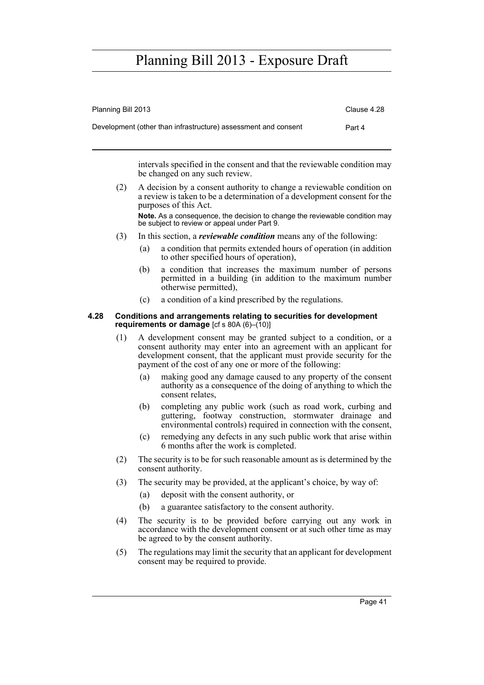| Planning Bill 2013                                             | Clause 4.28 |
|----------------------------------------------------------------|-------------|
| Development (other than infrastructure) assessment and consent | Part 4      |

intervals specified in the consent and that the reviewable condition may be changed on any such review.

(2) A decision by a consent authority to change a reviewable condition on a review is taken to be a determination of a development consent for the purposes of this Act.

**Note.** As a consequence, the decision to change the reviewable condition may be subject to review or appeal under Part 9.

- (3) In this section, a *reviewable condition* means any of the following:
	- (a) a condition that permits extended hours of operation (in addition to other specified hours of operation),
	- (b) a condition that increases the maximum number of persons permitted in a building (in addition to the maximum number otherwise permitted),
	- (c) a condition of a kind prescribed by the regulations.

#### **4.28 Conditions and arrangements relating to securities for development requirements or damage** [cf s 80A (6)–(10)]

- (1) A development consent may be granted subject to a condition, or a consent authority may enter into an agreement with an applicant for development consent, that the applicant must provide security for the payment of the cost of any one or more of the following:
	- (a) making good any damage caused to any property of the consent authority as a consequence of the doing of anything to which the consent relates,
	- (b) completing any public work (such as road work, curbing and guttering, footway construction, stormwater drainage and environmental controls) required in connection with the consent,
	- (c) remedying any defects in any such public work that arise within 6 months after the work is completed.
- (2) The security is to be for such reasonable amount as is determined by the consent authority.
- (3) The security may be provided, at the applicant's choice, by way of:
	- (a) deposit with the consent authority, or
	- (b) a guarantee satisfactory to the consent authority.
- (4) The security is to be provided before carrying out any work in accordance with the development consent or at such other time as may be agreed to by the consent authority.
- (5) The regulations may limit the security that an applicant for development consent may be required to provide.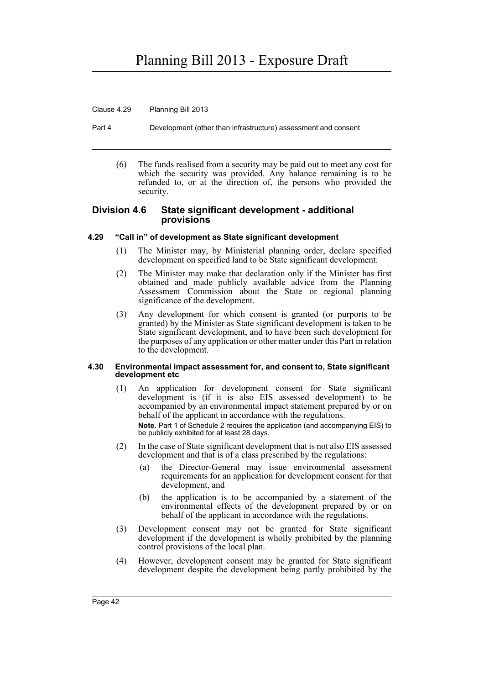Clause 4.29 Planning Bill 2013

Part 4 Development (other than infrastructure) assessment and consent

(6) The funds realised from a security may be paid out to meet any cost for which the security was provided. Any balance remaining is to be refunded to, or at the direction of, the persons who provided the security.

### **Division 4.6 State significant development - additional provisions**

### **4.29 "Call in" of development as State significant development**

- (1) The Minister may, by Ministerial planning order, declare specified development on specified land to be State significant development.
- (2) The Minister may make that declaration only if the Minister has first obtained and made publicly available advice from the Planning Assessment Commission about the State or regional planning significance of the development.
- (3) Any development for which consent is granted (or purports to be granted) by the Minister as State significant development is taken to be State significant development, and to have been such development for the purposes of any application or other matter under this Part in relation to the development.

#### **4.30 Environmental impact assessment for, and consent to, State significant development etc**

- (1) An application for development consent for State significant development is (if it is also EIS assessed development) to be accompanied by an environmental impact statement prepared by or on behalf of the applicant in accordance with the regulations. **Note.** Part 1 of Schedule 2 requires the application (and accompanying EIS) to be publicly exhibited for at least 28 days.
- (2) In the case of State significant development that is not also EIS assessed development and that is of a class prescribed by the regulations:
	- (a) the Director-General may issue environmental assessment requirements for an application for development consent for that development, and
	- (b) the application is to be accompanied by a statement of the environmental effects of the development prepared by or on behalf of the applicant in accordance with the regulations.
- (3) Development consent may not be granted for State significant development if the development is wholly prohibited by the planning control provisions of the local plan.
- (4) However, development consent may be granted for State significant development despite the development being partly prohibited by the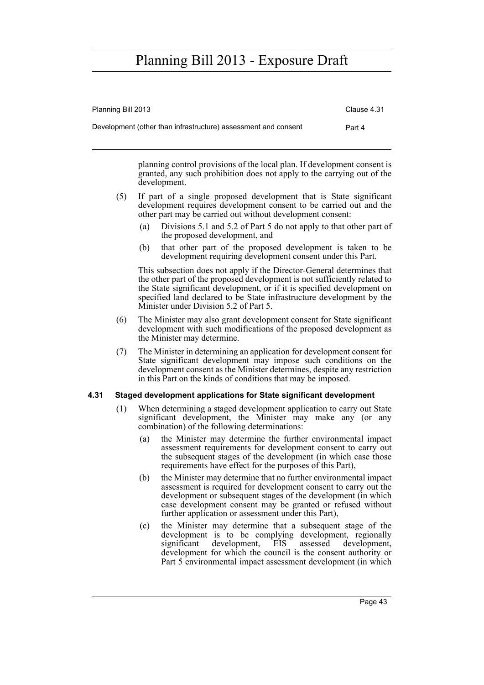| Planning Bill 2013                                             | Clause 4.31 |
|----------------------------------------------------------------|-------------|
| Development (other than infrastructure) assessment and consent | Part 4      |

planning control provisions of the local plan. If development consent is granted, any such prohibition does not apply to the carrying out of the development.

- (5) If part of a single proposed development that is State significant development requires development consent to be carried out and the other part may be carried out without development consent:
	- (a) Divisions 5.1 and 5.2 of Part 5 do not apply to that other part of the proposed development, and
	- (b) that other part of the proposed development is taken to be development requiring development consent under this Part.

This subsection does not apply if the Director-General determines that the other part of the proposed development is not sufficiently related to the State significant development, or if it is specified development on specified land declared to be State infrastructure development by the Minister under Division 5.2 of Part 5.

- (6) The Minister may also grant development consent for State significant development with such modifications of the proposed development as the Minister may determine.
- (7) The Minister in determining an application for development consent for State significant development may impose such conditions on the development consent as the Minister determines, despite any restriction in this Part on the kinds of conditions that may be imposed.

### **4.31 Staged development applications for State significant development**

- (1) When determining a staged development application to carry out State significant development, the Minister may make any (or any combination) of the following determinations:
	- (a) the Minister may determine the further environmental impact assessment requirements for development consent to carry out the subsequent stages of the development (in which case those requirements have effect for the purposes of this Part),
	- (b) the Minister may determine that no further environmental impact assessment is required for development consent to carry out the development or subsequent stages of the development (in which case development consent may be granted or refused without further application or assessment under this Part),
	- (c) the Minister may determine that a subsequent stage of the development is to be complying development, regionally significant development, EIS assessed development, development, EIS assessed development, development for which the council is the consent authority or Part 5 environmental impact assessment development (in which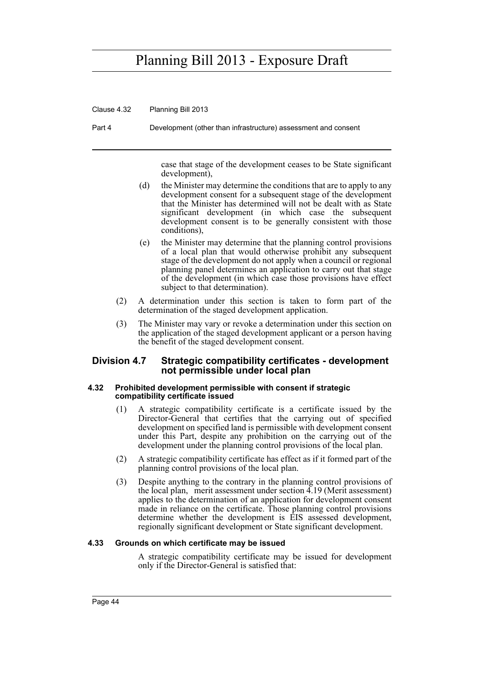Clause 4.32 Planning Bill 2013

Part 4 Development (other than infrastructure) assessment and consent

case that stage of the development ceases to be State significant development),

- (d) the Minister may determine the conditions that are to apply to any development consent for a subsequent stage of the development that the Minister has determined will not be dealt with as State significant development (in which case the subsequent development consent is to be generally consistent with those conditions),
- (e) the Minister may determine that the planning control provisions of a local plan that would otherwise prohibit any subsequent stage of the development do not apply when a council or regional planning panel determines an application to carry out that stage of the development (in which case those provisions have effect subject to that determination).
- (2) A determination under this section is taken to form part of the determination of the staged development application.
- (3) The Minister may vary or revoke a determination under this section on the application of the staged development applicant or a person having the benefit of the staged development consent.

### **Division 4.7 Strategic compatibility certificates - development not permissible under local plan**

#### **4.32 Prohibited development permissible with consent if strategic compatibility certificate issued**

- (1) A strategic compatibility certificate is a certificate issued by the Director-General that certifies that the carrying out of specified development on specified land is permissible with development consent under this Part, despite any prohibition on the carrying out of the development under the planning control provisions of the local plan.
- (2) A strategic compatibility certificate has effect as if it formed part of the planning control provisions of the local plan.
- (3) Despite anything to the contrary in the planning control provisions of the local plan, merit assessment under section 4.19 (Merit assessment) applies to the determination of an application for development consent made in reliance on the certificate. Those planning control provisions determine whether the development is EIS assessed development, regionally significant development or State significant development.

#### **4.33 Grounds on which certificate may be issued**

A strategic compatibility certificate may be issued for development only if the Director-General is satisfied that: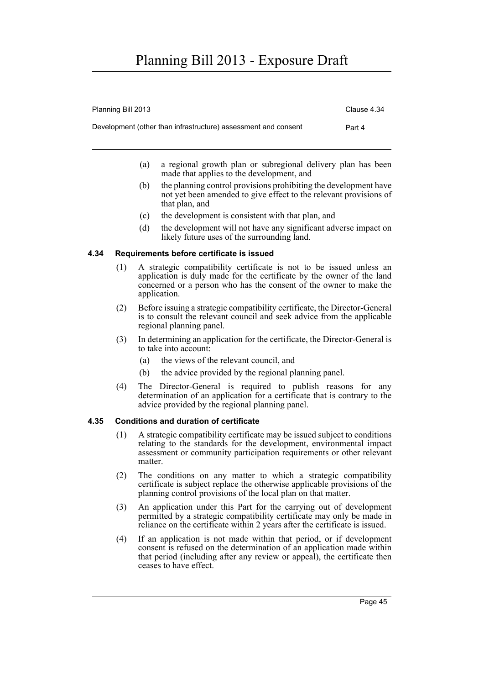| Planning Bill 2013                                             | Clause 4.34 |
|----------------------------------------------------------------|-------------|
| Development (other than infrastructure) assessment and consent | Part 4      |

- (a) a regional growth plan or subregional delivery plan has been made that applies to the development, and
- (b) the planning control provisions prohibiting the development have not yet been amended to give effect to the relevant provisions of that plan, and
- (c) the development is consistent with that plan, and
- (d) the development will not have any significant adverse impact on likely future uses of the surrounding land.

### **4.34 Requirements before certificate is issued**

- (1) A strategic compatibility certificate is not to be issued unless an application is duly made for the certificate by the owner of the land concerned or a person who has the consent of the owner to make the application.
- (2) Before issuing a strategic compatibility certificate, the Director-General is to consult the relevant council and seek advice from the applicable regional planning panel.
- (3) In determining an application for the certificate, the Director-General is to take into account:
	- (a) the views of the relevant council, and
	- (b) the advice provided by the regional planning panel.
- (4) The Director-General is required to publish reasons for any determination of an application for a certificate that is contrary to the advice provided by the regional planning panel.

### **4.35 Conditions and duration of certificate**

- (1) A strategic compatibility certificate may be issued subject to conditions relating to the standards for the development, environmental impact assessment or community participation requirements or other relevant matter
- (2) The conditions on any matter to which a strategic compatibility certificate is subject replace the otherwise applicable provisions of the planning control provisions of the local plan on that matter.
- (3) An application under this Part for the carrying out of development permitted by a strategic compatibility certificate may only be made in reliance on the certificate within 2 years after the certificate is issued.
- (4) If an application is not made within that period, or if development consent is refused on the determination of an application made within that period (including after any review or appeal), the certificate then ceases to have effect.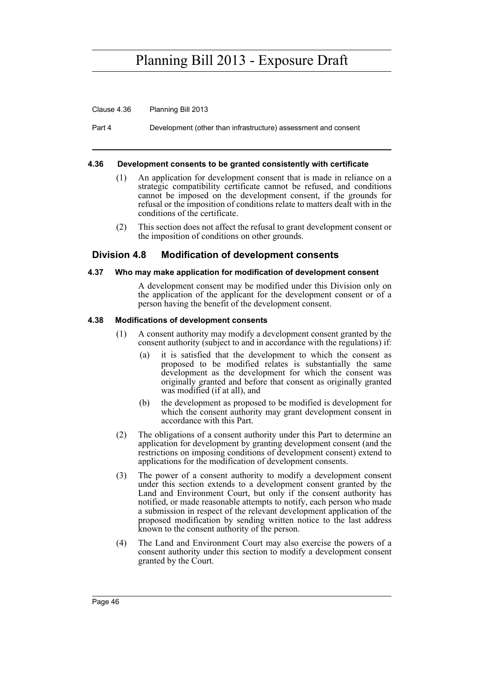Clause 4.36 Planning Bill 2013

Part 4 Development (other than infrastructure) assessment and consent

#### **4.36 Development consents to be granted consistently with certificate**

- (1) An application for development consent that is made in reliance on a strategic compatibility certificate cannot be refused, and conditions cannot be imposed on the development consent, if the grounds for refusal or the imposition of conditions relate to matters dealt with in the conditions of the certificate.
- (2) This section does not affect the refusal to grant development consent or the imposition of conditions on other grounds.

### **Division 4.8 Modification of development consents**

#### **4.37 Who may make application for modification of development consent**

A development consent may be modified under this Division only on the application of the applicant for the development consent or of a person having the benefit of the development consent.

#### **4.38 Modifications of development consents**

- (1) A consent authority may modify a development consent granted by the consent authority (subject to and in accordance with the regulations) if:
	- (a) it is satisfied that the development to which the consent as proposed to be modified relates is substantially the same development as the development for which the consent was originally granted and before that consent as originally granted was modified (if at all), and
	- (b) the development as proposed to be modified is development for which the consent authority may grant development consent in accordance with this Part.
- (2) The obligations of a consent authority under this Part to determine an application for development by granting development consent (and the restrictions on imposing conditions of development consent) extend to applications for the modification of development consents.
- (3) The power of a consent authority to modify a development consent under this section extends to a development consent granted by the Land and Environment Court, but only if the consent authority has notified, or made reasonable attempts to notify, each person who made a submission in respect of the relevant development application of the proposed modification by sending written notice to the last address known to the consent authority of the person.
- (4) The Land and Environment Court may also exercise the powers of a consent authority under this section to modify a development consent granted by the Court.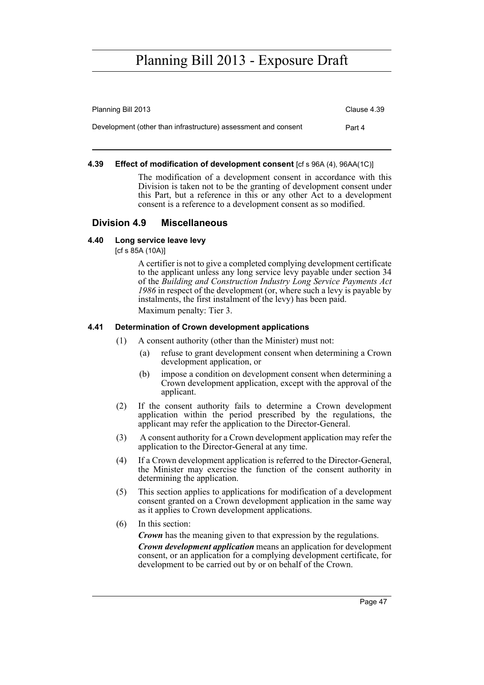| Planning Bill 2013                                             | Clause 4.39 |
|----------------------------------------------------------------|-------------|
| Development (other than infrastructure) assessment and consent | Part 4      |

### **4.39 Effect of modification of development consent** [cf s 96A (4), 96AA(1C)]

The modification of a development consent in accordance with this Division is taken not to be the granting of development consent under this Part, but a reference in this or any other Act to a development consent is a reference to a development consent as so modified.

### **Division 4.9 Miscellaneous**

### **4.40 Long service leave levy**

[cf s 85A (10A)]

A certifier is not to give a completed complying development certificate to the applicant unless any long service levy payable under section 34 of the *Building and Construction Industry Long Service Payments Act 1986* in respect of the development (or, where such a levy is payable by instalments, the first instalment of the levy) has been paid. Maximum penalty: Tier 3.

### **4.41 Determination of Crown development applications**

- (1) A consent authority (other than the Minister) must not:
	- (a) refuse to grant development consent when determining a Crown development application, or
	- (b) impose a condition on development consent when determining a Crown development application, except with the approval of the applicant.
- (2) If the consent authority fails to determine a Crown development application within the period prescribed by the regulations, the applicant may refer the application to the Director-General.
- (3) A consent authority for a Crown development application may refer the application to the Director-General at any time.
- (4) If a Crown development application is referred to the Director-General, the Minister may exercise the function of the consent authority in determining the application.
- (5) This section applies to applications for modification of a development consent granted on a Crown development application in the same way as it applies to Crown development applications.
- (6) In this section:

*Crown* has the meaning given to that expression by the regulations.

*Crown development application* means an application for development consent, or an application for a complying development certificate, for development to be carried out by or on behalf of the Crown.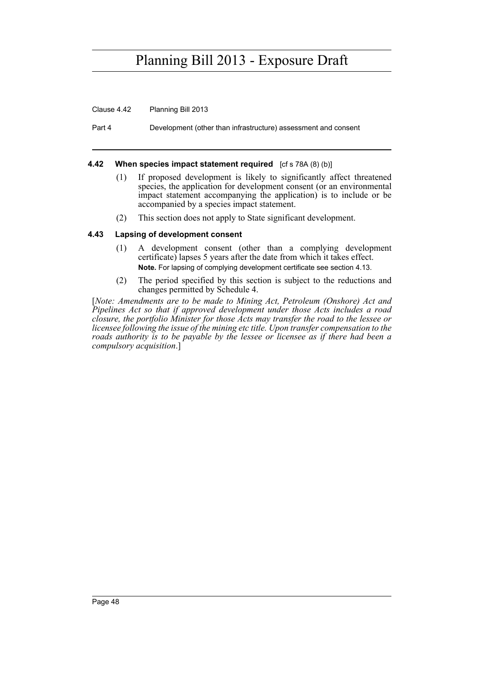Clause 4.42 Planning Bill 2013

Part 4 Development (other than infrastructure) assessment and consent

### **4.42** When species impact statement required [cf s 78A (8) (b)]

- (1) If proposed development is likely to significantly affect threatened species, the application for development consent (or an environmental impact statement accompanying the application) is to include or be accompanied by a species impact statement.
- (2) This section does not apply to State significant development.

### **4.43 Lapsing of development consent**

- (1) A development consent (other than a complying development certificate) lapses 5 years after the date from which it takes effect. **Note.** For lapsing of complying development certificate see section 4.13.
- (2) The period specified by this section is subject to the reductions and changes permitted by Schedule 4.

[*Note: Amendments are to be made to Mining Act, Petroleum (Onshore) Act and Pipelines Act so that if approved development under those Acts includes a road closure, the portfolio Minister for those Acts may transfer the road to the lessee or licensee following the issue of the mining etc title. Upon transfer compensation to the roads authority is to be payable by the lessee or licensee as if there had been a compulsory acquisition*.]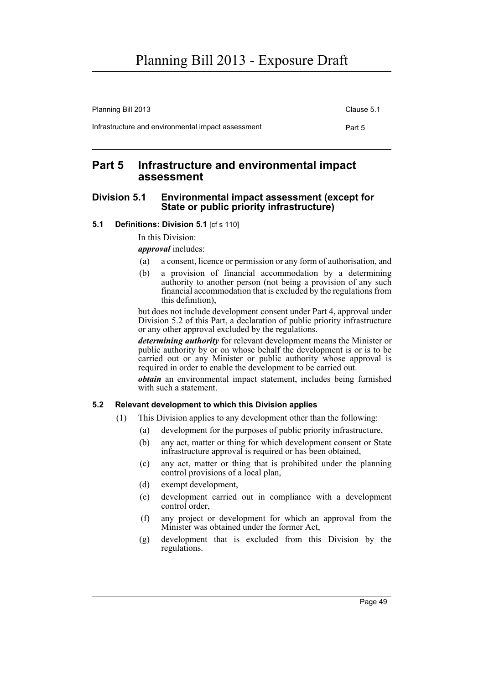Planning Bill 2013 Clause 5.1 Infrastructure and environmental impact assessment example and Part 5

## **Part 5 Infrastructure and environmental impact assessment**

### **Division 5.1 Environmental impact assessment (except for State or public priority infrastructure)**

### **5.1 Definitions: Division 5.1** [cf s 110]

In this Division:

*approval* includes:

- (a) a consent, licence or permission or any form of authorisation, and
- (b) a provision of financial accommodation by a determining authority to another person (not being a provision of any such financial accommodation that is excluded by the regulations from this definition),

but does not include development consent under Part 4, approval under Division 5.2 of this Part, a declaration of public priority infrastructure or any other approval excluded by the regulations.

*determining authority* for relevant development means the Minister or public authority by or on whose behalf the development is or is to be carried out or any Minister or public authority whose approval is required in order to enable the development to be carried out.

*obtain* an environmental impact statement, includes being furnished with such a statement.

### **5.2 Relevant development to which this Division applies**

- (1) This Division applies to any development other than the following:
	- (a) development for the purposes of public priority infrastructure,
	- (b) any act, matter or thing for which development consent or State infrastructure approval is required or has been obtained,
	- (c) any act, matter or thing that is prohibited under the planning control provisions of a local plan,
	- (d) exempt development,
	- (e) development carried out in compliance with a development control order,
	- (f) any project or development for which an approval from the Minister was obtained under the former Act,
	- (g) development that is excluded from this Division by the regulations.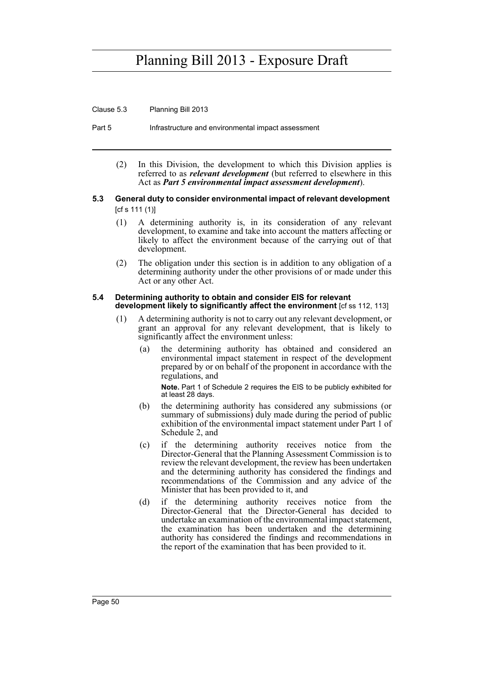Clause 5.3 Planning Bill 2013

Part 5 Infrastructure and environmental impact assessment

(2) In this Division, the development to which this Division applies is referred to as *relevant development* (but referred to elsewhere in this Act as *Part 5 environmental impact assessment development*).

#### **5.3 General duty to consider environmental impact of relevant development**  [cf s 111 (1)]

- (1) A determining authority is, in its consideration of any relevant development, to examine and take into account the matters affecting or likely to affect the environment because of the carrying out of that development.
- (2) The obligation under this section is in addition to any obligation of a determining authority under the other provisions of or made under this Act or any other Act.

#### **5.4 Determining authority to obtain and consider EIS for relevant development likely to significantly affect the environment** [cf ss 112, 113]

- (1) A determining authority is not to carry out any relevant development, or grant an approval for any relevant development, that is likely to significantly affect the environment unless:
	- (a) the determining authority has obtained and considered an environmental impact statement in respect of the development prepared by or on behalf of the proponent in accordance with the regulations, and

**Note.** Part 1 of Schedule 2 requires the EIS to be publicly exhibited for at least 28 days.

- (b) the determining authority has considered any submissions (or summary of submissions) duly made during the period of public exhibition of the environmental impact statement under Part 1 of Schedule 2, and
- (c) if the determining authority receives notice from the Director-General that the Planning Assessment Commission is to review the relevant development, the review has been undertaken and the determining authority has considered the findings and recommendations of the Commission and any advice of the Minister that has been provided to it, and
- (d) if the determining authority receives notice from the Director-General that the Director-General has decided to undertake an examination of the environmental impact statement, the examination has been undertaken and the determining authority has considered the findings and recommendations in the report of the examination that has been provided to it.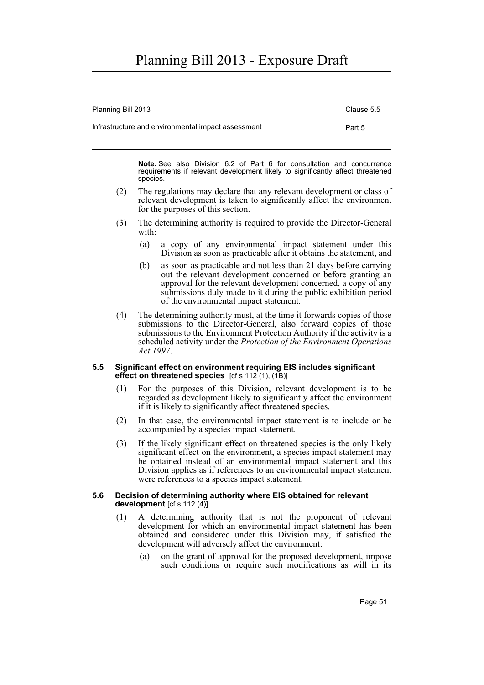| Planning Bill 2013                                 | Clause 5.5 |
|----------------------------------------------------|------------|
| Infrastructure and environmental impact assessment | Part 5     |

**Note.** See also Division 6.2 of Part 6 for consultation and concurrence requirements if relevant development likely to significantly affect threatened species.

- (2) The regulations may declare that any relevant development or class of relevant development is taken to significantly affect the environment for the purposes of this section.
- (3) The determining authority is required to provide the Director-General with:
	- (a) a copy of any environmental impact statement under this Division as soon as practicable after it obtains the statement, and
	- (b) as soon as practicable and not less than 21 days before carrying out the relevant development concerned or before granting an approval for the relevant development concerned, a copy of any submissions duly made to it during the public exhibition period of the environmental impact statement.
- (4) The determining authority must, at the time it forwards copies of those submissions to the Director-General, also forward copies of those submissions to the Environment Protection Authority if the activity is a scheduled activity under the *Protection of the Environment Operations Act 1997*.

#### **5.5 Significant effect on environment requiring EIS includes significant effect on threatened species** [cf s 112 (1), (1B)]

- (1) For the purposes of this Division, relevant development is to be regarded as development likely to significantly affect the environment if it is likely to significantly affect threatened species.
- (2) In that case, the environmental impact statement is to include or be accompanied by a species impact statement*.*
- (3) If the likely significant effect on threatened species is the only likely significant effect on the environment, a species impact statement may be obtained instead of an environmental impact statement and this Division applies as if references to an environmental impact statement were references to a species impact statement.

#### **5.6 Decision of determining authority where EIS obtained for relevant development** [cf s 112 (4)]

- (1) A determining authority that is not the proponent of relevant development for which an environmental impact statement has been obtained and considered under this Division may, if satisfied the development will adversely affect the environment:
	- (a) on the grant of approval for the proposed development, impose such conditions or require such modifications as will in its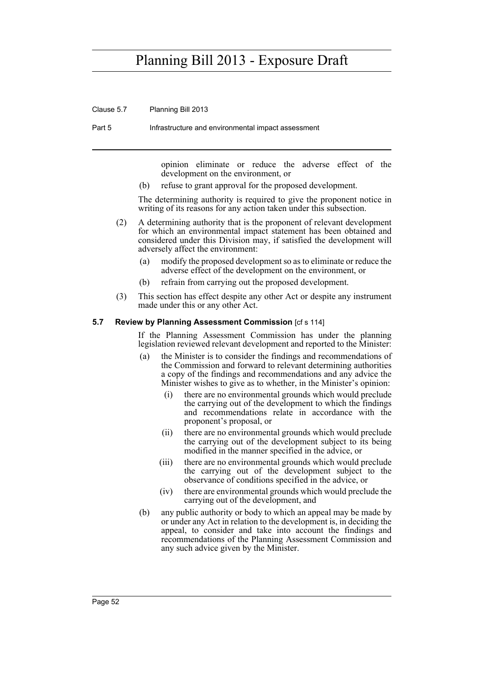Clause 5.7 Planning Bill 2013

Part 5 Infrastructure and environmental impact assessment

opinion eliminate or reduce the adverse effect of the development on the environment, or

(b) refuse to grant approval for the proposed development.

The determining authority is required to give the proponent notice in writing of its reasons for any action taken under this subsection.

- (2) A determining authority that is the proponent of relevant development for which an environmental impact statement has been obtained and considered under this Division may, if satisfied the development will adversely affect the environment:
	- (a) modify the proposed development so as to eliminate or reduce the adverse effect of the development on the environment, or
	- (b) refrain from carrying out the proposed development.
- (3) This section has effect despite any other Act or despite any instrument made under this or any other Act.

#### **5.7 Review by Planning Assessment Commission** [cf s 114]

If the Planning Assessment Commission has under the planning legislation reviewed relevant development and reported to the Minister:

- (a) the Minister is to consider the findings and recommendations of the Commission and forward to relevant determining authorities a copy of the findings and recommendations and any advice the Minister wishes to give as to whether, in the Minister's opinion:
	- (i) there are no environmental grounds which would preclude the carrying out of the development to which the findings and recommendations relate in accordance with the proponent's proposal, or
	- (ii) there are no environmental grounds which would preclude the carrying out of the development subject to its being modified in the manner specified in the advice, or
	- (iii) there are no environmental grounds which would preclude the carrying out of the development subject to the observance of conditions specified in the advice, or
	- (iv) there are environmental grounds which would preclude the carrying out of the development, and
- (b) any public authority or body to which an appeal may be made by or under any Act in relation to the development is, in deciding the appeal, to consider and take into account the findings and recommendations of the Planning Assessment Commission and any such advice given by the Minister.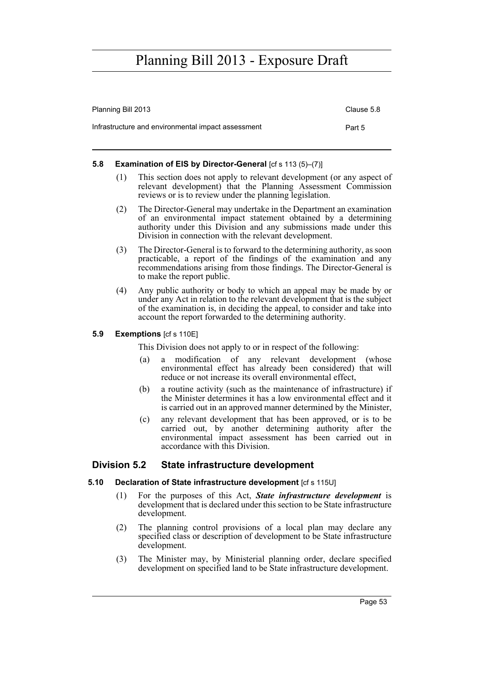| Planning Bill 2013                                 | Clause 5.8 |
|----------------------------------------------------|------------|
| Infrastructure and environmental impact assessment | Part 5     |

### **5.8 Examination of EIS by Director-General [cf s 113 (5)–(7)]**

- (1) This section does not apply to relevant development (or any aspect of relevant development) that the Planning Assessment Commission reviews or is to review under the planning legislation.
- (2) The Director-General may undertake in the Department an examination of an environmental impact statement obtained by a determining authority under this Division and any submissions made under this Division in connection with the relevant development.
- (3) The Director-General is to forward to the determining authority, as soon practicable, a report of the findings of the examination and any recommendations arising from those findings. The Director-General is to make the report public.
- (4) Any public authority or body to which an appeal may be made by or under any Act in relation to the relevant development that is the subject of the examination is, in deciding the appeal, to consider and take into account the report forwarded to the determining authority.

### **5.9 Exemptions** [cf s 110E]

This Division does not apply to or in respect of the following:

- (a) a modification of any relevant development (whose environmental effect has already been considered) that will reduce or not increase its overall environmental effect,
- (b) a routine activity (such as the maintenance of infrastructure) if the Minister determines it has a low environmental effect and it is carried out in an approved manner determined by the Minister,
- (c) any relevant development that has been approved, or is to be carried out, by another determining authority after the environmental impact assessment has been carried out in accordance with this Division.

### **Division 5.2 State infrastructure development**

### **5.10 Declaration of State infrastructure development** [cf s 115U]

- (1) For the purposes of this Act, *State infrastructure development* is development that is declared under this section to be State infrastructure development.
- (2) The planning control provisions of a local plan may declare any specified class or description of development to be State infrastructure development.
- (3) The Minister may, by Ministerial planning order, declare specified development on specified land to be State infrastructure development.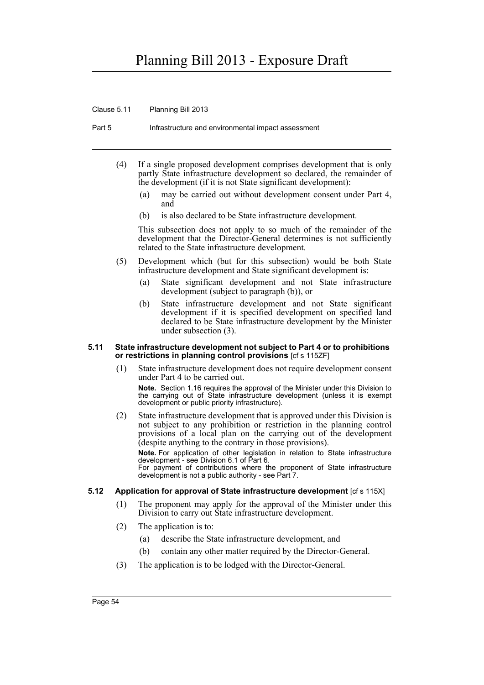Clause 5.11 Planning Bill 2013

Part 5 Infrastructure and environmental impact assessment

- (4) If a single proposed development comprises development that is only partly State infrastructure development so declared, the remainder of the development (if it is not State significant development):
	- (a) may be carried out without development consent under Part 4, and
	- (b) is also declared to be State infrastructure development.

This subsection does not apply to so much of the remainder of the development that the Director-General determines is not sufficiently related to the State infrastructure development.

- (5) Development which (but for this subsection) would be both State infrastructure development and State significant development is:
	- (a) State significant development and not State infrastructure development (subject to paragraph (b)), or
	- (b) State infrastructure development and not State significant development if it is specified development on specified land declared to be State infrastructure development by the Minister under subsection (3).

#### **5.11 State infrastructure development not subject to Part 4 or to prohibitions or restrictions in planning control provisions** [cf s 115ZF]

(1) State infrastructure development does not require development consent under Part 4 to be carried out.

**Note.** Section 1.16 requires the approval of the Minister under this Division to the carrying out of State infrastructure development (unless it is exempt development or public priority infrastructure).

(2) State infrastructure development that is approved under this Division is not subject to any prohibition or restriction in the planning control provisions of a local plan on the carrying out of the development (despite anything to the contrary in those provisions).

**Note.** For application of other legislation in relation to State infrastructure development - see Division 6.1 of Part 6. For payment of contributions where the proponent of State infrastructure development is not a public authority - see Part 7.

### **5.12** Application for approval of State infrastructure development  $[cf s 115X]$

- (1) The proponent may apply for the approval of the Minister under this Division to carry out State infrastructure development.
- (2) The application is to:
	- (a) describe the State infrastructure development, and
	- (b) contain any other matter required by the Director-General.
- (3) The application is to be lodged with the Director-General.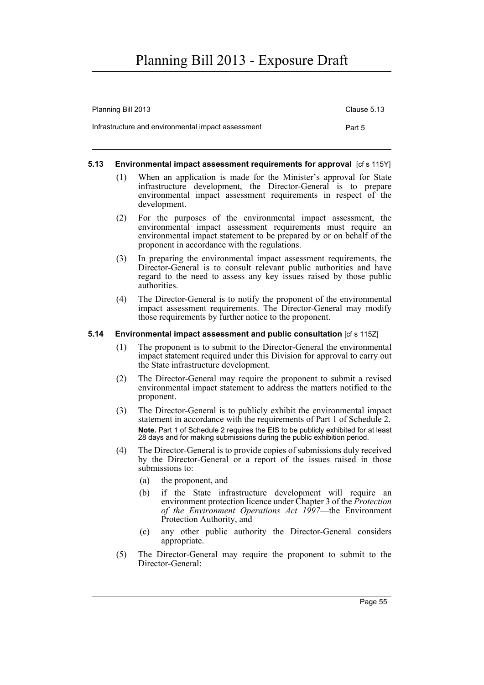| Planning Bill 2013                                 | Clause 5.13 |
|----------------------------------------------------|-------------|
| Infrastructure and environmental impact assessment | Part 5      |

### **5.13 Environmental impact assessment requirements for approval** [cf s 115Y]

- (1) When an application is made for the Minister's approval for State infrastructure development, the Director-General is to prepare environmental impact assessment requirements in respect of the development.
- (2) For the purposes of the environmental impact assessment, the environmental impact assessment requirements must require an environmental impact statement to be prepared by or on behalf of the proponent in accordance with the regulations.
- (3) In preparing the environmental impact assessment requirements, the Director-General is to consult relevant public authorities and have regard to the need to assess any key issues raised by those public authorities.
- (4) The Director-General is to notify the proponent of the environmental impact assessment requirements. The Director-General may modify those requirements by further notice to the proponent.

#### **5.14 Environmental impact assessment and public consultation** [cf s 115Z]

- (1) The proponent is to submit to the Director-General the environmental impact statement required under this Division for approval to carry out the State infrastructure development.
- (2) The Director-General may require the proponent to submit a revised environmental impact statement to address the matters notified to the proponent.
- (3) The Director-General is to publicly exhibit the environmental impact statement in accordance with the requirements of Part 1 of Schedule 2. **Note.** Part 1 of Schedule 2 requires the EIS to be publicly exhibited for at least 28 days and for making submissions during the public exhibition period.
- (4) The Director-General is to provide copies of submissions duly received by the Director-General or a report of the issues raised in those submissions to:
	- (a) the proponent, and
	- (b) if the State infrastructure development will require an environment protection licence under Chapter 3 of the *Protection of the Environment Operations Act 1997*—the Environment Protection Authority, and
	- (c) any other public authority the Director-General considers appropriate.
- (5) The Director-General may require the proponent to submit to the Director-General: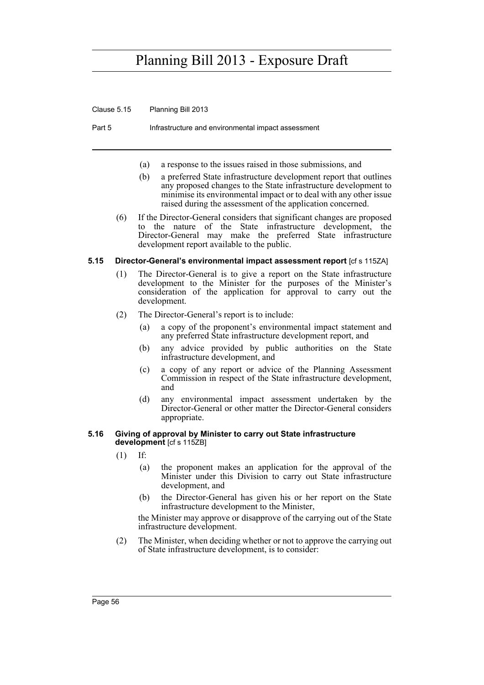Clause 5.15 Planning Bill 2013

Part 5 Infrastructure and environmental impact assessment

- (a) a response to the issues raised in those submissions, and
- (b) a preferred State infrastructure development report that outlines any proposed changes to the State infrastructure development to minimise its environmental impact or to deal with any other issue raised during the assessment of the application concerned.
- (6) If the Director-General considers that significant changes are proposed to the nature of the State infrastructure development, the Director-General may make the preferred State infrastructure development report available to the public.

### **5.15 Director-General's environmental impact assessment report** [cf s 115ZA]

- (1) The Director-General is to give a report on the State infrastructure development to the Minister for the purposes of the Minister's consideration of the application for approval to carry out the development.
- (2) The Director-General's report is to include:
	- (a) a copy of the proponent's environmental impact statement and any preferred State infrastructure development report, and
	- (b) any advice provided by public authorities on the State infrastructure development, and
	- (c) a copy of any report or advice of the Planning Assessment Commission in respect of the State infrastructure development, and
	- (d) any environmental impact assessment undertaken by the Director-General or other matter the Director-General considers appropriate.

#### **5.16 Giving of approval by Minister to carry out State infrastructure development** [cf s 115ZB]

- (1) If:
	- (a) the proponent makes an application for the approval of the Minister under this Division to carry out State infrastructure development, and
	- (b) the Director-General has given his or her report on the State infrastructure development to the Minister,

the Minister may approve or disapprove of the carrying out of the State infrastructure development.

(2) The Minister, when deciding whether or not to approve the carrying out of State infrastructure development, is to consider: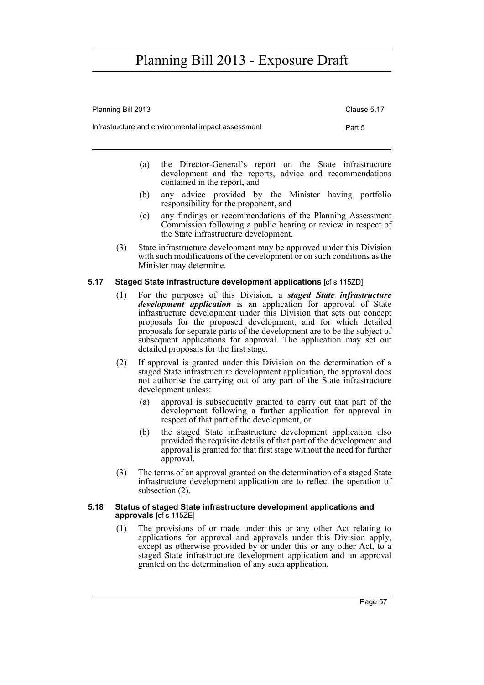| Planning Bill 2013                                 | Clause 5.17 |
|----------------------------------------------------|-------------|
| Infrastructure and environmental impact assessment | Part 5      |

- (a) the Director-General's report on the State infrastructure development and the reports, advice and recommendations contained in the report, and
- (b) any advice provided by the Minister having portfolio responsibility for the proponent, and
- (c) any findings or recommendations of the Planning Assessment Commission following a public hearing or review in respect of the State infrastructure development.
- (3) State infrastructure development may be approved under this Division with such modifications of the development or on such conditions as the Minister may determine.

### **5.17 Staged State infrastructure development applications** [cf s 115ZD]

- (1) For the purposes of this Division, a *staged State infrastructure development application* is an application for approval of State infrastructure development under this Division that sets out concept proposals for the proposed development, and for which detailed proposals for separate parts of the development are to be the subject of subsequent applications for approval. The application may set out detailed proposals for the first stage.
- (2) If approval is granted under this Division on the determination of a staged State infrastructure development application, the approval does not authorise the carrying out of any part of the State infrastructure development unless:
	- (a) approval is subsequently granted to carry out that part of the development following a further application for approval in respect of that part of the development, or
	- (b) the staged State infrastructure development application also provided the requisite details of that part of the development and approval is granted for that first stage without the need for further approval.
- (3) The terms of an approval granted on the determination of a staged State infrastructure development application are to reflect the operation of subsection (2).

#### **5.18 Status of staged State infrastructure development applications and approvals** [cf s 115ZE]

(1) The provisions of or made under this or any other Act relating to applications for approval and approvals under this Division apply, except as otherwise provided by or under this or any other Act, to a staged State infrastructure development application and an approval granted on the determination of any such application.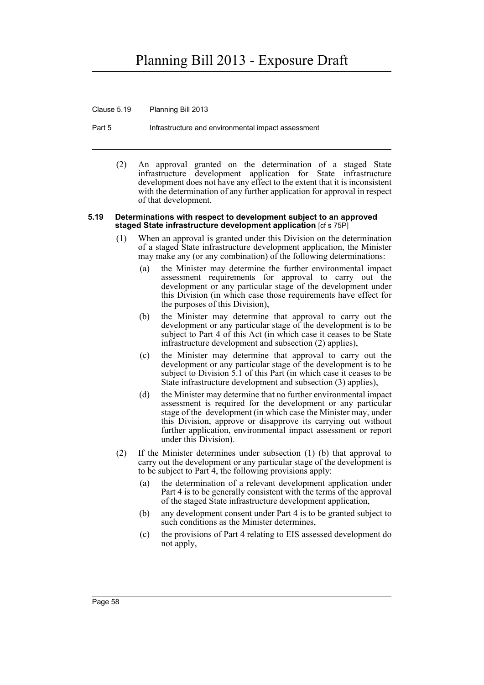Clause 5.19 Planning Bill 2013

Part 5 Infrastructure and environmental impact assessment

(2) An approval granted on the determination of a staged State infrastructure development application for State infrastructure development does not have any effect to the extent that it is inconsistent with the determination of any further application for approval in respect of that development.

#### **5.19 Determinations with respect to development subject to an approved staged State infrastructure development application** [cf s 75P]

- (1) When an approval is granted under this Division on the determination of a staged State infrastructure development application, the Minister may make any (or any combination) of the following determinations:
	- (a) the Minister may determine the further environmental impact assessment requirements for approval to carry out the development or any particular stage of the development under this Division (in which case those requirements have effect for the purposes of this Division),
	- (b) the Minister may determine that approval to carry out the development or any particular stage of the development is to be subject to Part 4 of this Act (in which case it ceases to be State infrastructure development and subsection (2) applies),
	- (c) the Minister may determine that approval to carry out the development or any particular stage of the development is to be subject to Division 5.1 of this Part (in which case it ceases to be State infrastructure development and subsection (3) applies),
	- (d) the Minister may determine that no further environmental impact assessment is required for the development or any particular stage of the development (in which case the Minister may, under this Division, approve or disapprove its carrying out without further application, environmental impact assessment or report under this Division).
- (2) If the Minister determines under subsection (1) (b) that approval to carry out the development or any particular stage of the development is to be subject to Part 4, the following provisions apply:
	- (a) the determination of a relevant development application under Part 4 is to be generally consistent with the terms of the approval of the staged State infrastructure development application,
	- (b) any development consent under Part 4 is to be granted subject to such conditions as the Minister determines,
	- (c) the provisions of Part 4 relating to EIS assessed development do not apply,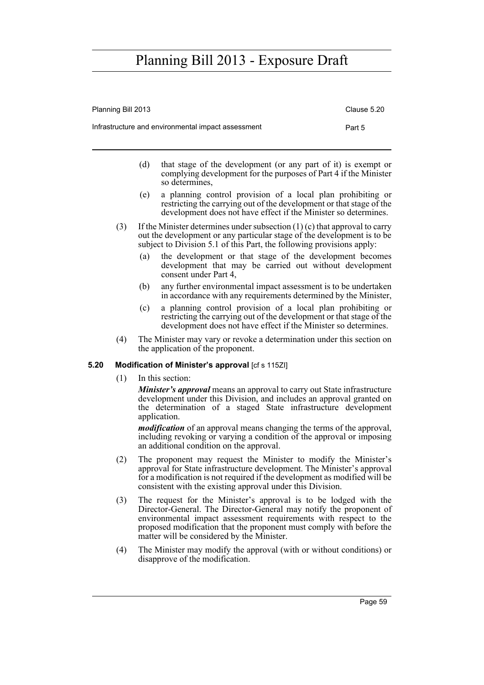| Planning Bill 2013                                 | Clause 5.20 |
|----------------------------------------------------|-------------|
| Infrastructure and environmental impact assessment | Part 5      |

- (d) that stage of the development (or any part of it) is exempt or complying development for the purposes of Part 4 if the Minister so determines,
- (e) a planning control provision of a local plan prohibiting or restricting the carrying out of the development or that stage of the development does not have effect if the Minister so determines.
- (3) If the Minister determines under subsection (1) (c) that approval to carry out the development or any particular stage of the development is to be subject to Division 5.1 of this Part, the following provisions apply:
	- (a) the development or that stage of the development becomes development that may be carried out without development consent under Part 4,
	- (b) any further environmental impact assessment is to be undertaken in accordance with any requirements determined by the Minister,
	- (c) a planning control provision of a local plan prohibiting or restricting the carrying out of the development or that stage of the development does not have effect if the Minister so determines.
- (4) The Minister may vary or revoke a determination under this section on the application of the proponent.

### **5.20 Modification of Minister's approval** [cf s 115ZI]

(1) In this section:

*Minister's approval* means an approval to carry out State infrastructure development under this Division, and includes an approval granted on the determination of a staged State infrastructure development application.

*modification* of an approval means changing the terms of the approval, including revoking or varying a condition of the approval or imposing an additional condition on the approval.

- (2) The proponent may request the Minister to modify the Minister's approval for State infrastructure development. The Minister's approval for a modification is not required if the development as modified will be consistent with the existing approval under this Division.
- (3) The request for the Minister's approval is to be lodged with the Director-General. The Director-General may notify the proponent of environmental impact assessment requirements with respect to the proposed modification that the proponent must comply with before the matter will be considered by the Minister.
- (4) The Minister may modify the approval (with or without conditions) or disapprove of the modification.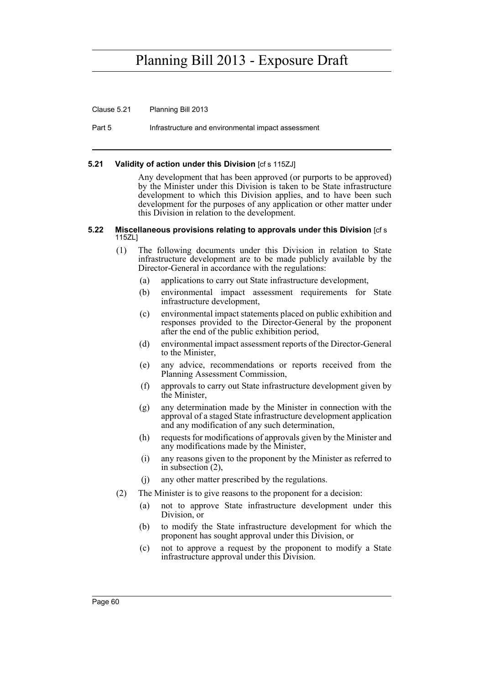Clause 5.21 Planning Bill 2013

Part 5 Infrastructure and environmental impact assessment

#### **5.21 Validity of action under this Division** [cf s 115ZJ]

Any development that has been approved (or purports to be approved) by the Minister under this Division is taken to be State infrastructure development to which this Division applies, and to have been such development for the purposes of any application or other matter under this Division in relation to the development.

#### **5.22 Miscellaneous provisions relating to approvals under this Division** [cf s 115ZL]

- (1) The following documents under this Division in relation to State infrastructure development are to be made publicly available by the Director-General in accordance with the regulations:
	- (a) applications to carry out State infrastructure development,
	- (b) environmental impact assessment requirements for State infrastructure development,
	- (c) environmental impact statements placed on public exhibition and responses provided to the Director-General by the proponent after the end of the public exhibition period,
	- (d) environmental impact assessment reports of the Director-General to the Minister,
	- (e) any advice, recommendations or reports received from the Planning Assessment Commission,
	- (f) approvals to carry out State infrastructure development given by the Minister,
	- (g) any determination made by the Minister in connection with the approval of a staged State infrastructure development application and any modification of any such determination,
	- (h) requests for modifications of approvals given by the Minister and any modifications made by the Minister,
	- (i) any reasons given to the proponent by the Minister as referred to in subsection (2),
	- (j) any other matter prescribed by the regulations.
- (2) The Minister is to give reasons to the proponent for a decision:
	- (a) not to approve State infrastructure development under this Division, or
	- (b) to modify the State infrastructure development for which the proponent has sought approval under this Division, or
	- (c) not to approve a request by the proponent to modify a State infrastructure approval under this Division.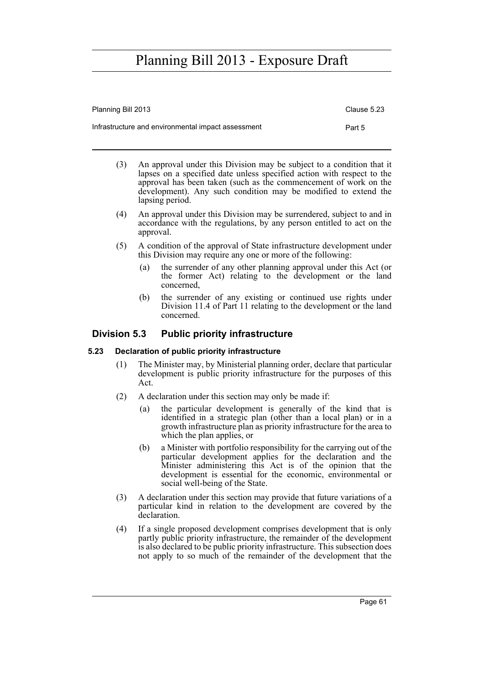| Planning Bill 2013                                 | Clause 5.23 |
|----------------------------------------------------|-------------|
| Infrastructure and environmental impact assessment | Part 5      |

- (3) An approval under this Division may be subject to a condition that it lapses on a specified date unless specified action with respect to the approval has been taken (such as the commencement of work on the development). Any such condition may be modified to extend the lapsing period.
- (4) An approval under this Division may be surrendered, subject to and in accordance with the regulations, by any person entitled to act on the approval.
- (5) A condition of the approval of State infrastructure development under this Division may require any one or more of the following:
	- (a) the surrender of any other planning approval under this Act (or the former Act) relating to the development or the land concerned,
	- (b) the surrender of any existing or continued use rights under Division 11.4 of Part 11 relating to the development or the land concerned.

### **Division 5.3 Public priority infrastructure**

### **5.23 Declaration of public priority infrastructure**

- (1) The Minister may, by Ministerial planning order, declare that particular development is public priority infrastructure for the purposes of this Act.
- (2) A declaration under this section may only be made if:
	- (a) the particular development is generally of the kind that is identified in a strategic plan (other than a local plan) or in a growth infrastructure plan as priority infrastructure for the area to which the plan applies, or
	- (b) a Minister with portfolio responsibility for the carrying out of the particular development applies for the declaration and the Minister administering this Act is of the opinion that the development is essential for the economic, environmental or social well-being of the State.
- (3) A declaration under this section may provide that future variations of a particular kind in relation to the development are covered by the declaration.
- (4) If a single proposed development comprises development that is only partly public priority infrastructure, the remainder of the development is also declared to be public priority infrastructure. This subsection does not apply to so much of the remainder of the development that the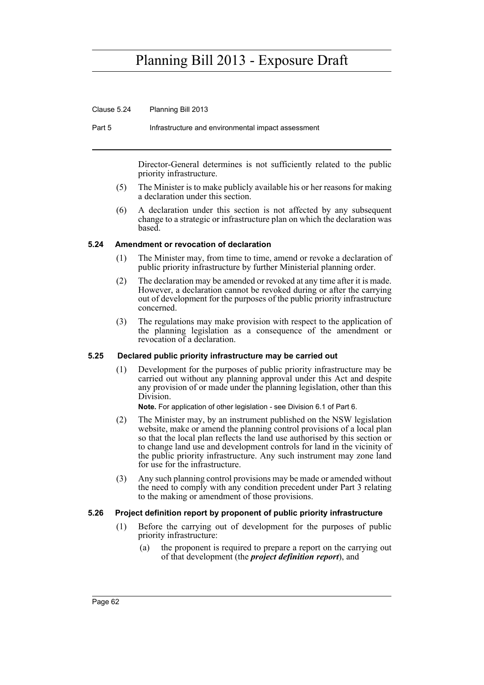Clause 5.24 Planning Bill 2013

Part 5 Infrastructure and environmental impact assessment

Director-General determines is not sufficiently related to the public priority infrastructure.

- (5) The Minister is to make publicly available his or her reasons for making a declaration under this section.
- (6) A declaration under this section is not affected by any subsequent change to a strategic or infrastructure plan on which the declaration was based.

#### **5.24 Amendment or revocation of declaration**

- (1) The Minister may, from time to time, amend or revoke a declaration of public priority infrastructure by further Ministerial planning order.
- (2) The declaration may be amended or revoked at any time after it is made. However, a declaration cannot be revoked during or after the carrying out of development for the purposes of the public priority infrastructure concerned.
- (3) The regulations may make provision with respect to the application of the planning legislation as a consequence of the amendment or revocation of a declaration.

#### **5.25 Declared public priority infrastructure may be carried out**

(1) Development for the purposes of public priority infrastructure may be carried out without any planning approval under this Act and despite any provision of or made under the planning legislation, other than this Division.

**Note.** For application of other legislation - see Division 6.1 of Part 6.

- (2) The Minister may, by an instrument published on the NSW legislation website, make or amend the planning control provisions of a local plan so that the local plan reflects the land use authorised by this section or to change land use and development controls for land in the vicinity of the public priority infrastructure. Any such instrument may zone land for use for the infrastructure.
- (3) Any such planning control provisions may be made or amended without the need to comply with any condition precedent under Part 3 relating to the making or amendment of those provisions.

#### **5.26 Project definition report by proponent of public priority infrastructure**

- (1) Before the carrying out of development for the purposes of public priority infrastructure:
	- (a) the proponent is required to prepare a report on the carrying out of that development (the *project definition report*), and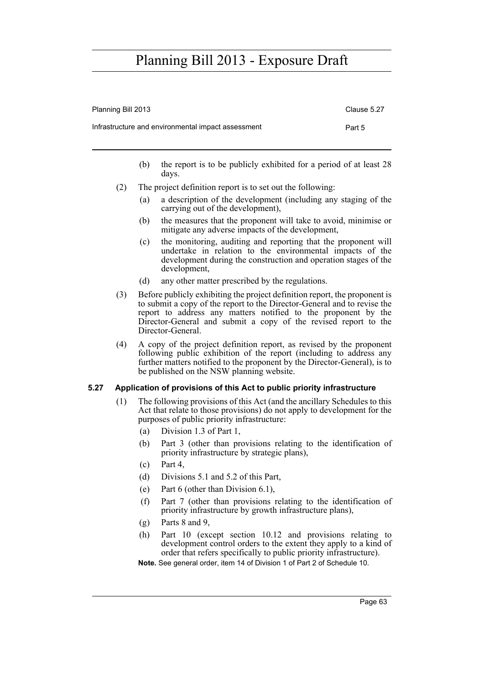| Planning Bill 2013                                 | Clause 5.27 |
|----------------------------------------------------|-------------|
| Infrastructure and environmental impact assessment | Part 5      |

- (b) the report is to be publicly exhibited for a period of at least 28 days.
- (2) The project definition report is to set out the following:
	- (a) a description of the development (including any staging of the carrying out of the development),
	- (b) the measures that the proponent will take to avoid, minimise or mitigate any adverse impacts of the development,
	- (c) the monitoring, auditing and reporting that the proponent will undertake in relation to the environmental impacts of the development during the construction and operation stages of the development,
	- (d) any other matter prescribed by the regulations.
- (3) Before publicly exhibiting the project definition report, the proponent is to submit a copy of the report to the Director-General and to revise the report to address any matters notified to the proponent by the Director-General and submit a copy of the revised report to the Director-General.
- (4) A copy of the project definition report, as revised by the proponent following public exhibition of the report (including to address any further matters notified to the proponent by the Director-General), is to be published on the NSW planning website.

#### **5.27 Application of provisions of this Act to public priority infrastructure**

- (1) The following provisions of this Act (and the ancillary Schedules to this Act that relate to those provisions) do not apply to development for the purposes of public priority infrastructure:
	- (a) Division 1.3 of Part 1,
	- (b) Part 3 (other than provisions relating to the identification of priority infrastructure by strategic plans),
	- (c) Part 4,
	- (d) Divisions 5.1 and 5.2 of this Part,
	- (e) Part 6 (other than Division 6.1),
	- (f) Part 7 (other than provisions relating to the identification of priority infrastructure by growth infrastructure plans),
	- (g) Parts 8 and 9,
	- (h) Part 10 (except section 10.12 and provisions relating to development control orders to the extent they apply to a kind of order that refers specifically to public priority infrastructure).

**Note.** See general order, item 14 of Division 1 of Part 2 of Schedule 10.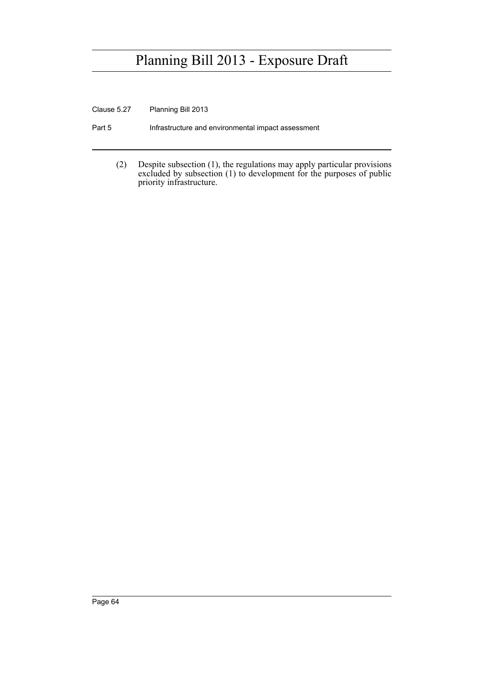Clause 5.27 Planning Bill 2013

- Part 5 **Infrastructure and environmental impact assessment** 
	- (2) Despite subsection (1), the regulations may apply particular provisions excluded by subsection (1) to development for the purposes of public priority infrastructure.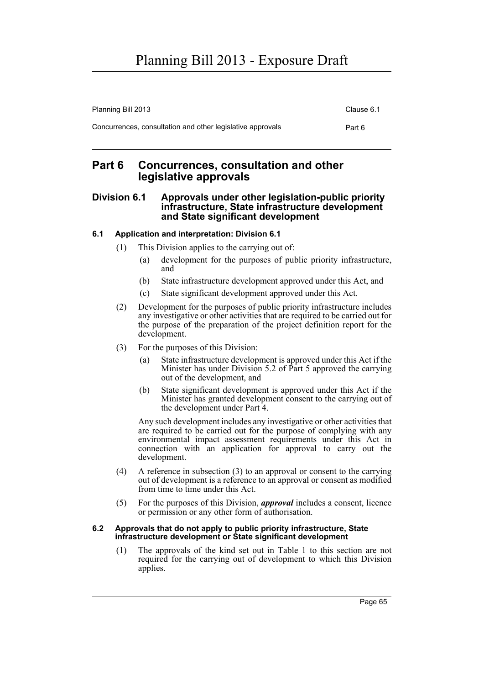| Planning Bill 2013                                         | Clause 6.1 |
|------------------------------------------------------------|------------|
| Concurrences, consultation and other legislative approvals | Part 6     |

### **Part 6 Concurrences, consultation and other legislative approvals**

### **Division 6.1 Approvals under other legislation-public priority infrastructure, State infrastructure development and State significant development**

### **6.1 Application and interpretation: Division 6.1**

- (1) This Division applies to the carrying out of:
	- (a) development for the purposes of public priority infrastructure, and
	- (b) State infrastructure development approved under this Act, and
	- (c) State significant development approved under this Act.
- (2) Development for the purposes of public priority infrastructure includes any investigative or other activities that are required to be carried out for the purpose of the preparation of the project definition report for the development.
- (3) For the purposes of this Division:
	- (a) State infrastructure development is approved under this Act if the Minister has under Division 5.2 of Part 5 approved the carrying out of the development, and
	- (b) State significant development is approved under this Act if the Minister has granted development consent to the carrying out of the development under Part 4.

Any such development includes any investigative or other activities that are required to be carried out for the purpose of complying with any environmental impact assessment requirements under this Act in connection with an application for approval to carry out the development.

- (4) A reference in subsection (3) to an approval or consent to the carrying out of development is a reference to an approval or consent as modified from time to time under this Act.
- (5) For the purposes of this Division, *approval* includes a consent, licence or permission or any other form of authorisation.

#### **6.2 Approvals that do not apply to public priority infrastructure, State infrastructure development or State significant development**

(1) The approvals of the kind set out in Table 1 to this section are not required for the carrying out of development to which this Division applies.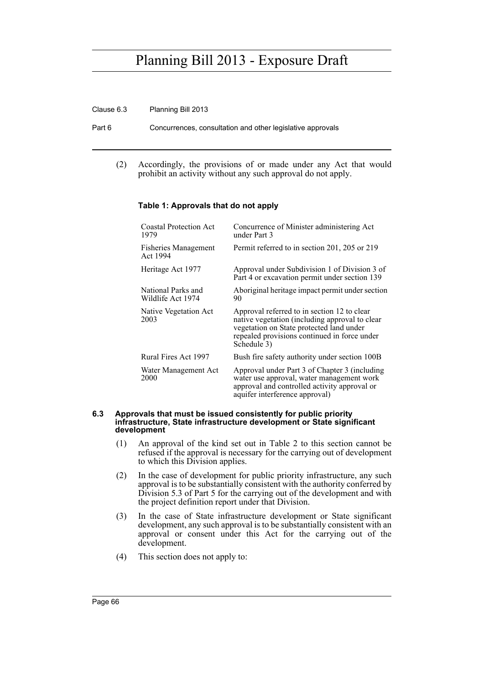#### Clause 6.3 Planning Bill 2013

Part 6 Concurrences, consultation and other legislative approvals

(2) Accordingly, the provisions of or made under any Act that would prohibit an activity without any such approval do not apply.

#### **Table 1: Approvals that do not apply**

| <b>Coastal Protection Act</b><br>1979   | Concurrence of Minister administering Act<br>under Part 3                                                                                                                                                |
|-----------------------------------------|----------------------------------------------------------------------------------------------------------------------------------------------------------------------------------------------------------|
| <b>Fisheries Management</b><br>Act 1994 | Permit referred to in section 201, 205 or 219                                                                                                                                                            |
| Heritage Act 1977                       | Approval under Subdivision 1 of Division 3 of<br>Part 4 or excavation permit under section 139                                                                                                           |
| National Parks and<br>Wildlife Act 1974 | Aboriginal heritage impact permit under section<br>90                                                                                                                                                    |
| Native Vegetation Act<br>2003           | Approval referred to in section 12 to clear<br>native vegetation (including approval to clear<br>vegetation on State protected land under<br>repealed provisions continued in force under<br>Schedule 3) |
| Rural Fires Act 1997                    | Bush fire safety authority under section 100B                                                                                                                                                            |
| Water Management Act<br>2000            | Approval under Part 3 of Chapter 3 (including<br>water use approval, water management work<br>approval and controlled activity approval or<br>aquifer interference approval)                             |

#### **6.3 Approvals that must be issued consistently for public priority infrastructure, State infrastructure development or State significant development**

- (1) An approval of the kind set out in Table 2 to this section cannot be refused if the approval is necessary for the carrying out of development to which this Division applies.
- (2) In the case of development for public priority infrastructure, any such approval is to be substantially consistent with the authority conferred by Division 5.3 of Part 5 for the carrying out of the development and with the project definition report under that Division.
- (3) In the case of State infrastructure development or State significant development, any such approval is to be substantially consistent with an approval or consent under this Act for the carrying out of the development.
- (4) This section does not apply to: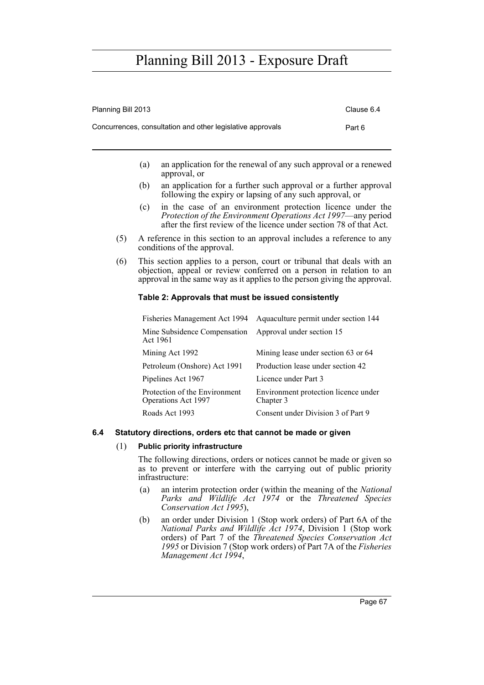Planning Bill 2013 **Clause 6.4** 

|     | Concurrences, consultation and other legislative approvals                                                                                                                                                                 |                                                   | Part 6 |
|-----|----------------------------------------------------------------------------------------------------------------------------------------------------------------------------------------------------------------------------|---------------------------------------------------|--------|
|     | an application for the renewal of any such approval or a renewed<br>(a)<br>approval, or                                                                                                                                    |                                                   |        |
|     | (b)<br>an application for a further such approval or a further approval<br>following the expiry or lapsing of any such approval, or                                                                                        |                                                   |        |
|     | in the case of an environment protection licence under the<br>(c)<br>Protection of the Environment Operations Act 1997—any period<br>after the first review of the licence under section 78 of that Act.                   |                                                   |        |
| (5) | A reference in this section to an approval includes a reference to any<br>conditions of the approval.                                                                                                                      |                                                   |        |
| (6) | This section applies to a person, court or tribunal that deals with an<br>objection, appeal or review conferred on a person in relation to an<br>approval in the same way as it applies to the person giving the approval. |                                                   |        |
|     | Table 2: Approvals that must be issued consistently                                                                                                                                                                        |                                                   |        |
|     | Fisheries Management Act 1994                                                                                                                                                                                              | Aquaculture permit under section 144              |        |
|     | Mine Subsidence Compensation<br>Act 1961                                                                                                                                                                                   | Approval under section 15                         |        |
|     | Mining Act 1992                                                                                                                                                                                                            | Mining lease under section 63 or 64               |        |
|     | Petroleum (Onshore) Act 1991                                                                                                                                                                                               | Production lease under section 42                 |        |
|     | Pipelines Act 1967                                                                                                                                                                                                         | Licence under Part 3                              |        |
|     | Protection of the Environment<br>Operations Act 1997                                                                                                                                                                       | Environment protection licence under<br>Chapter 3 |        |
|     | Roads Act 1993                                                                                                                                                                                                             | Consent under Division 3 of Part 9                |        |

#### **6.4 Statutory directions, orders etc that cannot be made or given**

#### (1) **Public priority infrastructure**

The following directions, orders or notices cannot be made or given so as to prevent or interfere with the carrying out of public priority infrastructure:

- (a) an interim protection order (within the meaning of the *National Parks and Wildlife Act 1974* or the *Threatened Species Conservation Act 1995*),
- (b) an order under Division 1 (Stop work orders) of Part 6A of the *National Parks and Wildlife Act 1974*, Division 1 (Stop work orders) of Part 7 of the *Threatened Species Conservation Act 1995* or Division 7 (Stop work orders) of Part 7A of the *Fisheries Management Act 1994*,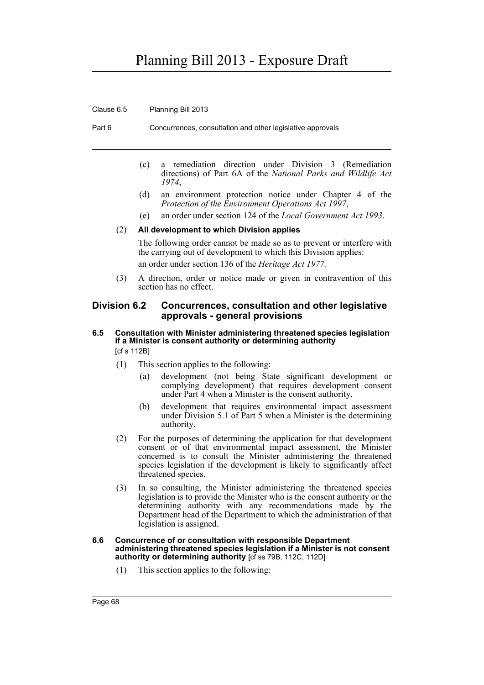Clause 6.5 Planning Bill 2013

Part 6 Concurrences, consultation and other legislative approvals

- (c) a remediation direction under Division 3 (Remediation directions) of Part 6A of the *National Parks and Wildlife Act 1974*,
- (d) an environment protection notice under Chapter 4 of the *Protection of the Environment Operations Act 1997*,
- (e) an order under section 124 of the *Local Government Act 1993*.

#### (2) **All development to which Division applies**

The following order cannot be made so as to prevent or interfere with the carrying out of development to which this Division applies:

an order under section 136 of the *Heritage Act 1977.*

(3) A direction, order or notice made or given in contravention of this section has no effect.

#### **Division 6.2 Concurrences, consultation and other legislative approvals - general provisions**

#### **6.5 Consultation with Minister administering threatened species legislation if a Minister is consent authority or determining authority**  [cf s 112B]

- (1) This section applies to the following:
	- (a) development (not being State significant development or complying development) that requires development consent under Part 4 when a Minister is the consent authority,
	- (b) development that requires environmental impact assessment under Division 5.1 of Part 5 when a Minister is the determining authority.
- (2) For the purposes of determining the application for that development consent or of that environmental impact assessment, the Minister concerned is to consult the Minister administering the threatened species legislation if the development is likely to significantly affect threatened species.
- (3) In so consulting, the Minister administering the threatened species legislation is to provide the Minister who is the consent authority or the determining authority with any recommendations made by the Department head of the Department to which the administration of that legislation is assigned.

#### **6.6 Concurrence of or consultation with responsible Department administering threatened species legislation if a Minister is not consent authority or determining authority** [cf ss 79B, 112C, 112D]

(1) This section applies to the following: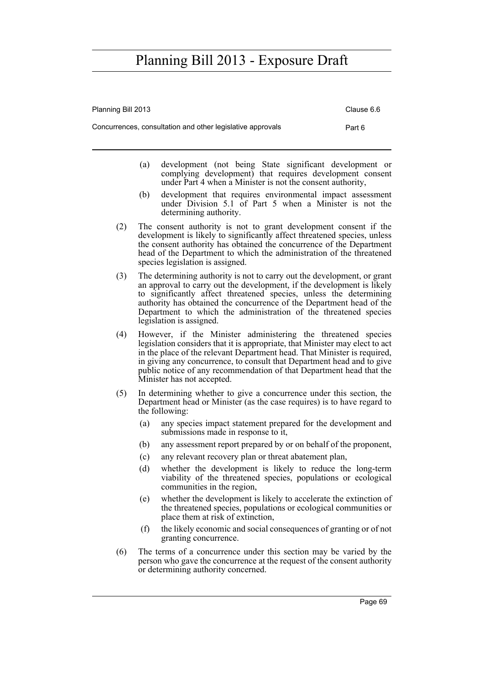| Planning Bill 2013 |     |                                                                                                                                                                                                                                                                                                                                                                                                           | Clause 6.6 |
|--------------------|-----|-----------------------------------------------------------------------------------------------------------------------------------------------------------------------------------------------------------------------------------------------------------------------------------------------------------------------------------------------------------------------------------------------------------|------------|
|                    |     | Concurrences, consultation and other legislative approvals                                                                                                                                                                                                                                                                                                                                                | Part 6     |
|                    | (a) | development (not being State significant development or<br>complying development) that requires development consent<br>under Part 4 when a Minister is not the consent authority,                                                                                                                                                                                                                         |            |
|                    | (b) | development that requires environmental impact assessment<br>under Division 5.1 of Part 5 when a Minister is not the<br>determining authority.                                                                                                                                                                                                                                                            |            |
| (2)                |     | The consent authority is not to grant development consent if the<br>development is likely to significantly affect threatened species, unless<br>the consent authority has obtained the concurrence of the Department<br>head of the Department to which the administration of the threatened<br>species legislation is assigned.                                                                          |            |
| (3)                |     | The determining authority is not to carry out the development, or grant<br>an approval to carry out the development, if the development is likely<br>to significantly affect threatened species, unless the determining<br>authority has obtained the concurrence of the Department head of the<br>Department to which the administration of the threatened species<br>legislation is assigned.           |            |
| (4)                |     | However, if the Minister administering the threatened species<br>legislation considers that it is appropriate, that Minister may elect to act<br>in the place of the relevant Department head. That Minister is required,<br>in giving any concurrence, to consult that Department head and to give<br>public notice of any recommendation of that Department head that the<br>Minister has not accepted. |            |
| (5)                |     | In determining whether to give a concurrence under this section, the<br>Department head or Minister (as the case requires) is to have regard to<br>the following:                                                                                                                                                                                                                                         |            |
|                    | (a) | any species impact statement prepared for the development and<br>submissions made in response to it,                                                                                                                                                                                                                                                                                                      |            |
|                    | (b) | any assessment report prepared by or on behalf of the proponent,                                                                                                                                                                                                                                                                                                                                          |            |
|                    | (c) | any relevant recovery plan or threat abatement plan,                                                                                                                                                                                                                                                                                                                                                      |            |
|                    | (d) | whether the development is likely to reduce the long-term<br>viability of the threatened species, populations or ecological<br>communities in the region,                                                                                                                                                                                                                                                 |            |
|                    | (e) | whether the development is likely to accelerate the extinction of<br>the threatened species, populations or ecological communities or<br>place them at risk of extinction,                                                                                                                                                                                                                                |            |
|                    | (f) | the likely economic and social consequences of granting or of not<br>granting concurrence.                                                                                                                                                                                                                                                                                                                |            |

(6) The terms of a concurrence under this section may be varied by the person who gave the concurrence at the request of the consent authority or determining authority concerned.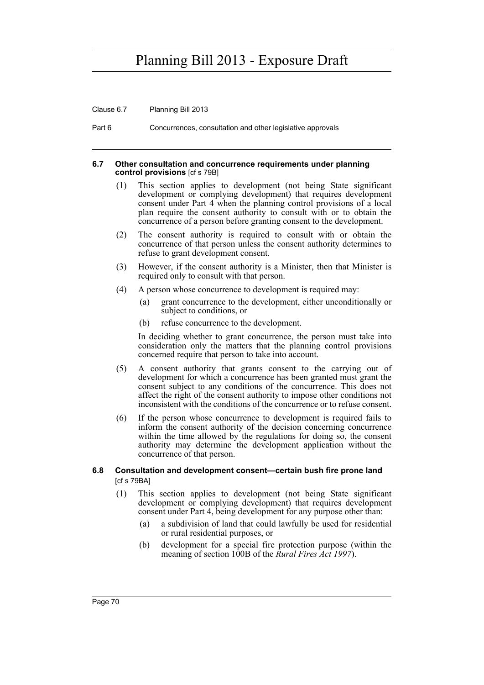Clause 6.7 Planning Bill 2013

Part 6 Concurrences, consultation and other legislative approvals

#### **6.7 Other consultation and concurrence requirements under planning control provisions** [cf s 79B]

- (1) This section applies to development (not being State significant development or complying development) that requires development consent under Part 4 when the planning control provisions of a local plan require the consent authority to consult with or to obtain the concurrence of a person before granting consent to the development.
- (2) The consent authority is required to consult with or obtain the concurrence of that person unless the consent authority determines to refuse to grant development consent.
- (3) However, if the consent authority is a Minister, then that Minister is required only to consult with that person.
- (4) A person whose concurrence to development is required may:
	- (a) grant concurrence to the development, either unconditionally or subject to conditions, or
	- (b) refuse concurrence to the development.

In deciding whether to grant concurrence, the person must take into consideration only the matters that the planning control provisions concerned require that person to take into account.

- (5) A consent authority that grants consent to the carrying out of development for which a concurrence has been granted must grant the consent subject to any conditions of the concurrence. This does not affect the right of the consent authority to impose other conditions not inconsistent with the conditions of the concurrence or to refuse consent.
- (6) If the person whose concurrence to development is required fails to inform the consent authority of the decision concerning concurrence within the time allowed by the regulations for doing so, the consent authority may determine the development application without the concurrence of that person.
- **6.8 Consultation and development consent—certain bush fire prone land**  [cf s 79BA]
	- (1) This section applies to development (not being State significant development or complying development) that requires development consent under Part 4, being development for any purpose other than:
		- (a) a subdivision of land that could lawfully be used for residential or rural residential purposes, or
		- (b) development for a special fire protection purpose (within the meaning of section 100B of the *Rural Fires Act 1997*).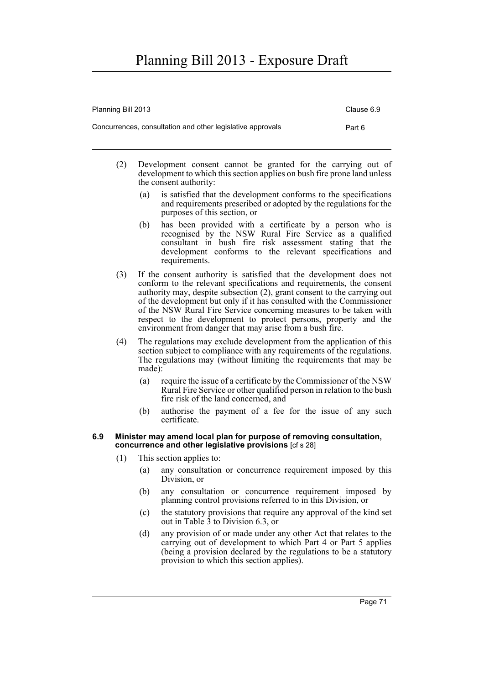| Planning Bill 2013                                         | Clause 6.9 |
|------------------------------------------------------------|------------|
| Concurrences, consultation and other legislative approvals | Part 6     |

- (2) Development consent cannot be granted for the carrying out of development to which this section applies on bush fire prone land unless the consent authority:
	- (a) is satisfied that the development conforms to the specifications and requirements prescribed or adopted by the regulations for the purposes of this section, or
	- (b) has been provided with a certificate by a person who is recognised by the NSW Rural Fire Service as a qualified consultant in bush fire risk assessment stating that the development conforms to the relevant specifications and requirements.
- (3) If the consent authority is satisfied that the development does not conform to the relevant specifications and requirements, the consent authority may, despite subsection (2), grant consent to the carrying out of the development but only if it has consulted with the Commissioner of the NSW Rural Fire Service concerning measures to be taken with respect to the development to protect persons, property and the environment from danger that may arise from a bush fire.
- (4) The regulations may exclude development from the application of this section subject to compliance with any requirements of the regulations. The regulations may (without limiting the requirements that may be made):
	- (a) require the issue of a certificate by the Commissioner of the NSW Rural Fire Service or other qualified person in relation to the bush fire risk of the land concerned, and
	- (b) authorise the payment of a fee for the issue of any such certificate.

#### **6.9 Minister may amend local plan for purpose of removing consultation, concurrence and other legislative provisions** [cf s 28]

- (1) This section applies to:
	- (a) any consultation or concurrence requirement imposed by this Division, or
	- (b) any consultation or concurrence requirement imposed by planning control provisions referred to in this Division, or
	- (c) the statutory provisions that require any approval of the kind set out in Table 3 to Division 6.3, or
	- (d) any provision of or made under any other Act that relates to the carrying out of development to which Part 4 or Part 5 applies (being a provision declared by the regulations to be a statutory provision to which this section applies).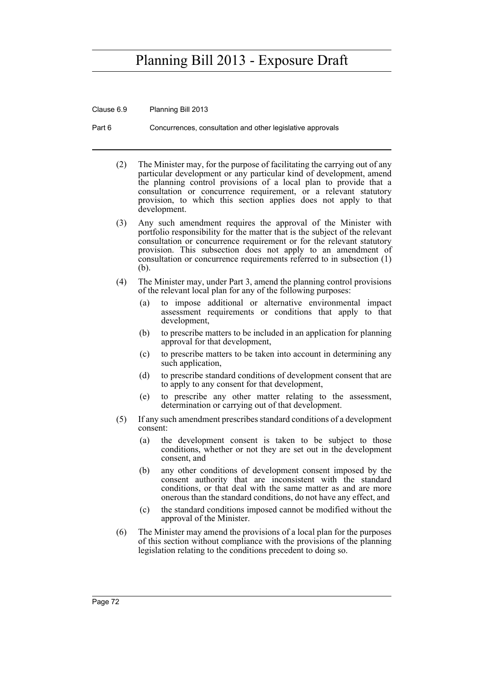Clause 6.9 Planning Bill 2013

Part 6 Concurrences, consultation and other legislative approvals

- (2) The Minister may, for the purpose of facilitating the carrying out of any particular development or any particular kind of development, amend the planning control provisions of a local plan to provide that a consultation or concurrence requirement, or a relevant statutory provision, to which this section applies does not apply to that development.
- (3) Any such amendment requires the approval of the Minister with portfolio responsibility for the matter that is the subject of the relevant consultation or concurrence requirement or for the relevant statutory provision. This subsection does not apply to an amendment of consultation or concurrence requirements referred to in subsection (1) (b).
- (4) The Minister may, under Part 3, amend the planning control provisions of the relevant local plan for any of the following purposes:
	- (a) to impose additional or alternative environmental impact assessment requirements or conditions that apply to that development,
	- (b) to prescribe matters to be included in an application for planning approval for that development,
	- (c) to prescribe matters to be taken into account in determining any such application,
	- (d) to prescribe standard conditions of development consent that are to apply to any consent for that development,
	- (e) to prescribe any other matter relating to the assessment, determination or carrying out of that development.
- (5) If any such amendment prescribes standard conditions of a development consent:
	- (a) the development consent is taken to be subject to those conditions, whether or not they are set out in the development consent, and
	- (b) any other conditions of development consent imposed by the consent authority that are inconsistent with the standard conditions, or that deal with the same matter as and are more onerous than the standard conditions, do not have any effect, and
	- (c) the standard conditions imposed cannot be modified without the approval of the Minister.
- (6) The Minister may amend the provisions of a local plan for the purposes of this section without compliance with the provisions of the planning legislation relating to the conditions precedent to doing so.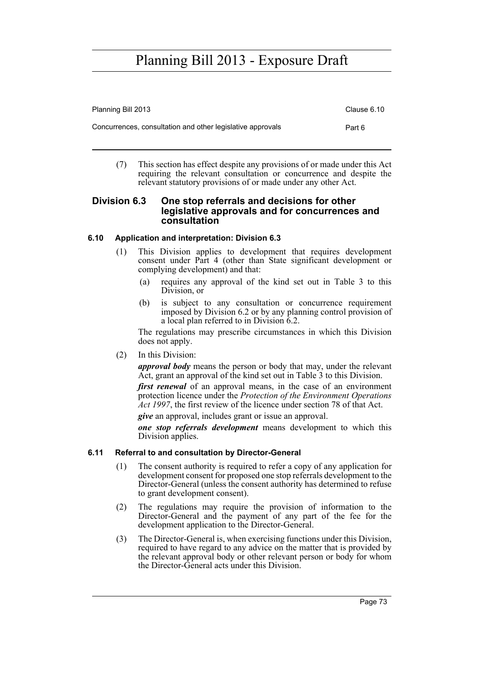| Planning Bill 2013                                         | Clause 6.10 |
|------------------------------------------------------------|-------------|
| Concurrences, consultation and other legislative approvals | Part 6      |

(7) This section has effect despite any provisions of or made under this Act requiring the relevant consultation or concurrence and despite the relevant statutory provisions of or made under any other Act.

### **Division 6.3 One stop referrals and decisions for other legislative approvals and for concurrences and consultation**

### **6.10 Application and interpretation: Division 6.3**

- (1) This Division applies to development that requires development consent under Part 4 (other than State significant development or complying development) and that:
	- (a) requires any approval of the kind set out in Table 3 to this Division, or
	- (b) is subject to any consultation or concurrence requirement imposed by Division 6.2 or by any planning control provision of a local plan referred to in Division 6.2.

The regulations may prescribe circumstances in which this Division does not apply.

#### (2) In this Division:

*approval body* means the person or body that may, under the relevant Act, grant an approval of the kind set out in Table 3 to this Division.

*first renewal* of an approval means, in the case of an environment protection licence under the *Protection of the Environment Operations Act 1997*, the first review of the licence under section 78 of that Act.

*give* an approval, includes grant or issue an approval.

*one stop referrals development* means development to which this Division applies.

### **6.11 Referral to and consultation by Director-General**

- (1) The consent authority is required to refer a copy of any application for development consent for proposed one stop referrals development to the Director-General (unless the consent authority has determined to refuse to grant development consent).
- (2) The regulations may require the provision of information to the Director-General and the payment of any part of the fee for the development application to the Director-General.
- (3) The Director-General is, when exercising functions under this Division, required to have regard to any advice on the matter that is provided by the relevant approval body or other relevant person or body for whom the Director-General acts under this Division.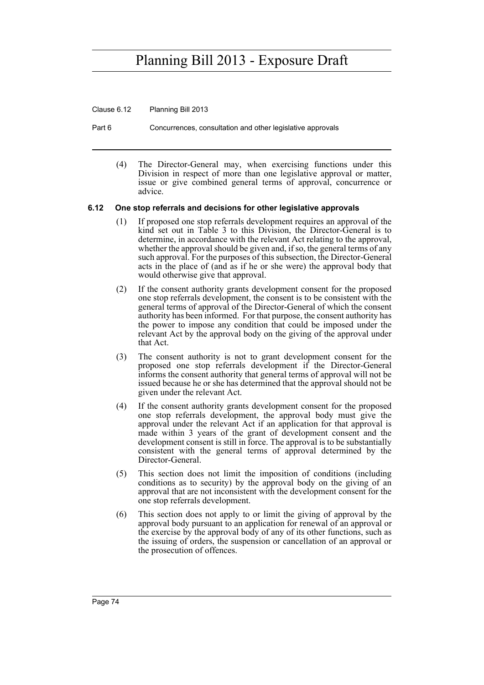Clause 6.12 Planning Bill 2013

Part 6 Concurrences, consultation and other legislative approvals

(4) The Director-General may, when exercising functions under this Division in respect of more than one legislative approval or matter, issue or give combined general terms of approval, concurrence or advice.

#### **6.12 One stop referrals and decisions for other legislative approvals**

- (1) If proposed one stop referrals development requires an approval of the kind set out in Table 3 to this Division, the Director-General is to determine, in accordance with the relevant Act relating to the approval, whether the approval should be given and, if so, the general terms of any such approval. For the purposes of this subsection, the Director-General acts in the place of (and as if he or she were) the approval body that would otherwise give that approval.
- (2) If the consent authority grants development consent for the proposed one stop referrals development, the consent is to be consistent with the general terms of approval of the Director-General of which the consent authority has been informed. For that purpose, the consent authority has the power to impose any condition that could be imposed under the relevant Act by the approval body on the giving of the approval under that Act.
- (3) The consent authority is not to grant development consent for the proposed one stop referrals development if the Director-General informs the consent authority that general terms of approval will not be issued because he or she has determined that the approval should not be given under the relevant Act.
- (4) If the consent authority grants development consent for the proposed one stop referrals development, the approval body must give the approval under the relevant Act if an application for that approval is made within 3 years of the grant of development consent and the development consent is still in force. The approval is to be substantially consistent with the general terms of approval determined by the Director-General.
- (5) This section does not limit the imposition of conditions (including conditions as to security) by the approval body on the giving of an approval that are not inconsistent with the development consent for the one stop referrals development.
- (6) This section does not apply to or limit the giving of approval by the approval body pursuant to an application for renewal of an approval or the exercise by the approval body of any of its other functions, such as the issuing of orders, the suspension or cancellation of an approval or the prosecution of offences.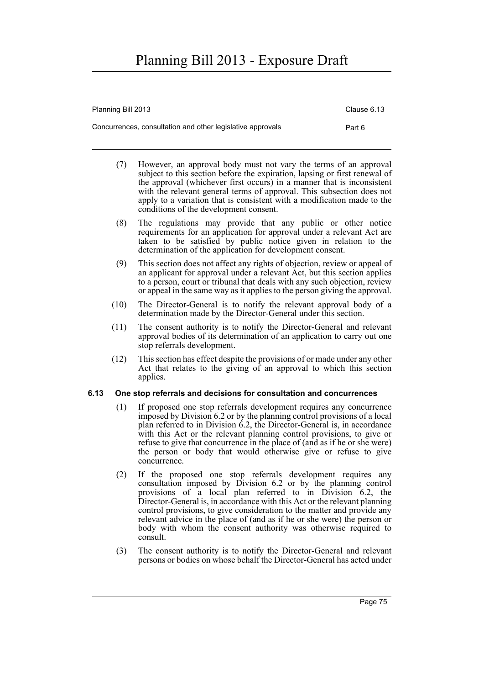| Planning Bill 2013                                         | Clause 6.13 |
|------------------------------------------------------------|-------------|
| Concurrences, consultation and other legislative approvals | Part 6      |

- (7) However, an approval body must not vary the terms of an approval subject to this section before the expiration, lapsing or first renewal of the approval (whichever first occurs) in a manner that is inconsistent with the relevant general terms of approval. This subsection does not apply to a variation that is consistent with a modification made to the conditions of the development consent.
- (8) The regulations may provide that any public or other notice requirements for an application for approval under a relevant Act are taken to be satisfied by public notice given in relation to the determination of the application for development consent.
- (9) This section does not affect any rights of objection, review or appeal of an applicant for approval under a relevant Act, but this section applies to a person, court or tribunal that deals with any such objection, review or appeal in the same way as it applies to the person giving the approval.
- (10) The Director-General is to notify the relevant approval body of a determination made by the Director-General under this section.
- (11) The consent authority is to notify the Director-General and relevant approval bodies of its determination of an application to carry out one stop referrals development.
- (12) This section has effect despite the provisions of or made under any other Act that relates to the giving of an approval to which this section applies.

#### **6.13 One stop referrals and decisions for consultation and concurrences**

- (1) If proposed one stop referrals development requires any concurrence imposed by Division 6.2 or by the planning control provisions of a local plan referred to in Division 6.2, the Director-General is, in accordance with this Act or the relevant planning control provisions, to give or refuse to give that concurrence in the place of (and as if he or she were) the person or body that would otherwise give or refuse to give concurrence.
- (2) If the proposed one stop referrals development requires any consultation imposed by Division 6.2 or by the planning control provisions of a local plan referred to in Division 6.2, the Director-General is, in accordance with this Act or the relevant planning control provisions, to give consideration to the matter and provide any relevant advice in the place of (and as if he or she were) the person or body with whom the consent authority was otherwise required to consult.
- (3) The consent authority is to notify the Director-General and relevant persons or bodies on whose behalf the Director-General has acted under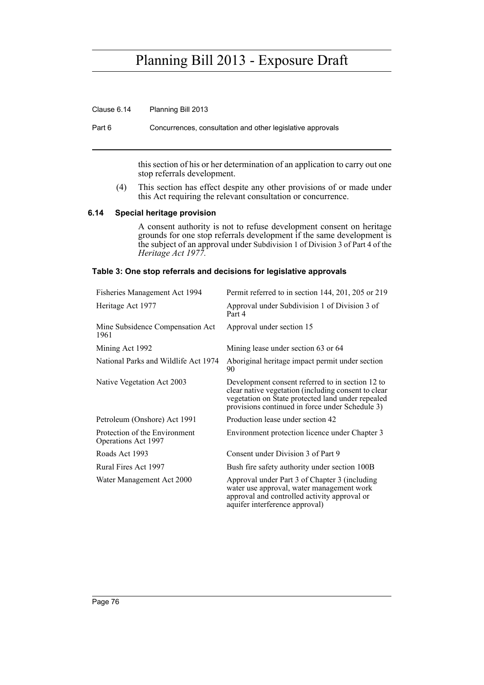Clause 6.14 Planning Bill 2013

Part 6 Concurrences, consultation and other legislative approvals

this section of his or her determination of an application to carry out one stop referrals development.

(4) This section has effect despite any other provisions of or made under this Act requiring the relevant consultation or concurrence.

#### **6.14 Special heritage provision**

A consent authority is not to refuse development consent on heritage grounds for one stop referrals development if the same development is the subject of an approval under Subdivision 1 of Division 3 of Part 4 of the *Heritage Act 1977.*

#### **Table 3: One stop referrals and decisions for legislative approvals**

| Fisheries Management Act 1994                        | Permit referred to in section 144, 201, 205 or 219                                                                                                                                                              |
|------------------------------------------------------|-----------------------------------------------------------------------------------------------------------------------------------------------------------------------------------------------------------------|
| Heritage Act 1977                                    | Approval under Subdivision 1 of Division 3 of<br>Part 4                                                                                                                                                         |
| Mine Subsidence Compensation Act<br>1961             | Approval under section 15                                                                                                                                                                                       |
| Mining Act 1992                                      | Mining lease under section 63 or 64                                                                                                                                                                             |
| National Parks and Wildlife Act 1974                 | Aboriginal heritage impact permit under section<br>90                                                                                                                                                           |
| Native Vegetation Act 2003                           | Development consent referred to in section 12 to<br>clear native vegetation (including consent to clear<br>vegetation on State protected land under repealed<br>provisions continued in force under Schedule 3) |
| Petroleum (Onshore) Act 1991                         | Production lease under section 42                                                                                                                                                                               |
| Protection of the Environment<br>Operations Act 1997 | Environment protection licence under Chapter 3                                                                                                                                                                  |
| Roads Act 1993                                       | Consent under Division 3 of Part 9                                                                                                                                                                              |
| Rural Fires Act 1997                                 | Bush fire safety authority under section 100B                                                                                                                                                                   |
| Water Management Act 2000                            | Approval under Part 3 of Chapter 3 (including<br>water use approval, water management work<br>approval and controlled activity approval or<br>aquifer interference approval)                                    |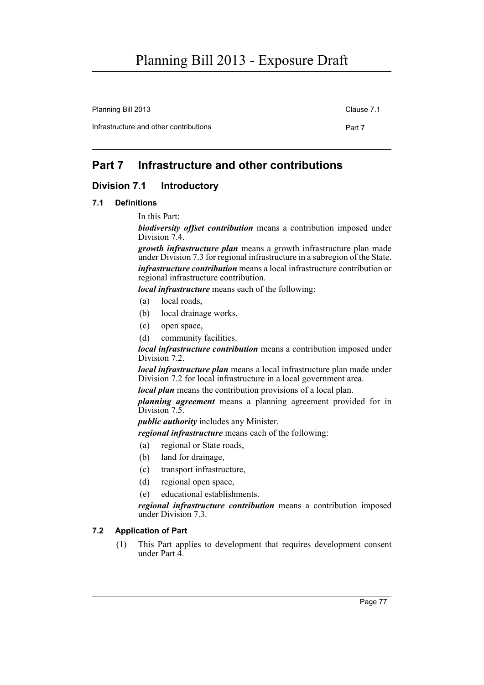Planning Bill 2013 Clause 7.1

Infrastructure and other contributions **Part 7** 

### **Part 7 Infrastructure and other contributions**

### **Division 7.1 Introductory**

#### **7.1 Definitions**

In this Part:

*biodiversity offset contribution* means a contribution imposed under Division 7.4.

*growth infrastructure plan* means a growth infrastructure plan made under Division 7.3 for regional infrastructure in a subregion of the State. *infrastructure contribution* means a local infrastructure contribution or regional infrastructure contribution.

*local infrastructure* means each of the following:

- (a) local roads,
- (b) local drainage works,
- (c) open space,
- (d) community facilities.

*local infrastructure contribution* means a contribution imposed under Division 7.2.

*local infrastructure plan* means a local infrastructure plan made under Division 7.2 for local infrastructure in a local government area.

*local plan* means the contribution provisions of a local plan.

*planning agreement* means a planning agreement provided for in Division 7.5.

*public authority* includes any Minister.

*regional infrastructure* means each of the following:

- (a) regional or State roads,
- (b) land for drainage,
- (c) transport infrastructure,
- (d) regional open space,
- (e) educational establishments.

*regional infrastructure contribution* means a contribution imposed under Division 7.3.

#### **7.2 Application of Part**

(1) This Part applies to development that requires development consent under Part 4.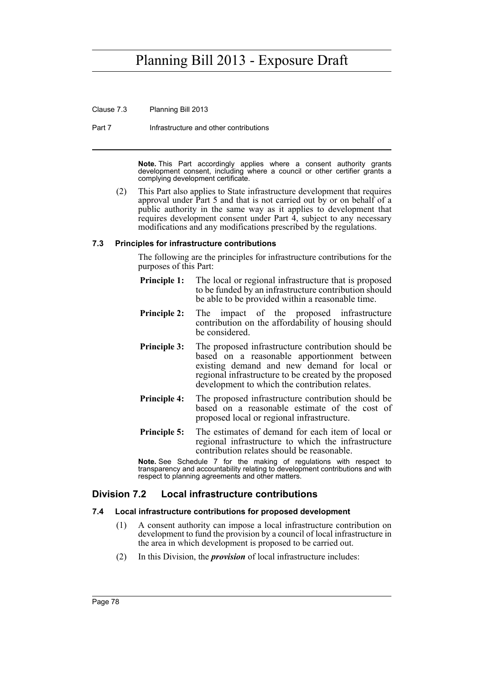Clause 7.3 Planning Bill 2013

Part 7 **Infrastructure and other contributions** 

**Note.** This Part accordingly applies where a consent authority grants development consent, including where a council or other certifier grants a complying development certificate.

(2) This Part also applies to State infrastructure development that requires approval under Part 5 and that is not carried out by or on behalf of a public authority in the same way as it applies to development that requires development consent under Part 4, subject to any necessary modifications and any modifications prescribed by the regulations.

#### **7.3 Principles for infrastructure contributions**

The following are the principles for infrastructure contributions for the purposes of this Part:

- **Principle 1:** The local or regional infrastructure that is proposed to be funded by an infrastructure contribution should be able to be provided within a reasonable time.
- **Principle 2:** The impact of the proposed infrastructure contribution on the affordability of housing should be considered.
- **Principle 3:** The proposed infrastructure contribution should be based on a reasonable apportionment between existing demand and new demand for local or regional infrastructure to be created by the proposed development to which the contribution relates.
- **Principle 4:** The proposed infrastructure contribution should be based on a reasonable estimate of the cost of proposed local or regional infrastructure.
- **Principle 5:** The estimates of demand for each item of local or regional infrastructure to which the infrastructure contribution relates should be reasonable.

**Note.** See Schedule 7 for the making of regulations with respect to transparency and accountability relating to development contributions and with respect to planning agreements and other matters.

### **Division 7.2 Local infrastructure contributions**

#### **7.4 Local infrastructure contributions for proposed development**

- (1) A consent authority can impose a local infrastructure contribution on development to fund the provision by a council of local infrastructure in the area in which development is proposed to be carried out.
- (2) In this Division, the *provision* of local infrastructure includes: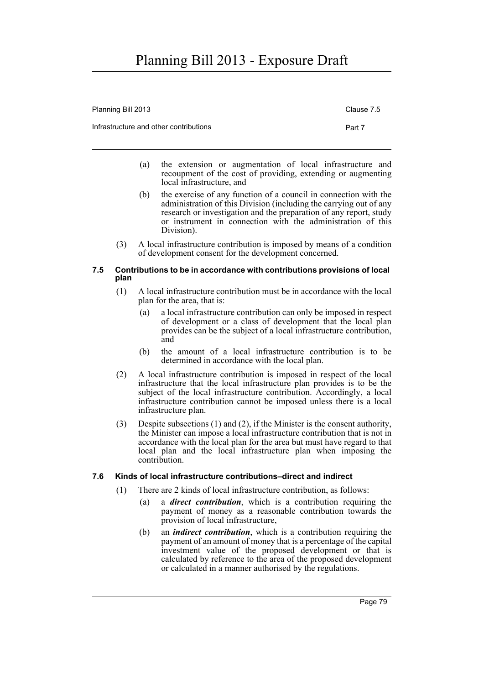| Planning Bill 2013                     | Clause 7.5 |
|----------------------------------------|------------|
| Infrastructure and other contributions | Part 7     |

- (a) the extension or augmentation of local infrastructure and recoupment of the cost of providing, extending or augmenting local infrastructure, and
- (b) the exercise of any function of a council in connection with the administration of this Division (including the carrying out of any research or investigation and the preparation of any report, study or instrument in connection with the administration of this Division).
- (3) A local infrastructure contribution is imposed by means of a condition of development consent for the development concerned.

#### **7.5 Contributions to be in accordance with contributions provisions of local plan**

- (1) A local infrastructure contribution must be in accordance with the local plan for the area, that is:
	- (a) a local infrastructure contribution can only be imposed in respect of development or a class of development that the local plan provides can be the subject of a local infrastructure contribution, and
	- (b) the amount of a local infrastructure contribution is to be determined in accordance with the local plan.
- (2) A local infrastructure contribution is imposed in respect of the local infrastructure that the local infrastructure plan provides is to be the subject of the local infrastructure contribution. Accordingly, a local infrastructure contribution cannot be imposed unless there is a local infrastructure plan.
- (3) Despite subsections (1) and (2), if the Minister is the consent authority, the Minister can impose a local infrastructure contribution that is not in accordance with the local plan for the area but must have regard to that local plan and the local infrastructure plan when imposing the contribution.

#### **7.6 Kinds of local infrastructure contributions–direct and indirect**

- (1) There are 2 kinds of local infrastructure contribution, as follows:
	- (a) a *direct contribution*, which is a contribution requiring the payment of money as a reasonable contribution towards the provision of local infrastructure,
	- (b) an *indirect contribution*, which is a contribution requiring the payment of an amount of money that is a percentage of the capital investment value of the proposed development or that is calculated by reference to the area of the proposed development or calculated in a manner authorised by the regulations.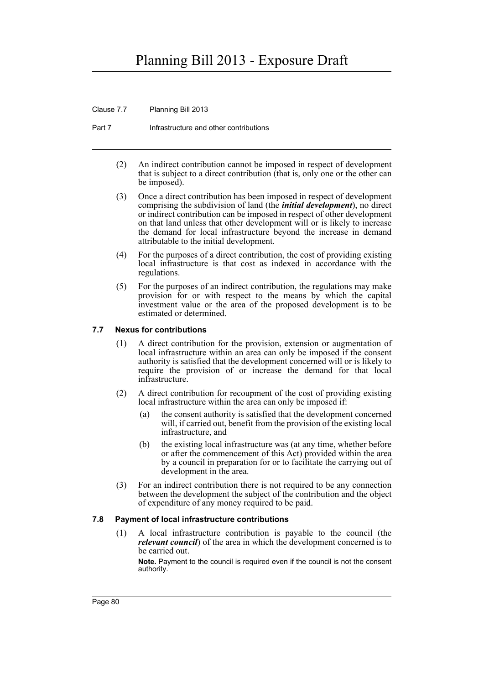Clause 7.7 Planning Bill 2013

Part 7 **Infrastructure and other contributions** 

- (2) An indirect contribution cannot be imposed in respect of development that is subject to a direct contribution (that is, only one or the other can be imposed).
- (3) Once a direct contribution has been imposed in respect of development comprising the subdivision of land (the *initial development*), no direct or indirect contribution can be imposed in respect of other development on that land unless that other development will or is likely to increase the demand for local infrastructure beyond the increase in demand attributable to the initial development.
- (4) For the purposes of a direct contribution, the cost of providing existing local infrastructure is that cost as indexed in accordance with the regulations.
- (5) For the purposes of an indirect contribution, the regulations may make provision for or with respect to the means by which the capital investment value or the area of the proposed development is to be estimated or determined.

#### **7.7 Nexus for contributions**

- (1) A direct contribution for the provision, extension or augmentation of local infrastructure within an area can only be imposed if the consent authority is satisfied that the development concerned will or is likely to require the provision of or increase the demand for that local infrastructure.
- (2) A direct contribution for recoupment of the cost of providing existing local infrastructure within the area can only be imposed if:
	- (a) the consent authority is satisfied that the development concerned will, if carried out, benefit from the provision of the existing local infrastructure, and
	- (b) the existing local infrastructure was (at any time, whether before or after the commencement of this Act) provided within the area by a council in preparation for or to facilitate the carrying out of development in the area.
- (3) For an indirect contribution there is not required to be any connection between the development the subject of the contribution and the object of expenditure of any money required to be paid.

#### **7.8 Payment of local infrastructure contributions**

(1) A local infrastructure contribution is payable to the council (the *relevant council*) of the area in which the development concerned is to be carried out.

**Note.** Payment to the council is required even if the council is not the consent authority.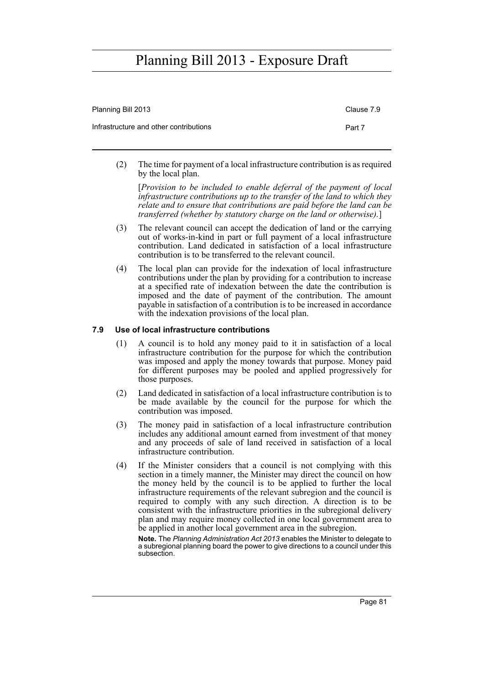| Planning Bill 2013                     | Clause 7.9 |
|----------------------------------------|------------|
| Infrastructure and other contributions | Part 7     |

(2) The time for payment of a local infrastructure contribution is as required by the local plan.

[*Provision to be included to enable deferral of the payment of local infrastructure contributions up to the transfer of the land to which they relate and to ensure that contributions are paid before the land can be transferred (whether by statutory charge on the land or otherwise).*]

- (3) The relevant council can accept the dedication of land or the carrying out of works-in-kind in part or full payment of a local infrastructure contribution. Land dedicated in satisfaction of a local infrastructure contribution is to be transferred to the relevant council.
- (4) The local plan can provide for the indexation of local infrastructure contributions under the plan by providing for a contribution to increase at a specified rate of indexation between the date the contribution is imposed and the date of payment of the contribution. The amount payable in satisfaction of a contribution is to be increased in accordance with the indexation provisions of the local plan.

#### **7.9 Use of local infrastructure contributions**

- (1) A council is to hold any money paid to it in satisfaction of a local infrastructure contribution for the purpose for which the contribution was imposed and apply the money towards that purpose. Money paid for different purposes may be pooled and applied progressively for those purposes.
- (2) Land dedicated in satisfaction of a local infrastructure contribution is to be made available by the council for the purpose for which the contribution was imposed.
- (3) The money paid in satisfaction of a local infrastructure contribution includes any additional amount earned from investment of that money and any proceeds of sale of land received in satisfaction of a local infrastructure contribution.
- (4) If the Minister considers that a council is not complying with this section in a timely manner, the Minister may direct the council on how the money held by the council is to be applied to further the local infrastructure requirements of the relevant subregion and the council is required to comply with any such direction. A direction is to be consistent with the infrastructure priorities in the subregional delivery plan and may require money collected in one local government area to be applied in another local government area in the subregion.

**Note.** The *Planning Administration Act 2013* enables the Minister to delegate to a subregional planning board the power to give directions to a council under this subsection.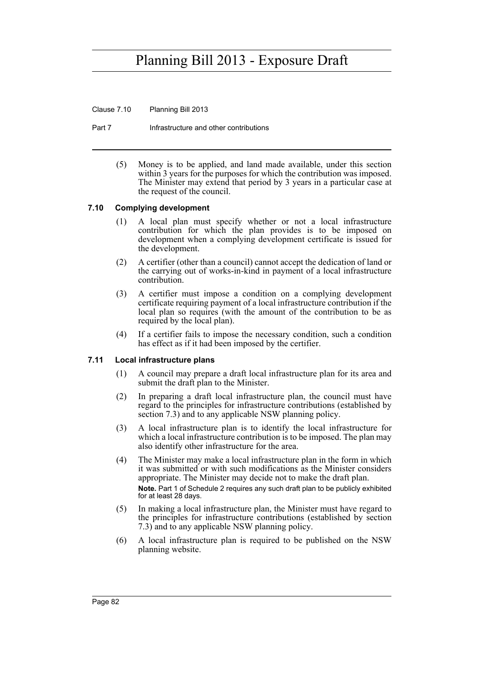Clause 7.10 Planning Bill 2013

Part 7 **Infrastructure and other contributions** 

(5) Money is to be applied, and land made available, under this section within 3 years for the purposes for which the contribution was imposed. The Minister may extend that period by 3 years in a particular case at the request of the council.

#### **7.10 Complying development**

- (1) A local plan must specify whether or not a local infrastructure contribution for which the plan provides is to be imposed on development when a complying development certificate is issued for the development.
- (2) A certifier (other than a council) cannot accept the dedication of land or the carrying out of works-in-kind in payment of a local infrastructure contribution.
- (3) A certifier must impose a condition on a complying development certificate requiring payment of a local infrastructure contribution if the local plan so requires (with the amount of the contribution to be as required by the local plan).
- (4) If a certifier fails to impose the necessary condition, such a condition has effect as if it had been imposed by the certifier.

#### **7.11 Local infrastructure plans**

- (1) A council may prepare a draft local infrastructure plan for its area and submit the draft plan to the Minister.
- (2) In preparing a draft local infrastructure plan, the council must have regard to the principles for infrastructure contributions (established by section 7.3) and to any applicable NSW planning policy.
- (3) A local infrastructure plan is to identify the local infrastructure for which a local infrastructure contribution is to be imposed. The plan may also identify other infrastructure for the area.
- (4) The Minister may make a local infrastructure plan in the form in which it was submitted or with such modifications as the Minister considers appropriate. The Minister may decide not to make the draft plan. **Note.** Part 1 of Schedule 2 requires any such draft plan to be publicly exhibited for at least 28 days.
- (5) In making a local infrastructure plan, the Minister must have regard to the principles for infrastructure contributions (established by section 7.3) and to any applicable NSW planning policy.
- (6) A local infrastructure plan is required to be published on the NSW planning website.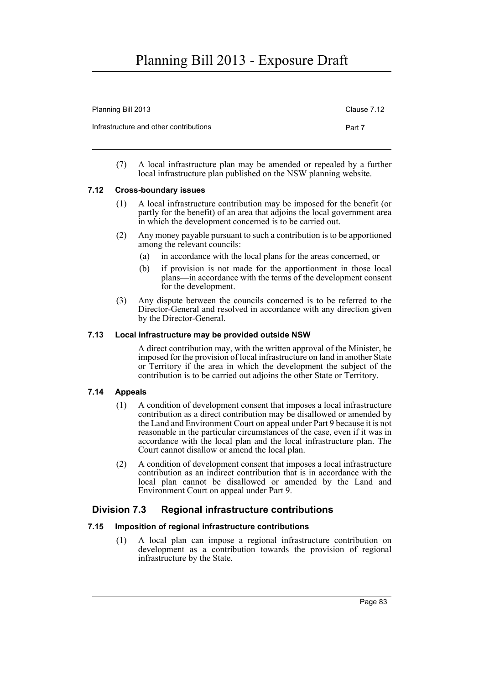| Planning Bill 2013                     | Clause 7.12 |
|----------------------------------------|-------------|
| Infrastructure and other contributions | Part 7      |
|                                        |             |

(7) A local infrastructure plan may be amended or repealed by a further local infrastructure plan published on the NSW planning website.

### **7.12 Cross-boundary issues**

- (1) A local infrastructure contribution may be imposed for the benefit (or partly for the benefit) of an area that adjoins the local government area in which the development concerned is to be carried out.
- (2) Any money payable pursuant to such a contribution is to be apportioned among the relevant councils:
	- (a) in accordance with the local plans for the areas concerned, or
	- (b) if provision is not made for the apportionment in those local plans—in accordance with the terms of the development consent for the development.
- (3) Any dispute between the councils concerned is to be referred to the Director-General and resolved in accordance with any direction given by the Director-General.

### **7.13 Local infrastructure may be provided outside NSW**

A direct contribution may, with the written approval of the Minister, be imposed for the provision of local infrastructure on land in another State or Territory if the area in which the development the subject of the contribution is to be carried out adjoins the other State or Territory.

#### **7.14 Appeals**

- (1) A condition of development consent that imposes a local infrastructure contribution as a direct contribution may be disallowed or amended by the Land and Environment Court on appeal under Part 9 because it is not reasonable in the particular circumstances of the case, even if it was in accordance with the local plan and the local infrastructure plan. The Court cannot disallow or amend the local plan.
- (2) A condition of development consent that imposes a local infrastructure contribution as an indirect contribution that is in accordance with the local plan cannot be disallowed or amended by the Land and Environment Court on appeal under Part 9.

### **Division 7.3 Regional infrastructure contributions**

### **7.15 Imposition of regional infrastructure contributions**

(1) A local plan can impose a regional infrastructure contribution on development as a contribution towards the provision of regional infrastructure by the State.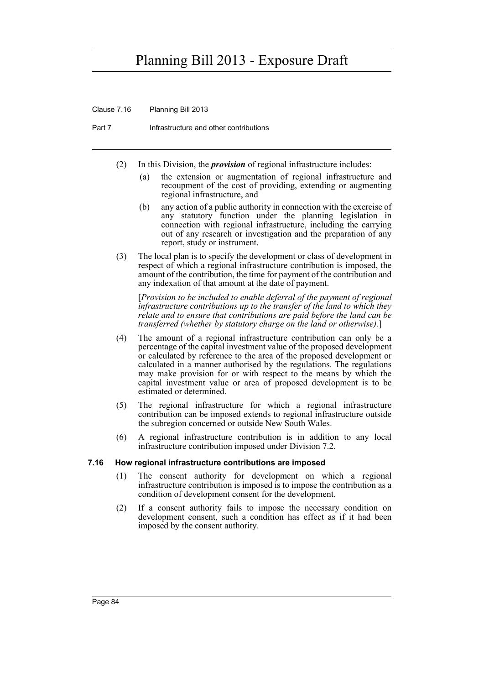Clause 7.16 Planning Bill 2013

Part 7 **Infrastructure and other contributions** 

- (2) In this Division, the *provision* of regional infrastructure includes:
	- (a) the extension or augmentation of regional infrastructure and recoupment of the cost of providing, extending or augmenting regional infrastructure, and
	- (b) any action of a public authority in connection with the exercise of any statutory function under the planning legislation in connection with regional infrastructure, including the carrying out of any research or investigation and the preparation of any report, study or instrument.
- (3) The local plan is to specify the development or class of development in respect of which a regional infrastructure contribution is imposed, the amount of the contribution, the time for payment of the contribution and any indexation of that amount at the date of payment.

[*Provision to be included to enable deferral of the payment of regional infrastructure contributions up to the transfer of the land to which they relate and to ensure that contributions are paid before the land can be transferred (whether by statutory charge on the land or otherwise).*]

- (4) The amount of a regional infrastructure contribution can only be a percentage of the capital investment value of the proposed development or calculated by reference to the area of the proposed development or calculated in a manner authorised by the regulations. The regulations may make provision for or with respect to the means by which the capital investment value or area of proposed development is to be estimated or determined.
- (5) The regional infrastructure for which a regional infrastructure contribution can be imposed extends to regional infrastructure outside the subregion concerned or outside New South Wales.
- (6) A regional infrastructure contribution is in addition to any local infrastructure contribution imposed under Division 7.2.

#### **7.16 How regional infrastructure contributions are imposed**

- (1) The consent authority for development on which a regional infrastructure contribution is imposed is to impose the contribution as a condition of development consent for the development.
- (2) If a consent authority fails to impose the necessary condition on development consent, such a condition has effect as if it had been imposed by the consent authority.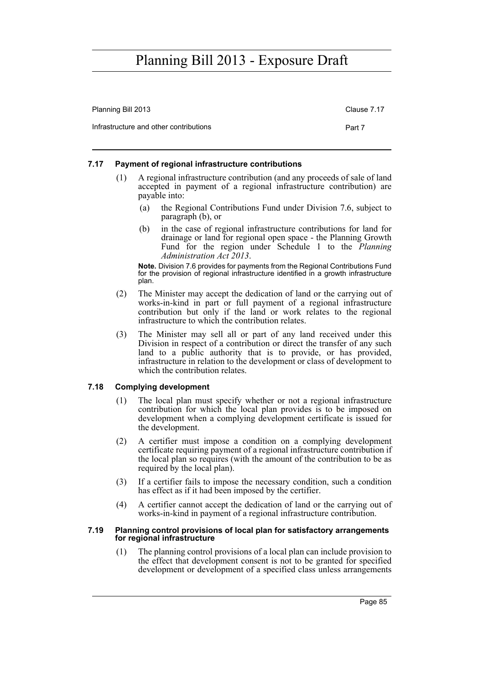| Planning Bill 2013                     | Clause 7.17 |
|----------------------------------------|-------------|
| Infrastructure and other contributions | Part 7      |

#### **7.17 Payment of regional infrastructure contributions**

- (1) A regional infrastructure contribution (and any proceeds of sale of land accepted in payment of a regional infrastructure contribution) are payable into:
	- (a) the Regional Contributions Fund under Division 7.6, subject to paragraph (b), or
	- (b) in the case of regional infrastructure contributions for land for drainage or land for regional open space - the Planning Growth Fund for the region under Schedule 1 to the *Planning Administration Act 2013*.

**Note.** Division 7.6 provides for payments from the Regional Contributions Fund for the provision of regional infrastructure identified in a growth infrastructure plan.

- (2) The Minister may accept the dedication of land or the carrying out of works-in-kind in part or full payment of a regional infrastructure contribution but only if the land or work relates to the regional infrastructure to which the contribution relates.
- (3) The Minister may sell all or part of any land received under this Division in respect of a contribution or direct the transfer of any such land to a public authority that is to provide, or has provided, infrastructure in relation to the development or class of development to which the contribution relates.

#### **7.18 Complying development**

- (1) The local plan must specify whether or not a regional infrastructure contribution for which the local plan provides is to be imposed on development when a complying development certificate is issued for the development.
- (2) A certifier must impose a condition on a complying development certificate requiring payment of a regional infrastructure contribution if the local plan so requires (with the amount of the contribution to be as required by the local plan).
- (3) If a certifier fails to impose the necessary condition, such a condition has effect as if it had been imposed by the certifier.
- (4) A certifier cannot accept the dedication of land or the carrying out of works-in-kind in payment of a regional infrastructure contribution.

#### **7.19 Planning control provisions of local plan for satisfactory arrangements for regional infrastructure**

(1) The planning control provisions of a local plan can include provision to the effect that development consent is not to be granted for specified development or development of a specified class unless arrangements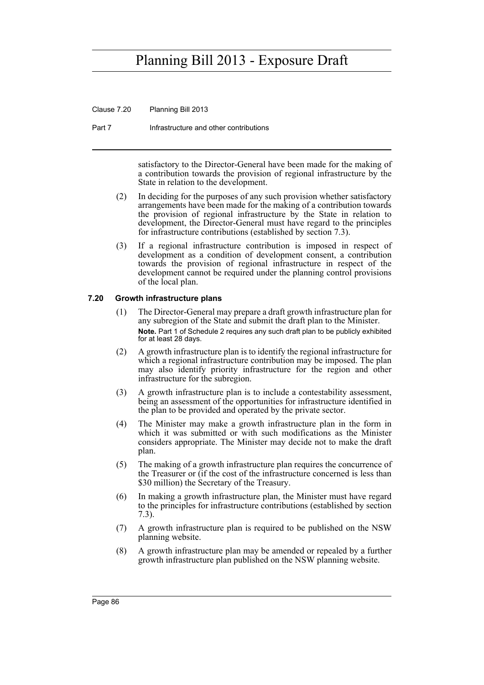Clause 7.20 Planning Bill 2013

Part 7 **Infrastructure and other contributions** 

satisfactory to the Director-General have been made for the making of a contribution towards the provision of regional infrastructure by the State in relation to the development.

- (2) In deciding for the purposes of any such provision whether satisfactory arrangements have been made for the making of a contribution towards the provision of regional infrastructure by the State in relation to development, the Director-General must have regard to the principles for infrastructure contributions (established by section 7.3).
- (3) If a regional infrastructure contribution is imposed in respect of development as a condition of development consent, a contribution towards the provision of regional infrastructure in respect of the development cannot be required under the planning control provisions of the local plan.

#### **7.20 Growth infrastructure plans**

- (1) The Director-General may prepare a draft growth infrastructure plan for any subregion of the State and submit the draft plan to the Minister. **Note.** Part 1 of Schedule 2 requires any such draft plan to be publicly exhibited for at least 28 days.
- (2) A growth infrastructure plan is to identify the regional infrastructure for which a regional infrastructure contribution may be imposed. The plan may also identify priority infrastructure for the region and other infrastructure for the subregion.
- (3) A growth infrastructure plan is to include a contestability assessment, being an assessment of the opportunities for infrastructure identified in the plan to be provided and operated by the private sector.
- (4) The Minister may make a growth infrastructure plan in the form in which it was submitted or with such modifications as the Minister considers appropriate. The Minister may decide not to make the draft plan.
- (5) The making of a growth infrastructure plan requires the concurrence of the Treasurer or (if the cost of the infrastructure concerned is less than \$30 million) the Secretary of the Treasury.
- (6) In making a growth infrastructure plan, the Minister must have regard to the principles for infrastructure contributions (established by section 7.3).
- (7) A growth infrastructure plan is required to be published on the NSW planning website.
- (8) A growth infrastructure plan may be amended or repealed by a further growth infrastructure plan published on the NSW planning website.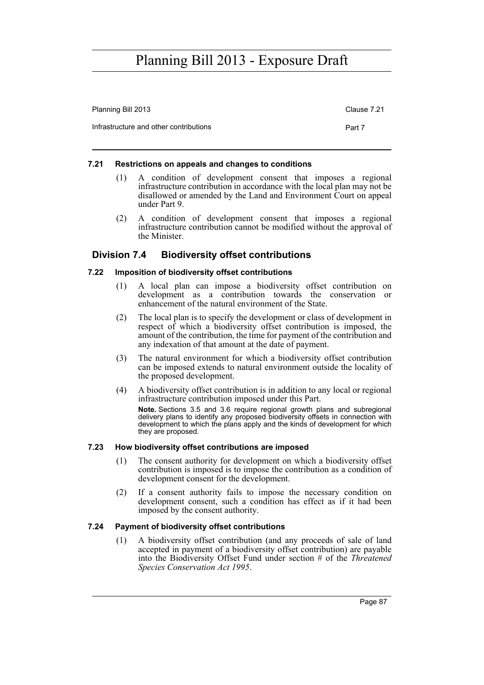| Planning Bill 2013                     | Clause 7.21 |
|----------------------------------------|-------------|
| Infrastructure and other contributions | Part 7      |

#### **7.21 Restrictions on appeals and changes to conditions**

- (1) A condition of development consent that imposes a regional infrastructure contribution in accordance with the local plan may not be disallowed or amended by the Land and Environment Court on appeal under Part 9.
- (2) A condition of development consent that imposes a regional infrastructure contribution cannot be modified without the approval of the Minister.

### **Division 7.4 Biodiversity offset contributions**

#### **7.22 Imposition of biodiversity offset contributions**

- (1) A local plan can impose a biodiversity offset contribution on development as a contribution towards the conservation or enhancement of the natural environment of the State.
- (2) The local plan is to specify the development or class of development in respect of which a biodiversity offset contribution is imposed, the amount of the contribution, the time for payment of the contribution and any indexation of that amount at the date of payment.
- (3) The natural environment for which a biodiversity offset contribution can be imposed extends to natural environment outside the locality of the proposed development.
- (4) A biodiversity offset contribution is in addition to any local or regional infrastructure contribution imposed under this Part. **Note.** Sections 3.5 and 3.6 require regional growth plans and subregional delivery plans to identify any proposed biodiversity offsets in connection with development to which the plans apply and the kinds of development for which they are proposed.

#### **7.23 How biodiversity offset contributions are imposed**

- (1) The consent authority for development on which a biodiversity offset contribution is imposed is to impose the contribution as a condition of development consent for the development.
- (2) If a consent authority fails to impose the necessary condition on development consent, such a condition has effect as if it had been imposed by the consent authority.

#### **7.24 Payment of biodiversity offset contributions**

(1) A biodiversity offset contribution (and any proceeds of sale of land accepted in payment of a biodiversity offset contribution) are payable into the Biodiversity Offset Fund under section # of the *Threatened Species Conservation Act 1995*.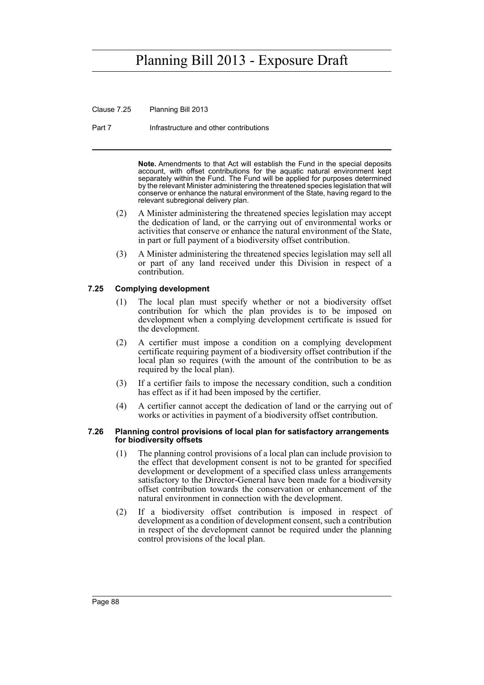Clause 7.25 Planning Bill 2013

Part 7 **Infrastructure and other contributions** 

**Note.** Amendments to that Act will establish the Fund in the special deposits account, with offset contributions for the aquatic natural environment kept separately within the Fund. The Fund will be applied for purposes determined by the relevant Minister administering the threatened species legislation that will conserve or enhance the natural environment of the State, having regard to the relevant subregional delivery plan.

- (2) A Minister administering the threatened species legislation may accept the dedication of land, or the carrying out of environmental works or activities that conserve or enhance the natural environment of the State, in part or full payment of a biodiversity offset contribution.
- (3) A Minister administering the threatened species legislation may sell all or part of any land received under this Division in respect of a contribution.

#### **7.25 Complying development**

- (1) The local plan must specify whether or not a biodiversity offset contribution for which the plan provides is to be imposed on development when a complying development certificate is issued for the development.
- (2) A certifier must impose a condition on a complying development certificate requiring payment of a biodiversity offset contribution if the local plan so requires (with the amount of the contribution to be as required by the local plan).
- (3) If a certifier fails to impose the necessary condition, such a condition has effect as if it had been imposed by the certifier.
- (4) A certifier cannot accept the dedication of land or the carrying out of works or activities in payment of a biodiversity offset contribution.

#### **7.26 Planning control provisions of local plan for satisfactory arrangements for biodiversity offsets**

- (1) The planning control provisions of a local plan can include provision to the effect that development consent is not to be granted for specified development or development of a specified class unless arrangements satisfactory to the Director-General have been made for a biodiversity offset contribution towards the conservation or enhancement of the natural environment in connection with the development.
- (2) If a biodiversity offset contribution is imposed in respect of development as a condition of development consent, such a contribution in respect of the development cannot be required under the planning control provisions of the local plan.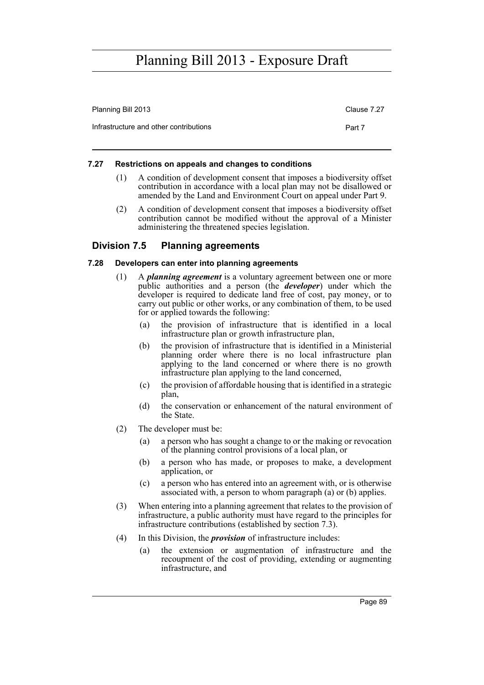| Planning Bill 2013                     | Clause 7.27 |
|----------------------------------------|-------------|
| Infrastructure and other contributions | Part 7      |

#### **7.27 Restrictions on appeals and changes to conditions**

- (1) A condition of development consent that imposes a biodiversity offset contribution in accordance with a local plan may not be disallowed or amended by the Land and Environment Court on appeal under Part 9.
- (2) A condition of development consent that imposes a biodiversity offset contribution cannot be modified without the approval of a Minister administering the threatened species legislation.

### **Division 7.5 Planning agreements**

#### **7.28 Developers can enter into planning agreements**

- (1) A *planning agreement* is a voluntary agreement between one or more public authorities and a person (the *developer*) under which the developer is required to dedicate land free of cost, pay money, or to carry out public or other works, or any combination of them, to be used for or applied towards the following:
	- (a) the provision of infrastructure that is identified in a local infrastructure plan or growth infrastructure plan,
	- (b) the provision of infrastructure that is identified in a Ministerial planning order where there is no local infrastructure plan applying to the land concerned or where there is no growth infrastructure plan applying to the land concerned,
	- (c) the provision of affordable housing that is identified in a strategic plan,
	- (d) the conservation or enhancement of the natural environment of the State.
- (2) The developer must be:
	- (a) a person who has sought a change to or the making or revocation of the planning control provisions of a local plan, or
	- (b) a person who has made, or proposes to make, a development application, or
	- (c) a person who has entered into an agreement with, or is otherwise associated with, a person to whom paragraph (a) or (b) applies.
- (3) When entering into a planning agreement that relates to the provision of infrastructure, a public authority must have regard to the principles for infrastructure contributions (established by section 7.3).
- (4) In this Division, the *provision* of infrastructure includes:
	- (a) the extension or augmentation of infrastructure and the recoupment of the cost of providing, extending or augmenting infrastructure, and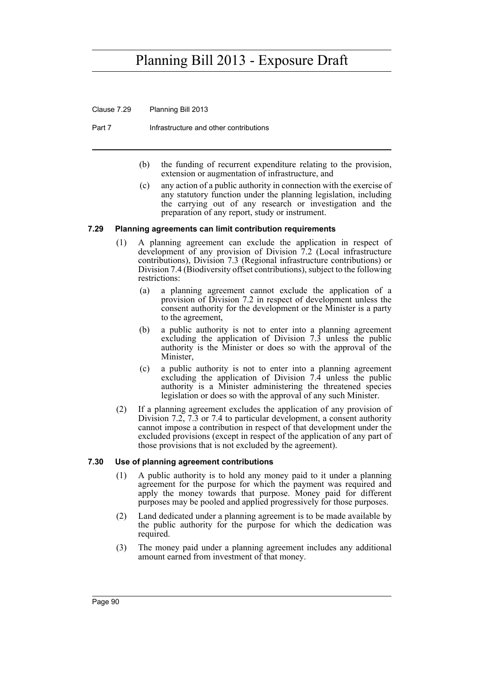Clause 7.29 Planning Bill 2013

Part 7 **Infrastructure and other contributions** 

- (b) the funding of recurrent expenditure relating to the provision, extension or augmentation of infrastructure, and
- (c) any action of a public authority in connection with the exercise of any statutory function under the planning legislation, including the carrying out of any research or investigation and the preparation of any report, study or instrument.

#### **7.29 Planning agreements can limit contribution requirements**

- (1) A planning agreement can exclude the application in respect of development of any provision of Division 7.2 (Local infrastructure contributions), Division 7.3 (Regional infrastructure contributions) or Division 7.4 (Biodiversity offset contributions), subject to the following restrictions:
	- (a) a planning agreement cannot exclude the application of a provision of Division 7.2 in respect of development unless the consent authority for the development or the Minister is a party to the agreement,
	- (b) a public authority is not to enter into a planning agreement excluding the application of Division 7.3 unless the public authority is the Minister or does so with the approval of the Minister,
	- (c) a public authority is not to enter into a planning agreement excluding the application of Division 7.4 unless the public authority is a Minister administering the threatened species legislation or does so with the approval of any such Minister.
- (2) If a planning agreement excludes the application of any provision of Division 7.2, 7.3 or 7.4 to particular development, a consent authority cannot impose a contribution in respect of that development under the excluded provisions (except in respect of the application of any part of those provisions that is not excluded by the agreement).

#### **7.30 Use of planning agreement contributions**

- (1) A public authority is to hold any money paid to it under a planning agreement for the purpose for which the payment was required and apply the money towards that purpose. Money paid for different purposes may be pooled and applied progressively for those purposes.
- (2) Land dedicated under a planning agreement is to be made available by the public authority for the purpose for which the dedication was required.
- (3) The money paid under a planning agreement includes any additional amount earned from investment of that money.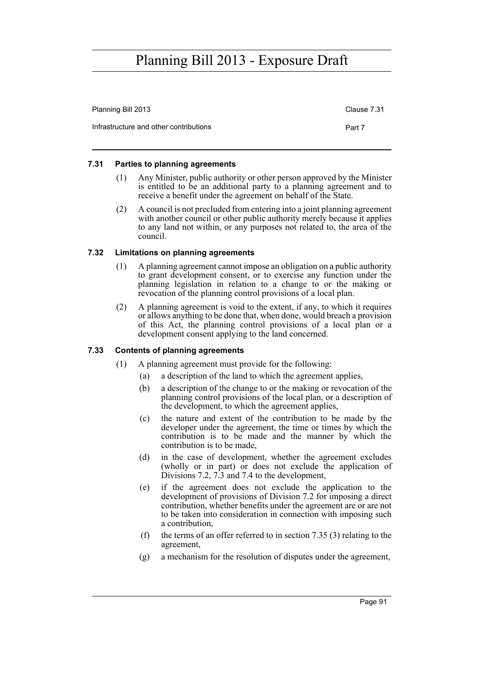| Planning Bill 2013                     | Clause 7.31 |
|----------------------------------------|-------------|
| Infrastructure and other contributions | Part 7      |

#### **7.31 Parties to planning agreements**

- (1) Any Minister, public authority or other person approved by the Minister is entitled to be an additional party to a planning agreement and to receive a benefit under the agreement on behalf of the State.
- (2) A council is not precluded from entering into a joint planning agreement with another council or other public authority merely because it applies to any land not within, or any purposes not related to, the area of the council.

#### **7.32 Limitations on planning agreements**

- (1) A planning agreement cannot impose an obligation on a public authority to grant development consent, or to exercise any function under the planning legislation in relation to a change to or the making or revocation of the planning control provisions of a local plan.
- (2) A planning agreement is void to the extent, if any, to which it requires or allows anything to be done that, when done, would breach a provision of this Act, the planning control provisions of a local plan or a development consent applying to the land concerned.

#### **7.33 Contents of planning agreements**

- (1) A planning agreement must provide for the following:
	- (a) a description of the land to which the agreement applies,
	- (b) a description of the change to or the making or revocation of the planning control provisions of the local plan, or a description of the development, to which the agreement applies,
	- (c) the nature and extent of the contribution to be made by the developer under the agreement, the time or times by which the contribution is to be made and the manner by which the contribution is to be made,
	- (d) in the case of development, whether the agreement excludes (wholly or in part) or does not exclude the application of Divisions 7.2, 7.3 and 7.4 to the development,
	- (e) if the agreement does not exclude the application to the development of provisions of Division 7.2 for imposing a direct contribution, whether benefits under the agreement are or are not to be taken into consideration in connection with imposing such a contribution,
	- (f) the terms of an offer referred to in section 7.35 (3) relating to the agreement,
	- (g) a mechanism for the resolution of disputes under the agreement,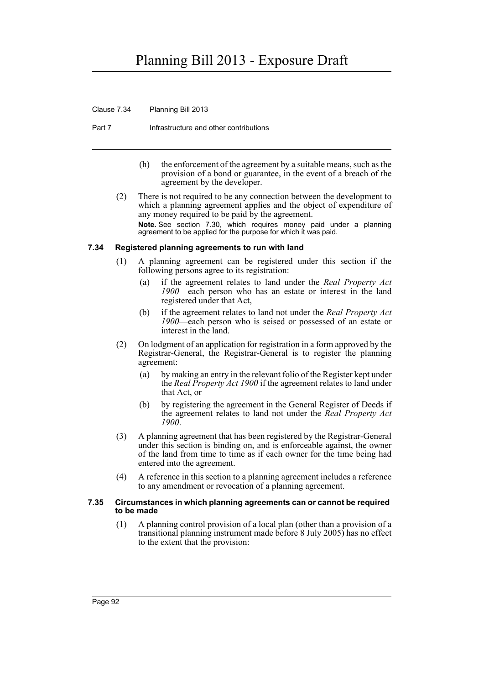Clause 7.34 Planning Bill 2013

Part 7 **Infrastructure and other contributions** 

- (h) the enforcement of the agreement by a suitable means, such as the provision of a bond or guarantee, in the event of a breach of the agreement by the developer.
- (2) There is not required to be any connection between the development to which a planning agreement applies and the object of expenditure of any money required to be paid by the agreement. **Note.** See section 7.30, which requires money paid under a planning agreement to be applied for the purpose for which it was paid.

#### **7.34 Registered planning agreements to run with land**

- (1) A planning agreement can be registered under this section if the following persons agree to its registration:
	- (a) if the agreement relates to land under the *Real Property Act 1900*—each person who has an estate or interest in the land registered under that Act,
	- (b) if the agreement relates to land not under the *Real Property Act 1900*—each person who is seised or possessed of an estate or interest in the land.
- (2) On lodgment of an application for registration in a form approved by the Registrar-General, the Registrar-General is to register the planning agreement:
	- (a) by making an entry in the relevant folio of the Register kept under the *Real Property Act 1900* if the agreement relates to land under that Act, or
	- (b) by registering the agreement in the General Register of Deeds if the agreement relates to land not under the *Real Property Act 1900*.
- (3) A planning agreement that has been registered by the Registrar-General under this section is binding on, and is enforceable against, the owner of the land from time to time as if each owner for the time being had entered into the agreement.
- (4) A reference in this section to a planning agreement includes a reference to any amendment or revocation of a planning agreement.

#### **7.35 Circumstances in which planning agreements can or cannot be required to be made**

(1) A planning control provision of a local plan (other than a provision of a transitional planning instrument made before 8 July 2005) has no effect to the extent that the provision: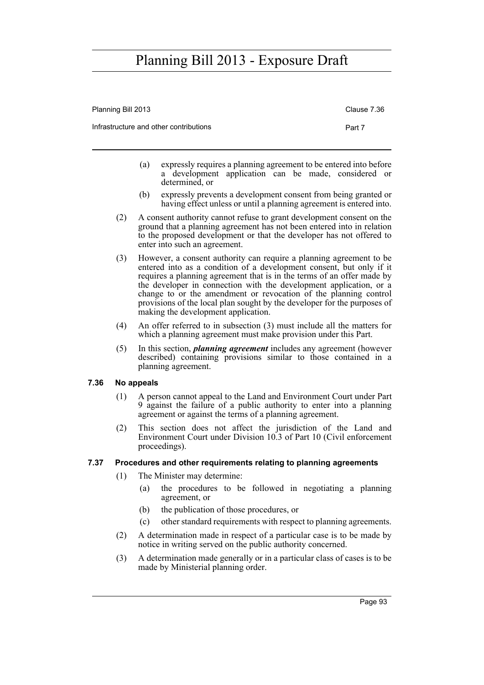| Planning Bill 2013                     | Clause 7.36 |
|----------------------------------------|-------------|
| Infrastructure and other contributions | Part 7      |

- (a) expressly requires a planning agreement to be entered into before a development application can be made, considered or determined, or
- (b) expressly prevents a development consent from being granted or having effect unless or until a planning agreement is entered into.
- (2) A consent authority cannot refuse to grant development consent on the ground that a planning agreement has not been entered into in relation to the proposed development or that the developer has not offered to enter into such an agreement.
- (3) However, a consent authority can require a planning agreement to be entered into as a condition of a development consent, but only if it requires a planning agreement that is in the terms of an offer made by the developer in connection with the development application, or a change to or the amendment or revocation of the planning control provisions of the local plan sought by the developer for the purposes of making the development application.
- (4) An offer referred to in subsection (3) must include all the matters for which a planning agreement must make provision under this Part.
- (5) In this section, *planning agreement* includes any agreement (however described) containing provisions similar to those contained in a planning agreement.

#### **7.36 No appeals**

- (1) A person cannot appeal to the Land and Environment Court under Part 9 against the failure of a public authority to enter into a planning agreement or against the terms of a planning agreement.
- (2) This section does not affect the jurisdiction of the Land and Environment Court under Division 10.3 of Part 10 (Civil enforcement proceedings).

#### **7.37 Procedures and other requirements relating to planning agreements**

- (1) The Minister may determine:
	- (a) the procedures to be followed in negotiating a planning agreement, or
	- (b) the publication of those procedures, or
	- (c) other standard requirements with respect to planning agreements.
- (2) A determination made in respect of a particular case is to be made by notice in writing served on the public authority concerned.
- (3) A determination made generally or in a particular class of cases is to be made by Ministerial planning order.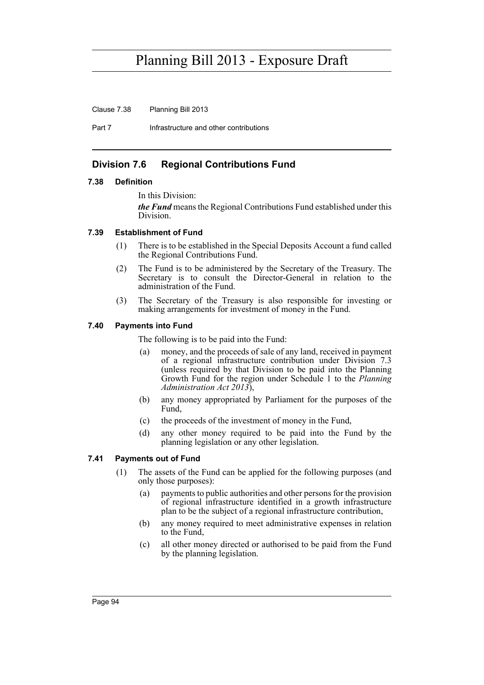Clause 7.38 Planning Bill 2013

Part 7 **Infrastructure and other contributions** 

### **Division 7.6 Regional Contributions Fund**

#### **7.38 Definition**

In this Division:

*the Fund* means the Regional Contributions Fund established under this Division.

#### **7.39 Establishment of Fund**

- (1) There is to be established in the Special Deposits Account a fund called the Regional Contributions Fund.
- (2) The Fund is to be administered by the Secretary of the Treasury. The Secretary is to consult the Director-General in relation to the administration of the Fund.
- (3) The Secretary of the Treasury is also responsible for investing or making arrangements for investment of money in the Fund.

#### **7.40 Payments into Fund**

The following is to be paid into the Fund:

- (a) money, and the proceeds of sale of any land, received in payment of a regional infrastructure contribution under Division 7.3 (unless required by that Division to be paid into the Planning Growth Fund for the region under Schedule 1 to the *Planning Administration Act 2013*),
- (b) any money appropriated by Parliament for the purposes of the Fund,
- (c) the proceeds of the investment of money in the Fund,
- (d) any other money required to be paid into the Fund by the planning legislation or any other legislation.

#### **7.41 Payments out of Fund**

- (1) The assets of the Fund can be applied for the following purposes (and only those purposes):
	- (a) payments to public authorities and other persons for the provision of regional infrastructure identified in a growth infrastructure plan to be the subject of a regional infrastructure contribution,
	- (b) any money required to meet administrative expenses in relation to the Fund,
	- (c) all other money directed or authorised to be paid from the Fund by the planning legislation.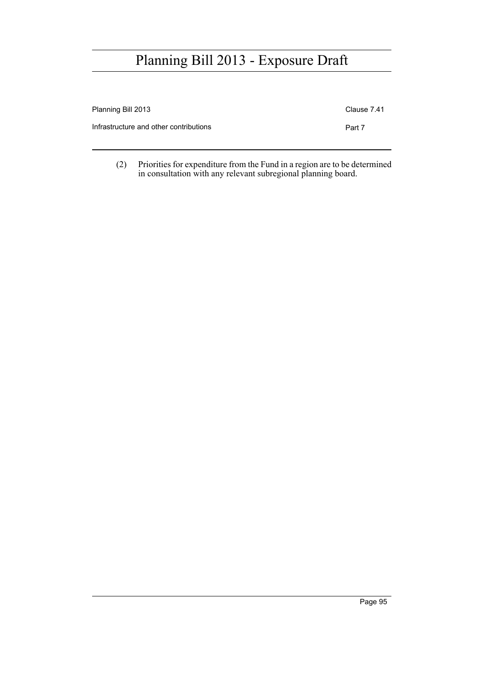| Planning Bill 2013                     | Clause 7.41 |
|----------------------------------------|-------------|
| Infrastructure and other contributions | Part 7      |

(2) Priorities for expenditure from the Fund in a region are to be determined in consultation with any relevant subregional planning board.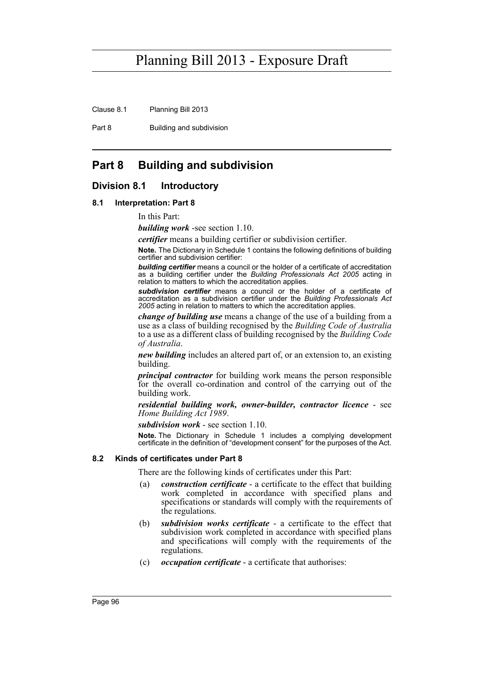Clause 8.1 Planning Bill 2013

Part 8 Building and subdivision

### **Part 8 Building and subdivision**

#### **Division 8.1 Introductory**

#### **8.1 Interpretation: Part 8**

In this Part:

*building work* -see section 1.10.

*certifier* means a building certifier or subdivision certifier.

**Note.** The Dictionary in Schedule 1 contains the following definitions of building certifier and subdivision certifier:

*building certifier* means a council or the holder of a certificate of accreditation as a building certifier under the *Building Professionals Act 2005* acting in relation to matters to which the accreditation applies.

*subdivision certifier* means a council or the holder of a certificate of accreditation as a subdivision certifier under the *Building Professionals Act 2005* acting in relation to matters to which the accreditation applies.

*change of building use* means a change of the use of a building from a use as a class of building recognised by the *Building Code of Australia* to a use as a different class of building recognised by the *Building Code of Australia*.

*new building* includes an altered part of, or an extension to, an existing building.

*principal contractor* for building work means the person responsible for the overall co-ordination and control of the carrying out of the building work.

*residential building work, owner-builder, contractor licence* - see *Home Building Act 1989*.

*subdivision work* - see section 1.10.

**Note.** The Dictionary in Schedule 1 includes a complying development certificate in the definition of "development consent" for the purposes of the Act.

#### **8.2 Kinds of certificates under Part 8**

There are the following kinds of certificates under this Part:

- (a) *construction certificate* a certificate to the effect that building work completed in accordance with specified plans and specifications or standards will comply with the requirements of the regulations.
- (b) *subdivision works certificate* a certificate to the effect that subdivision work completed in accordance with specified plans and specifications will comply with the requirements of the regulations.
- (c) *occupation certificate* a certificate that authorises: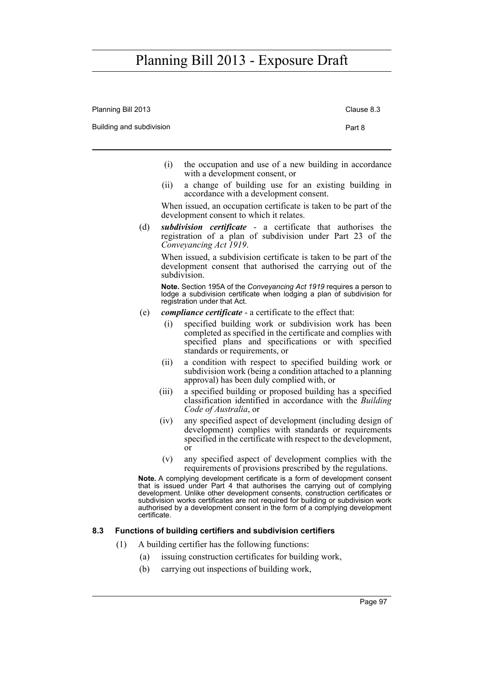Planning Bill 2013 Clause 8.3

| Building and subdivision |                                                                                                                                                                                                                     | Part 8 |
|--------------------------|---------------------------------------------------------------------------------------------------------------------------------------------------------------------------------------------------------------------|--------|
|                          | (i)<br>the occupation and use of a new building in accordance<br>with a development consent, or                                                                                                                     |        |
|                          | a change of building use for an existing building in<br>(ii)<br>accordance with a development consent.                                                                                                              |        |
|                          | When issued, an occupation certificate is taken to be part of the<br>development consent to which it relates.                                                                                                       |        |
| (d)                      | subdivision certificate - a certificate that authorises the<br>registration of a plan of subdivision under Part 23 of the<br>Conveyancing Act 1919.                                                                 |        |
|                          | When issued, a subdivision certificate is taken to be part of the<br>development consent that authorised the carrying out of the<br>subdivision.                                                                    |        |
|                          | Note. Section 195A of the Conveyancing Act 1919 requires a person to<br>lodge a subdivision certificate when lodging a plan of subdivision for<br>registration under that Act.                                      |        |
| (e)                      | <i>compliance certificate</i> - a certificate to the effect that:                                                                                                                                                   |        |
|                          | specified building work or subdivision work has been<br>(i)<br>completed as specified in the certificate and complies with<br>specified plans and specifications or with specified<br>standards or requirements, or |        |
|                          | a condition with respect to specified building work or<br>(ii)<br>subdivision work (being a condition attached to a planning<br>approval) has been duly complied with, or                                           |        |
|                          | a specified building or proposed building has a specified<br>(iii)<br>classification identified in accordance with the Building<br>Code of Australia, or                                                            |        |
|                          | (iv)<br>any specified aspect of development (including design of<br>development) complies with standards or requirements<br>specified in the certificate with respect to the development,<br>$\alpha$               |        |
|                          | (v)<br>any specified aspect of development complies with the<br>requirements of provisions prescribed by the regulations.                                                                                           |        |
|                          | <b>Note.</b> A complying development certificate is a form of development consent                                                                                                                                   |        |

**Note.** A complying development certificate is a form of development consent that is issued under Part 4 that authorises the carrying out of complying development. Unlike other development consents, construction certificates or subdivision works certificates are not required for building or subdivision work authorised by a development consent in the form of a complying development certificate.

### **8.3 Functions of building certifiers and subdivision certifiers**

- (1) A building certifier has the following functions:
	- (a) issuing construction certificates for building work,
	- (b) carrying out inspections of building work,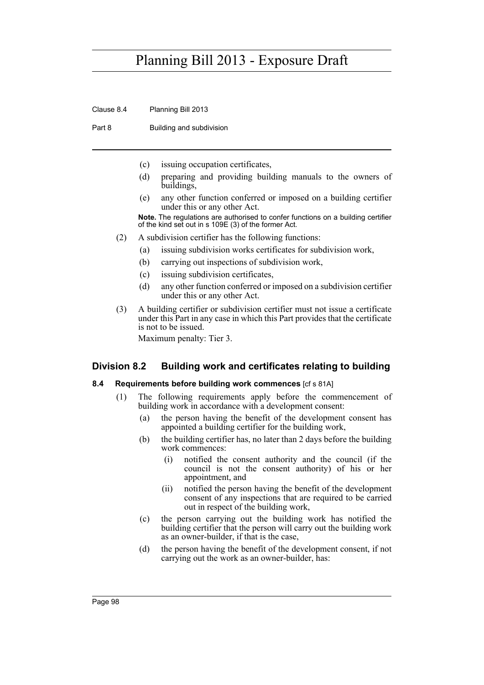Clause 8.4 Planning Bill 2013

Part 8 Building and subdivision

- (c) issuing occupation certificates,
- (d) preparing and providing building manuals to the owners of buildings,
- (e) any other function conferred or imposed on a building certifier under this or any other Act.

**Note.** The regulations are authorised to confer functions on a building certifier of the kind set out in s 109E (3) of the former Act.

- (2) A subdivision certifier has the following functions:
	- (a) issuing subdivision works certificates for subdivision work,
	- (b) carrying out inspections of subdivision work,
	- (c) issuing subdivision certificates,
	- (d) any other function conferred or imposed on a subdivision certifier under this or any other Act.
- (3) A building certifier or subdivision certifier must not issue a certificate under this Part in any case in which this Part provides that the certificate is not to be issued. Maximum penalty: Tier 3.

### **Division 8.2 Building work and certificates relating to building**

#### **8.4 Requirements before building work commences** [cf s 81A]

- (1) The following requirements apply before the commencement of building work in accordance with a development consent:
	- (a) the person having the benefit of the development consent has appointed a building certifier for the building work,
	- (b) the building certifier has, no later than 2 days before the building work commences:
		- (i) notified the consent authority and the council (if the council is not the consent authority) of his or her appointment, and
		- (ii) notified the person having the benefit of the development consent of any inspections that are required to be carried out in respect of the building work,
	- (c) the person carrying out the building work has notified the building certifier that the person will carry out the building work as an owner-builder, if that is the case,
	- (d) the person having the benefit of the development consent, if not carrying out the work as an owner-builder, has: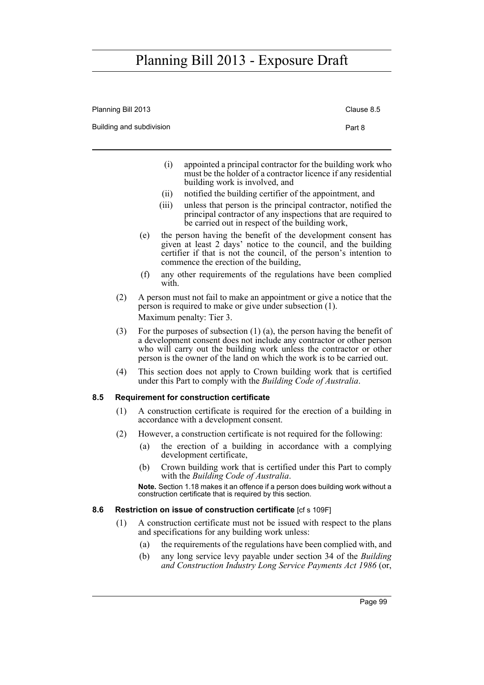|     | Planning Bill 2013 |                          |       |                                                                                                                                                                                                                                                                                                          | Clause 8.5 |
|-----|--------------------|--------------------------|-------|----------------------------------------------------------------------------------------------------------------------------------------------------------------------------------------------------------------------------------------------------------------------------------------------------------|------------|
|     |                    | Building and subdivision |       |                                                                                                                                                                                                                                                                                                          | Part 8     |
|     |                    |                          | (i)   | appointed a principal contractor for the building work who<br>must be the holder of a contractor licence if any residential<br>building work is involved, and                                                                                                                                            |            |
|     |                    |                          | (i)   | notified the building certifier of the appointment, and                                                                                                                                                                                                                                                  |            |
|     |                    |                          | (iii) | unless that person is the principal contractor, notified the<br>principal contractor of any inspections that are required to<br>be carried out in respect of the building work,                                                                                                                          |            |
|     |                    | (e)                      |       | the person having the benefit of the development consent has<br>given at least 2 days' notice to the council, and the building<br>certifier if that is not the council, of the person's intention to<br>commence the erection of the building,                                                           |            |
|     |                    | (f)                      | with. | any other requirements of the regulations have been complied                                                                                                                                                                                                                                             |            |
|     | (2)                |                          |       | A person must not fail to make an appointment or give a notice that the<br>person is required to make or give under subsection (1).                                                                                                                                                                      |            |
|     |                    |                          |       | Maximum penalty: Tier 3.                                                                                                                                                                                                                                                                                 |            |
|     | (3)                |                          |       | For the purposes of subsection $(1)$ $(a)$ , the person having the benefit of<br>a development consent does not include any contractor or other person<br>who will carry out the building work unless the contractor or other<br>person is the owner of the land on which the work is to be carried out. |            |
|     | (4)                |                          |       | This section does not apply to Crown building work that is certified<br>under this Part to comply with the <i>Building Code of Australia</i> .                                                                                                                                                           |            |
| 8.5 |                    |                          |       | <b>Requirement for construction certificate</b>                                                                                                                                                                                                                                                          |            |
|     | (1)                |                          |       | A construction certificate is required for the erection of a building in<br>accordance with a development consent.                                                                                                                                                                                       |            |
|     | (2)                |                          |       | However, a construction certificate is not required for the following:                                                                                                                                                                                                                                   |            |
|     |                    | (a)                      |       | the erection of a building in accordance with a complying<br>development certificate,                                                                                                                                                                                                                    |            |
|     |                    | (b)                      |       | Crown building work that is certified under this Part to comply<br>with the Building Code of Australia.                                                                                                                                                                                                  |            |

**Note.** Section 1.18 makes it an offence if a person does building work without a construction certificate that is required by this section.

### **8.6 Restriction on issue of construction certificate** [cf s 109F]

- (1) A construction certificate must not be issued with respect to the plans and specifications for any building work unless:
	- (a) the requirements of the regulations have been complied with, and
	- (b) any long service levy payable under section 34 of the *Building and Construction Industry Long Service Payments Act 1986* (or,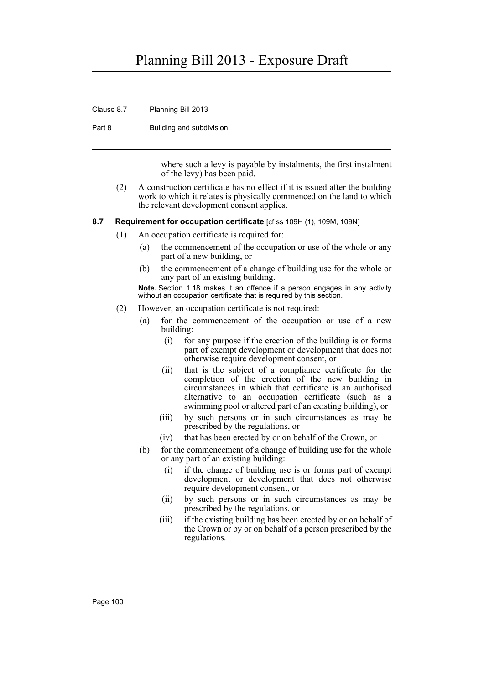Clause 8.7 Planning Bill 2013

Part 8 Building and subdivision

where such a levy is payable by instalments, the first instalment of the levy) has been paid.

(2) A construction certificate has no effect if it is issued after the building work to which it relates is physically commenced on the land to which the relevant development consent applies.

#### **8.7 Requirement for occupation certificate** [cf ss 109H (1), 109M, 109N]

- (1) An occupation certificate is required for:
	- (a) the commencement of the occupation or use of the whole or any part of a new building, or
	- (b) the commencement of a change of building use for the whole or any part of an existing building.

**Note.** Section 1.18 makes it an offence if a person engages in any activity without an occupation certificate that is required by this section.

- (2) However, an occupation certificate is not required:
	- (a) for the commencement of the occupation or use of a new building:
		- (i) for any purpose if the erection of the building is or forms part of exempt development or development that does not otherwise require development consent, or
		- (ii) that is the subject of a compliance certificate for the completion of the erection of the new building in circumstances in which that certificate is an authorised alternative to an occupation certificate (such as a swimming pool or altered part of an existing building), or
		- (iii) by such persons or in such circumstances as may be prescribed by the regulations, or
		- (iv) that has been erected by or on behalf of the Crown, or
	- (b) for the commencement of a change of building use for the whole or any part of an existing building:
		- (i) if the change of building use is or forms part of exempt development or development that does not otherwise require development consent, or
		- (ii) by such persons or in such circumstances as may be prescribed by the regulations, or
		- (iii) if the existing building has been erected by or on behalf of the Crown or by or on behalf of a person prescribed by the regulations.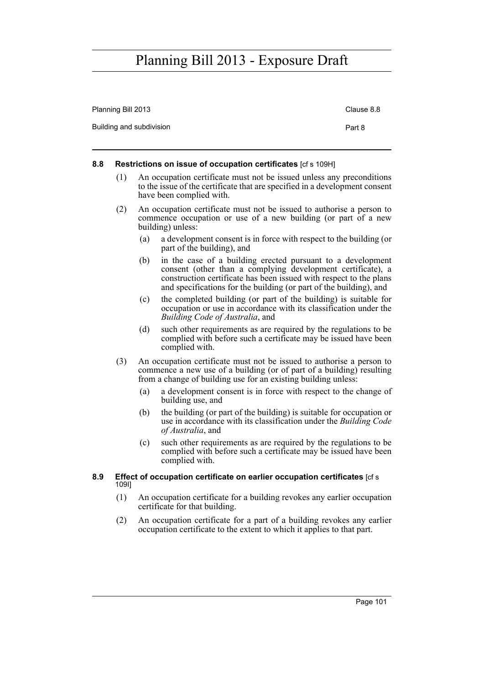| Restrictions on issue of occupation certificates [cf s 109H]<br>8.8 |            |
|---------------------------------------------------------------------|------------|
| Building and subdivision                                            | Part 8     |
| Planning Bill 2013                                                  | Clause 8.8 |

- (1) An occupation certificate must not be issued unless any preconditions to the issue of the certificate that are specified in a development consent have been complied with.
- (2) An occupation certificate must not be issued to authorise a person to commence occupation or use of a new building (or part of a new building) unless:
	- (a) a development consent is in force with respect to the building (or part of the building), and
	- (b) in the case of a building erected pursuant to a development consent (other than a complying development certificate), a construction certificate has been issued with respect to the plans and specifications for the building (or part of the building), and
	- (c) the completed building (or part of the building) is suitable for occupation or use in accordance with its classification under the *Building Code of Australia*, and
	- (d) such other requirements as are required by the regulations to be complied with before such a certificate may be issued have been complied with.
- (3) An occupation certificate must not be issued to authorise a person to commence a new use of a building (or of part of a building) resulting from a change of building use for an existing building unless:
	- (a) a development consent is in force with respect to the change of building use, and
	- (b) the building (or part of the building) is suitable for occupation or use in accordance with its classification under the *Building Code of Australia*, and
	- (c) such other requirements as are required by the regulations to be complied with before such a certificate may be issued have been complied with.
- **8.9 Effect of occupation certificate on earlier occupation certificates** [cf s 109I]
	- (1) An occupation certificate for a building revokes any earlier occupation certificate for that building.
	- (2) An occupation certificate for a part of a building revokes any earlier occupation certificate to the extent to which it applies to that part.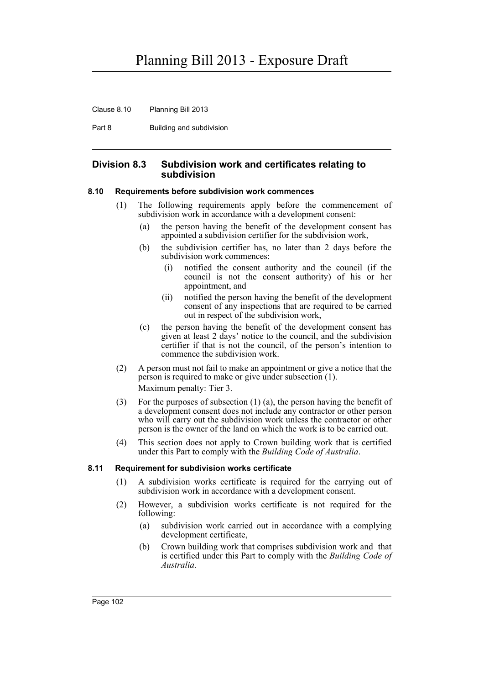Clause 8.10 Planning Bill 2013

Part 8 Building and subdivision

### **Division 8.3 Subdivision work and certificates relating to subdivision**

#### **8.10 Requirements before subdivision work commences**

- (1) The following requirements apply before the commencement of subdivision work in accordance with a development consent:
	- (a) the person having the benefit of the development consent has appointed a subdivision certifier for the subdivision work,
	- (b) the subdivision certifier has, no later than 2 days before the subdivision work commences:
		- (i) notified the consent authority and the council (if the council is not the consent authority) of his or her appointment, and
		- (ii) notified the person having the benefit of the development consent of any inspections that are required to be carried out in respect of the subdivision work,
	- (c) the person having the benefit of the development consent has given at least 2 days' notice to the council, and the subdivision certifier if that is not the council, of the person's intention to commence the subdivision work.
- (2) A person must not fail to make an appointment or give a notice that the person is required to make or give under subsection (1). Maximum penalty: Tier 3.
- (3) For the purposes of subsection (1) (a), the person having the benefit of a development consent does not include any contractor or other person who will carry out the subdivision work unless the contractor or other person is the owner of the land on which the work is to be carried out.
- (4) This section does not apply to Crown building work that is certified under this Part to comply with the *Building Code of Australia*.

#### **8.11 Requirement for subdivision works certificate**

- (1) A subdivision works certificate is required for the carrying out of subdivision work in accordance with a development consent.
- (2) However, a subdivision works certificate is not required for the following:
	- (a) subdivision work carried out in accordance with a complying development certificate,
	- (b) Crown building work that comprises subdivision work and that is certified under this Part to comply with the *Building Code of Australia*.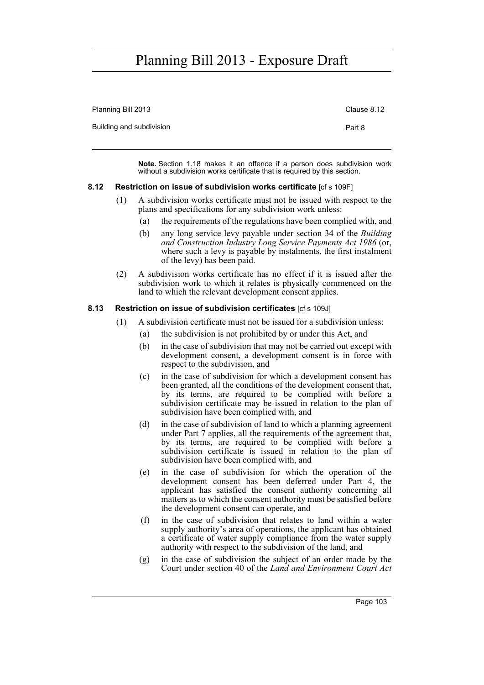| Planning Bill 2013       | Clause 8.12 |
|--------------------------|-------------|
| Building and subdivision | Part 8      |
|                          |             |

**Note.** Section 1.18 makes it an offence if a person does subdivision work without a subdivision works certificate that is required by this section.

#### **8.12 Restriction on issue of subdivision works certificate** [cf s 109F]

- (1) A subdivision works certificate must not be issued with respect to the plans and specifications for any subdivision work unless:
	- (a) the requirements of the regulations have been complied with, and
	- (b) any long service levy payable under section 34 of the *Building and Construction Industry Long Service Payments Act 1986* (or, where such a levy is payable by instalments, the first instalment of the levy) has been paid.
- (2) A subdivision works certificate has no effect if it is issued after the subdivision work to which it relates is physically commenced on the land to which the relevant development consent applies.

#### **8.13 Restriction on issue of subdivision certificates** [cf s 109J]

- (1) A subdivision certificate must not be issued for a subdivision unless:
	- (a) the subdivision is not prohibited by or under this Act, and
	- (b) in the case of subdivision that may not be carried out except with development consent, a development consent is in force with respect to the subdivision, and
	- (c) in the case of subdivision for which a development consent has been granted, all the conditions of the development consent that, by its terms, are required to be complied with before a subdivision certificate may be issued in relation to the plan of subdivision have been complied with, and
	- (d) in the case of subdivision of land to which a planning agreement under Part 7 applies, all the requirements of the agreement that, by its terms, are required to be complied with before a subdivision certificate is issued in relation to the plan of subdivision have been complied with, and
	- (e) in the case of subdivision for which the operation of the development consent has been deferred under Part 4, the applicant has satisfied the consent authority concerning all matters as to which the consent authority must be satisfied before the development consent can operate, and
	- (f) in the case of subdivision that relates to land within a water supply authority's area of operations, the applicant has obtained a certificate of water supply compliance from the water supply authority with respect to the subdivision of the land, and
	- (g) in the case of subdivision the subject of an order made by the Court under section 40 of the *Land and Environment Court Act*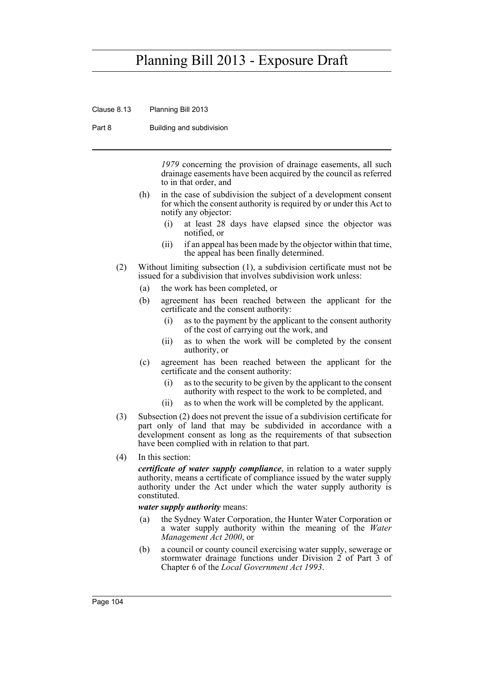Clause 8.13 Planning Bill 2013

Part 8 Building and subdivision

*1979* concerning the provision of drainage easements, all such drainage easements have been acquired by the council as referred to in that order, and

- (h) in the case of subdivision the subject of a development consent for which the consent authority is required by or under this Act to notify any objector:
	- (i) at least 28 days have elapsed since the objector was notified, or
	- (ii) if an appeal has been made by the objector within that time, the appeal has been finally determined.
- (2) Without limiting subsection (1), a subdivision certificate must not be issued for a subdivision that involves subdivision work unless:
	- (a) the work has been completed, or
	- (b) agreement has been reached between the applicant for the certificate and the consent authority:
		- (i) as to the payment by the applicant to the consent authority of the cost of carrying out the work, and
		- (ii) as to when the work will be completed by the consent authority, or
	- (c) agreement has been reached between the applicant for the certificate and the consent authority:
		- (i) as to the security to be given by the applicant to the consent authority with respect to the work to be completed, and
		- (ii) as to when the work will be completed by the applicant.
- (3) Subsection (2) does not prevent the issue of a subdivision certificate for part only of land that may be subdivided in accordance with a development consent as long as the requirements of that subsection have been complied with in relation to that part.
- (4) In this section:

*certificate of water supply compliance*, in relation to a water supply authority, means a certificate of compliance issued by the water supply authority under the Act under which the water supply authority is constituted.

#### *water supply authority* means:

- (a) the Sydney Water Corporation, the Hunter Water Corporation or a water supply authority within the meaning of the *Water Management Act 2000*, or
- (b) a council or county council exercising water supply, sewerage or stormwater drainage functions under Division 2 of Part 3 of Chapter 6 of the *Local Government Act 1993*.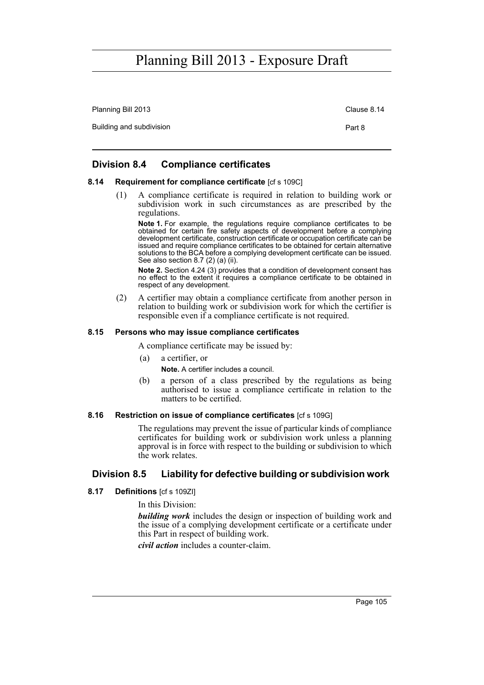Planning Bill 2013 Clause 8.14 Building and subdivision **Part 8** 

### **Division 8.4 Compliance certificates**

#### **8.14 Requirement for compliance certificate** [cf s 109C]

(1) A compliance certificate is required in relation to building work or subdivision work in such circumstances as are prescribed by the regulations.

**Note 1.** For example, the regulations require compliance certificates to be obtained for certain fire safety aspects of development before a complying development certificate, construction certificate or occupation certificate can be issued and require compliance certificates to be obtained for certain alternative solutions to the BCA before a complying development certificate can be issued. See also section 8.7 (2) (a) (ii).

**Note 2.** Section 4.24 (3) provides that a condition of development consent has no effect to the extent it requires a compliance certificate to be obtained in respect of any development.

(2) A certifier may obtain a compliance certificate from another person in relation to building work or subdivision work for which the certifier is responsible even if a compliance certificate is not required.

#### **8.15 Persons who may issue compliance certificates**

A compliance certificate may be issued by:

- (a) a certifier, or
	- **Note.** A certifier includes a council.
- (b) a person of a class prescribed by the regulations as being authorised to issue a compliance certificate in relation to the matters to be certified.

#### **8.16 Restriction on issue of compliance certificates** [cf s 109G]

The regulations may prevent the issue of particular kinds of compliance certificates for building work or subdivision work unless a planning approval is in force with respect to the building or subdivision to which the work relates.

### **Division 8.5 Liability for defective building or subdivision work**

### **8.17 Definitions** [cf s 109ZI]

In this Division:

*building work* includes the design or inspection of building work and the issue of a complying development certificate or a certificate under this Part in respect of building work.

*civil action* includes a counter-claim.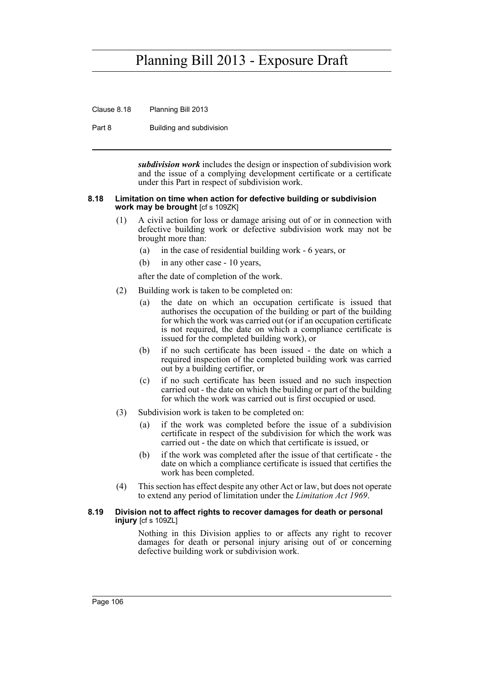Clause 8.18 Planning Bill 2013

Part 8 Building and subdivision

*subdivision work* includes the design or inspection of subdivision work and the issue of a complying development certificate or a certificate under this Part in respect of subdivision work.

#### **8.18 Limitation on time when action for defective building or subdivision work may be brought** [cf s 109ZK]

- (1) A civil action for loss or damage arising out of or in connection with defective building work or defective subdivision work may not be brought more than:
	- (a) in the case of residential building work 6 years, or
	- (b) in any other case 10 years,

after the date of completion of the work.

- (2) Building work is taken to be completed on:
	- (a) the date on which an occupation certificate is issued that authorises the occupation of the building or part of the building for which the work was carried out (or if an occupation certificate is not required, the date on which a compliance certificate is issued for the completed building work), or
	- (b) if no such certificate has been issued the date on which a required inspection of the completed building work was carried out by a building certifier, or
	- (c) if no such certificate has been issued and no such inspection carried out - the date on which the building or part of the building for which the work was carried out is first occupied or used.
- (3) Subdivision work is taken to be completed on:
	- (a) if the work was completed before the issue of a subdivision certificate in respect of the subdivision for which the work was carried out - the date on which that certificate is issued, or
	- (b) if the work was completed after the issue of that certificate the date on which a compliance certificate is issued that certifies the work has been completed.
- (4) This section has effect despite any other Act or law, but does not operate to extend any period of limitation under the *Limitation Act 1969*.

#### **8.19 Division not to affect rights to recover damages for death or personal injury** [cf s 109ZL]

Nothing in this Division applies to or affects any right to recover damages for death or personal injury arising out of or concerning defective building work or subdivision work.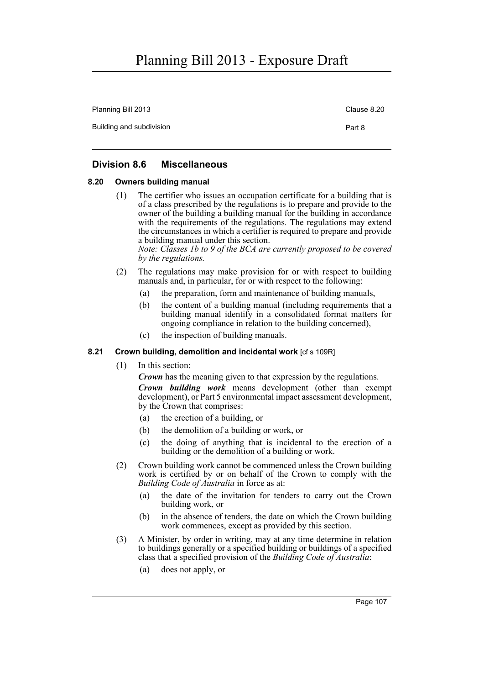| Planning Bill 2013       | Clause 8.20 |
|--------------------------|-------------|
| Building and subdivision | Part 8      |

### **Division 8.6 Miscellaneous**

### **8.20 Owners building manual**

(1) The certifier who issues an occupation certificate for a building that is of a class prescribed by the regulations is to prepare and provide to the owner of the building a building manual for the building in accordance with the requirements of the regulations. The regulations may extend the circumstances in which a certifier is required to prepare and provide a building manual under this section.

*Note: Classes 1b to 9 of the BCA are currently proposed to be covered by the regulations.*

- (2) The regulations may make provision for or with respect to building manuals and, in particular, for or with respect to the following:
	- (a) the preparation, form and maintenance of building manuals,
	- (b) the content of a building manual (including requirements that a building manual identify in a consolidated format matters for ongoing compliance in relation to the building concerned),
	- (c) the inspection of building manuals.

### **8.21 Crown building, demolition and incidental work** [cf s 109R]

(1) In this section:

*Crown* has the meaning given to that expression by the regulations.

*Crown building work* means development (other than exempt development), or Part 5 environmental impact assessment development, by the Crown that comprises:

- (a) the erection of a building, or
- (b) the demolition of a building or work, or
- (c) the doing of anything that is incidental to the erection of a building or the demolition of a building or work.
- (2) Crown building work cannot be commenced unless the Crown building work is certified by or on behalf of the Crown to comply with the *Building Code of Australia* in force as at:
	- (a) the date of the invitation for tenders to carry out the Crown building work, or
	- (b) in the absence of tenders, the date on which the Crown building work commences, except as provided by this section.
- (3) A Minister, by order in writing, may at any time determine in relation to buildings generally or a specified building or buildings of a specified class that a specified provision of the *Building Code of Australia*:
	- (a) does not apply, or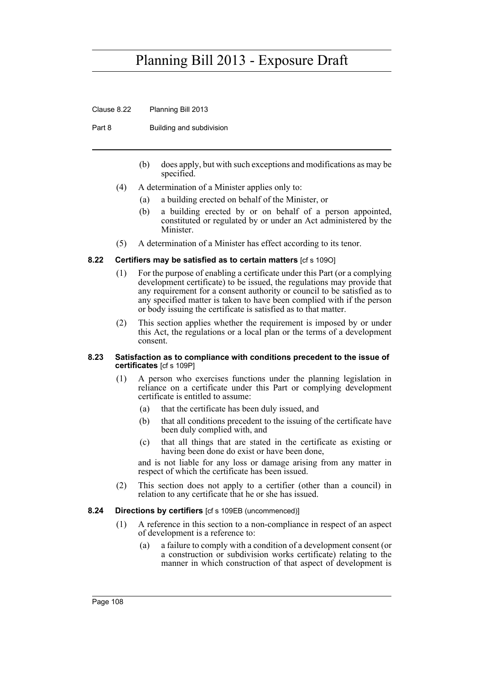Clause 8.22 Planning Bill 2013

Part 8 Building and subdivision

- (b) does apply, but with such exceptions and modifications as may be specified.
- (4) A determination of a Minister applies only to:
	- (a) a building erected on behalf of the Minister, or
	- (b) a building erected by or on behalf of a person appointed, constituted or regulated by or under an Act administered by the Minister.
- (5) A determination of a Minister has effect according to its tenor.

#### **8.22 Certifiers may be satisfied as to certain matters** [cf s 109O]

- (1) For the purpose of enabling a certificate under this Part (or a complying development certificate) to be issued, the regulations may provide that any requirement for a consent authority or council to be satisfied as to any specified matter is taken to have been complied with if the person or body issuing the certificate is satisfied as to that matter.
- (2) This section applies whether the requirement is imposed by or under this Act, the regulations or a local plan or the terms of a development consent.

#### **8.23 Satisfaction as to compliance with conditions precedent to the issue of certificates** [cf s 109P]

- (1) A person who exercises functions under the planning legislation in reliance on a certificate under this Part or complying development certificate is entitled to assume:
	- (a) that the certificate has been duly issued, and
	- (b) that all conditions precedent to the issuing of the certificate have been duly complied with, and
	- (c) that all things that are stated in the certificate as existing or having been done do exist or have been done,

and is not liable for any loss or damage arising from any matter in respect of which the certificate has been issued.

(2) This section does not apply to a certifier (other than a council) in relation to any certificate that he or she has issued.

#### **8.24 Directions by certifiers** [cf s 109EB (uncommenced)]

- (1) A reference in this section to a non-compliance in respect of an aspect of development is a reference to:
	- (a) a failure to comply with a condition of a development consent (or a construction or subdivision works certificate) relating to the manner in which construction of that aspect of development is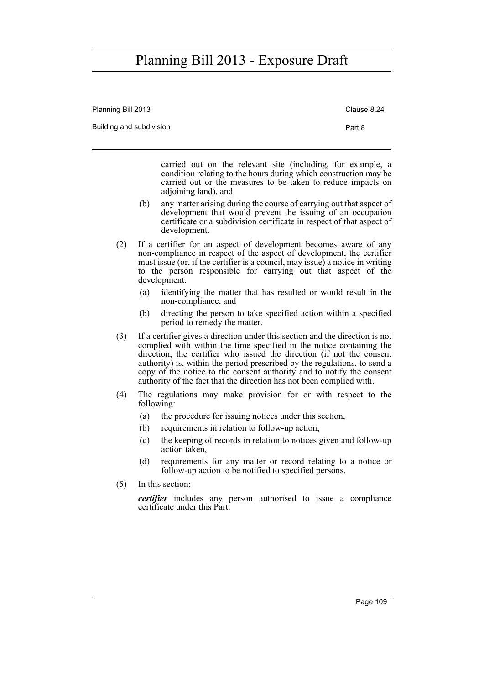| Planning Bill 2013                 |     |                                                                                                                                                                                                                                                                                                                                                                                                                                                             | Clause 8.24 |  |
|------------------------------------|-----|-------------------------------------------------------------------------------------------------------------------------------------------------------------------------------------------------------------------------------------------------------------------------------------------------------------------------------------------------------------------------------------------------------------------------------------------------------------|-------------|--|
| Building and subdivision<br>Part 8 |     |                                                                                                                                                                                                                                                                                                                                                                                                                                                             |             |  |
|                                    |     | carried out on the relevant site (including, for example, a<br>condition relating to the hours during which construction may be<br>carried out or the measures to be taken to reduce impacts on<br>adjoining land), and                                                                                                                                                                                                                                     |             |  |
|                                    | (b) | any matter arising during the course of carrying out that aspect of<br>development that would prevent the issuing of an occupation<br>certificate or a subdivision certificate in respect of that aspect of<br>development.                                                                                                                                                                                                                                 |             |  |
| (2)<br>development:                |     | If a certifier for an aspect of development becomes aware of any<br>non-compliance in respect of the aspect of development, the certifier<br>must issue (or, if the certifier is a council, may issue) a notice in writing<br>to the person responsible for carrying out that aspect of the                                                                                                                                                                 |             |  |
|                                    | (a) | identifying the matter that has resulted or would result in the<br>non-compliance, and                                                                                                                                                                                                                                                                                                                                                                      |             |  |
|                                    | (b) | directing the person to take specified action within a specified<br>period to remedy the matter.                                                                                                                                                                                                                                                                                                                                                            |             |  |
| (3)                                |     | If a certifier gives a direction under this section and the direction is not<br>complied with within the time specified in the notice containing the<br>direction, the certifier who issued the direction (if not the consent<br>authority) is, within the period prescribed by the regulations, to send a<br>copy of the notice to the consent authority and to notify the consent<br>authority of the fact that the direction has not been complied with. |             |  |
| (4)                                |     | The regulations may make provision for or with respect to the<br>following:                                                                                                                                                                                                                                                                                                                                                                                 |             |  |
|                                    | (a) | the procedure for issuing notices under this section,                                                                                                                                                                                                                                                                                                                                                                                                       |             |  |
|                                    | (b) | requirements in relation to follow-up action,                                                                                                                                                                                                                                                                                                                                                                                                               |             |  |
|                                    | (c) | the keeping of records in relation to notices given and follow-up<br>action taken.                                                                                                                                                                                                                                                                                                                                                                          |             |  |
|                                    | (d) | requirements for any matter or record relating to a notice or<br>follow-up action to be notified to specified persons.                                                                                                                                                                                                                                                                                                                                      |             |  |
| (5)                                |     | In this section:                                                                                                                                                                                                                                                                                                                                                                                                                                            |             |  |
|                                    |     | <i>certifier</i> includes any person authorised to issue a compliance                                                                                                                                                                                                                                                                                                                                                                                       |             |  |

certificate under this Part.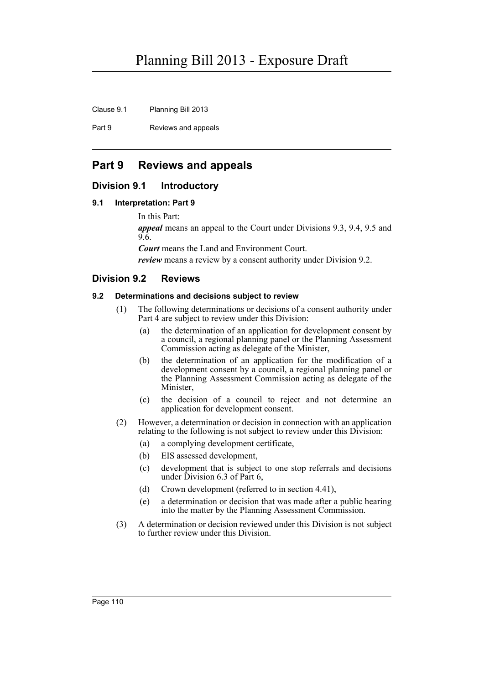Clause 9.1 Planning Bill 2013

Part 9 Reviews and appeals

### **Part 9 Reviews and appeals**

### **Division 9.1 Introductory**

#### **9.1 Interpretation: Part 9**

In this Part:

*appeal* means an appeal to the Court under Divisions 9.3, 9.4, 9.5 and 9.6.

*Court* means the Land and Environment Court.

*review* means a review by a consent authority under Division 9.2.

### **Division 9.2 Reviews**

#### **9.2 Determinations and decisions subject to review**

- (1) The following determinations or decisions of a consent authority under Part 4 are subject to review under this Division:
	- (a) the determination of an application for development consent by a council, a regional planning panel or the Planning Assessment Commission acting as delegate of the Minister,
	- (b) the determination of an application for the modification of a development consent by a council, a regional planning panel or the Planning Assessment Commission acting as delegate of the Minister,
	- (c) the decision of a council to reject and not determine an application for development consent.
- (2) However, a determination or decision in connection with an application relating to the following is not subject to review under this Division:
	- (a) a complying development certificate,
	- (b) EIS assessed development,
	- (c) development that is subject to one stop referrals and decisions under Division 6.3 of Part 6,
	- (d) Crown development (referred to in section 4.41),
	- (e) a determination or decision that was made after a public hearing into the matter by the Planning Assessment Commission.
- (3) A determination or decision reviewed under this Division is not subject to further review under this Division.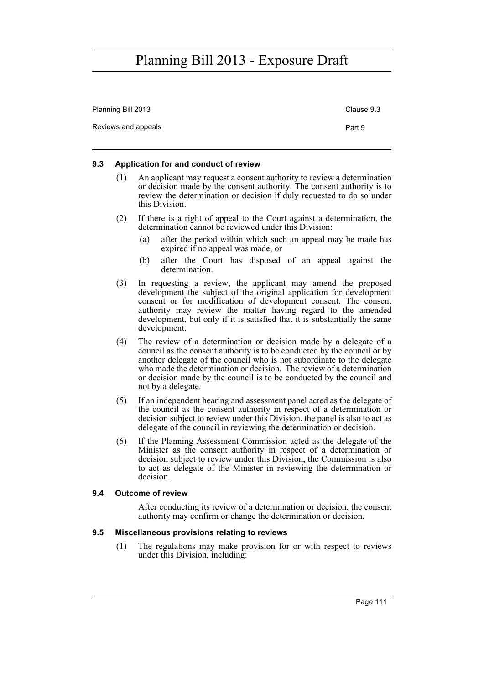| Planning Bill 2013  | Clause 9.3 |
|---------------------|------------|
| Reviews and appeals | Part 9     |

#### **9.3 Application for and conduct of review**

- (1) An applicant may request a consent authority to review a determination or decision made by the consent authority. The consent authority is to review the determination or decision if duly requested to do so under this Division.
- (2) If there is a right of appeal to the Court against a determination, the determination cannot be reviewed under this Division:
	- (a) after the period within which such an appeal may be made has expired if no appeal was made, or
	- (b) after the Court has disposed of an appeal against the determination.
- (3) In requesting a review, the applicant may amend the proposed development the subject of the original application for development consent or for modification of development consent. The consent authority may review the matter having regard to the amended development, but only if it is satisfied that it is substantially the same development.
- (4) The review of a determination or decision made by a delegate of a council as the consent authority is to be conducted by the council or by another delegate of the council who is not subordinate to the delegate who made the determination or decision. The review of a determination or decision made by the council is to be conducted by the council and not by a delegate.
- (5) If an independent hearing and assessment panel acted as the delegate of the council as the consent authority in respect of a determination or decision subject to review under this Division, the panel is also to act as delegate of the council in reviewing the determination or decision.
- (6) If the Planning Assessment Commission acted as the delegate of the Minister as the consent authority in respect of a determination or decision subject to review under this Division, the Commission is also to act as delegate of the Minister in reviewing the determination or decision.

#### **9.4 Outcome of review**

After conducting its review of a determination or decision, the consent authority may confirm or change the determination or decision.

#### **9.5 Miscellaneous provisions relating to reviews**

(1) The regulations may make provision for or with respect to reviews under this Division, including: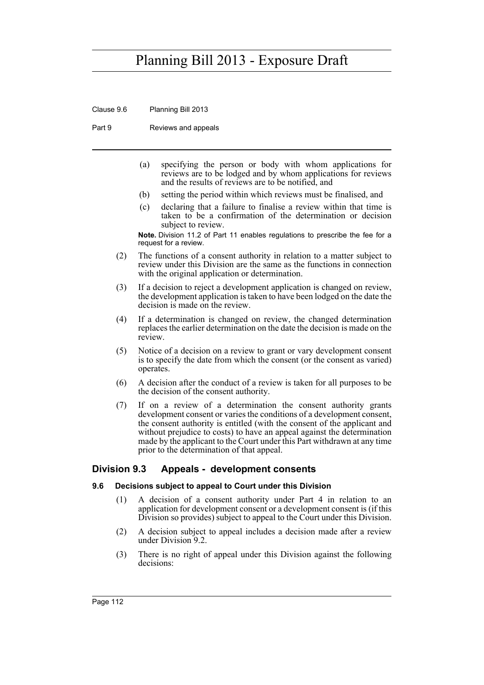Clause 9.6 Planning Bill 2013

Part 9 Reviews and appeals

- (a) specifying the person or body with whom applications for reviews are to be lodged and by whom applications for reviews and the results of reviews are to be notified, and
- (b) setting the period within which reviews must be finalised, and
- (c) declaring that a failure to finalise a review within that time is taken to be a confirmation of the determination or decision subject to review.

**Note.** Division 11.2 of Part 11 enables regulations to prescribe the fee for a request for a review.

- (2) The functions of a consent authority in relation to a matter subject to review under this Division are the same as the functions in connection with the original application or determination.
- (3) If a decision to reject a development application is changed on review, the development application is taken to have been lodged on the date the decision is made on the review.
- (4) If a determination is changed on review, the changed determination replaces the earlier determination on the date the decision is made on the review.
- (5) Notice of a decision on a review to grant or vary development consent is to specify the date from which the consent (or the consent as varied) operates.
- (6) A decision after the conduct of a review is taken for all purposes to be the decision of the consent authority.
- (7) If on a review of a determination the consent authority grants development consent or varies the conditions of a development consent, the consent authority is entitled (with the consent of the applicant and without prejudice to costs) to have an appeal against the determination made by the applicant to the Court under this Part withdrawn at any time prior to the determination of that appeal.

### **Division 9.3 Appeals - development consents**

### **9.6 Decisions subject to appeal to Court under this Division**

- (1) A decision of a consent authority under Part 4 in relation to an application for development consent or a development consent is (if this Division so provides) subject to appeal to the Court under this Division.
- (2) A decision subject to appeal includes a decision made after a review under Division 9.2.
- (3) There is no right of appeal under this Division against the following decisions: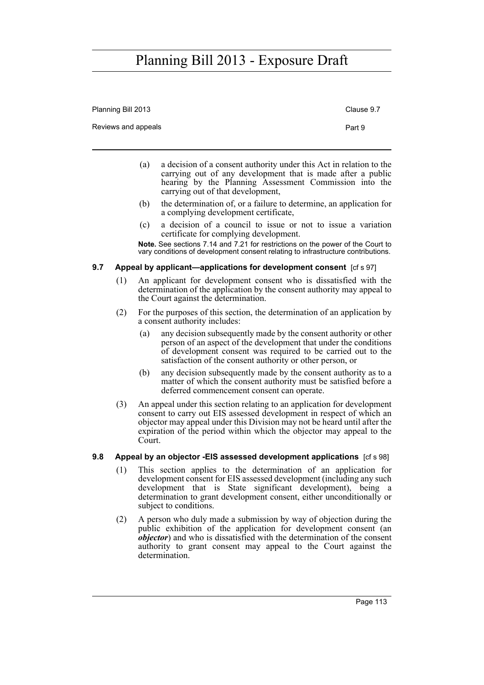| Planning Bill 2013  | Clause 9.7 |
|---------------------|------------|
| Reviews and appeals | Part 9     |
|                     |            |

- (a) a decision of a consent authority under this Act in relation to the carrying out of any development that is made after a public hearing by the Planning Assessment Commission into the carrying out of that development,
- (b) the determination of, or a failure to determine, an application for a complying development certificate,
- (c) a decision of a council to issue or not to issue a variation certificate for complying development.

**Note.** See sections 7.14 and 7.21 for restrictions on the power of the Court to vary conditions of development consent relating to infrastructure contributions.

#### **9.7** Appeal by applicant—applications for development consent [cf s 97]

- (1) An applicant for development consent who is dissatisfied with the determination of the application by the consent authority may appeal to the Court against the determination.
- (2) For the purposes of this section, the determination of an application by a consent authority includes:
	- (a) any decision subsequently made by the consent authority or other person of an aspect of the development that under the conditions of development consent was required to be carried out to the satisfaction of the consent authority or other person, or
	- (b) any decision subsequently made by the consent authority as to a matter of which the consent authority must be satisfied before a deferred commencement consent can operate.
- (3) An appeal under this section relating to an application for development consent to carry out EIS assessed development in respect of which an objector may appeal under this Division may not be heard until after the expiration of the period within which the objector may appeal to the Court.

#### **9.8 Appeal by an objector -EIS assessed development applications** [cf s 98]

- (1) This section applies to the determination of an application for development consent for EIS assessed development (including any such development that is State significant development), being a determination to grant development consent, either unconditionally or subject to conditions.
- (2) A person who duly made a submission by way of objection during the public exhibition of the application for development consent (an *objector*) and who is dissatisfied with the determination of the consent authority to grant consent may appeal to the Court against the determination.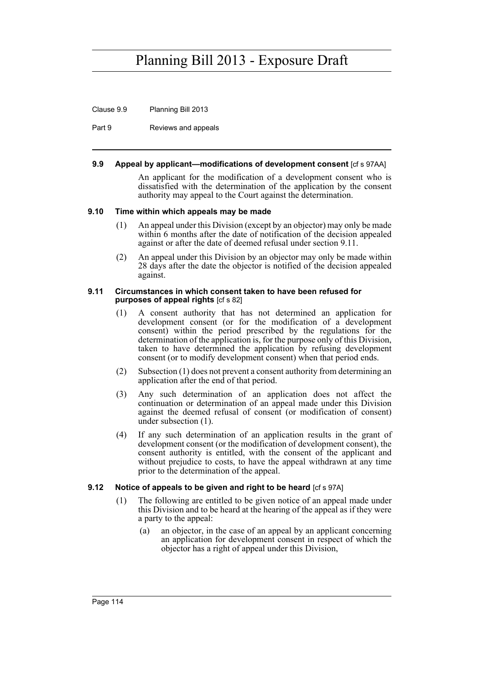Clause 9.9 Planning Bill 2013

Part 9 Reviews and appeals

#### **9.9 Appeal by applicant—modifications of development consent** [cf s 97AA]

An applicant for the modification of a development consent who is dissatisfied with the determination of the application by the consent authority may appeal to the Court against the determination.

#### **9.10 Time within which appeals may be made**

- (1) An appeal under this Division (except by an objector) may only be made within 6 months after the date of notification of the decision appealed against or after the date of deemed refusal under section 9.11.
- (2) An appeal under this Division by an objector may only be made within 28 days after the date the objector is notified of the decision appealed against.

#### **9.11 Circumstances in which consent taken to have been refused for purposes of appeal rights** [cf s 82]

- (1) A consent authority that has not determined an application for development consent (or for the modification of a development consent) within the period prescribed by the regulations for the determination of the application is, for the purpose only of this Division, taken to have determined the application by refusing development consent (or to modify development consent) when that period ends.
- (2) Subsection (1) does not prevent a consent authority from determining an application after the end of that period.
- (3) Any such determination of an application does not affect the continuation or determination of an appeal made under this Division against the deemed refusal of consent (or modification of consent) under subsection (1).
- (4) If any such determination of an application results in the grant of development consent (or the modification of development consent), the consent authority is entitled, with the consent of the applicant and without prejudice to costs, to have the appeal withdrawn at any time prior to the determination of the appeal.

### **9.12** Notice of appeals to be given and right to be heard [cf s 97A]

- (1) The following are entitled to be given notice of an appeal made under this Division and to be heard at the hearing of the appeal as if they were a party to the appeal:
	- (a) an objector, in the case of an appeal by an applicant concerning an application for development consent in respect of which the objector has a right of appeal under this Division,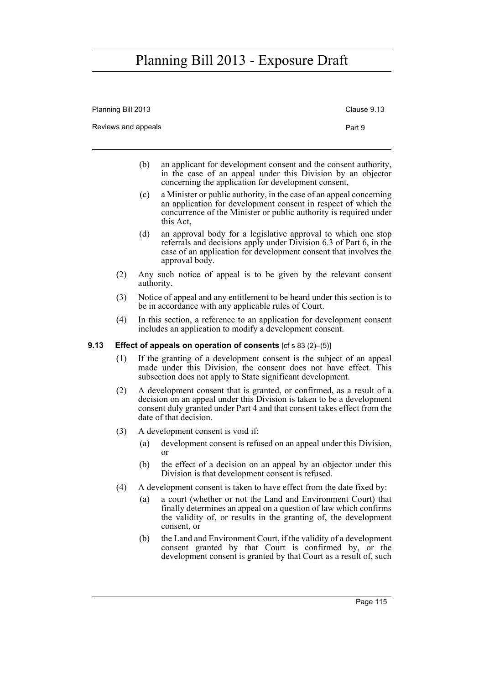Planning Bill 2013 Clause 9.13

|      |     | Reviews and appeals |                                                                                                                                                                                                                                                       | Part 9 |
|------|-----|---------------------|-------------------------------------------------------------------------------------------------------------------------------------------------------------------------------------------------------------------------------------------------------|--------|
|      |     | (b)                 | an applicant for development consent and the consent authority,<br>in the case of an appeal under this Division by an objector<br>concerning the application for development consent,                                                                 |        |
|      |     | (c)                 | a Minister or public authority, in the case of an appeal concerning<br>an application for development consent in respect of which the<br>concurrence of the Minister or public authority is required under<br>this Act.                               |        |
|      |     | (d)                 | an approval body for a legislative approval to which one stop<br>referrals and decisions apply under Division 6.3 of Part 6, in the<br>case of an application for development consent that involves the<br>approval body.                             |        |
|      | (2) | authority.          | Any such notice of appeal is to be given by the relevant consent                                                                                                                                                                                      |        |
|      | (3) |                     | Notice of appeal and any entitlement to be heard under this section is to<br>be in accordance with any applicable rules of Court.                                                                                                                     |        |
|      | (4) |                     | In this section, a reference to an application for development consent<br>includes an application to modify a development consent.                                                                                                                    |        |
| 9.13 |     |                     | <b>Effect of appeals on operation of consents</b> [cf s 83 (2)–(5)]                                                                                                                                                                                   |        |
|      | (1) |                     | If the granting of a development consent is the subject of an appeal<br>made under this Division, the consent does not have effect. This<br>subsection does not apply to State significant development.                                               |        |
|      | (2) |                     | A development consent that is granted, or confirmed, as a result of a<br>decision on an appeal under this Division is taken to be a development<br>consent duly granted under Part 4 and that consent takes effect from the<br>date of that decision. |        |
|      | (3) |                     | A development consent is void if:                                                                                                                                                                                                                     |        |
|      |     | (a)                 | development consent is refused on an appeal under this Division,<br>or                                                                                                                                                                                |        |
|      |     | (b)                 | the effect of a decision on an appeal by an objector under this<br>Division is that development consent is refused.                                                                                                                                   |        |

- (4) A development consent is taken to have effect from the date fixed by:
	- (a) a court (whether or not the Land and Environment Court) that finally determines an appeal on a question of law which confirms the validity of, or results in the granting of, the development consent, or
	- (b) the Land and Environment Court, if the validity of a development consent granted by that Court is confirmed by, or the development consent is granted by that Court as a result of, such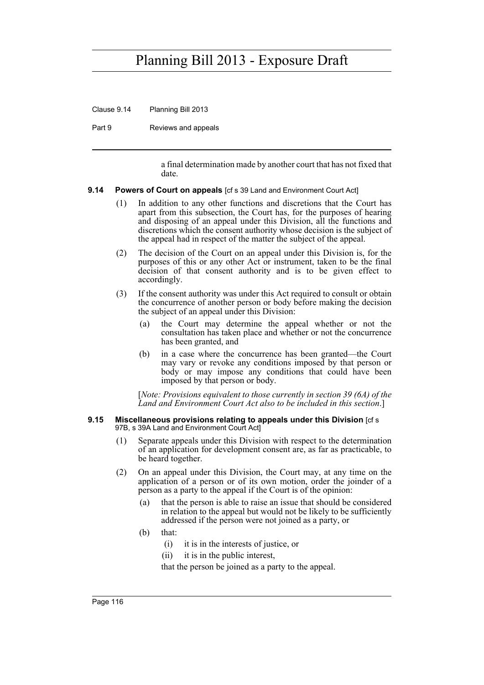Clause 9.14 Planning Bill 2013

Part 9 Reviews and appeals

a final determination made by another court that has not fixed that date.

#### **9.14 Powers of Court on appeals** [cf s 39 Land and Environment Court Act]

- (1) In addition to any other functions and discretions that the Court has apart from this subsection, the Court has, for the purposes of hearing and disposing of an appeal under this Division, all the functions and discretions which the consent authority whose decision is the subject of the appeal had in respect of the matter the subject of the appeal.
- (2) The decision of the Court on an appeal under this Division is, for the purposes of this or any other Act or instrument, taken to be the final decision of that consent authority and is to be given effect to accordingly.
- (3) If the consent authority was under this Act required to consult or obtain the concurrence of another person or body before making the decision the subject of an appeal under this Division:
	- (a) the Court may determine the appeal whether or not the consultation has taken place and whether or not the concurrence has been granted, and
	- (b) in a case where the concurrence has been granted—the Court may vary or revoke any conditions imposed by that person or body or may impose any conditions that could have been imposed by that person or body.

[*Note: Provisions equivalent to those currently in section 39 (6A) of the Land and Environment Court Act also to be included in this section*.]

#### **9.15 Miscellaneous provisions relating to appeals under this Division** [cf s 97B, s 39A Land and Environment Court Act]

- (1) Separate appeals under this Division with respect to the determination of an application for development consent are, as far as practicable, to be heard together.
- (2) On an appeal under this Division, the Court may, at any time on the application of a person or of its own motion, order the joinder of a person as a party to the appeal if the Court is of the opinion:
	- (a) that the person is able to raise an issue that should be considered in relation to the appeal but would not be likely to be sufficiently addressed if the person were not joined as a party, or
	- (b) that:
		- (i) it is in the interests of justice, or
		- (ii) it is in the public interest,

that the person be joined as a party to the appeal.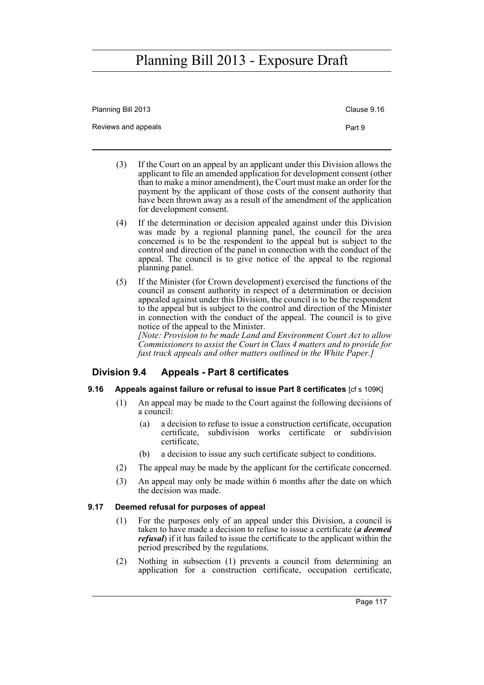| Planning Bill 2013  | Clause 9.16 |
|---------------------|-------------|
| Reviews and appeals | Part 9      |

- (3) If the Court on an appeal by an applicant under this Division allows the applicant to file an amended application for development consent (other than to make a minor amendment), the Court must make an order for the payment by the applicant of those costs of the consent authority that have been thrown away as a result of the amendment of the application for development consent.
- (4) If the determination or decision appealed against under this Division was made by a regional planning panel, the council for the area concerned is to be the respondent to the appeal but is subject to the control and direction of the panel in connection with the conduct of the appeal. The council is to give notice of the appeal to the regional planning panel.
- (5) If the Minister (for Crown development) exercised the functions of the council as consent authority in respect of a determination or decision appealed against under this Division, the council is to be the respondent to the appeal but is subject to the control and direction of the Minister in connection with the conduct of the appeal. The council is to give notice of the appeal to the Minister.

*[Note: Provision to be made Land and Environment Court Act to allow Commissioners to assist the Court in Class 4 matters and to provide for fast track appeals and other matters outlined in the White Paper.]*

### **Division 9.4 Appeals - Part 8 certificates**

### **9.16 Appeals against failure or refusal to issue Part 8 certificates** [cf s 109K]

- (1) An appeal may be made to the Court against the following decisions of a council:
	- (a) a decision to refuse to issue a construction certificate, occupation certificate, subdivision works certificate or subdivision certificate,
	- (b) a decision to issue any such certificate subject to conditions.
- (2) The appeal may be made by the applicant for the certificate concerned.
- (3) An appeal may only be made within 6 months after the date on which the decision was made.

### **9.17 Deemed refusal for purposes of appeal**

- (1) For the purposes only of an appeal under this Division, a council is taken to have made a decision to refuse to issue a certificate (*a deemed refusal*) if it has failed to issue the certificate to the applicant within the period prescribed by the regulations.
- (2) Nothing in subsection (1) prevents a council from determining an application for a construction certificate, occupation certificate,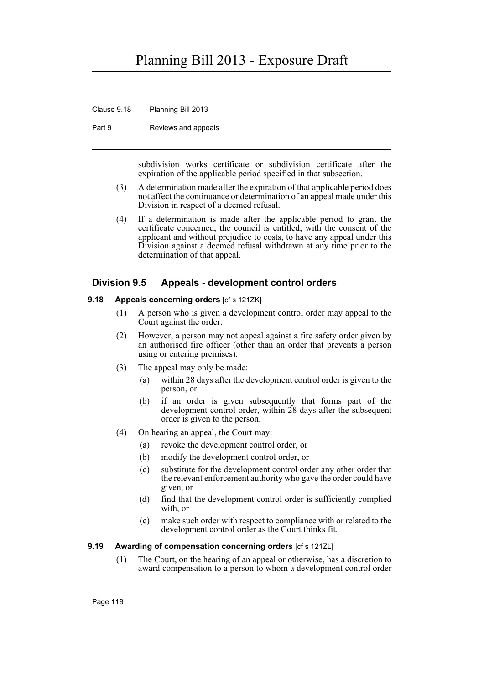Clause 9.18 Planning Bill 2013

Part 9 Reviews and appeals

subdivision works certificate or subdivision certificate after the expiration of the applicable period specified in that subsection.

- (3) A determination made after the expiration of that applicable period does not affect the continuance or determination of an appeal made under this Division in respect of a deemed refusal.
- (4) If a determination is made after the applicable period to grant the certificate concerned, the council is entitled, with the consent of the applicant and without prejudice to costs, to have any appeal under this Division against a deemed refusal withdrawn at any time prior to the determination of that appeal.

### **Division 9.5 Appeals - development control orders**

#### **9.18 Appeals concerning orders** [cf s 121ZK]

- (1) A person who is given a development control order may appeal to the Court against the order.
- (2) However, a person may not appeal against a fire safety order given by an authorised fire officer (other than an order that prevents a person using or entering premises).
- (3) The appeal may only be made:
	- (a) within 28 days after the development control order is given to the person, or
	- (b) if an order is given subsequently that forms part of the development control order, within 28 days after the subsequent order is given to the person.
- (4) On hearing an appeal, the Court may:
	- (a) revoke the development control order, or
	- (b) modify the development control order, or
	- (c) substitute for the development control order any other order that the relevant enforcement authority who gave the order could have given, or
	- (d) find that the development control order is sufficiently complied with, or
	- (e) make such order with respect to compliance with or related to the development control order as the Court thinks fit.

#### **9.19 Awarding of compensation concerning orders [cf s 121ZL]**

(1) The Court, on the hearing of an appeal or otherwise, has a discretion to award compensation to a person to whom a development control order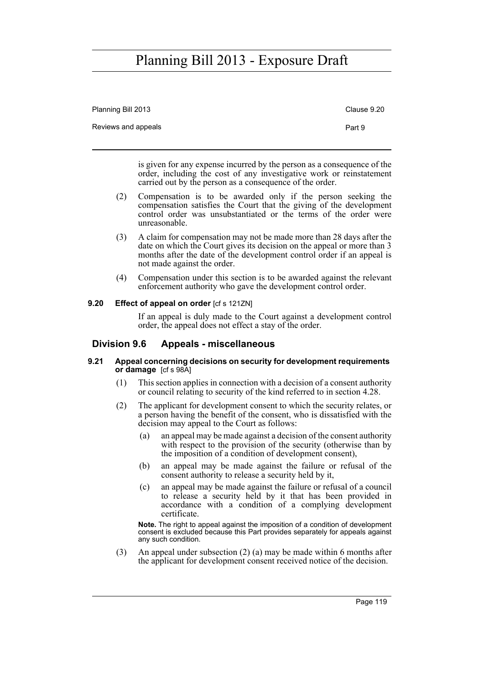| Planning Bill 2013  | Clause 9.20 |
|---------------------|-------------|
| Reviews and appeals | Part 9      |

is given for any expense incurred by the person as a consequence of the order, including the cost of any investigative work or reinstatement carried out by the person as a consequence of the order.

- (2) Compensation is to be awarded only if the person seeking the compensation satisfies the Court that the giving of the development control order was unsubstantiated or the terms of the order were unreasonable.
- (3) A claim for compensation may not be made more than 28 days after the date on which the Court gives its decision on the appeal or more than 3 months after the date of the development control order if an appeal is not made against the order.
- (4) Compensation under this section is to be awarded against the relevant enforcement authority who gave the development control order.

### **9.20 Effect of appeal on order** [cf s 121ZN]

If an appeal is duly made to the Court against a development control order, the appeal does not effect a stay of the order.

### **Division 9.6 Appeals - miscellaneous**

#### **9.21 Appeal concerning decisions on security for development requirements or damage** [cf s 98A]

- (1) This section applies in connection with a decision of a consent authority or council relating to security of the kind referred to in section 4.28.
- (2) The applicant for development consent to which the security relates, or a person having the benefit of the consent, who is dissatisfied with the decision may appeal to the Court as follows:
	- (a) an appeal may be made against a decision of the consent authority with respect to the provision of the security (otherwise than by the imposition of a condition of development consent),
	- (b) an appeal may be made against the failure or refusal of the consent authority to release a security held by it,
	- (c) an appeal may be made against the failure or refusal of a council to release a security held by it that has been provided in accordance with a condition of a complying development certificate.

**Note.** The right to appeal against the imposition of a condition of development consent is excluded because this Part provides separately for appeals against any such condition.

(3) An appeal under subsection (2) (a) may be made within 6 months after the applicant for development consent received notice of the decision.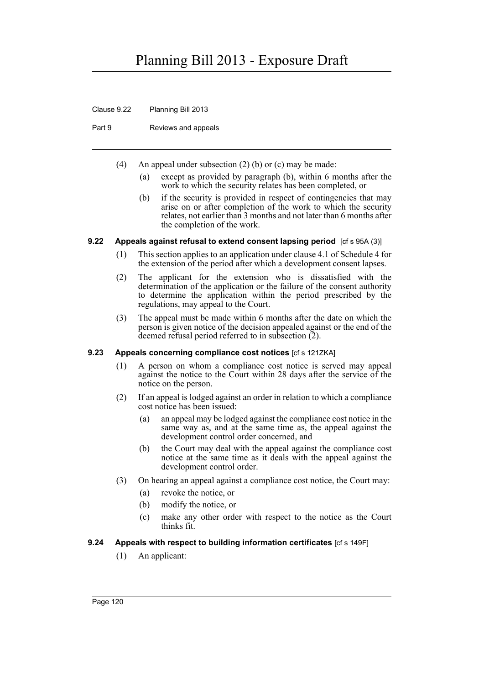Clause 9.22 Planning Bill 2013

Part 9 Reviews and appeals

- (4) An appeal under subsection (2) (b) or (c) may be made:
	- (a) except as provided by paragraph (b), within 6 months after the work to which the security relates has been completed, or
	- (b) if the security is provided in respect of contingencies that may arise on or after completion of the work to which the security relates, not earlier than 3 months and not later than 6 months after the completion of the work.

### **9.22** Appeals against refusal to extend consent lapsing period [cf s 95A (3)]

- (1) This section applies to an application under clause 4.1 of Schedule 4 for the extension of the period after which a development consent lapses.
- (2) The applicant for the extension who is dissatisfied with the determination of the application or the failure of the consent authority to determine the application within the period prescribed by the regulations, may appeal to the Court.
- (3) The appeal must be made within 6 months after the date on which the person is given notice of the decision appealed against or the end of the deemed refusal period referred to in subsection  $(2)$ .

### **9.23 Appeals concerning compliance cost notices** [cf s 121ZKA]

- (1) A person on whom a compliance cost notice is served may appeal against the notice to the Court within 28 days after the service of the notice on the person.
- (2) If an appeal is lodged against an order in relation to which a compliance cost notice has been issued:
	- (a) an appeal may be lodged against the compliance cost notice in the same way as, and at the same time as, the appeal against the development control order concerned, and
	- (b) the Court may deal with the appeal against the compliance cost notice at the same time as it deals with the appeal against the development control order.
- (3) On hearing an appeal against a compliance cost notice, the Court may:
	- (a) revoke the notice, or
	- (b) modify the notice, or
	- (c) make any other order with respect to the notice as the Court thinks fit.

### **9.24 Appeals with respect to building information certificates** [cf s 149F]

(1) An applicant: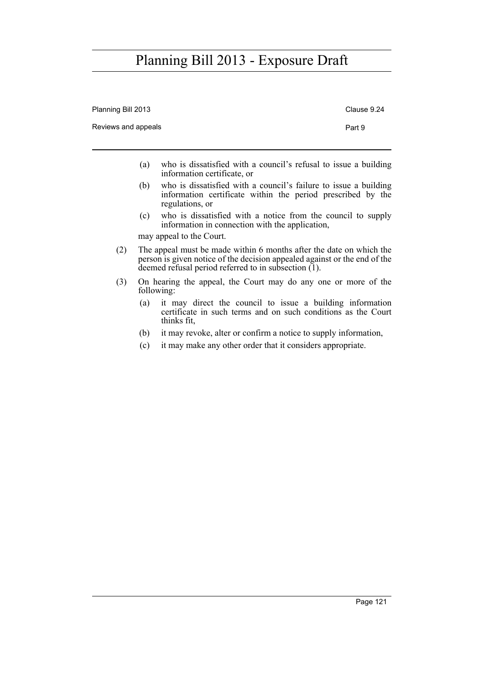| Planning Bill 2013  | Clause 9.24 |                                                                                                                                                    |
|---------------------|-------------|----------------------------------------------------------------------------------------------------------------------------------------------------|
| Reviews and appeals | Part 9      |                                                                                                                                                    |
|                     | (a)         | who is dissatisfied with a council's refusal to issue a building<br>information certificate, or                                                    |
|                     | (b)         | who is dissatisfied with a council's failure to issue a building<br>information certificate within the period prescribed by the<br>regulations, or |
|                     | (c)         | who is dissatisfied with a notice from the council to supply<br>information in connection with the application,<br>may appeal to the Court.        |
|                     |             | The enneal must be made within 6 menths often the date on which the                                                                                |

- (2) The appeal must be made within 6 months after the date on which the person is given notice of the decision appealed against or the end of the deemed refusal period referred to in subsection (1).
- (3) On hearing the appeal, the Court may do any one or more of the following:
	- (a) it may direct the council to issue a building information certificate in such terms and on such conditions as the Court thinks fit,
	- (b) it may revoke, alter or confirm a notice to supply information,
	- (c) it may make any other order that it considers appropriate.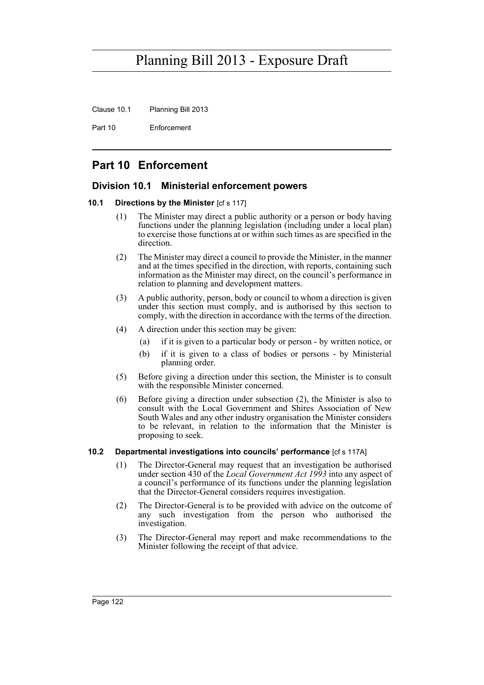Clause 10.1 Planning Bill 2013

Part 10 Enforcement

## **Part 10 Enforcement**

### **Division 10.1 Ministerial enforcement powers**

#### **10.1 Directions by the Minister** [cf s 117]

- (1) The Minister may direct a public authority or a person or body having functions under the planning legislation (including under a local plan) to exercise those functions at or within such times as are specified in the direction.
- (2) The Minister may direct a council to provide the Minister, in the manner and at the times specified in the direction, with reports, containing such information as the Minister may direct, on the council's performance in relation to planning and development matters.
- (3) A public authority, person, body or council to whom a direction is given under this section must comply, and is authorised by this section to comply, with the direction in accordance with the terms of the direction.
- (4) A direction under this section may be given:
	- (a) if it is given to a particular body or person by written notice, or
	- (b) if it is given to a class of bodies or persons by Ministerial planning order.
- (5) Before giving a direction under this section, the Minister is to consult with the responsible Minister concerned.
- (6) Before giving a direction under subsection (2), the Minister is also to consult with the Local Government and Shires Association of New South Wales and any other industry organisation the Minister considers to be relevant, in relation to the information that the Minister is proposing to seek.

### **10.2 Departmental investigations into councils' performance** [cf s 117A]

- (1) The Director-General may request that an investigation be authorised under section 430 of the *Local Government Act 1993* into any aspect of a council's performance of its functions under the planning legislation that the Director-General considers requires investigation.
- (2) The Director-General is to be provided with advice on the outcome of any such investigation from the person who authorised the investigation.
- (3) The Director-General may report and make recommendations to the Minister following the receipt of that advice.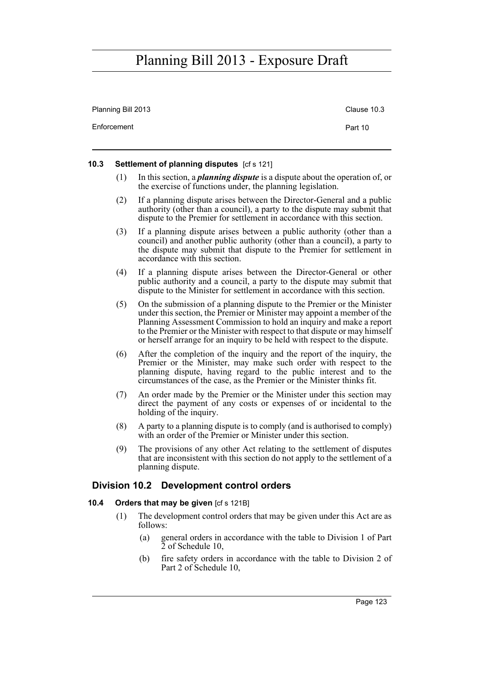| Planning Bill 2013 | Clause 10.3 |
|--------------------|-------------|
| Enforcement        | Part 10     |

#### **10.3 Settlement of planning disputes** [cf s 121]

- (1) In this section, a *planning dispute* is a dispute about the operation of, or the exercise of functions under, the planning legislation.
- (2) If a planning dispute arises between the Director-General and a public authority (other than a council), a party to the dispute may submit that dispute to the Premier for settlement in accordance with this section.
- (3) If a planning dispute arises between a public authority (other than a council) and another public authority (other than a council), a party to the dispute may submit that dispute to the Premier for settlement in accordance with this section.
- (4) If a planning dispute arises between the Director-General or other public authority and a council, a party to the dispute may submit that dispute to the Minister for settlement in accordance with this section.
- (5) On the submission of a planning dispute to the Premier or the Minister under this section, the Premier or Minister may appoint a member of the Planning Assessment Commission to hold an inquiry and make a report to the Premier or the Minister with respect to that dispute or may himself or herself arrange for an inquiry to be held with respect to the dispute.
- (6) After the completion of the inquiry and the report of the inquiry, the Premier or the Minister, may make such order with respect to the planning dispute, having regard to the public interest and to the circumstances of the case, as the Premier or the Minister thinks fit.
- (7) An order made by the Premier or the Minister under this section may direct the payment of any costs or expenses of or incidental to the holding of the inquiry.
- (8) A party to a planning dispute is to comply (and is authorised to comply) with an order of the Premier or Minister under this section.
- (9) The provisions of any other Act relating to the settlement of disputes that are inconsistent with this section do not apply to the settlement of a planning dispute.

### **Division 10.2 Development control orders**

### **10.4 Orders that may be given** [cf s 121B]

- (1) The development control orders that may be given under this Act are as follows:
	- (a) general orders in accordance with the table to Division 1 of Part 2 of Schedule 10,
	- (b) fire safety orders in accordance with the table to Division 2 of Part 2 of Schedule 10,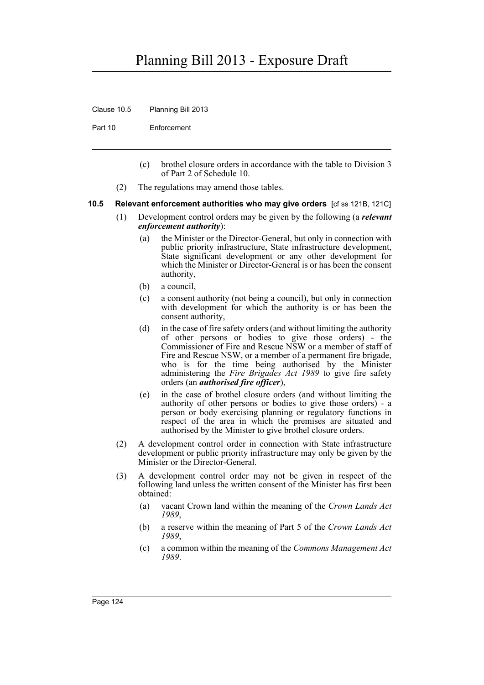Clause 10.5 Planning Bill 2013

Part 10 Enforcement

- (c) brothel closure orders in accordance with the table to Division 3 of Part 2 of Schedule 10.
- (2) The regulations may amend those tables.

#### **10.5 Relevant enforcement authorities who may give orders** [cf ss 121B, 121C]

- (1) Development control orders may be given by the following (a *relevant enforcement authority*):
	- (a) the Minister or the Director-General, but only in connection with public priority infrastructure, State infrastructure development, State significant development or any other development for which the Minister or Director-General is or has been the consent authority,
	- (b) a council,
	- (c) a consent authority (not being a council), but only in connection with development for which the authority is or has been the consent authority,
	- (d) in the case of fire safety orders (and without limiting the authority of other persons or bodies to give those orders) - the Commissioner of Fire and Rescue NSW or a member of staff of Fire and Rescue NSW, or a member of a permanent fire brigade, who is for the time being authorised by the Minister administering the *Fire Brigades Act 1989* to give fire safety orders (an *authorised fire officer*),
	- (e) in the case of brothel closure orders (and without limiting the authority of other persons or bodies to give those orders) - a person or body exercising planning or regulatory functions in respect of the area in which the premises are situated and authorised by the Minister to give brothel closure orders.
- (2) A development control order in connection with State infrastructure development or public priority infrastructure may only be given by the Minister or the Director-General.
- (3) A development control order may not be given in respect of the following land unless the written consent of the Minister has first been obtained:
	- (a) vacant Crown land within the meaning of the *Crown Lands Act 1989*,
	- (b) a reserve within the meaning of Part 5 of the *Crown Lands Act 1989*,
	- (c) a common within the meaning of the *Commons Management Act 1989*.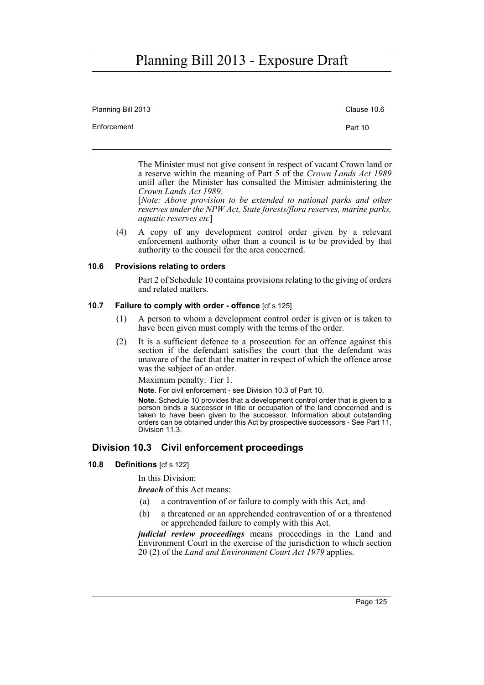| Planning Bill 2013 | Clause 10.6 |
|--------------------|-------------|
| Enforcement        | Part 10     |
|                    |             |

The Minister must not give consent in respect of vacant Crown land or a reserve within the meaning of Part 5 of the *Crown Lands Act 1989* until after the Minister has consulted the Minister administering the *Crown Lands Act 1989*.

[*Note: Above provision to be extended to national parks and other reserves under the NPW Act, State forests/flora reserves, marine parks, aquatic reserves etc*]

(4) A copy of any development control order given by a relevant enforcement authority other than a council is to be provided by that authority to the council for the area concerned.

#### **10.6 Provisions relating to orders**

Part 2 of Schedule 10 contains provisions relating to the giving of orders and related matters.

#### **10.7 Failure to comply with order - offence** [cf s 125]

- (1) A person to whom a development control order is given or is taken to have been given must comply with the terms of the order.
- (2) It is a sufficient defence to a prosecution for an offence against this section if the defendant satisfies the court that the defendant was unaware of the fact that the matter in respect of which the offence arose was the subject of an order.

Maximum penalty: Tier 1.

**Note.** For civil enforcement - see Division 10.3 of Part 10.

**Note.** Schedule 10 provides that a development control order that is given to a person binds a successor in title or occupation of the land concerned and is taken to have been given to the successor. Information about outstanding orders can be obtained under this Act by prospective successors - See Part 11, Division 11.3.

### **Division 10.3 Civil enforcement proceedings**

**10.8 Definitions** [cf s 122]

In this Division:

*breach* of this Act means:

- (a) a contravention of or failure to comply with this Act, and
- (b) a threatened or an apprehended contravention of or a threatened or apprehended failure to comply with this Act.

*judicial review proceedings* means proceedings in the Land and Environment Court in the exercise of the jurisdiction to which section 20 (2) of the *Land and Environment Court Act 1979* applies.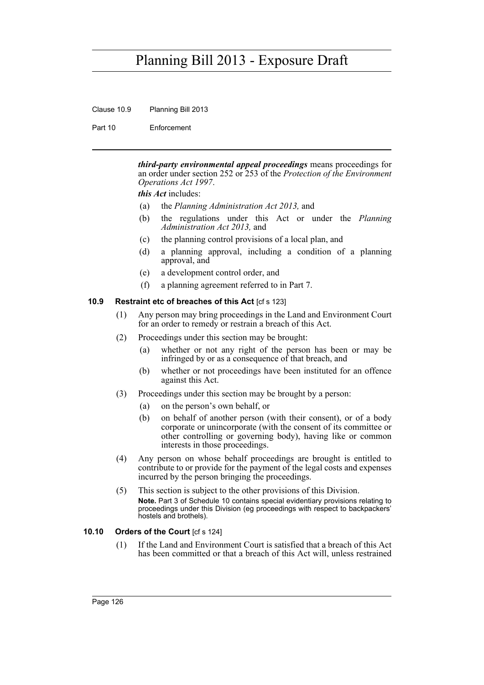Clause 10.9 Planning Bill 2013

Part 10 Enforcement

*third-party environmental appeal proceedings* means proceedings for an order under section 252 or 253 of the *Protection of the Environment Operations Act 1997*.

*this Act* includes:

- (a) the *Planning Administration Act 2013,* and
- (b) the regulations under this Act or under the *Planning Administration Act 2013,* and
- (c) the planning control provisions of a local plan, and
- (d) a planning approval, including a condition of a planning approval, and
- (e) a development control order, and
- (f) a planning agreement referred to in Part 7.

### **10.9 Restraint etc of breaches of this Act** [cf s 123]

- (1) Any person may bring proceedings in the Land and Environment Court for an order to remedy or restrain a breach of this Act.
- (2) Proceedings under this section may be brought:
	- (a) whether or not any right of the person has been or may be infringed by or as a consequence of that breach, and
	- (b) whether or not proceedings have been instituted for an offence against this Act.
- (3) Proceedings under this section may be brought by a person:
	- (a) on the person's own behalf, or
	- (b) on behalf of another person (with their consent), or of a body corporate or unincorporate (with the consent of its committee or other controlling or governing body), having like or common interests in those proceedings.
- (4) Any person on whose behalf proceedings are brought is entitled to contribute to or provide for the payment of the legal costs and expenses incurred by the person bringing the proceedings.
- (5) This section is subject to the other provisions of this Division. **Note.** Part 3 of Schedule 10 contains special evidentiary provisions relating to proceedings under this Division (eg proceedings with respect to backpackers' hostels and brothels).

### **10.10 Orders of the Court** [cf s 124]

(1) If the Land and Environment Court is satisfied that a breach of this Act has been committed or that a breach of this Act will, unless restrained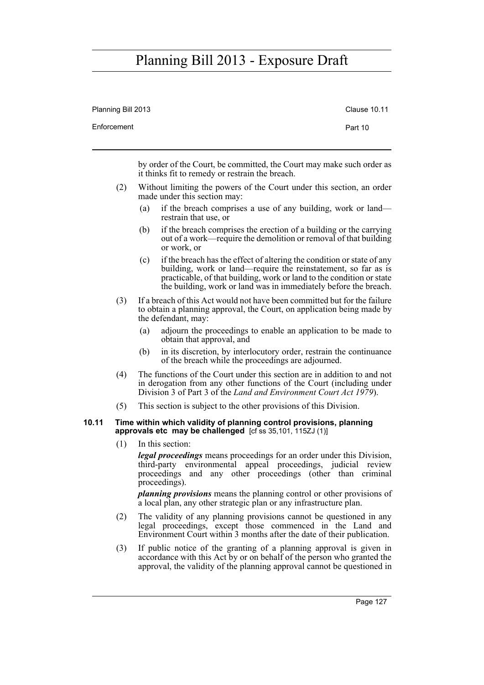| Planning Bill 2013 | <b>Clause 10.11</b> |
|--------------------|---------------------|
| Enforcement        | Part 10             |
|                    |                     |

by order of the Court, be committed, the Court may make such order as it thinks fit to remedy or restrain the breach.

- (2) Without limiting the powers of the Court under this section, an order made under this section may:
	- (a) if the breach comprises a use of any building, work or land restrain that use, or
	- (b) if the breach comprises the erection of a building or the carrying out of a work—require the demolition or removal of that building or work, or
	- (c) if the breach has the effect of altering the condition or state of any building, work or land—require the reinstatement, so far as is practicable, of that building, work or land to the condition or state the building, work or land was in immediately before the breach.
- (3) If a breach of this Act would not have been committed but for the failure to obtain a planning approval, the Court, on application being made by the defendant, may:
	- (a) adjourn the proceedings to enable an application to be made to obtain that approval, and
	- (b) in its discretion, by interlocutory order, restrain the continuance of the breach while the proceedings are adjourned.
- (4) The functions of the Court under this section are in addition to and not in derogation from any other functions of the Court (including under Division 3 of Part 3 of the *Land and Environment Court Act 1979*).
- (5) This section is subject to the other provisions of this Division.

#### **10.11 Time within which validity of planning control provisions, planning approvals etc may be challenged** [cf ss 35,101, 115ZJ (1)]

(1) In this section:

*legal proceedings* means proceedings for an order under this Division, third-party environmental appeal proceedings, judicial review proceedings and any other proceedings (other than criminal proceedings).

*planning provisions* means the planning control or other provisions of a local plan, any other strategic plan or any infrastructure plan.

- (2) The validity of any planning provisions cannot be questioned in any legal proceedings, except those commenced in the Land and Environment Court within 3 months after the date of their publication.
- (3) If public notice of the granting of a planning approval is given in accordance with this Act by or on behalf of the person who granted the approval, the validity of the planning approval cannot be questioned in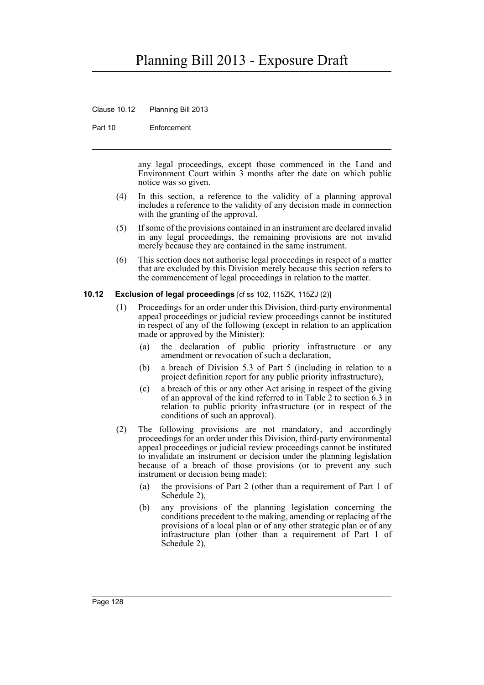Clause 10.12 Planning Bill 2013

Part 10 Enforcement

any legal proceedings, except those commenced in the Land and Environment Court within 3 months after the date on which public notice was so given.

- (4) In this section, a reference to the validity of a planning approval includes a reference to the validity of any decision made in connection with the granting of the approval.
- (5) If some of the provisions contained in an instrument are declared invalid in any legal proceedings, the remaining provisions are not invalid merely because they are contained in the same instrument.
- (6) This section does not authorise legal proceedings in respect of a matter that are excluded by this Division merely because this section refers to the commencement of legal proceedings in relation to the matter.

#### **10.12 Exclusion of legal proceedings** [cf ss 102, 115ZK, 115ZJ (2)]

- (1) Proceedings for an order under this Division, third-party environmental appeal proceedings or judicial review proceedings cannot be instituted in respect of any of the following (except in relation to an application made or approved by the Minister):
	- (a) the declaration of public priority infrastructure or any amendment or revocation of such a declaration,
	- (b) a breach of Division 5.3 of Part 5 (including in relation to a project definition report for any public priority infrastructure),
	- (c) a breach of this or any other Act arising in respect of the giving of an approval of the kind referred to in Table 2 to section 6.3 in relation to public priority infrastructure (or in respect of the conditions of such an approval).
- (2) The following provisions are not mandatory, and accordingly proceedings for an order under this Division, third-party environmental appeal proceedings or judicial review proceedings cannot be instituted to invalidate an instrument or decision under the planning legislation because of a breach of those provisions (or to prevent any such instrument or decision being made):
	- (a) the provisions of Part 2 (other than a requirement of Part 1 of Schedule 2),
	- (b) any provisions of the planning legislation concerning the conditions precedent to the making, amending or replacing of the provisions of a local plan or of any other strategic plan or of any infrastructure plan (other than a requirement of Part 1 of Schedule 2),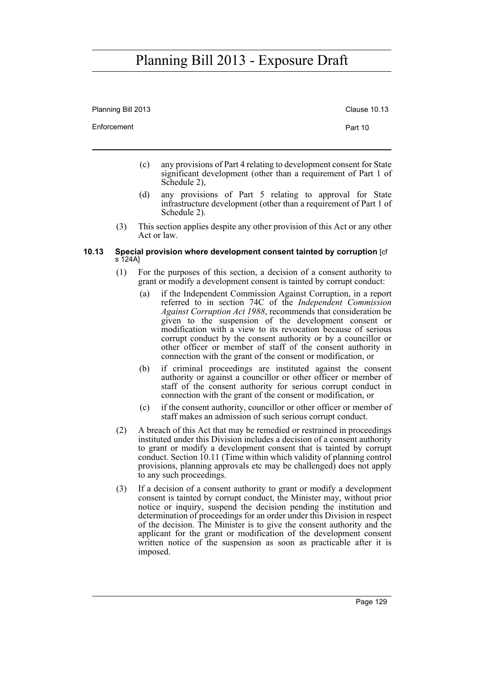Planning Bill 2013 **Clause 10.13** 

Enforcement **Part 10** 

- (c) any provisions of Part 4 relating to development consent for State significant development (other than a requirement of Part 1 of Schedule 2),
- (d) any provisions of Part 5 relating to approval for State infrastructure development (other than a requirement of Part 1 of Schedule 2).
- (3) This section applies despite any other provision of this Act or any other Act or law.

#### **10.13 Special provision where development consent tainted by corruption** [cf s 124A]

- (1) For the purposes of this section, a decision of a consent authority to grant or modify a development consent is tainted by corrupt conduct:
	- (a) if the Independent Commission Against Corruption, in a report referred to in section 74C of the *Independent Commission Against Corruption Act 1988*, recommends that consideration be given to the suspension of the development consent or modification with a view to its revocation because of serious corrupt conduct by the consent authority or by a councillor or other officer or member of staff of the consent authority in connection with the grant of the consent or modification, or
	- (b) if criminal proceedings are instituted against the consent authority or against a councillor or other officer or member of staff of the consent authority for serious corrupt conduct in connection with the grant of the consent or modification, or
	- (c) if the consent authority, councillor or other officer or member of staff makes an admission of such serious corrupt conduct.
- (2) A breach of this Act that may be remedied or restrained in proceedings instituted under this Division includes a decision of a consent authority to grant or modify a development consent that is tainted by corrupt conduct. Section 10.11 (Time within which validity of planning control provisions, planning approvals etc may be challenged) does not apply to any such proceedings.
- (3) If a decision of a consent authority to grant or modify a development consent is tainted by corrupt conduct, the Minister may, without prior notice or inquiry, suspend the decision pending the institution and determination of proceedings for an order under this Division in respect of the decision. The Minister is to give the consent authority and the applicant for the grant or modification of the development consent written notice of the suspension as soon as practicable after it is imposed.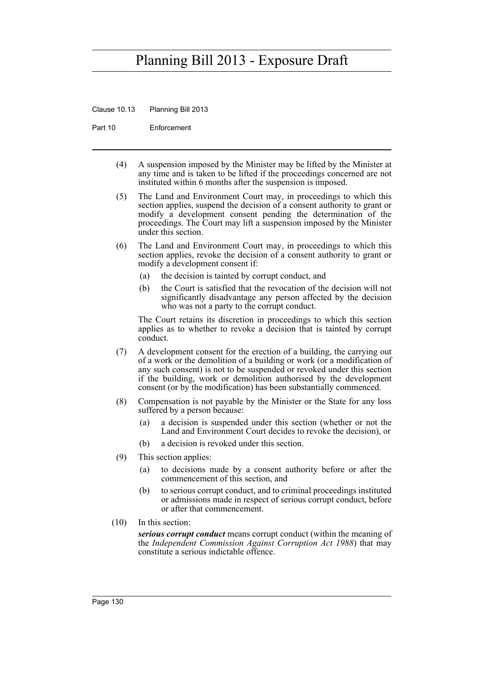Clause 10.13 Planning Bill 2013

Part 10 Enforcement

- (4) A suspension imposed by the Minister may be lifted by the Minister at any time and is taken to be lifted if the proceedings concerned are not instituted within 6 months after the suspension is imposed.
- (5) The Land and Environment Court may, in proceedings to which this section applies, suspend the decision of a consent authority to grant or modify a development consent pending the determination of the proceedings. The Court may lift a suspension imposed by the Minister under this section.
- (6) The Land and Environment Court may, in proceedings to which this section applies, revoke the decision of a consent authority to grant or modify a development consent if:
	- (a) the decision is tainted by corrupt conduct, and
	- (b) the Court is satisfied that the revocation of the decision will not significantly disadvantage any person affected by the decision who was not a party to the corrupt conduct.

The Court retains its discretion in proceedings to which this section applies as to whether to revoke a decision that is tainted by corrupt conduct.

- (7) A development consent for the erection of a building, the carrying out of a work or the demolition of a building or work (or a modification of any such consent) is not to be suspended or revoked under this section if the building, work or demolition authorised by the development consent (or by the modification) has been substantially commenced.
- (8) Compensation is not payable by the Minister or the State for any loss suffered by a person because:
	- (a) a decision is suspended under this section (whether or not the Land and Environment Court decides to revoke the decision), or
	- (b) a decision is revoked under this section.
- (9) This section applies:
	- (a) to decisions made by a consent authority before or after the commencement of this section, and
	- (b) to serious corrupt conduct, and to criminal proceedings instituted or admissions made in respect of serious corrupt conduct, before or after that commencement.
- (10) In this section:

*serious corrupt conduct* means corrupt conduct (within the meaning of the *Independent Commission Against Corruption Act 1988*) that may constitute a serious indictable offence.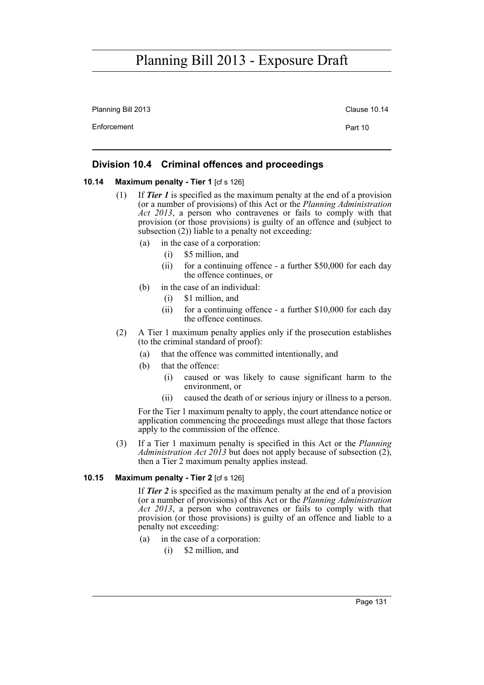Planning Bill 2013 **Clause 10.14** Clause 10.14

Enforcement **Part 10** 

### **Division 10.4 Criminal offences and proceedings**

#### **10.14 Maximum penalty - Tier 1** [cf s 126]

- (1) If *Tier 1* is specified as the maximum penalty at the end of a provision (or a number of provisions) of this Act or the *Planning Administration Act 2013*, a person who contravenes or fails to comply with that provision (or those provisions) is guilty of an offence and (subject to subsection  $(2)$ ) liable to a penalty not exceeding:
	- (a) in the case of a corporation:
		- (i) \$5 million, and
		- (ii) for a continuing offence a further \$50,000 for each day the offence continues, or
	- (b) in the case of an individual:
		- (i) \$1 million, and
		- (ii) for a continuing offence a further \$10,000 for each day the offence continues.
- (2) A Tier 1 maximum penalty applies only if the prosecution establishes (to the criminal standard of proof):
	- (a) that the offence was committed intentionally, and
	- (b) that the offence:
		- (i) caused or was likely to cause significant harm to the environment, or
		- (ii) caused the death of or serious injury or illness to a person.

For the Tier 1 maximum penalty to apply, the court attendance notice or application commencing the proceedings must allege that those factors apply to the commission of the offence.

(3) If a Tier 1 maximum penalty is specified in this Act or the *Planning Administration Act 2013* but does not apply because of subsection  $(2)$ , then a Tier 2 maximum penalty applies instead.

### **10.15 Maximum penalty - Tier 2** [cf s 126]

If *Tier 2* is specified as the maximum penalty at the end of a provision (or a number of provisions) of this Act or the *Planning Administration Act 2013*, a person who contravenes or fails to comply with that provision (or those provisions) is guilty of an offence and liable to a penalty not exceeding:

- (a) in the case of a corporation:
	- (i) \$2 million, and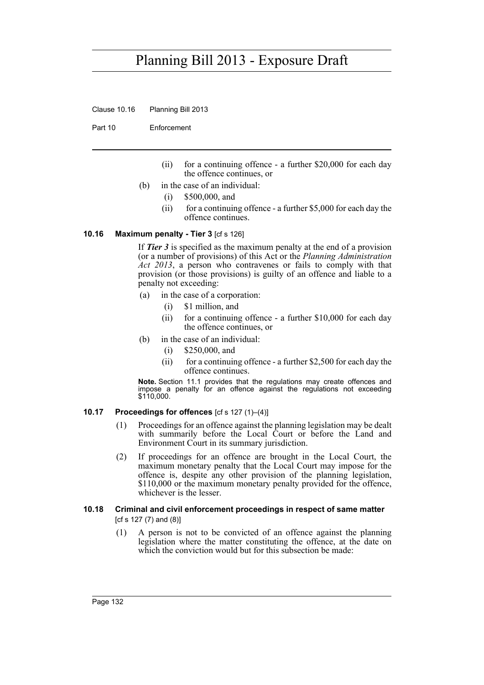Clause 10.16 Planning Bill 2013

Part 10 Enforcement

- (ii) for a continuing offence a further \$20,000 for each day the offence continues, or
- (b) in the case of an individual:
	- (i) \$500,000, and
	- (ii) for a continuing offence a further \$5,000 for each day the offence continues.

#### **10.16 Maximum penalty - Tier 3** [cf s 126]

If *Tier 3* is specified as the maximum penalty at the end of a provision (or a number of provisions) of this Act or the *Planning Administration* Act 2013, a person who contravenes or fails to comply with that provision (or those provisions) is guilty of an offence and liable to a penalty not exceeding:

- (a) in the case of a corporation:
	- (i) \$1 million, and
	- (ii) for a continuing offence a further \$10,000 for each day the offence continues, or
- (b) in the case of an individual:
	- (i) \$250,000, and
	- (ii) for a continuing offence a further  $$2,500$  for each day the offence continues.

**Note.** Section 11.1 provides that the regulations may create offences and impose a penalty for an offence against the regulations not exceeding \$110,000.

### **10.17 Proceedings for offences** [cf s 127 (1)–(4)]

- (1) Proceedings for an offence against the planning legislation may be dealt with summarily before the Local Court or before the Land and Environment Court in its summary jurisdiction.
- (2) If proceedings for an offence are brought in the Local Court, the maximum monetary penalty that the Local Court may impose for the offence is, despite any other provision of the planning legislation, \$110,000 or the maximum monetary penalty provided for the offence, whichever is the lesser.

#### **10.18 Criminal and civil enforcement proceedings in respect of same matter**  [cf s 127 (7) and (8)]

(1) A person is not to be convicted of an offence against the planning legislation where the matter constituting the offence, at the date on which the conviction would but for this subsection be made: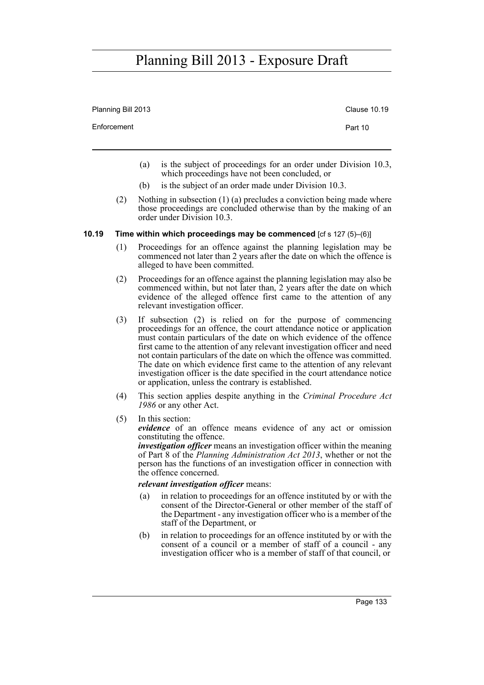| Planning Bill 2013 | <b>Clause 10.19</b> |
|--------------------|---------------------|
| Enforcement        | Part 10             |
|                    |                     |

- (a) is the subject of proceedings for an order under Division 10.3, which proceedings have not been concluded, or
- (b) is the subject of an order made under Division 10.3.
- (2) Nothing in subsection (1) (a) precludes a conviction being made where those proceedings are concluded otherwise than by the making of an order under Division 10.3.

### **10.19 Time within which proceedings may be commenced** [cf s 127 (5)–(6)]

- (1) Proceedings for an offence against the planning legislation may be commenced not later than 2 years after the date on which the offence is alleged to have been committed.
- (2) Proceedings for an offence against the planning legislation may also be commenced within, but not later than, 2 years after the date on which evidence of the alleged offence first came to the attention of any relevant investigation officer.
- (3) If subsection (2) is relied on for the purpose of commencing proceedings for an offence, the court attendance notice or application must contain particulars of the date on which evidence of the offence first came to the attention of any relevant investigation officer and need not contain particulars of the date on which the offence was committed. The date on which evidence first came to the attention of any relevant investigation officer is the date specified in the court attendance notice or application, unless the contrary is established.
- (4) This section applies despite anything in the *Criminal Procedure Act 1986* or any other Act.
- (5) In this section:

*evidence* of an offence means evidence of any act or omission constituting the offence.

*investigation officer* means an investigation officer within the meaning of Part 8 of the *Planning Administration Act 2013*, whether or not the person has the functions of an investigation officer in connection with the offence concerned.

### *relevant investigation officer* means:

- (a) in relation to proceedings for an offence instituted by or with the consent of the Director-General or other member of the staff of the Department - any investigation officer who is a member of the staff of the Department, or
- (b) in relation to proceedings for an offence instituted by or with the consent of a council or a member of staff of a council - any investigation officer who is a member of staff of that council, or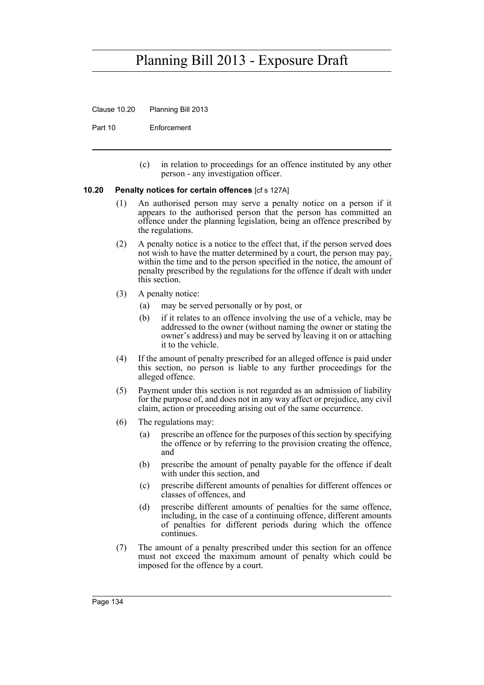Clause 10.20 Planning Bill 2013

Part 10 Enforcement

(c) in relation to proceedings for an offence instituted by any other person - any investigation officer.

### **10.20 Penalty notices for certain offences** [cf s 127A]

- (1) An authorised person may serve a penalty notice on a person if it appears to the authorised person that the person has committed an offence under the planning legislation, being an offence prescribed by the regulations.
- (2) A penalty notice is a notice to the effect that, if the person served does not wish to have the matter determined by a court, the person may pay, within the time and to the person specified in the notice, the amount of penalty prescribed by the regulations for the offence if dealt with under this section.
- (3) A penalty notice:
	- (a) may be served personally or by post, or
	- (b) if it relates to an offence involving the use of a vehicle, may be addressed to the owner (without naming the owner or stating the owner's address) and may be served by leaving it on or attaching it to the vehicle.
- (4) If the amount of penalty prescribed for an alleged offence is paid under this section, no person is liable to any further proceedings for the alleged offence.
- (5) Payment under this section is not regarded as an admission of liability for the purpose of, and does not in any way affect or prejudice, any civil claim, action or proceeding arising out of the same occurrence.
- (6) The regulations may:
	- (a) prescribe an offence for the purposes of this section by specifying the offence or by referring to the provision creating the offence, and
	- (b) prescribe the amount of penalty payable for the offence if dealt with under this section, and
	- (c) prescribe different amounts of penalties for different offences or classes of offences, and
	- (d) prescribe different amounts of penalties for the same offence, including, in the case of a continuing offence, different amounts of penalties for different periods during which the offence continues.
- (7) The amount of a penalty prescribed under this section for an offence must not exceed the maximum amount of penalty which could be imposed for the offence by a court.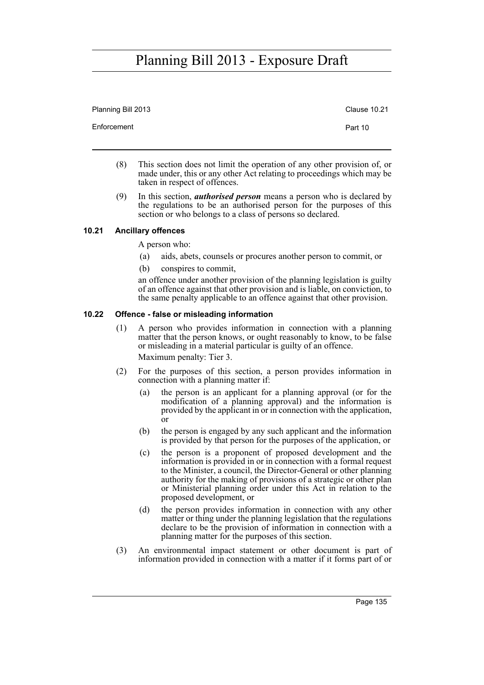| Planning Bill 2013 | <b>Clause 10.21</b> |
|--------------------|---------------------|
| Enforcement        | Part 10             |

- (8) This section does not limit the operation of any other provision of, or made under, this or any other Act relating to proceedings which may be taken in respect of offences.
- (9) In this section, *authorised person* means a person who is declared by the regulations to be an authorised person for the purposes of this section or who belongs to a class of persons so declared.

## **10.21 Ancillary offences**

A person who:

- (a) aids, abets, counsels or procures another person to commit, or
- (b) conspires to commit,

an offence under another provision of the planning legislation is guilty of an offence against that other provision and is liable, on conviction, to the same penalty applicable to an offence against that other provision.

### **10.22 Offence - false or misleading information**

- (1) A person who provides information in connection with a planning matter that the person knows, or ought reasonably to know, to be false or misleading in a material particular is guilty of an offence. Maximum penalty: Tier 3.
- (2) For the purposes of this section, a person provides information in connection with a planning matter if:
	- (a) the person is an applicant for a planning approval (or for the modification of a planning approval) and the information is provided by the applicant in or in connection with the application, or
	- (b) the person is engaged by any such applicant and the information is provided by that person for the purposes of the application, or
	- (c) the person is a proponent of proposed development and the information is provided in or in connection with a formal request to the Minister, a council, the Director-General or other planning authority for the making of provisions of a strategic or other plan or Ministerial planning order under this Act in relation to the proposed development, or
	- (d) the person provides information in connection with any other matter or thing under the planning legislation that the regulations declare to be the provision of information in connection with a planning matter for the purposes of this section.
- (3) An environmental impact statement or other document is part of information provided in connection with a matter if it forms part of or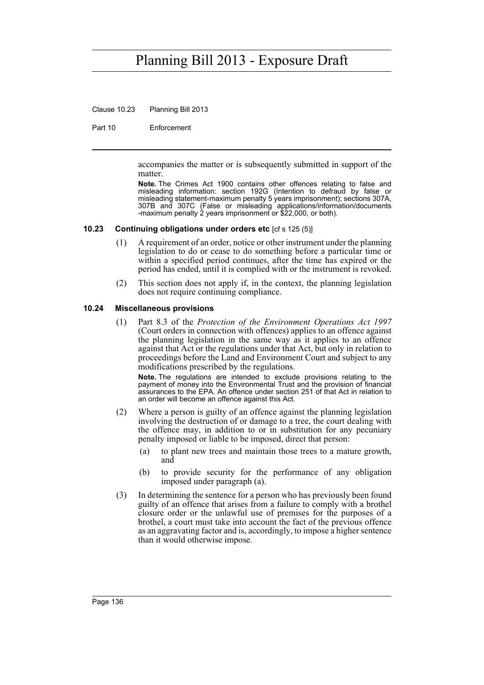Clause 10.23 Planning Bill 2013

Part 10 Enforcement

accompanies the matter or is subsequently submitted in support of the matter.

**Note.** The Crimes Act 1900 contains other offences relating to false and misleading information: section 192G (Intention to defraud by false or misleading statement-maximum penalty 5 years imprisonment); sections 307A, 307B and 307C (False or misleading applications/information/documents -maximum penalty 2 years imprisonment or \$22,000, or both).

### **10.23 Continuing obligations under orders etc** [cf s 125 (5)]

- (1) A requirement of an order, notice or other instrument under the planning legislation to do or cease to do something before a particular time or within a specified period continues, after the time has expired or the period has ended, until it is complied with or the instrument is revoked.
- (2) This section does not apply if, in the context, the planning legislation does not require continuing compliance.

### **10.24 Miscellaneous provisions**

(1) Part 8.3 of the *Protection of the Environment Operations Act 1997* (Court orders in connection with offences) applies to an offence against the planning legislation in the same way as it applies to an offence against that Act or the regulations under that Act, but only in relation to proceedings before the Land and Environment Court and subject to any modifications prescribed by the regulations.

**Note.** The regulations are intended to exclude provisions relating to the payment of money into the Environmental Trust and the provision of financial assurances to the EPA. An offence under section 251 of that Act in relation to an order will become an offence against this Act.

- (2) Where a person is guilty of an offence against the planning legislation involving the destruction of or damage to a tree, the court dealing with the offence may, in addition to or in substitution for any pecuniary penalty imposed or liable to be imposed, direct that person:
	- (a) to plant new trees and maintain those trees to a mature growth, and
	- (b) to provide security for the performance of any obligation imposed under paragraph (a).
- (3) In determining the sentence for a person who has previously been found guilty of an offence that arises from a failure to comply with a brothel closure order or the unlawful use of premises for the purposes of a brothel, a court must take into account the fact of the previous offence as an aggravating factor and is, accordingly, to impose a higher sentence than it would otherwise impose.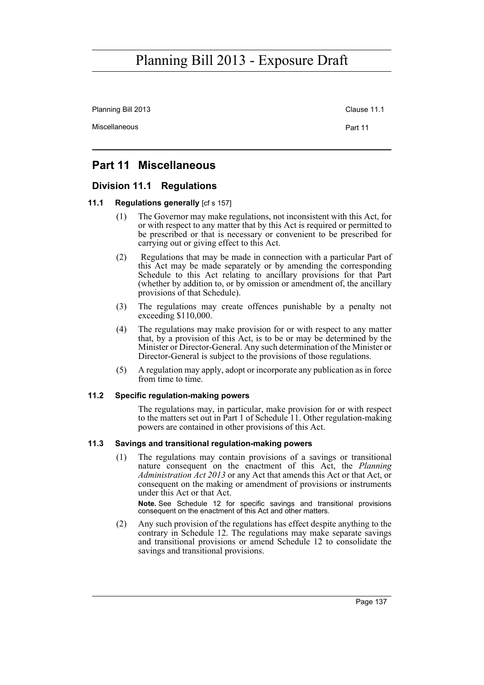Planning Bill 2013 Clause 11.1

Miscellaneous **Part 11** 

## **Part 11 Miscellaneous**

## **Division 11.1 Regulations**

### **11.1 Regulations generally [cf s 157]**

- (1) The Governor may make regulations, not inconsistent with this Act, for or with respect to any matter that by this Act is required or permitted to be prescribed or that is necessary or convenient to be prescribed for carrying out or giving effect to this Act.
- (2) Regulations that may be made in connection with a particular Part of this Act may be made separately or by amending the corresponding Schedule to this Act relating to ancillary provisions for that Part (whether by addition to, or by omission or amendment of, the ancillary provisions of that Schedule).
- (3) The regulations may create offences punishable by a penalty not exceeding \$110,000.
- (4) The regulations may make provision for or with respect to any matter that, by a provision of this Act, is to be or may be determined by the Minister or Director-General. Any such determination of the Minister or Director-General is subject to the provisions of those regulations.
- (5) A regulation may apply, adopt or incorporate any publication as in force from time to time.

### **11.2 Specific regulation-making powers**

The regulations may, in particular, make provision for or with respect to the matters set out in Part 1 of Schedule 11. Other regulation-making powers are contained in other provisions of this Act.

### **11.3 Savings and transitional regulation-making powers**

(1) The regulations may contain provisions of a savings or transitional nature consequent on the enactment of this Act, the *Planning Administration Act 2013* or any Act that amends this Act or that Act, or consequent on the making or amendment of provisions or instruments under this Act or that Act.

**Note.** See Schedule 12 for specific savings and transitional provisions consequent on the enactment of this Act and other matters.

(2) Any such provision of the regulations has effect despite anything to the contrary in Schedule 12. The regulations may make separate savings and transitional provisions or amend Schedule 12 to consolidate the savings and transitional provisions.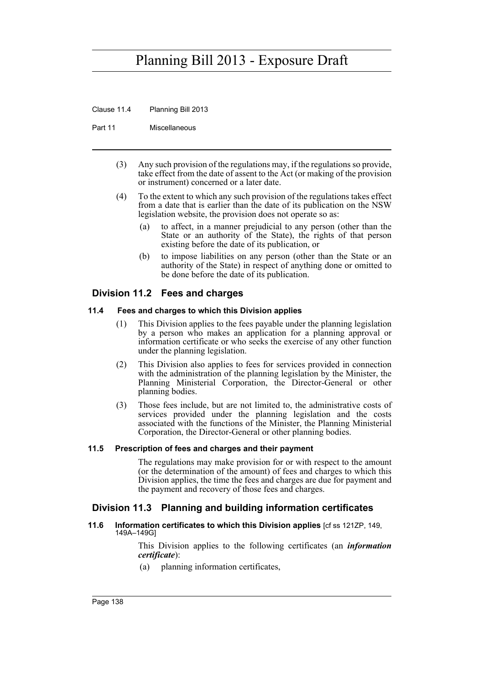Clause 11.4 Planning Bill 2013

Part 11 Miscellaneous

- (3) Any such provision of the regulations may, if the regulations so provide, take effect from the date of assent to the Act (or making of the provision or instrument) concerned or a later date.
- (4) To the extent to which any such provision of the regulations takes effect from a date that is earlier than the date of its publication on the NSW legislation website, the provision does not operate so as:
	- (a) to affect, in a manner prejudicial to any person (other than the State or an authority of the State), the rights of that person existing before the date of its publication, or
	- (b) to impose liabilities on any person (other than the State or an authority of the State) in respect of anything done or omitted to be done before the date of its publication.

## **Division 11.2 Fees and charges**

### **11.4 Fees and charges to which this Division applies**

- (1) This Division applies to the fees payable under the planning legislation by a person who makes an application for a planning approval or information certificate or who seeks the exercise of any other function under the planning legislation.
- (2) This Division also applies to fees for services provided in connection with the administration of the planning legislation by the Minister, the Planning Ministerial Corporation, the Director-General or other planning bodies.
- (3) Those fees include, but are not limited to, the administrative costs of services provided under the planning legislation and the costs associated with the functions of the Minister, the Planning Ministerial Corporation, the Director-General or other planning bodies.

## **11.5 Prescription of fees and charges and their payment**

The regulations may make provision for or with respect to the amount (or the determination of the amount) of fees and charges to which this Division applies, the time the fees and charges are due for payment and the payment and recovery of those fees and charges.

## **Division 11.3 Planning and building information certificates**

**11.6 Information certificates to which this Division applies** [cf ss 121ZP, 149, 149A–149G]

> This Division applies to the following certificates (an *information certificate*):

(a) planning information certificates,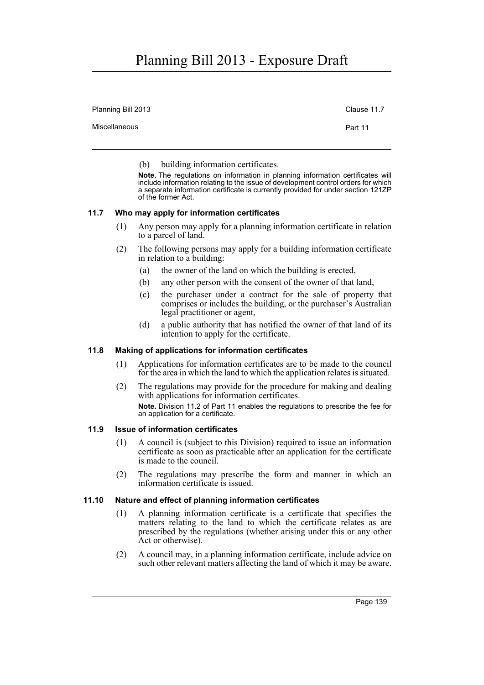| Planning Bill 2013 | Clause 11.7 |
|--------------------|-------------|
| Miscellaneous      | Part 11     |

(b) building information certificates.

**Note.** The regulations on information in planning information certificates will include information relating to the issue of development control orders for which a separate information certificate is currently provided for under section 121ZP of the former Act.

### **11.7 Who may apply for information certificates**

- (1) Any person may apply for a planning information certificate in relation to a parcel of land.
- (2) The following persons may apply for a building information certificate in relation to a building:
	- (a) the owner of the land on which the building is erected,
	- (b) any other person with the consent of the owner of that land,
	- (c) the purchaser under a contract for the sale of property that comprises or includes the building, or the purchaser's Australian legal practitioner or agent,
	- (d) a public authority that has notified the owner of that land of its intention to apply for the certificate.

### **11.8 Making of applications for information certificates**

- (1) Applications for information certificates are to be made to the council for the area in which the land to which the application relates is situated.
- (2) The regulations may provide for the procedure for making and dealing with applications for information certificates. **Note.** Division 11.2 of Part 11 enables the regulations to prescribe the fee for an application for a certificate.

### **11.9 Issue of information certificates**

- (1) A council is (subject to this Division) required to issue an information certificate as soon as practicable after an application for the certificate is made to the council.
- (2) The regulations may prescribe the form and manner in which an information certificate is issued.

### **11.10 Nature and effect of planning information certificates**

- (1) A planning information certificate is a certificate that specifies the matters relating to the land to which the certificate relates as are prescribed by the regulations (whether arising under this or any other Act or otherwise).
- (2) A council may, in a planning information certificate, include advice on such other relevant matters affecting the land of which it may be aware.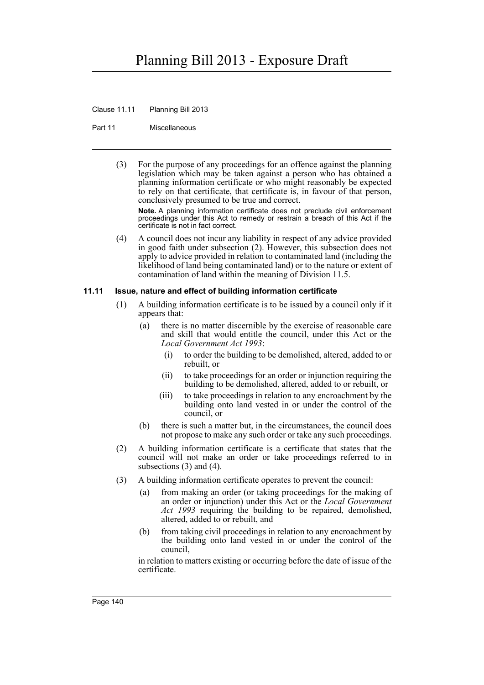Clause 11.11 Planning Bill 2013

Part 11 Miscellaneous

(3) For the purpose of any proceedings for an offence against the planning legislation which may be taken against a person who has obtained a planning information certificate or who might reasonably be expected to rely on that certificate, that certificate is, in favour of that person, conclusively presumed to be true and correct.

**Note.** A planning information certificate does not preclude civil enforcement proceedings under this Act to remedy or restrain a breach of this Act if the certificate is not in fact correct.

(4) A council does not incur any liability in respect of any advice provided in good faith under subsection (2). However, this subsection does not apply to advice provided in relation to contaminated land (including the likelihood of land being contaminated land) or to the nature or extent of contamination of land within the meaning of Division 11.5.

### **11.11 Issue, nature and effect of building information certificate**

- (1) A building information certificate is to be issued by a council only if it appears that:
	- (a) there is no matter discernible by the exercise of reasonable care and skill that would entitle the council, under this Act or the *Local Government Act 1993*:
		- (i) to order the building to be demolished, altered, added to or rebuilt, or
		- (ii) to take proceedings for an order or injunction requiring the building to be demolished, altered, added to or rebuilt, or
		- (iii) to take proceedings in relation to any encroachment by the building onto land vested in or under the control of the council, or
	- (b) there is such a matter but, in the circumstances, the council does not propose to make any such order or take any such proceedings.
- (2) A building information certificate is a certificate that states that the council will not make an order or take proceedings referred to in subsections (3) and (4).
- (3) A building information certificate operates to prevent the council:
	- (a) from making an order (or taking proceedings for the making of an order or injunction) under this Act or the *Local Government Act 1993* requiring the building to be repaired, demolished, altered, added to or rebuilt, and
	- (b) from taking civil proceedings in relation to any encroachment by the building onto land vested in or under the control of the council,

in relation to matters existing or occurring before the date of issue of the certificate.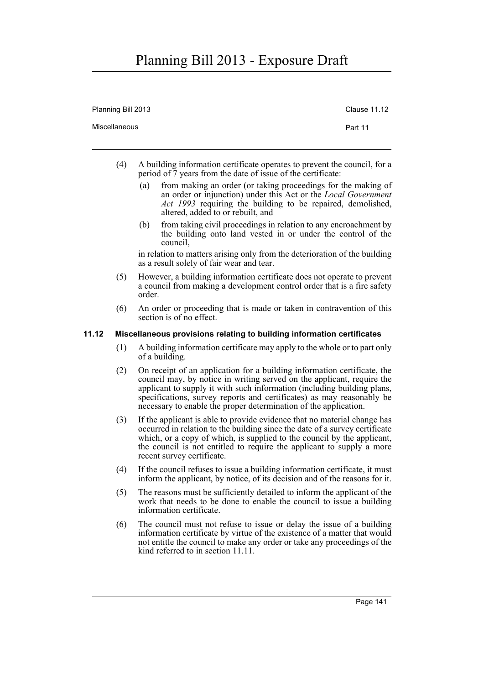| Planning Bill 2013 | <b>Clause 11.12</b> |
|--------------------|---------------------|
| Miscellaneous      | Part 11             |
|                    |                     |

- (4) A building information certificate operates to prevent the council, for a period of 7 years from the date of issue of the certificate:
	- (a) from making an order (or taking proceedings for the making of an order or injunction) under this Act or the *Local Government Act 1993* requiring the building to be repaired, demolished, altered, added to or rebuilt, and
	- (b) from taking civil proceedings in relation to any encroachment by the building onto land vested in or under the control of the council,

in relation to matters arising only from the deterioration of the building as a result solely of fair wear and tear.

- (5) However, a building information certificate does not operate to prevent a council from making a development control order that is a fire safety order.
- (6) An order or proceeding that is made or taken in contravention of this section is of no effect.

### **11.12 Miscellaneous provisions relating to building information certificates**

- (1) A building information certificate may apply to the whole or to part only of a building.
- (2) On receipt of an application for a building information certificate, the council may, by notice in writing served on the applicant, require the applicant to supply it with such information (including building plans, specifications, survey reports and certificates) as may reasonably be necessary to enable the proper determination of the application.
- (3) If the applicant is able to provide evidence that no material change has occurred in relation to the building since the date of a survey certificate which, or a copy of which, is supplied to the council by the applicant, the council is not entitled to require the applicant to supply a more recent survey certificate.
- (4) If the council refuses to issue a building information certificate, it must inform the applicant, by notice, of its decision and of the reasons for it.
- (5) The reasons must be sufficiently detailed to inform the applicant of the work that needs to be done to enable the council to issue a building information certificate.
- (6) The council must not refuse to issue or delay the issue of a building information certificate by virtue of the existence of a matter that would not entitle the council to make any order or take any proceedings of the kind referred to in section 11.11.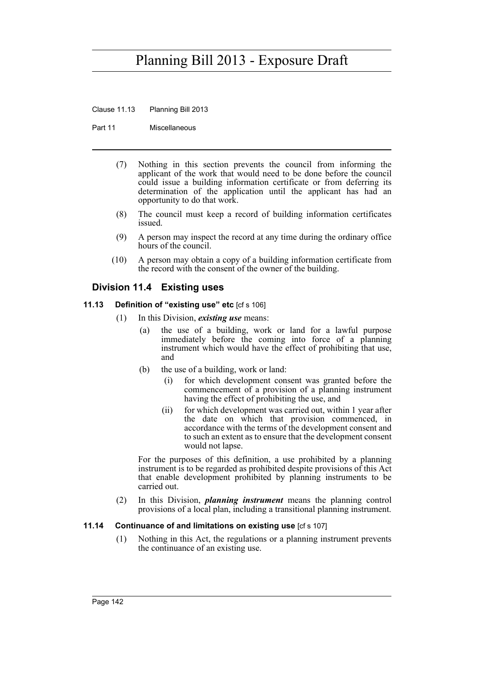Clause 11.13 Planning Bill 2013

Part 11 Miscellaneous

- (7) Nothing in this section prevents the council from informing the applicant of the work that would need to be done before the council could issue a building information certificate or from deferring its determination of the application until the applicant has had an opportunity to do that work.
- (8) The council must keep a record of building information certificates issued.
- (9) A person may inspect the record at any time during the ordinary office hours of the council.
- (10) A person may obtain a copy of a building information certificate from the record with the consent of the owner of the building.

## **Division 11.4 Existing uses**

- **11.13 Definition of "existing use" etc** [cf s 106]
	- (1) In this Division, *existing use* means:
		- (a) the use of a building, work or land for a lawful purpose immediately before the coming into force of a planning instrument which would have the effect of prohibiting that use, and
		- (b) the use of a building, work or land:
			- (i) for which development consent was granted before the commencement of a provision of a planning instrument having the effect of prohibiting the use, and
			- (ii) for which development was carried out, within 1 year after the date on which that provision commenced, in accordance with the terms of the development consent and to such an extent as to ensure that the development consent would not lapse.

For the purposes of this definition, a use prohibited by a planning instrument is to be regarded as prohibited despite provisions of this Act that enable development prohibited by planning instruments to be carried out.

(2) In this Division, *planning instrument* means the planning control provisions of a local plan, including a transitional planning instrument.

## **11.14 Continuance of and limitations on existing use** [cf s 107]

(1) Nothing in this Act, the regulations or a planning instrument prevents the continuance of an existing use.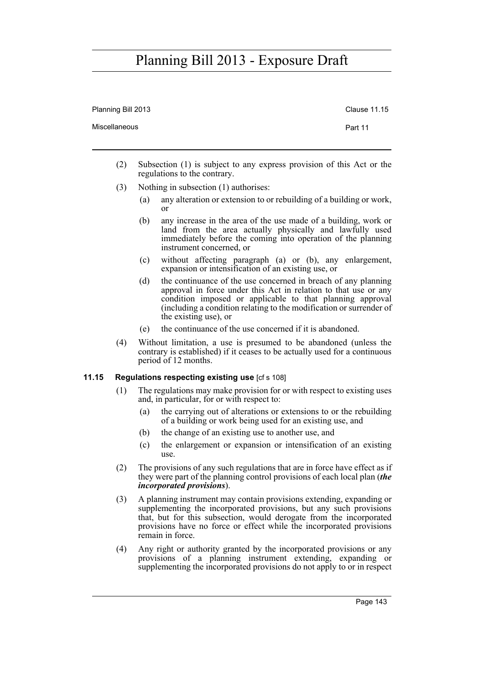| Planning Bill 2013 | Clause 11.15 |
|--------------------|--------------|
| Miscellaneous      | Part 11      |
|                    |              |

- (2) Subsection (1) is subject to any express provision of this Act or the regulations to the contrary.
- (3) Nothing in subsection (1) authorises:
	- (a) any alteration or extension to or rebuilding of a building or work, or
	- (b) any increase in the area of the use made of a building, work or land from the area actually physically and lawfully used immediately before the coming into operation of the planning instrument concerned, or
	- (c) without affecting paragraph (a) or (b), any enlargement, expansion or intensification of an existing use, or
	- (d) the continuance of the use concerned in breach of any planning approval in force under this Act in relation to that use or any condition imposed or applicable to that planning approval (including a condition relating to the modification or surrender of the existing use), or
	- (e) the continuance of the use concerned if it is abandoned.
- (4) Without limitation, a use is presumed to be abandoned (unless the contrary is established) if it ceases to be actually used for a continuous period of 12 months.

### **11.15 Regulations respecting existing use** [cf s 108]

- (1) The regulations may make provision for or with respect to existing uses and, in particular, for or with respect to:
	- (a) the carrying out of alterations or extensions to or the rebuilding of a building or work being used for an existing use, and
	- (b) the change of an existing use to another use, and
	- (c) the enlargement or expansion or intensification of an existing use.
- (2) The provisions of any such regulations that are in force have effect as if they were part of the planning control provisions of each local plan (*the incorporated provisions*).
- (3) A planning instrument may contain provisions extending, expanding or supplementing the incorporated provisions, but any such provisions that, but for this subsection, would derogate from the incorporated provisions have no force or effect while the incorporated provisions remain in force.
- (4) Any right or authority granted by the incorporated provisions or any provisions of a planning instrument extending, expanding or supplementing the incorporated provisions do not apply to or in respect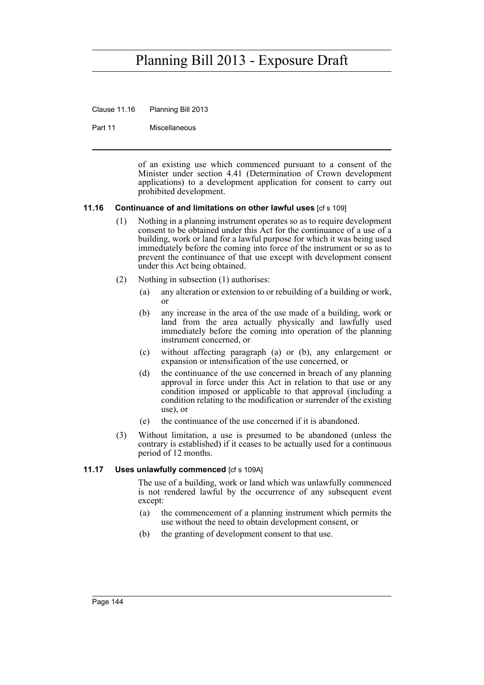Clause 11.16 Planning Bill 2013

Part 11 Miscellaneous

of an existing use which commenced pursuant to a consent of the Minister under section 4.41 (Determination of Crown development applications) to a development application for consent to carry out prohibited development.

### **11.16 Continuance of and limitations on other lawful uses** [cf s 109]

- (1) Nothing in a planning instrument operates so as to require development consent to be obtained under this Act for the continuance of a use of a building, work or land for a lawful purpose for which it was being used immediately before the coming into force of the instrument or so as to prevent the continuance of that use except with development consent under this Act being obtained.
- (2) Nothing in subsection (1) authorises:
	- (a) any alteration or extension to or rebuilding of a building or work, or
	- (b) any increase in the area of the use made of a building, work or land from the area actually physically and lawfully used immediately before the coming into operation of the planning instrument concerned, or
	- (c) without affecting paragraph (a) or (b), any enlargement or expansion or intensification of the use concerned, or
	- (d) the continuance of the use concerned in breach of any planning approval in force under this Act in relation to that use or any condition imposed or applicable to that approval (including a condition relating to the modification or surrender of the existing use), or
	- (e) the continuance of the use concerned if it is abandoned.
- (3) Without limitation, a use is presumed to be abandoned (unless the contrary is established) if it ceases to be actually used for a continuous period of 12 months.

### **11.17 Uses unlawfully commenced** [cf s 109A]

The use of a building, work or land which was unlawfully commenced is not rendered lawful by the occurrence of any subsequent event except:

- (a) the commencement of a planning instrument which permits the use without the need to obtain development consent, or
- (b) the granting of development consent to that use.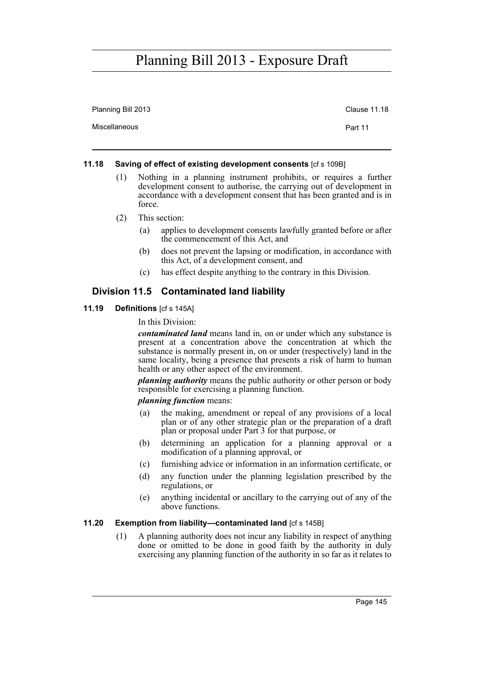| Planning Bill 2013 | <b>Clause 11.18</b> |
|--------------------|---------------------|
| Miscellaneous      | Part 11             |

### **11.18 Saving of effect of existing development consents** [cf s 109B]

- (1) Nothing in a planning instrument prohibits, or requires a further development consent to authorise, the carrying out of development in accordance with a development consent that has been granted and is in force.
- (2) This section:
	- (a) applies to development consents lawfully granted before or after the commencement of this Act, and
	- (b) does not prevent the lapsing or modification, in accordance with this Act, of a development consent, and
	- (c) has effect despite anything to the contrary in this Division.

## **Division 11.5 Contaminated land liability**

**11.19 Definitions** [cf s 145A]

In this Division:

*contaminated land* means land in, on or under which any substance is present at a concentration above the concentration at which the substance is normally present in, on or under (respectively) land in the same locality, being a presence that presents a risk of harm to human health or any other aspect of the environment.

*planning authority* means the public authority or other person or body responsible for exercising a planning function.

### *planning function* means:

- (a) the making, amendment or repeal of any provisions of a local plan or of any other strategic plan or the preparation of a draft plan or proposal under Part 3 for that purpose, or
- (b) determining an application for a planning approval or a modification of a planning approval, or
- (c) furnishing advice or information in an information certificate, or
- (d) any function under the planning legislation prescribed by the regulations, or
- (e) anything incidental or ancillary to the carrying out of any of the above functions.

## **11.20 Exemption from liability—contaminated land** [cf s 145B]

(1) A planning authority does not incur any liability in respect of anything done or omitted to be done in good faith by the authority in duly exercising any planning function of the authority in so far as it relates to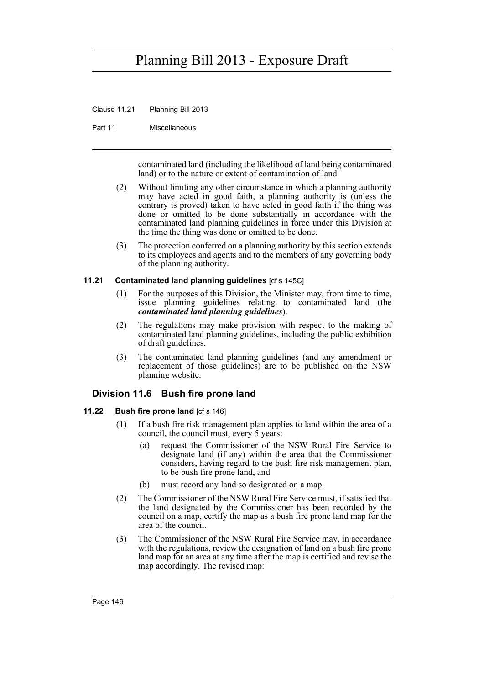Clause 11.21 Planning Bill 2013

Part 11 Miscellaneous

contaminated land (including the likelihood of land being contaminated land) or to the nature or extent of contamination of land.

- (2) Without limiting any other circumstance in which a planning authority may have acted in good faith, a planning authority is (unless the contrary is proved) taken to have acted in good faith if the thing was done or omitted to be done substantially in accordance with the contaminated land planning guidelines in force under this Division at the time the thing was done or omitted to be done.
- (3) The protection conferred on a planning authority by this section extends to its employees and agents and to the members of any governing body of the planning authority.

### **11.21 Contaminated land planning guidelines** [cf s 145C]

- (1) For the purposes of this Division, the Minister may, from time to time, issue planning guidelines relating to contaminated land (the *contaminated land planning guidelines*).
- (2) The regulations may make provision with respect to the making of contaminated land planning guidelines, including the public exhibition of draft guidelines.
- (3) The contaminated land planning guidelines (and any amendment or replacement of those guidelines) are to be published on the NSW planning website.

## **Division 11.6 Bush fire prone land**

## **11.22 Bush fire prone land** [cf s 146]

- (1) If a bush fire risk management plan applies to land within the area of a council, the council must, every 5 years:
	- (a) request the Commissioner of the NSW Rural Fire Service to designate land (if any) within the area that the Commissioner considers, having regard to the bush fire risk management plan, to be bush fire prone land, and
	- (b) must record any land so designated on a map.
- (2) The Commissioner of the NSW Rural Fire Service must, if satisfied that the land designated by the Commissioner has been recorded by the council on a map, certify the map as a bush fire prone land map for the area of the council.
- (3) The Commissioner of the NSW Rural Fire Service may, in accordance with the regulations, review the designation of land on a bush fire prone land map for an area at any time after the map is certified and revise the map accordingly. The revised map: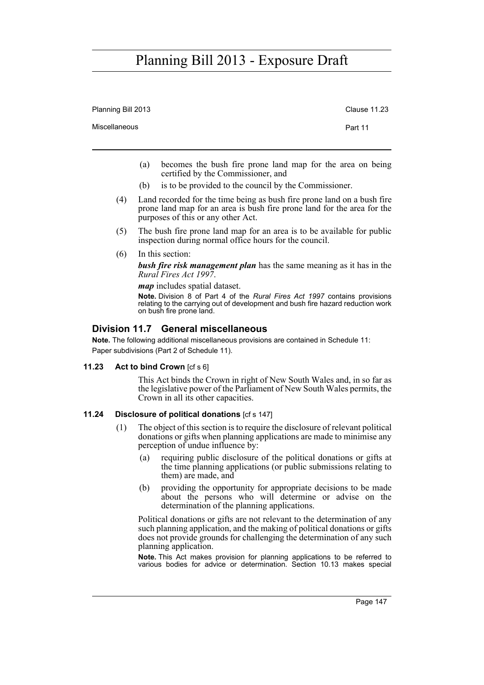| Planning Bill 2013 | <b>Clause 11.23</b> |
|--------------------|---------------------|
| Miscellaneous      | Part 11             |
|                    |                     |

- (a) becomes the bush fire prone land map for the area on being certified by the Commissioner, and
- (b) is to be provided to the council by the Commissioner.
- (4) Land recorded for the time being as bush fire prone land on a bush fire prone land map for an area is bush fire prone land for the area for the purposes of this or any other Act.
- (5) The bush fire prone land map for an area is to be available for public inspection during normal office hours for the council.
- (6) In this section:

*bush fire risk management plan* has the same meaning as it has in the *Rural Fires Act 1997*.

*map* includes spatial dataset.

**Note.** Division 8 of Part 4 of the *Rural Fires Act 1997* contains provisions relating to the carrying out of development and bush fire hazard reduction work on bush fire prone land.

## **Division 11.7 General miscellaneous**

**Note.** The following additional miscellaneous provisions are contained in Schedule 11: Paper subdivisions (Part 2 of Schedule 11).

### **11.23 Act to bind Crown** [cf s 6]

This Act binds the Crown in right of New South Wales and, in so far as the legislative power of the Parliament of New South Wales permits, the Crown in all its other capacities.

## **11.24 Disclosure of political donations** [cf s 147]

- (1) The object of this section is to require the disclosure of relevant political donations or gifts when planning applications are made to minimise any perception of undue influence by:
	- (a) requiring public disclosure of the political donations or gifts at the time planning applications (or public submissions relating to them) are made, and
	- (b) providing the opportunity for appropriate decisions to be made about the persons who will determine or advise on the determination of the planning applications.

Political donations or gifts are not relevant to the determination of any such planning application, and the making of political donations or gifts does not provide grounds for challenging the determination of any such planning application.

**Note.** This Act makes provision for planning applications to be referred to various bodies for advice or determination. Section 10.13 makes special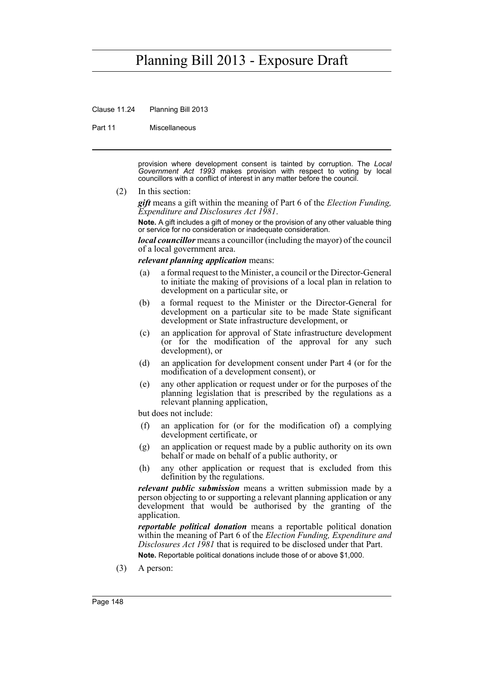Clause 11.24 Planning Bill 2013

Part 11 Miscellaneous

provision where development consent is tainted by corruption. The *Local Government Act 1993* makes provision with respect to voting by local councillors with a conflict of interest in any matter before the council.

(2) In this section:

*gift* means a gift within the meaning of Part 6 of the *Election Funding, Expenditure and Disclosures Act 1981*.

**Note.** A gift includes a gift of money or the provision of any other valuable thing or service for no consideration or inadequate consideration.

*local councillor* means a councillor (including the mayor) of the council of a local government area.

## *relevant planning application* means:

- (a) a formal request to the Minister, a council or the Director-General to initiate the making of provisions of a local plan in relation to development on a particular site, or
- (b) a formal request to the Minister or the Director-General for development on a particular site to be made State significant development or State infrastructure development, or
- (c) an application for approval of State infrastructure development (or for the modification of the approval for any such development), or
- (d) an application for development consent under Part 4 (or for the modification of a development consent), or
- (e) any other application or request under or for the purposes of the planning legislation that is prescribed by the regulations as a relevant planning application,

but does not include:

- (f) an application for (or for the modification of) a complying development certificate, or
- (g) an application or request made by a public authority on its own behalf or made on behalf of a public authority, or
- (h) any other application or request that is excluded from this definition by the regulations.

*relevant public submission* means a written submission made by a person objecting to or supporting a relevant planning application or any development that would be authorised by the granting of the application.

*reportable political donation* means a reportable political donation within the meaning of Part 6 of the *Election Funding, Expenditure and Disclosures Act 1981* that is required to be disclosed under that Part. **Note.** Reportable political donations include those of or above \$1,000.

(3) A person: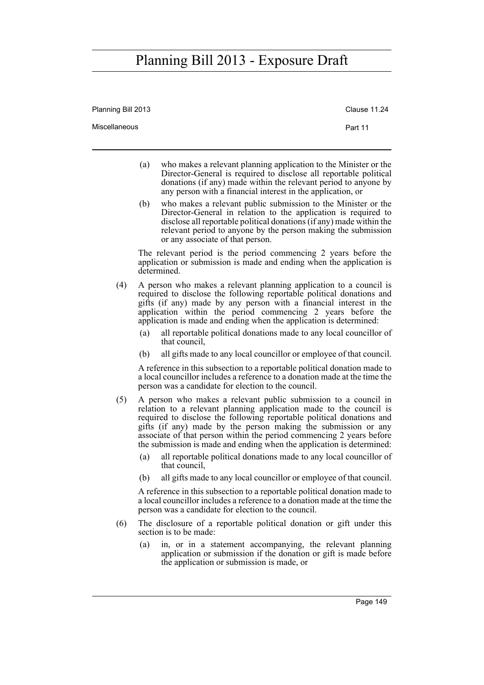| Planning Bill 2013 |                                                                                                                                                                                                                                                                                                                                                                                                                                                                                                                | Clause 11.24 |
|--------------------|----------------------------------------------------------------------------------------------------------------------------------------------------------------------------------------------------------------------------------------------------------------------------------------------------------------------------------------------------------------------------------------------------------------------------------------------------------------------------------------------------------------|--------------|
| Miscellaneous      |                                                                                                                                                                                                                                                                                                                                                                                                                                                                                                                | Part 11      |
|                    | (a)<br>who makes a relevant planning application to the Minister or the<br>Director-General is required to disclose all reportable political<br>donations (if any) made within the relevant period to anyone by<br>any person with a financial interest in the application, or                                                                                                                                                                                                                                 |              |
|                    | who makes a relevant public submission to the Minister or the<br>(b)<br>Director-General in relation to the application is required to<br>disclose all reportable political donations (if any) made within the<br>relevant period to anyone by the person making the submission<br>or any associate of that person.                                                                                                                                                                                            |              |
|                    | The relevant period is the period commencing 2 years before the<br>application or submission is made and ending when the application is<br>determined                                                                                                                                                                                                                                                                                                                                                          |              |
| (4)                | A person who makes a relevant planning application to a council is<br>required to disclose the following reportable political donations and<br>gifts (if any) made by any person with a financial interest in the<br>application within the period commencing 2 years before the<br>application is made and ending when the application is determined:<br>all reportable political donations made to any local councillor of<br>(a)                                                                            |              |
|                    | that council,<br>all gifts made to any local councillor or employee of that council.<br>(b)                                                                                                                                                                                                                                                                                                                                                                                                                    |              |
|                    | A reference in this subsection to a reportable political donation made to<br>a local councillor includes a reference to a donation made at the time the<br>person was a candidate for election to the council.                                                                                                                                                                                                                                                                                                 |              |
| (5)                | A person who makes a relevant public submission to a council in<br>relation to a relevant planning application made to the council is<br>required to disclose the following reportable political donations and<br>gifts (if any) made by the person making the submission or any<br>associate of that person within the period commencing 2 years before<br>the submission is made and ending when the application is determined:<br>all reportable political donations made to any local councillor of<br>(a) |              |
|                    | that council,<br>all gifts made to any local councillor or employee of that council.<br>(b)                                                                                                                                                                                                                                                                                                                                                                                                                    |              |
|                    | A reference in this subsection to a reportable political donation made to<br>a local councillor includes a reference to a donation made at the time the<br>person was a candidate for election to the council.                                                                                                                                                                                                                                                                                                 |              |
| (6)                | The disclosure of a reportable political donation or gift under this<br>section is to be made:                                                                                                                                                                                                                                                                                                                                                                                                                 |              |
|                    | (a)<br>in, or in a statement accompanying, the relevant planning<br>application or submission if the donation or gift is made before<br>the application or submission is made, or                                                                                                                                                                                                                                                                                                                              |              |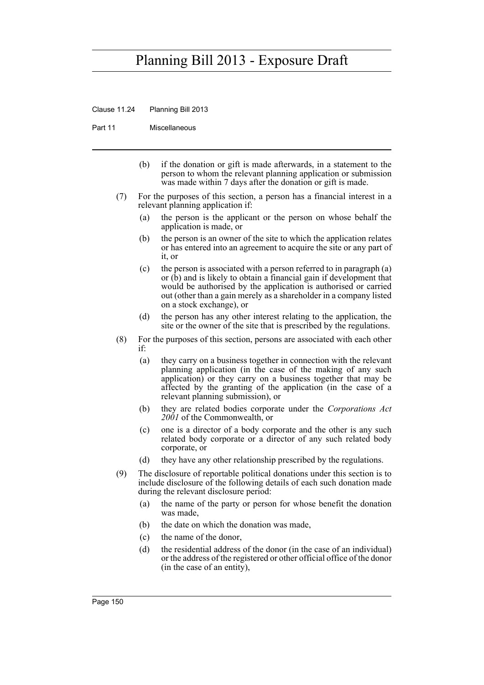Clause 11.24 Planning Bill 2013

Part 11 Miscellaneous

- (b) if the donation or gift is made afterwards, in a statement to the person to whom the relevant planning application or submission was made within 7 days after the donation or gift is made.
- (7) For the purposes of this section, a person has a financial interest in a relevant planning application if:
	- (a) the person is the applicant or the person on whose behalf the application is made, or
	- (b) the person is an owner of the site to which the application relates or has entered into an agreement to acquire the site or any part of it, or
	- (c) the person is associated with a person referred to in paragraph (a) or (b) and is likely to obtain a financial gain if development that would be authorised by the application is authorised or carried out (other than a gain merely as a shareholder in a company listed on a stock exchange), or
	- (d) the person has any other interest relating to the application, the site or the owner of the site that is prescribed by the regulations.
- (8) For the purposes of this section, persons are associated with each other if:
	- (a) they carry on a business together in connection with the relevant planning application (in the case of the making of any such application) or they carry on a business together that may be affected by the granting of the application (in the case of a relevant planning submission), or
	- (b) they are related bodies corporate under the *Corporations Act 2001* of the Commonwealth, or
	- (c) one is a director of a body corporate and the other is any such related body corporate or a director of any such related body corporate, or
	- (d) they have any other relationship prescribed by the regulations.
- (9) The disclosure of reportable political donations under this section is to include disclosure of the following details of each such donation made during the relevant disclosure period:
	- (a) the name of the party or person for whose benefit the donation was made,
	- (b) the date on which the donation was made,
	- (c) the name of the donor,
	- (d) the residential address of the donor (in the case of an individual) or the address of the registered or other official office of the donor (in the case of an entity),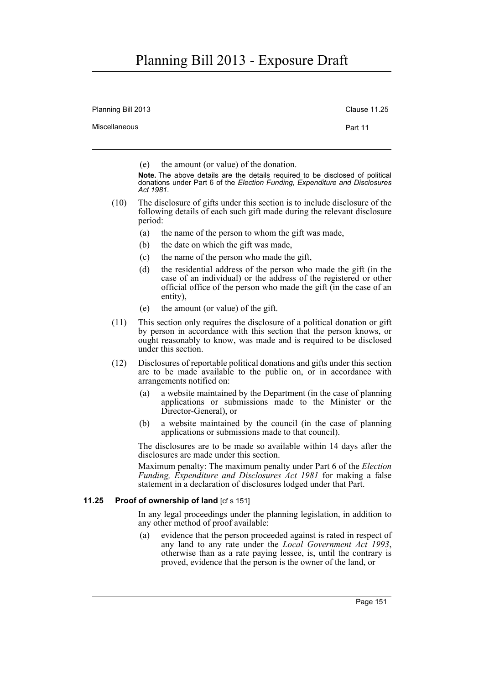| Planning Bill 2013 | Clause 11.25 |
|--------------------|--------------|
| Miscellaneous      | Part 11      |
|                    |              |

(e) the amount (or value) of the donation.

**Note.** The above details are the details required to be disclosed of political donations under Part 6 of the *Election Funding, Expenditure and Disclosures Act 1981*.

- (10) The disclosure of gifts under this section is to include disclosure of the following details of each such gift made during the relevant disclosure period:
	- (a) the name of the person to whom the gift was made,
	- (b) the date on which the gift was made,
	- (c) the name of the person who made the gift,
	- (d) the residential address of the person who made the gift (in the case of an individual) or the address of the registered or other official office of the person who made the gift (in the case of an entity),
	- (e) the amount (or value) of the gift.
- (11) This section only requires the disclosure of a political donation or gift by person in accordance with this section that the person knows, or ought reasonably to know, was made and is required to be disclosed under this section.
- (12) Disclosures of reportable political donations and gifts under this section are to be made available to the public on, or in accordance with arrangements notified on:
	- (a) a website maintained by the Department (in the case of planning applications or submissions made to the Minister or the Director-General), or
	- (b) a website maintained by the council (in the case of planning applications or submissions made to that council).

The disclosures are to be made so available within 14 days after the disclosures are made under this section.

Maximum penalty: The maximum penalty under Part 6 of the *Election Funding, Expenditure and Disclosures Act 1981* for making a false statement in a declaration of disclosures lodged under that Part.

## **11.25 Proof of ownership of land** [cf s 151]

In any legal proceedings under the planning legislation, in addition to any other method of proof available:

(a) evidence that the person proceeded against is rated in respect of any land to any rate under the *Local Government Act 1993*, otherwise than as a rate paying lessee, is, until the contrary is proved, evidence that the person is the owner of the land, or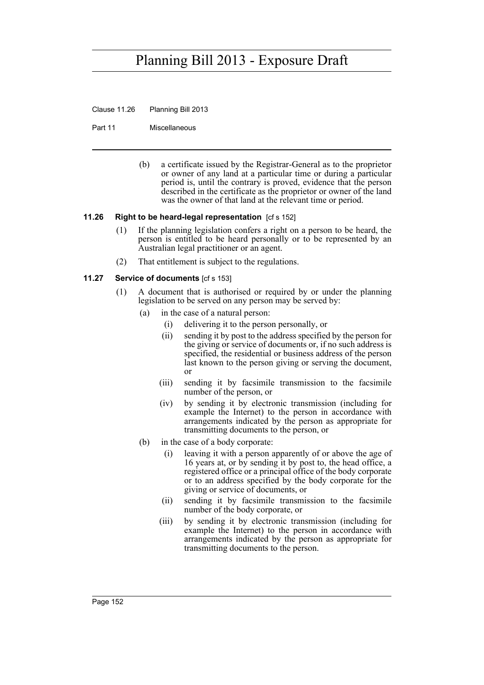Clause 11.26 Planning Bill 2013

Part 11 Miscellaneous

(b) a certificate issued by the Registrar-General as to the proprietor or owner of any land at a particular time or during a particular period is, until the contrary is proved, evidence that the person described in the certificate as the proprietor or owner of the land was the owner of that land at the relevant time or period.

### **11.26 Right to be heard-legal representation** [cf s 152]

- (1) If the planning legislation confers a right on a person to be heard, the person is entitled to be heard personally or to be represented by an Australian legal practitioner or an agent.
- (2) That entitlement is subject to the regulations.

### **11.27 Service of documents** [cf s 153]

- (1) A document that is authorised or required by or under the planning legislation to be served on any person may be served by:
	- (a) in the case of a natural person:
		- (i) delivering it to the person personally, or
		- (ii) sending it by post to the address specified by the person for the giving or service of documents or, if no such address is specified, the residential or business address of the person last known to the person giving or serving the document, or
		- (iii) sending it by facsimile transmission to the facsimile number of the person, or
		- (iv) by sending it by electronic transmission (including for example the Internet) to the person in accordance with arrangements indicated by the person as appropriate for transmitting documents to the person, or
	- (b) in the case of a body corporate:
		- (i) leaving it with a person apparently of or above the age of 16 years at, or by sending it by post to, the head office, a registered office or a principal office of the body corporate or to an address specified by the body corporate for the giving or service of documents, or
		- (ii) sending it by facsimile transmission to the facsimile number of the body corporate, or
		- (iii) by sending it by electronic transmission (including for example the Internet) to the person in accordance with arrangements indicated by the person as appropriate for transmitting documents to the person.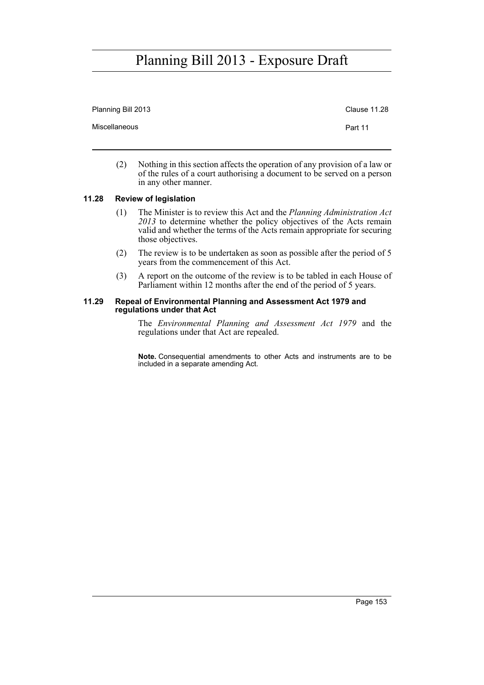| Planning Bill 2013 | Clause 11.28 |
|--------------------|--------------|
| Miscellaneous      | Part 11      |
|                    |              |

(2) Nothing in this section affects the operation of any provision of a law or of the rules of a court authorising a document to be served on a person in any other manner.

## **11.28 Review of legislation**

- (1) The Minister is to review this Act and the *Planning Administration Act 2013* to determine whether the policy objectives of the Acts remain valid and whether the terms of the Acts remain appropriate for securing those objectives.
- (2) The review is to be undertaken as soon as possible after the period of 5 years from the commencement of this Act.
- (3) A report on the outcome of the review is to be tabled in each House of Parliament within 12 months after the end of the period of 5 years.

#### **11.29 Repeal of Environmental Planning and Assessment Act 1979 and regulations under that Act**

The *Environmental Planning and Assessment Act 1979* and the regulations under that Act are repealed.

**Note.** Consequential amendments to other Acts and instruments are to be included in a separate amending Act.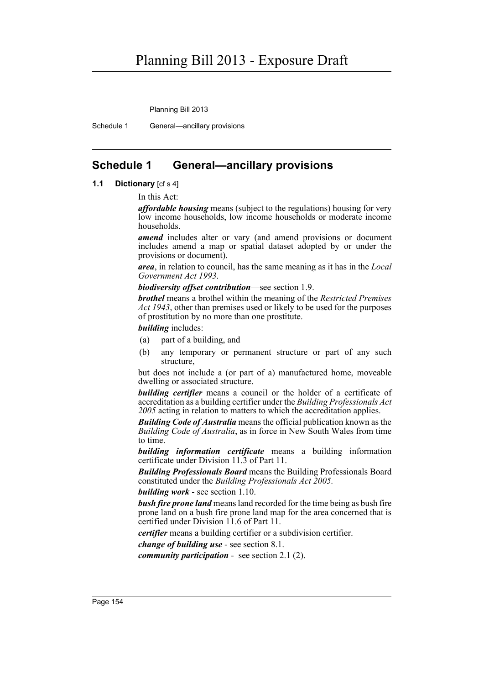Planning Bill 2013

Schedule 1 General—ancillary provisions

## **Schedule 1 General—ancillary provisions**

## **1.1 Dictionary** [cf s 4]

In this Act:

*affordable housing* means (subject to the regulations) housing for very low income households, low income households or moderate income households.

*amend* includes alter or vary (and amend provisions or document includes amend a map or spatial dataset adopted by or under the provisions or document).

*area*, in relation to council, has the same meaning as it has in the *Local Government Act 1993*.

*biodiversity offset contribution*—see section 1.9.

*brothel* means a brothel within the meaning of the *Restricted Premises Act 1943*, other than premises used or likely to be used for the purposes of prostitution by no more than one prostitute.

*building* includes:

- (a) part of a building, and
- (b) any temporary or permanent structure or part of any such structure,

but does not include a (or part of a) manufactured home, moveable dwelling or associated structure.

**building certifier** means a council or the holder of a certificate of accreditation as a building certifier under the *Building Professionals Act 2005* acting in relation to matters to which the accreditation applies.

*Building Code of Australia* means the official publication known as the *Building Code of Australia*, as in force in New South Wales from time to time.

*building information certificate* means a building information certificate under Division 11.3 of Part 11.

*Building Professionals Board* means the Building Professionals Board constituted under the *Building Professionals Act 2005.*

*building work* - see section 1.10.

*bush fire prone land* means land recorded for the time being as bush fire prone land on a bush fire prone land map for the area concerned that is certified under Division 11.6 of Part 11.

*certifier* means a building certifier or a subdivision certifier.

*change of building use* - see section 8.1.

*community participation* - see section 2.1 (2).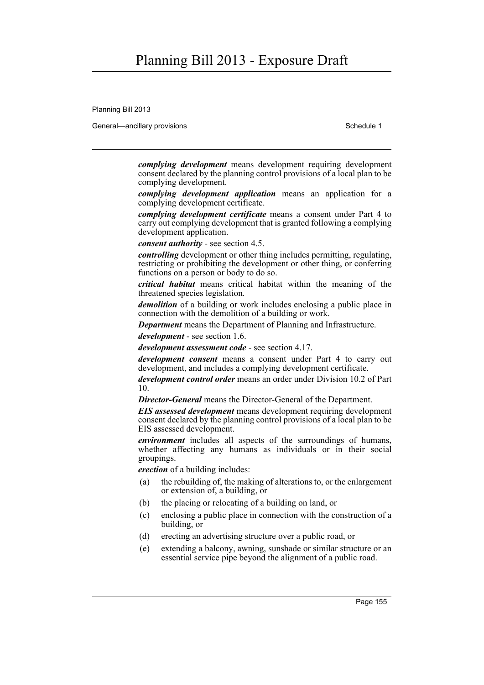Planning Bill 2013

General—ancillary provisions Schedule 1 and the Schedule 1 set of the Schedule 1

*complying development* means development requiring development consent declared by the planning control provisions of a local plan to be complying development.

*complying development application* means an application for a complying development certificate.

*complying development certificate* means a consent under Part 4 to carry out complying development that is granted following a complying development application.

*consent authority* - see section 4.5.

*controlling* development or other thing includes permitting, regulating, restricting or prohibiting the development or other thing, or conferring functions on a person or body to do so.

*critical habitat* means critical habitat within the meaning of the threatened species legislation*.*

*demolition* of a building or work includes enclosing a public place in connection with the demolition of a building or work.

*Department* means the Department of Planning and Infrastructure.

*development* - see section 1.6.

*development assessment code* - see section 4.17.

*development consent* means a consent under Part 4 to carry out development, and includes a complying development certificate.

*development control order* means an order under Division 10.2 of Part 10.

*Director-General* means the Director-General of the Department.

*EIS assessed development* means development requiring development consent declared by the planning control provisions of a local plan to be EIS assessed development.

*environment* includes all aspects of the surroundings of humans, whether affecting any humans as individuals or in their social groupings.

*erection* of a building includes:

- (a) the rebuilding of, the making of alterations to, or the enlargement or extension of, a building, or
- (b) the placing or relocating of a building on land, or
- (c) enclosing a public place in connection with the construction of a building, or
- (d) erecting an advertising structure over a public road, or
- (e) extending a balcony, awning, sunshade or similar structure or an essential service pipe beyond the alignment of a public road.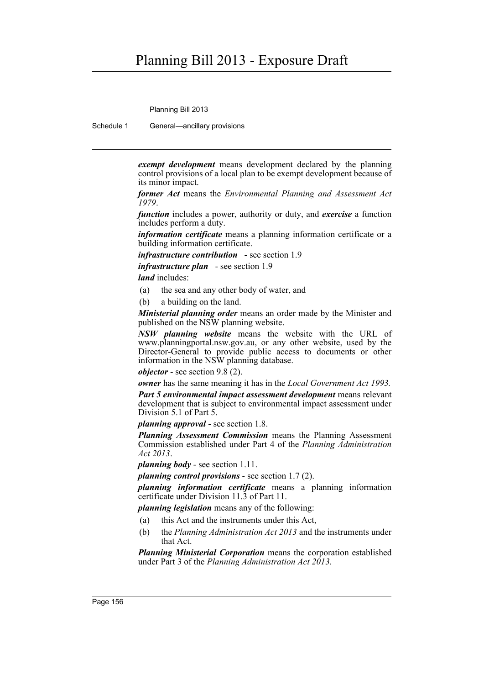Planning Bill 2013

Schedule 1 General—ancillary provisions

*exempt development* means development declared by the planning control provisions of a local plan to be exempt development because of its minor impact.

*former Act* means the *Environmental Planning and Assessment Act 1979*.

*function* includes a power, authority or duty, and *exercise* a function includes perform a duty.

*information certificate* means a planning information certificate or a building information certificate.

*infrastructure contribution* - see section 1.9

*infrastructure plan* - see section 1.9

*land* includes:

- (a) the sea and any other body of water, and
- (b) a building on the land.

*Ministerial planning order* means an order made by the Minister and published on the NSW planning website.

*NSW planning website* means the website with the URL of www.planningportal.nsw.gov.au, or any other website, used by the Director-General to provide public access to documents or other information in the NSW planning database.

*objector* - see section 9.8 (2).

*owner* has the same meaning it has in the *Local Government Act 1993.*

*Part 5 environmental impact assessment development* **means relevant** development that is subject to environmental impact assessment under Division 5.1 of Part 5.

*planning approval* - see section 1.8.

*Planning Assessment Commission* means the Planning Assessment Commission established under Part 4 of the *Planning Administration Act 2013*.

*planning body* - see section 1.11.

*planning control provisions* - see section 1.7 (2).

*planning information certificate* means a planning information certificate under Division 11.3 of Part 11.

*planning legislation* means any of the following:

- (a) this Act and the instruments under this Act,
- (b) the *Planning Administration Act 2013* and the instruments under that Act.

*Planning Ministerial Corporation* means the corporation established under Part 3 of the *Planning Administration Act 2013*.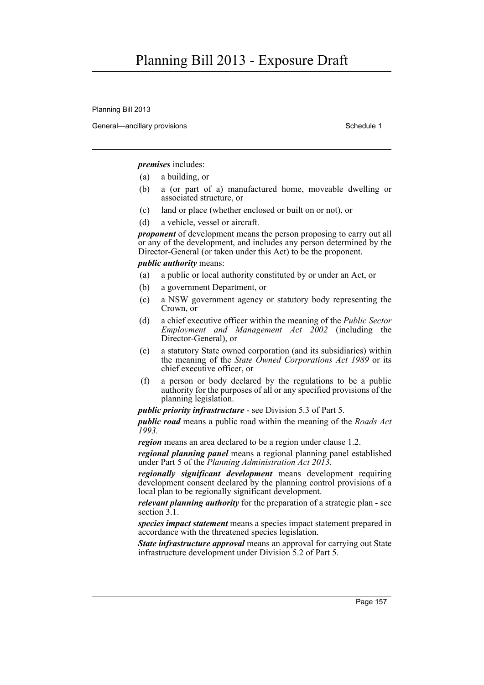Planning Bill 2013

General—ancillary provisions Schedule 1 and the Schedule 1 set of the Schedule 1

*premises* includes:

- (a) a building, or
- (b) a (or part of a) manufactured home, moveable dwelling or associated structure, or
- (c) land or place (whether enclosed or built on or not), or
- (d) a vehicle, vessel or aircraft.

*proponent* of development means the person proposing to carry out all or any of the development, and includes any person determined by the Director-General (or taken under this Act) to be the proponent.

### *public authority* means:

- (a) a public or local authority constituted by or under an Act, or
- (b) a government Department, or
- (c) a NSW government agency or statutory body representing the Crown, or
- (d) a chief executive officer within the meaning of the *Public Sector Employment and Management Act 2002* (including the Director-General), or
- (e) a statutory State owned corporation (and its subsidiaries) within the meaning of the *State Owned Corporations Act 1989* or its chief executive officer, or
- (f) a person or body declared by the regulations to be a public authority for the purposes of all or any specified provisions of the planning legislation.

*public priority infrastructure* - see Division 5.3 of Part 5.

*public road* means a public road within the meaning of the *Roads Act 1993.*

*region* means an area declared to be a region under clause 1.2.

*regional planning panel* means a regional planning panel established under Part 5 of the *Planning Administration Act 2013*.

*regionally significant development* means development requiring development consent declared by the planning control provisions of a local plan to be regionally significant development.

*relevant planning authority* for the preparation of a strategic plan - see section  $\overline{3.1}$ .

*species impact statement* means a species impact statement prepared in accordance with the threatened species legislation.

*State infrastructure approval* means an approval for carrying out State infrastructure development under Division 5.2 of Part 5.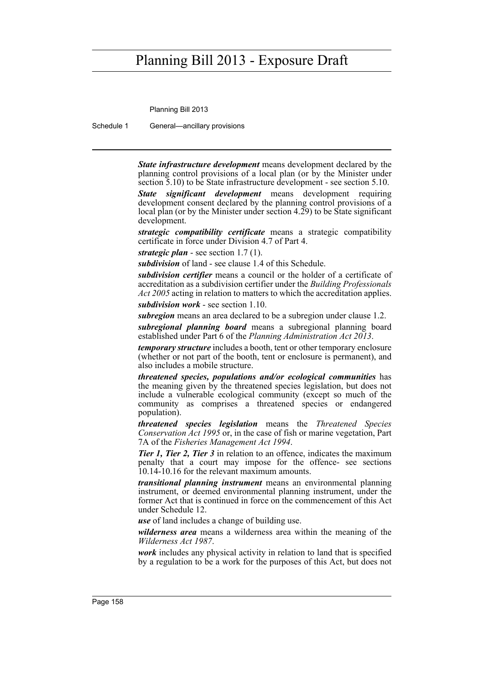Planning Bill 2013

Schedule 1 General—ancillary provisions

*State infrastructure development* means development declared by the planning control provisions of a local plan (or by the Minister under section 5.10) to be State infrastructure development - see section 5.10.

*State significant development* means development requiring development consent declared by the planning control provisions of a local plan (or by the Minister under section 4.29) to be State significant development.

*strategic compatibility certificate* means a strategic compatibility certificate in force under Division 4.7 of Part 4.

*strategic plan* - see section 1.7 (1).

*subdivision* of land - see clause 1.4 of this Schedule.

*subdivision certifier* means a council or the holder of a certificate of accreditation as a subdivision certifier under the *Building Professionals Act 2005* acting in relation to matters to which the accreditation applies.

*subdivision work* - see section 1.10.

*subregion* means an area declared to be a subregion under clause 1.2.

*subregional planning board* means a subregional planning board established under Part 6 of the *Planning Administration Act 2013*.

*temporary structure* includes a booth, tent or other temporary enclosure (whether or not part of the booth, tent or enclosure is permanent), and also includes a mobile structure.

*threatened species, populations and/or ecological communities* has the meaning given by the threatened species legislation, but does not include a vulnerable ecological community (except so much of the community as comprises a threatened species or endangered population).

*threatened species legislation* means the *Threatened Species Conservation Act 1995* or, in the case of fish or marine vegetation, Part 7A of the *Fisheries Management Act 1994*.

*Tier 1, Tier 2, Tier 3* in relation to an offence, indicates the maximum penalty that a court may impose for the offence- see sections 10.14-10.16 for the relevant maximum amounts.

*transitional planning instrument* means an environmental planning instrument, or deemed environmental planning instrument, under the former Act that is continued in force on the commencement of this Act under Schedule 12.

*use* of land includes a change of building use.

*wilderness area* means a wilderness area within the meaning of the *Wilderness Act 1987*.

*work* includes any physical activity in relation to land that is specified by a regulation to be a work for the purposes of this Act, but does not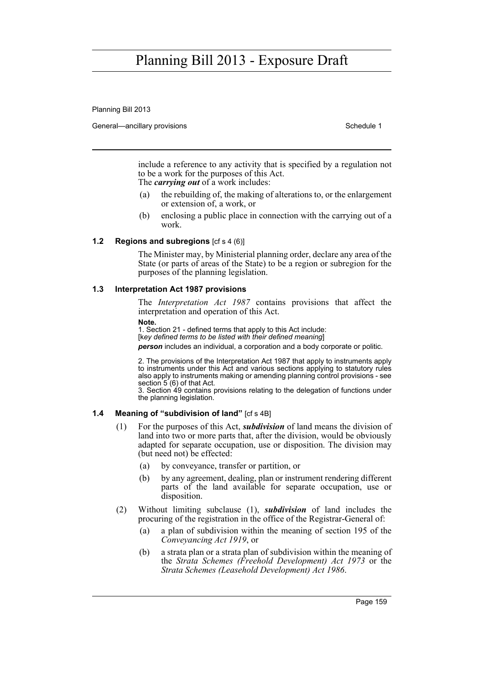Planning Bill 2013

General—ancillary provisions Schedule 1 and the Schedule 1 set of the Schedule 1

include a reference to any activity that is specified by a regulation not to be a work for the purposes of this Act. The *carrying out* of a work includes:

- (a) the rebuilding of, the making of alterations to, or the enlargement or extension of, a work, or
- (b) enclosing a public place in connection with the carrying out of a work.

### **1.2 Regions and subregions** [cf s 4 (6)]

The Minister may, by Ministerial planning order, declare any area of the State (or parts of areas of the State) to be a region or subregion for the purposes of the planning legislation.

#### **1.3 Interpretation Act 1987 provisions**

The *Interpretation Act 1987* contains provisions that affect the interpretation and operation of this Act.

**Note.** 

1. Section 21 - defined terms that apply to this Act include: [k*ey defined terms to be listed with their defined meaning*] *person* includes an individual, a corporation and a body corporate or politic.

2. The provisions of the Interpretation Act 1987 that apply to instruments apply to instruments under this Act and various sections applying to statutory rules also apply to instruments making or amending planning control provisions - see section 5 (6) of that Act.

3. Section 49 contains provisions relating to the delegation of functions under the planning legislation.

#### **1.4 Meaning of "subdivision of land"** [cf s 4B]

- (1) For the purposes of this Act, *subdivision* of land means the division of land into two or more parts that, after the division, would be obviously adapted for separate occupation, use or disposition. The division may (but need not) be effected:
	- (a) by conveyance, transfer or partition, or
	- (b) by any agreement, dealing, plan or instrument rendering different parts of the land available for separate occupation, use or disposition.
- (2) Without limiting subclause (1), *subdivision* of land includes the procuring of the registration in the office of the Registrar-General of:
	- (a) a plan of subdivision within the meaning of section 195 of the *Conveyancing Act 1919*, or
	- (b) a strata plan or a strata plan of subdivision within the meaning of the *Strata Schemes (Freehold Development) Act 1973* or the *Strata Schemes (Leasehold Development) Act 1986*.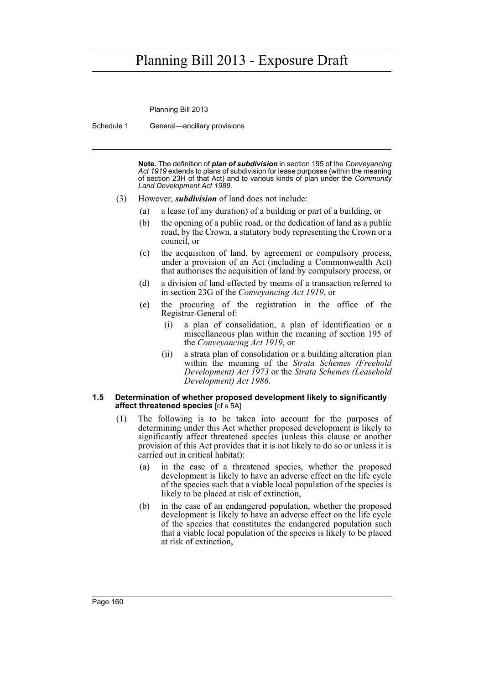Planning Bill 2013

Schedule 1 General—ancillary provisions

**Note.** The definition of *plan of subdivision* in section 195 of the *Conveyancing Act 1919* extends to plans of subdivision for lease purposes (within the meaning of section 23H of that Act) and to various kinds of plan under the *Community Land Development Act 1989*.

- (3) However, *subdivision* of land does not include:
	- (a) a lease (of any duration) of a building or part of a building, or
	- (b) the opening of a public road, or the dedication of land as a public road, by the Crown, a statutory body representing the Crown or a council, or
	- (c) the acquisition of land, by agreement or compulsory process, under a provision of an Act (including a Commonwealth Act) that authorises the acquisition of land by compulsory process, or
	- (d) a division of land effected by means of a transaction referred to in section 23G of the *Conveyancing Act 1919*, or
	- (e) the procuring of the registration in the office of the Registrar-General of:
		- (i) a plan of consolidation, a plan of identification or a miscellaneous plan within the meaning of section 195 of the *Conveyancing Act 1919*, or
		- (ii) a strata plan of consolidation or a building alteration plan within the meaning of the *Strata Schemes (Freehold Development) Act 1973* or the *Strata Schemes (Leasehold Development) Act 1986*.

#### **1.5 Determination of whether proposed development likely to significantly affect threatened species** [cf s 5A]

- (1) The following is to be taken into account for the purposes of determining under this Act whether proposed development is likely to significantly affect threatened species (unless this clause or another provision of this Act provides that it is not likely to do so or unless it is carried out in critical habitat):
	- (a) in the case of a threatened species, whether the proposed development is likely to have an adverse effect on the life cycle of the species such that a viable local population of the species is likely to be placed at risk of extinction,
	- (b) in the case of an endangered population, whether the proposed development is likely to have an adverse effect on the life cycle of the species that constitutes the endangered population such that a viable local population of the species is likely to be placed at risk of extinction,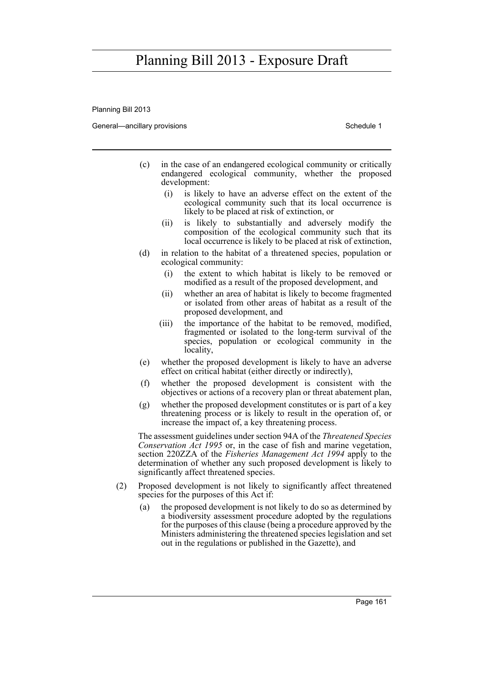Planning Bill 2013

General—ancillary provisions Schedule 1 and the Schedule 1 set of the Schedule 1

- (c) in the case of an endangered ecological community or critically endangered ecological community, whether the proposed development:
	- (i) is likely to have an adverse effect on the extent of the ecological community such that its local occurrence is likely to be placed at risk of extinction, or
	- (ii) is likely to substantially and adversely modify the composition of the ecological community such that its local occurrence is likely to be placed at risk of extinction,
- (d) in relation to the habitat of a threatened species, population or ecological community:
	- (i) the extent to which habitat is likely to be removed or modified as a result of the proposed development, and
	- (ii) whether an area of habitat is likely to become fragmented or isolated from other areas of habitat as a result of the proposed development, and
	- (iii) the importance of the habitat to be removed, modified, fragmented or isolated to the long-term survival of the species, population or ecological community in the locality,
- (e) whether the proposed development is likely to have an adverse effect on critical habitat (either directly or indirectly),
- (f) whether the proposed development is consistent with the objectives or actions of a recovery plan or threat abatement plan,
- (g) whether the proposed development constitutes or is part of a key threatening process or is likely to result in the operation of, or increase the impact of, a key threatening process.

The assessment guidelines under section 94A of the *Threatened Species Conservation Act 1995* or, in the case of fish and marine vegetation, section 220ZZA of the *Fisheries Management Act 1994* apply to the determination of whether any such proposed development is likely to significantly affect threatened species.

- (2) Proposed development is not likely to significantly affect threatened species for the purposes of this Act if:
	- (a) the proposed development is not likely to do so as determined by a biodiversity assessment procedure adopted by the regulations for the purposes of this clause (being a procedure approved by the Ministers administering the threatened species legislation and set out in the regulations or published in the Gazette), and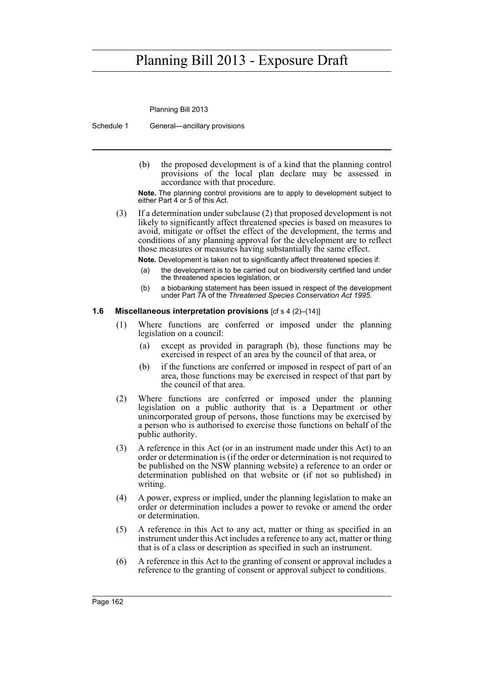Planning Bill 2013

Schedule 1 General—ancillary provisions

(b) the proposed development is of a kind that the planning control provisions of the local plan declare may be assessed in accordance with that procedure.

**Note.** The planning control provisions are to apply to development subject to either Part 4 or 5 of this Act.

(3) If a determination under subclause (2) that proposed development is not likely to significantly affect threatened species is based on measures to avoid, mitigate or offset the effect of the development, the terms and conditions of any planning approval for the development are to reflect those measures or measures having substantially the same effect.

**Note.** Development is taken not to significantly affect threatened species if:

- (a) the development is to be carried out on biodiversity certified land under the threatened species legislation, or
- (b) a biobanking statement has been issued in respect of the development under Part 7A of the *Threatened Species Conservation Act 1995*.

### **1.6 Miscellaneous interpretation provisions** [cf s 4 (2)–(14)]

- (1) Where functions are conferred or imposed under the planning legislation on a council:
	- (a) except as provided in paragraph (b), those functions may be exercised in respect of an area by the council of that area, or
	- (b) if the functions are conferred or imposed in respect of part of an area, those functions may be exercised in respect of that part by the council of that area.
- (2) Where functions are conferred or imposed under the planning legislation on a public authority that is a Department or other unincorporated group of persons, those functions may be exercised by a person who is authorised to exercise those functions on behalf of the public authority.
- (3) A reference in this Act (or in an instrument made under this Act) to an order or determination is (if the order or determination is not required to be published on the NSW planning website) a reference to an order or determination published on that website or (if not so published) in writing.
- (4) A power, express or implied, under the planning legislation to make an order or determination includes a power to revoke or amend the order or determination.
- (5) A reference in this Act to any act, matter or thing as specified in an instrument under this Act includes a reference to any act, matter or thing that is of a class or description as specified in such an instrument.
- (6) A reference in this Act to the granting of consent or approval includes a reference to the granting of consent or approval subject to conditions.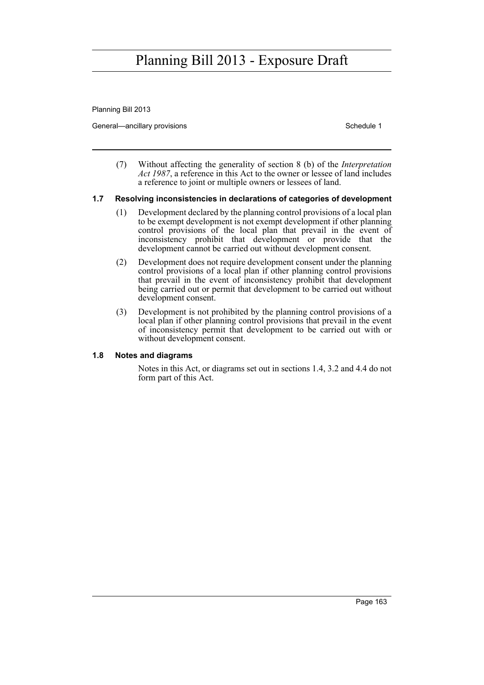Planning Bill 2013

General—ancillary provisions Schedule 1 and the Schedule 1 set of the Schedule 1

(7) Without affecting the generality of section 8 (b) of the *Interpretation Act 1987*, a reference in this Act to the owner or lessee of land includes a reference to joint or multiple owners or lessees of land.

## **1.7 Resolving inconsistencies in declarations of categories of development**

- (1) Development declared by the planning control provisions of a local plan to be exempt development is not exempt development if other planning control provisions of the local plan that prevail in the event of inconsistency prohibit that development or provide that the development cannot be carried out without development consent.
- (2) Development does not require development consent under the planning control provisions of a local plan if other planning control provisions that prevail in the event of inconsistency prohibit that development being carried out or permit that development to be carried out without development consent.
- (3) Development is not prohibited by the planning control provisions of a local plan if other planning control provisions that prevail in the event of inconsistency permit that development to be carried out with or without development consent.

## **1.8 Notes and diagrams**

Notes in this Act, or diagrams set out in sections 1.4, 3.2 and 4.4 do not form part of this Act.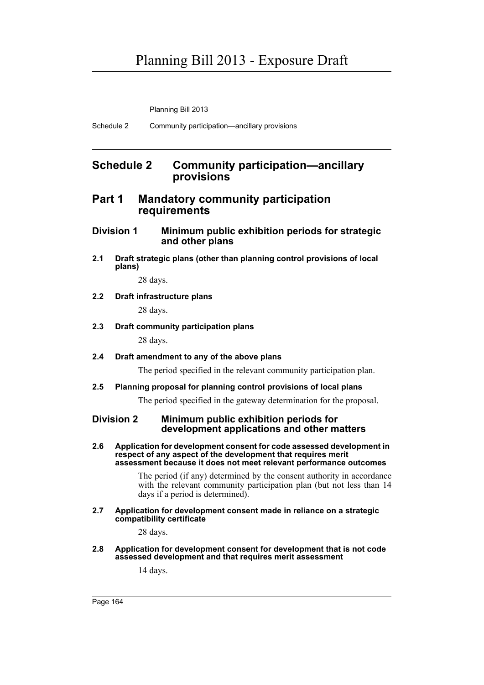Planning Bill 2013

Schedule 2 Community participation—ancillary provisions

## **Schedule 2 Community participation—ancillary provisions**

## **Part 1 Mandatory community participation requirements**

## **Division 1 Minimum public exhibition periods for strategic and other plans**

**2.1 Draft strategic plans (other than planning control provisions of local plans)**

28 days.

## **2.2 Draft infrastructure plans**

28 days.

### **2.3 Draft community participation plans**

28 days.

## **2.4 Draft amendment to any of the above plans**

The period specified in the relevant community participation plan.

## **2.5 Planning proposal for planning control provisions of local plans**

The period specified in the gateway determination for the proposal.

## **Division 2 Minimum public exhibition periods for development applications and other matters**

**2.6 Application for development consent for code assessed development in respect of any aspect of the development that requires merit assessment because it does not meet relevant performance outcomes**

> The period (if any) determined by the consent authority in accordance with the relevant community participation plan (but not less than 14) days if a period is determined).

#### **2.7 Application for development consent made in reliance on a strategic compatibility certificate**

28 days.

**2.8 Application for development consent for development that is not code assessed development and that requires merit assessment**

14 days.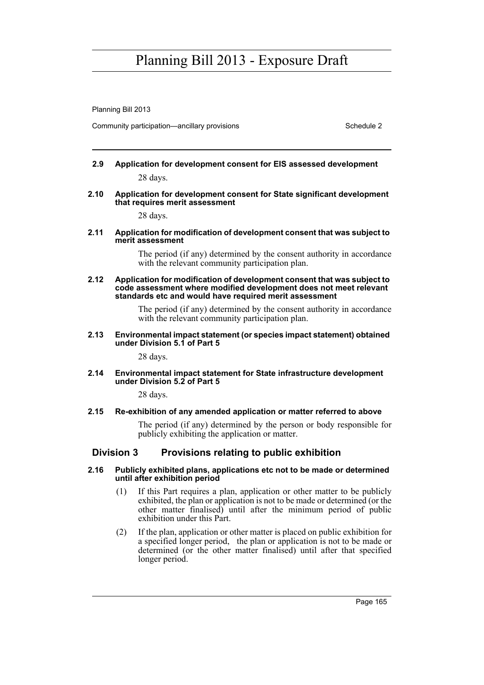Planning Bill 2013

Community participation—ancillary provisions Schedule 2 and the Schedule 2

# **2.9 Application for development consent for EIS assessed development**

28 days.

### **2.10 Application for development consent for State significant development that requires merit assessment**

28 days.

### **2.11 Application for modification of development consent that was subject to merit assessment**

The period (if any) determined by the consent authority in accordance with the relevant community participation plan.

#### **2.12 Application for modification of development consent that was subject to code assessment where modified development does not meet relevant standards etc and would have required merit assessment**

The period (if any) determined by the consent authority in accordance with the relevant community participation plan.

### **2.13 Environmental impact statement (or species impact statement) obtained under Division 5.1 of Part 5**

28 days.

### **2.14 Environmental impact statement for State infrastructure development under Division 5.2 of Part 5**

28 days.

## **2.15 Re-exhibition of any amended application or matter referred to above**

The period (if any) determined by the person or body responsible for publicly exhibiting the application or matter.

## **Division 3 Provisions relating to public exhibition**

### **2.16 Publicly exhibited plans, applications etc not to be made or determined until after exhibition period**

- (1) If this Part requires a plan, application or other matter to be publicly exhibited, the plan or application is not to be made or determined (or the other matter finalised) until after the minimum period of public exhibition under this Part.
- (2) If the plan, application or other matter is placed on public exhibition for a specified longer period, the plan or application is not to be made or determined (or the other matter finalised) until after that specified longer period.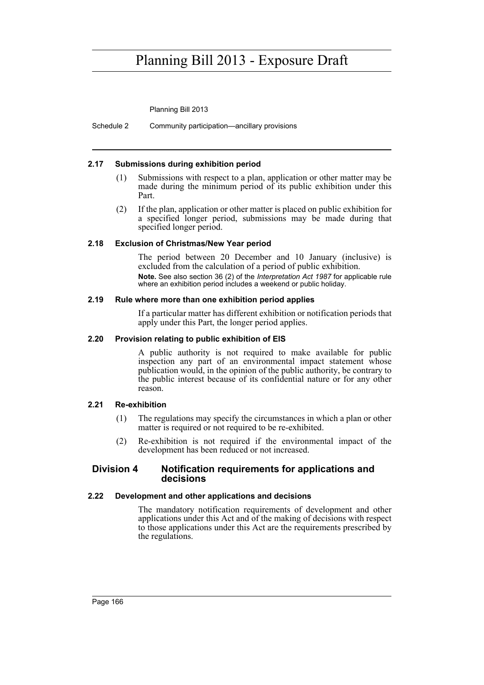Planning Bill 2013

Schedule 2 Community participation—ancillary provisions

### **2.17 Submissions during exhibition period**

- (1) Submissions with respect to a plan, application or other matter may be made during the minimum period of its public exhibition under this Part.
- (2) If the plan, application or other matter is placed on public exhibition for a specified longer period, submissions may be made during that specified longer period.

### **2.18 Exclusion of Christmas/New Year period**

The period between 20 December and 10 January (inclusive) is excluded from the calculation of a period of public exhibition. **Note.** See also section 36 (2) of the *Interpretation Act 1987* for applicable rule where an exhibition period includes a weekend or public holiday.

### **2.19 Rule where more than one exhibition period applies**

If a particular matter has different exhibition or notification periods that apply under this Part, the longer period applies.

## **2.20 Provision relating to public exhibition of EIS**

A public authority is not required to make available for public inspection any part of an environmental impact statement whose publication would, in the opinion of the public authority, be contrary to the public interest because of its confidential nature or for any other reason.

## **2.21 Re-exhibition**

- (1) The regulations may specify the circumstances in which a plan or other matter is required or not required to be re-exhibited.
- (2) Re-exhibition is not required if the environmental impact of the development has been reduced or not increased.

## **Division 4 Notification requirements for applications and decisions**

### **2.22 Development and other applications and decisions**

The mandatory notification requirements of development and other applications under this Act and of the making of decisions with respect to those applications under this Act are the requirements prescribed by the regulations.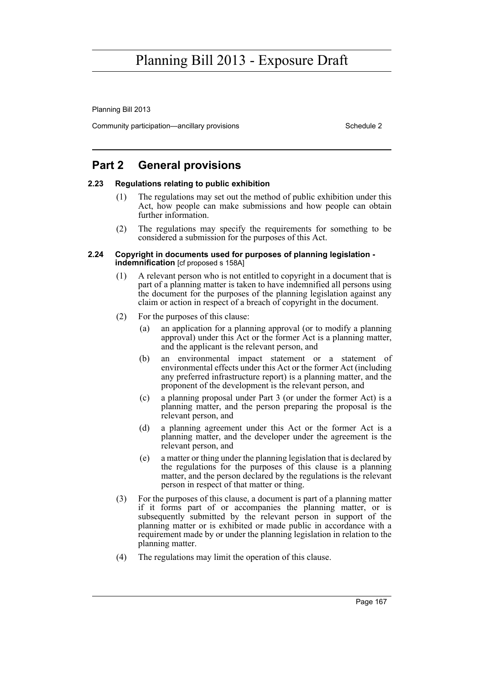Planning Bill 2013

Community participation—ancillary provisions Schedule 2 and the Schedule 2

## **Part 2 General provisions**

### **2.23 Regulations relating to public exhibition**

- (1) The regulations may set out the method of public exhibition under this Act, how people can make submissions and how people can obtain further information.
- (2) The regulations may specify the requirements for something to be considered a submission for the purposes of this Act.

#### **2.24 Copyright in documents used for purposes of planning legislation indemnification** [cf proposed s 158A]

- (1) A relevant person who is not entitled to copyright in a document that is part of a planning matter is taken to have indemnified all persons using the document for the purposes of the planning legislation against any claim or action in respect of a breach of copyright in the document.
- (2) For the purposes of this clause:
	- (a) an application for a planning approval (or to modify a planning approval) under this Act or the former Act is a planning matter, and the applicant is the relevant person, and
	- (b) an environmental impact statement or a statement of environmental effects under this Act or the former Act (including any preferred infrastructure report) is a planning matter, and the proponent of the development is the relevant person, and
	- (c) a planning proposal under Part 3 (or under the former Act) is a planning matter, and the person preparing the proposal is the relevant person, and
	- (d) a planning agreement under this Act or the former Act is a planning matter, and the developer under the agreement is the relevant person, and
	- (e) a matter or thing under the planning legislation that is declared by the regulations for the purposes of this clause is a planning matter, and the person declared by the regulations is the relevant person in respect of that matter or thing.
- (3) For the purposes of this clause, a document is part of a planning matter if it forms part of or accompanies the planning matter, or is subsequently submitted by the relevant person in support of the planning matter or is exhibited or made public in accordance with a requirement made by or under the planning legislation in relation to the planning matter.
- (4) The regulations may limit the operation of this clause.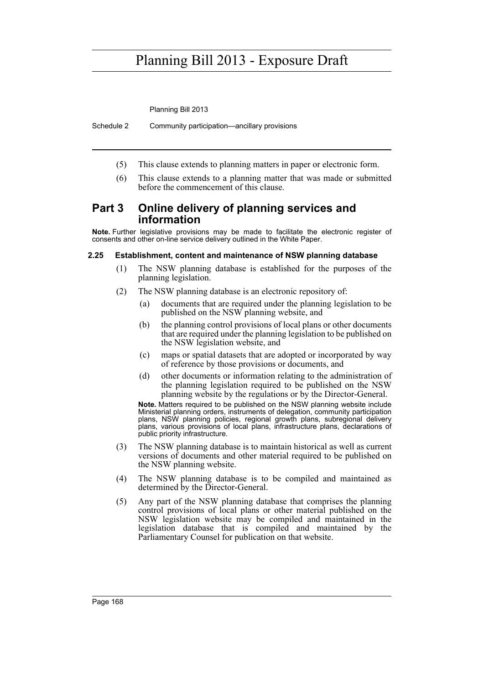Planning Bill 2013

Schedule 2 Community participation—ancillary provisions

- (5) This clause extends to planning matters in paper or electronic form.
- (6) This clause extends to a planning matter that was made or submitted before the commencement of this clause.

## **Part 3 Online delivery of planning services and information**

**Note.** Further legislative provisions may be made to facilitate the electronic register of consents and other on-line service delivery outlined in the White Paper.

### **2.25 Establishment, content and maintenance of NSW planning database**

- (1) The NSW planning database is established for the purposes of the planning legislation.
- (2) The NSW planning database is an electronic repository of:
	- (a) documents that are required under the planning legislation to be published on the NSW planning website, and
	- (b) the planning control provisions of local plans or other documents that are required under the planning legislation to be published on the NSW legislation website, and
	- (c) maps or spatial datasets that are adopted or incorporated by way of reference by those provisions or documents, and
	- (d) other documents or information relating to the administration of the planning legislation required to be published on the NSW planning website by the regulations or by the Director-General.

**Note.** Matters required to be published on the NSW planning website include Ministerial planning orders, instruments of delegation, community participation plans, NSW planning policies, regional growth plans, subregional delivery plans, various provisions of local plans, infrastructure plans, declarations of public priority infrastructure.

- (3) The NSW planning database is to maintain historical as well as current versions of documents and other material required to be published on the NSW planning website.
- (4) The NSW planning database is to be compiled and maintained as determined by the Director-General.
- (5) Any part of the NSW planning database that comprises the planning control provisions of local plans or other material published on the NSW legislation website may be compiled and maintained in the legislation database that is compiled and maintained by the Parliamentary Counsel for publication on that website.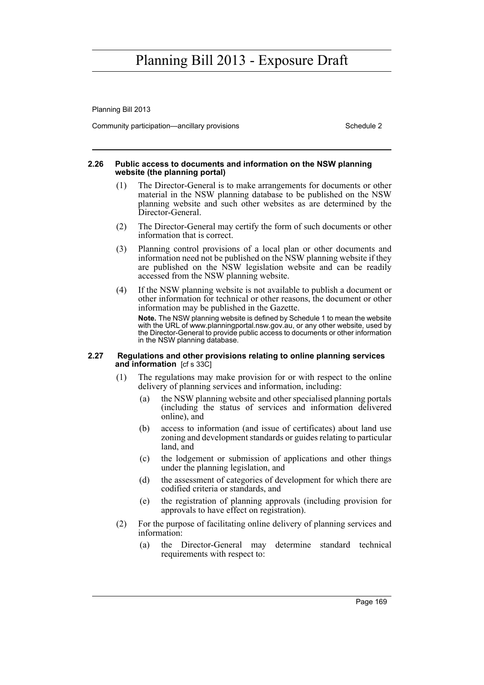Planning Bill 2013

Community participation—ancillary provisions Schedule 2 and the Schedule 2

#### **2.26 Public access to documents and information on the NSW planning website (the planning portal)**

- (1) The Director-General is to make arrangements for documents or other material in the NSW planning database to be published on the NSW planning website and such other websites as are determined by the Director-General.
- (2) The Director-General may certify the form of such documents or other information that is correct.
- (3) Planning control provisions of a local plan or other documents and information need not be published on the NSW planning website if they are published on the NSW legislation website and can be readily accessed from the NSW planning website.
- (4) If the NSW planning website is not available to publish a document or other information for technical or other reasons, the document or other information may be published in the Gazette. **Note.** The NSW planning website is defined by Schedule 1 to mean the website with the URL of www.planningportal.nsw.gov.au, or any other website, used by the Director-General to provide public access to documents or other information in the NSW planning database.

#### **2.27 Regulations and other provisions relating to online planning services and information** [cf s 33C]

- (1) The regulations may make provision for or with respect to the online delivery of planning services and information, including:
	- (a) the NSW planning website and other specialised planning portals (including the status of services and information delivered online), and
	- (b) access to information (and issue of certificates) about land use zoning and development standards or guides relating to particular land, and
	- (c) the lodgement or submission of applications and other things under the planning legislation, and
	- (d) the assessment of categories of development for which there are codified criteria or standards, and
	- (e) the registration of planning approvals (including provision for approvals to have effect on registration).
- (2) For the purpose of facilitating online delivery of planning services and information:
	- (a) the Director-General may determine standard technical requirements with respect to: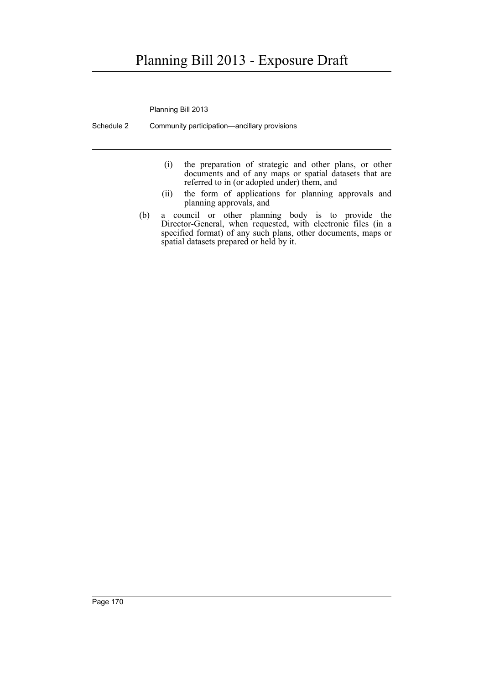Planning Bill 2013

Schedule 2 Community participation—ancillary provisions

- (i) the preparation of strategic and other plans, or other documents and of any maps or spatial datasets that are referred to in (or adopted under) them, and
- (ii) the form of applications for planning approvals and planning approvals, and
- (b) a council or other planning body is to provide the Director-General, when requested, with electronic files (in a specified format) of any such plans, other documents, maps or spatial datasets prepared or held by it.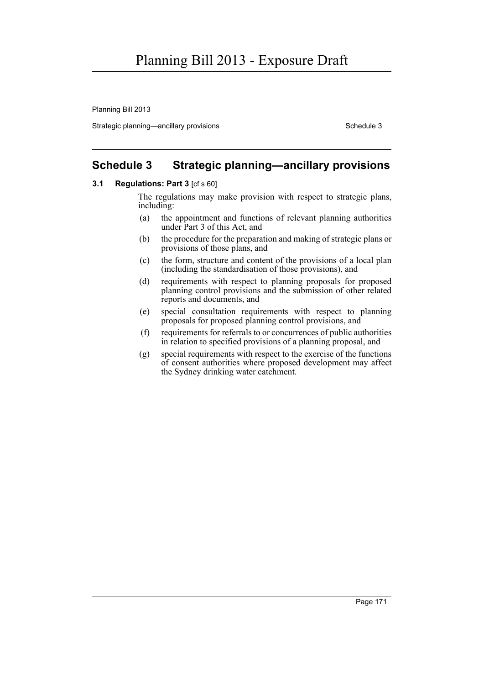Planning Bill 2013

Strategic planning—ancillary provisions Schedule 3

### **Schedule 3 Strategic planning—ancillary provisions**

### **3.1 Regulations: Part 3** [cf s 60]

The regulations may make provision with respect to strategic plans, including:

- (a) the appointment and functions of relevant planning authorities under Part 3 of this Act, and
- (b) the procedure for the preparation and making of strategic plans or provisions of those plans, and
- (c) the form, structure and content of the provisions of a local plan (including the standardisation of those provisions), and
- (d) requirements with respect to planning proposals for proposed planning control provisions and the submission of other related reports and documents, and
- (e) special consultation requirements with respect to planning proposals for proposed planning control provisions, and
- (f) requirements for referrals to or concurrences of public authorities in relation to specified provisions of a planning proposal, and
- (g) special requirements with respect to the exercise of the functions of consent authorities where proposed development may affect the Sydney drinking water catchment.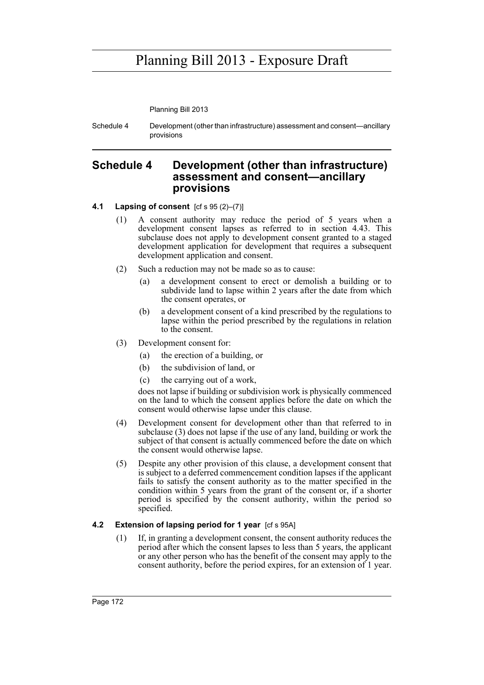Planning Bill 2013

Schedule 4 Development (other than infrastructure) assessment and consent—ancillary provisions

### **Schedule 4 Development (other than infrastructure) assessment and consent—ancillary provisions**

### **4.1 Lapsing of consent** [cf s 95 (2)–(7)]

- (1) A consent authority may reduce the period of 5 years when a development consent lapses as referred to in section 4.43. This subclause does not apply to development consent granted to a staged development application for development that requires a subsequent development application and consent.
- (2) Such a reduction may not be made so as to cause:
	- (a) a development consent to erect or demolish a building or to subdivide land to lapse within 2 years after the date from which the consent operates, or
	- (b) a development consent of a kind prescribed by the regulations to lapse within the period prescribed by the regulations in relation to the consent.
- (3) Development consent for:
	- (a) the erection of a building, or
	- (b) the subdivision of land, or
	- (c) the carrying out of a work,

does not lapse if building or subdivision work is physically commenced on the land to which the consent applies before the date on which the consent would otherwise lapse under this clause.

- (4) Development consent for development other than that referred to in subclause (3) does not lapse if the use of any land, building or work the subject of that consent is actually commenced before the date on which the consent would otherwise lapse.
- (5) Despite any other provision of this clause, a development consent that is subject to a deferred commencement condition lapses if the applicant fails to satisfy the consent authority as to the matter specified in the condition within 5 years from the grant of the consent or, if a shorter period is specified by the consent authority, within the period so specified.

### **4.2 Extension of lapsing period for 1 year** [cf s 95A]

(1) If, in granting a development consent, the consent authority reduces the period after which the consent lapses to less than 5 years, the applicant or any other person who has the benefit of the consent may apply to the consent authority, before the period expires, for an extension of 1 year.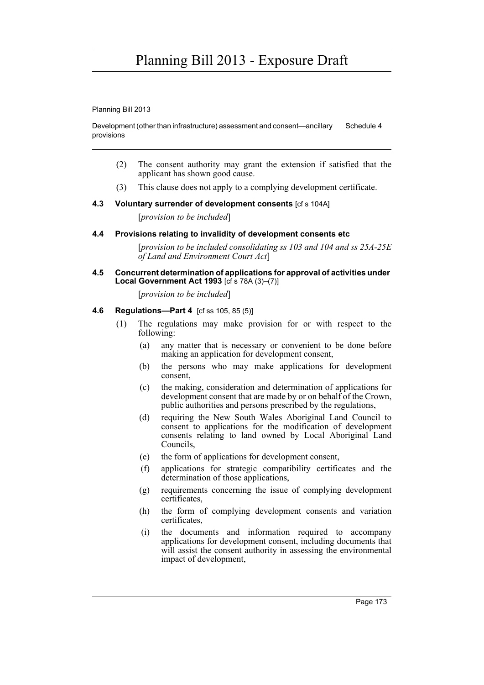Planning Bill 2013

Development (other than infrastructure) assessment and consent—ancillary provisions Schedule 4

- (2) The consent authority may grant the extension if satisfied that the applicant has shown good cause.
- (3) This clause does not apply to a complying development certificate.

### **4.3 Voluntary surrender of development consents** [cf s 104A]

[*provision to be included*]

### **4.4 Provisions relating to invalidity of development consents etc**

[*provision to be included consolidating ss 103 and 104 and ss 25A-25E of Land and Environment Court Act*]

#### **4.5 Concurrent determination of applications for approval of activities under Local Government Act 1993** [cf s 78A (3)–(7)]

[*provision to be included*]

### **4.6 Regulations—Part 4** [cf ss 105, 85 (5)]

- (1) The regulations may make provision for or with respect to the following:
	- (a) any matter that is necessary or convenient to be done before making an application for development consent,
	- (b) the persons who may make applications for development consent,
	- (c) the making, consideration and determination of applications for development consent that are made by or on behalf of the Crown, public authorities and persons prescribed by the regulations,
	- (d) requiring the New South Wales Aboriginal Land Council to consent to applications for the modification of development consents relating to land owned by Local Aboriginal Land Councils,
	- (e) the form of applications for development consent,
	- (f) applications for strategic compatibility certificates and the determination of those applications,
	- (g) requirements concerning the issue of complying development certificates,
	- (h) the form of complying development consents and variation certificates,
	- (i) the documents and information required to accompany applications for development consent, including documents that will assist the consent authority in assessing the environmental impact of development,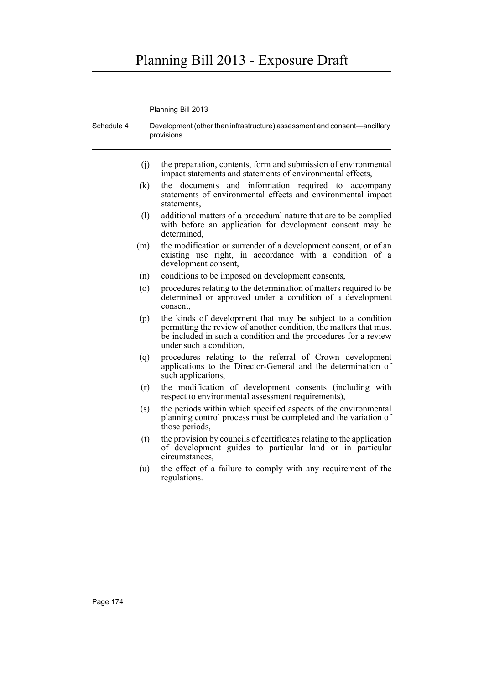Planning Bill 2013

Schedule 4 Development (other than infrastructure) assessment and consent—ancillary provisions (j) the preparation, contents, form and submission of environmental impact statements and statements of environmental effects, (k) the documents and information required to accompany statements of environmental effects and environmental impact statements, (l) additional matters of a procedural nature that are to be complied with before an application for development consent may be determined, (m) the modification or surrender of a development consent, or of an existing use right, in accordance with a condition of a development consent, (n) conditions to be imposed on development consents, (o) procedures relating to the determination of matters required to be determined or approved under a condition of a development consent, (p) the kinds of development that may be subject to a condition permitting the review of another condition, the matters that must be included in such a condition and the procedures for a review under such a condition, (q) procedures relating to the referral of Crown development applications to the Director-General and the determination of such applications, (r) the modification of development consents (including with respect to environmental assessment requirements), (s) the periods within which specified aspects of the environmental planning control process must be completed and the variation of those periods, (t) the provision by councils of certificates relating to the application of development guides to particular land or in particular circumstances, (u) the effect of a failure to comply with any requirement of the regulations.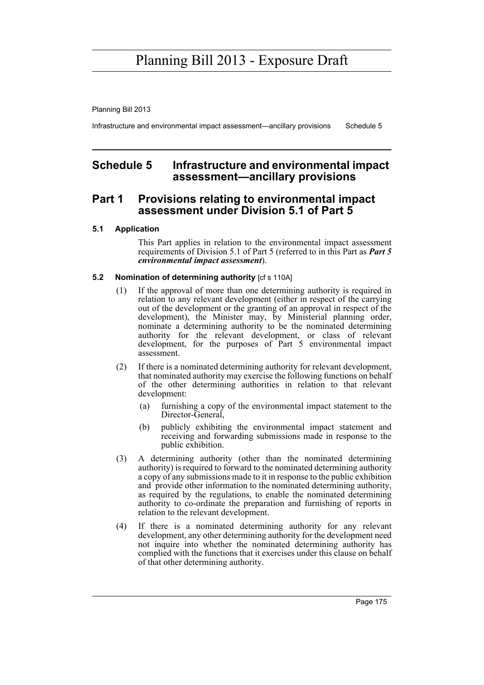Planning Bill 2013

Infrastructure and environmental impact assessment—ancillary provisions Schedule 5

### **Schedule 5 Infrastructure and environmental impact assessment—ancillary provisions**

### **Part 1 Provisions relating to environmental impact assessment under Division 5.1 of Part 5**

### **5.1 Application**

This Part applies in relation to the environmental impact assessment requirements of Division 5.1 of Part 5 (referred to in this Part as *Part 5 environmental impact assessment*).

#### **5.2 Nomination of determining authority** [cf s 110A]

- (1) If the approval of more than one determining authority is required in relation to any relevant development (either in respect of the carrying out of the development or the granting of an approval in respect of the development), the Minister may, by Ministerial planning order, nominate a determining authority to be the nominated determining authority for the relevant development, or class of relevant development, for the purposes of Part 5 environmental impact assessment.
- (2) If there is a nominated determining authority for relevant development, that nominated authority may exercise the following functions on behalf of the other determining authorities in relation to that relevant development:
	- (a) furnishing a copy of the environmental impact statement to the Director-General,
	- (b) publicly exhibiting the environmental impact statement and receiving and forwarding submissions made in response to the public exhibition.
- (3) A determining authority (other than the nominated determining authority) is required to forward to the nominated determining authority a copy of any submissions made to it in response to the public exhibition and provide other information to the nominated determining authority, as required by the regulations, to enable the nominated determining authority to co-ordinate the preparation and furnishing of reports in relation to the relevant development.
- (4) If there is a nominated determining authority for any relevant development, any other determining authority for the development need not inquire into whether the nominated determining authority has complied with the functions that it exercises under this clause on behalf of that other determining authority.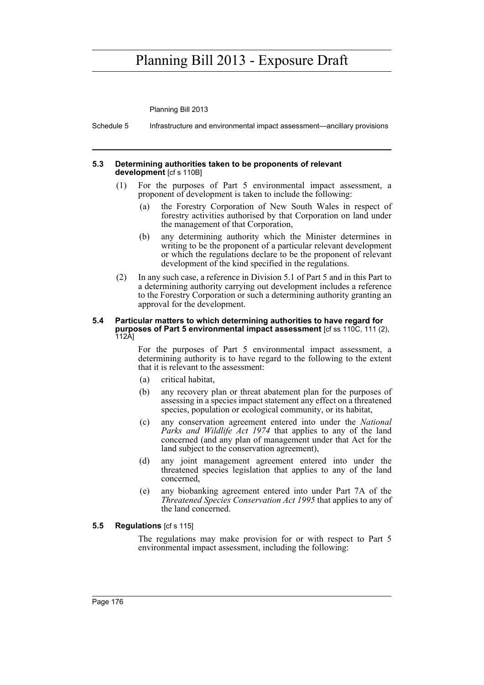Planning Bill 2013

Schedule 5 Infrastructure and environmental impact assessment—ancillary provisions

#### **5.3 Determining authorities taken to be proponents of relevant development** [cf s 110B]

- (1) For the purposes of Part 5 environmental impact assessment, a proponent of development is taken to include the following:
	- (a) the Forestry Corporation of New South Wales in respect of forestry activities authorised by that Corporation on land under the management of that Corporation,
	- (b) any determining authority which the Minister determines in writing to be the proponent of a particular relevant development or which the regulations declare to be the proponent of relevant development of the kind specified in the regulations.
- (2) In any such case, a reference in Division 5.1 of Part 5 and in this Part to a determining authority carrying out development includes a reference to the Forestry Corporation or such a determining authority granting an approval for the development.

#### **5.4 Particular matters to which determining authorities to have regard for purposes of Part 5 environmental impact assessment** [cf ss 110C, 111 (2), 112A]

For the purposes of Part 5 environmental impact assessment, a determining authority is to have regard to the following to the extent that it is relevant to the assessment:

- (a) critical habitat,
- (b) any recovery plan or threat abatement plan for the purposes of assessing in a species impact statement any effect on a threatened species, population or ecological community, or its habitat,
- (c) any conservation agreement entered into under the *National Parks and Wildlife Act 1974* that applies to any of the land concerned (and any plan of management under that Act for the land subject to the conservation agreement),
- (d) any joint management agreement entered into under the threatened species legislation that applies to any of the land concerned,
- (e) any biobanking agreement entered into under Part 7A of the *Threatened Species Conservation Act 1995* that applies to any of the land concerned.

### **5.5 Regulations** [cf s 115]

The regulations may make provision for or with respect to Part 5 environmental impact assessment, including the following: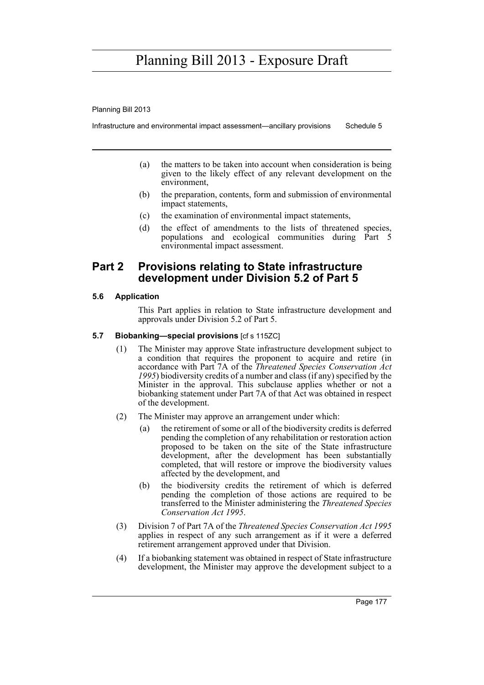Planning Bill 2013

Infrastructure and environmental impact assessment—ancillary provisions Schedule 5

- (a) the matters to be taken into account when consideration is being given to the likely effect of any relevant development on the environment,
- (b) the preparation, contents, form and submission of environmental impact statements,
- (c) the examination of environmental impact statements,
- (d) the effect of amendments to the lists of threatened species, populations and ecological communities during Part 5 environmental impact assessment.

### **Part 2 Provisions relating to State infrastructure development under Division 5.2 of Part 5**

### **5.6 Application**

This Part applies in relation to State infrastructure development and approvals under Division 5.2 of Part 5.

### **5.7 Biobanking—special provisions** [cf s 115ZC]

- (1) The Minister may approve State infrastructure development subject to a condition that requires the proponent to acquire and retire (in accordance with Part 7A of the *Threatened Species Conservation Act 1995*) biodiversity credits of a number and class (if any) specified by the Minister in the approval. This subclause applies whether or not a biobanking statement under Part 7A of that Act was obtained in respect of the development.
- (2) The Minister may approve an arrangement under which:
	- (a) the retirement of some or all of the biodiversity credits is deferred pending the completion of any rehabilitation or restoration action proposed to be taken on the site of the State infrastructure development, after the development has been substantially completed, that will restore or improve the biodiversity values affected by the development, and
	- (b) the biodiversity credits the retirement of which is deferred pending the completion of those actions are required to be transferred to the Minister administering the *Threatened Species Conservation Act 1995*.
- (3) Division 7 of Part 7A of the *Threatened Species Conservation Act 1995* applies in respect of any such arrangement as if it were a deferred retirement arrangement approved under that Division.
- (4) If a biobanking statement was obtained in respect of State infrastructure development, the Minister may approve the development subject to a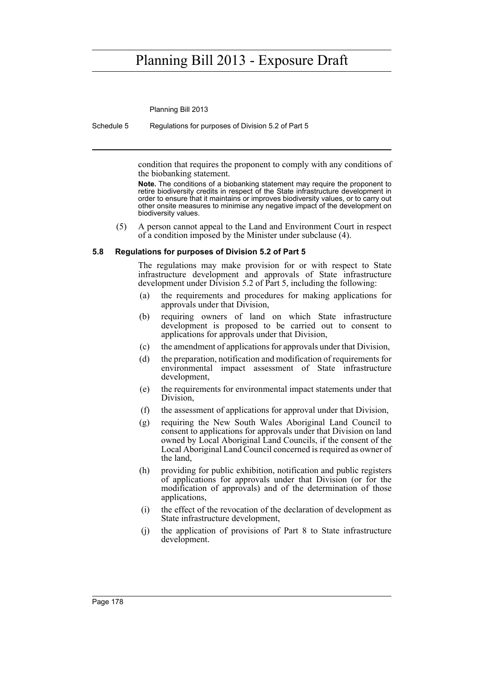Planning Bill 2013

Schedule 5 Regulations for purposes of Division 5.2 of Part 5

condition that requires the proponent to comply with any conditions of the biobanking statement.

**Note.** The conditions of a biobanking statement may require the proponent to retire biodiversity credits in respect of the State infrastructure development in order to ensure that it maintains or improves biodiversity values, or to carry out other onsite measures to minimise any negative impact of the development on biodiversity values.

(5) A person cannot appeal to the Land and Environment Court in respect of a condition imposed by the Minister under subclause (4).

#### **5.8 Regulations for purposes of Division 5.2 of Part 5**

The regulations may make provision for or with respect to State infrastructure development and approvals of State infrastructure development under Division 5.2 of Part 5, including the following:

- (a) the requirements and procedures for making applications for approvals under that Division,
- (b) requiring owners of land on which State infrastructure development is proposed to be carried out to consent to applications for approvals under that Division,
- (c) the amendment of applications for approvals under that Division,
- (d) the preparation, notification and modification of requirements for environmental impact assessment of State infrastructure development,
- (e) the requirements for environmental impact statements under that Division,
- (f) the assessment of applications for approval under that Division,
- (g) requiring the New South Wales Aboriginal Land Council to consent to applications for approvals under that Division on land owned by Local Aboriginal Land Councils, if the consent of the Local Aboriginal Land Council concerned is required as owner of the land,
- (h) providing for public exhibition, notification and public registers of applications for approvals under that Division (or for the modification of approvals) and of the determination of those applications,
- (i) the effect of the revocation of the declaration of development as State infrastructure development,
- (j) the application of provisions of Part 8 to State infrastructure development.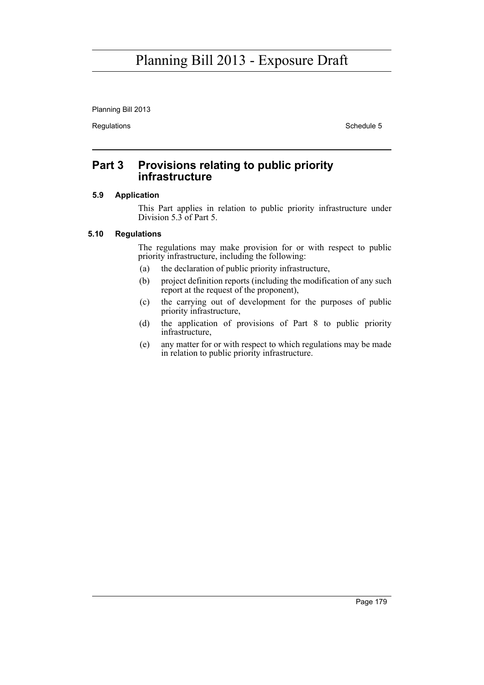Planning Bill 2013

Regulations **Schedule 5** 

### **Part 3 Provisions relating to public priority infrastructure**

### **5.9 Application**

This Part applies in relation to public priority infrastructure under Division 5.3 of Part 5.

### **5.10 Regulations**

The regulations may make provision for or with respect to public priority infrastructure, including the following:

- (a) the declaration of public priority infrastructure,
- (b) project definition reports (including the modification of any such report at the request of the proponent),
- (c) the carrying out of development for the purposes of public priority infrastructure,
- (d) the application of provisions of Part 8 to public priority infrastructure,
- (e) any matter for or with respect to which regulations may be made in relation to public priority infrastructure.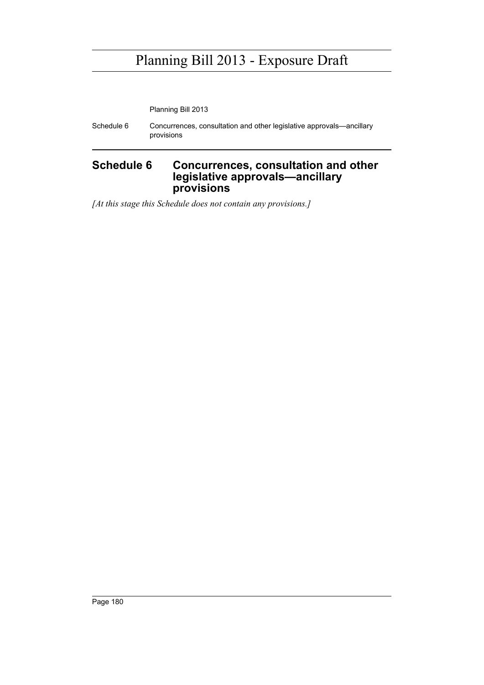Planning Bill 2013

Schedule 6 Concurrences, consultation and other legislative approvals—ancillary provisions

### **Schedule 6 Concurrences, consultation and other legislative approvals—ancillary provisions**

*[At this stage this Schedule does not contain any provisions.]*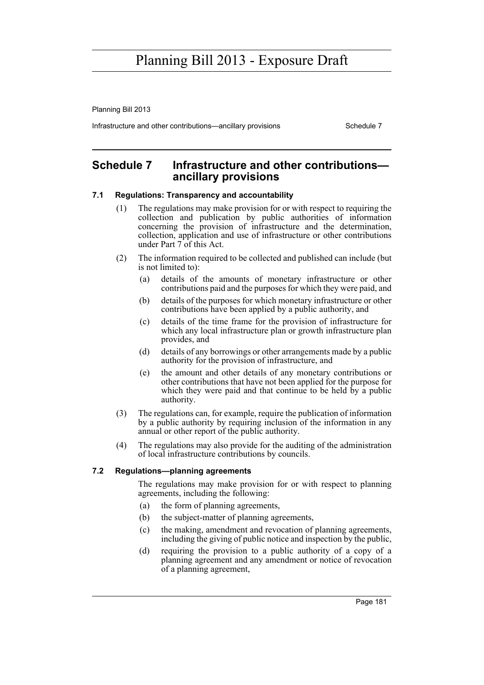Planning Bill 2013

Infrastructure and other contributions—ancillary provisions Schedule 7

### **Schedule 7 Infrastructure and other contributions ancillary provisions**

### **7.1 Regulations: Transparency and accountability**

- (1) The regulations may make provision for or with respect to requiring the collection and publication by public authorities of information concerning the provision of infrastructure and the determination, collection, application and use of infrastructure or other contributions under Part 7 of this Act.
- (2) The information required to be collected and published can include (but is not limited to):
	- (a) details of the amounts of monetary infrastructure or other contributions paid and the purposes for which they were paid, and
	- (b) details of the purposes for which monetary infrastructure or other contributions have been applied by a public authority, and
	- (c) details of the time frame for the provision of infrastructure for which any local infrastructure plan or growth infrastructure plan provides, and
	- (d) details of any borrowings or other arrangements made by a public authority for the provision of infrastructure, and
	- (e) the amount and other details of any monetary contributions or other contributions that have not been applied for the purpose for which they were paid and that continue to be held by a public authority.
- (3) The regulations can, for example, require the publication of information by a public authority by requiring inclusion of the information in any annual or other report of the public authority.
- (4) The regulations may also provide for the auditing of the administration of local infrastructure contributions by councils.

### **7.2 Regulations—planning agreements**

The regulations may make provision for or with respect to planning agreements, including the following:

- (a) the form of planning agreements,
- (b) the subject-matter of planning agreements,
- (c) the making, amendment and revocation of planning agreements, including the giving of public notice and inspection by the public,
- (d) requiring the provision to a public authority of a copy of a planning agreement and any amendment or notice of revocation of a planning agreement,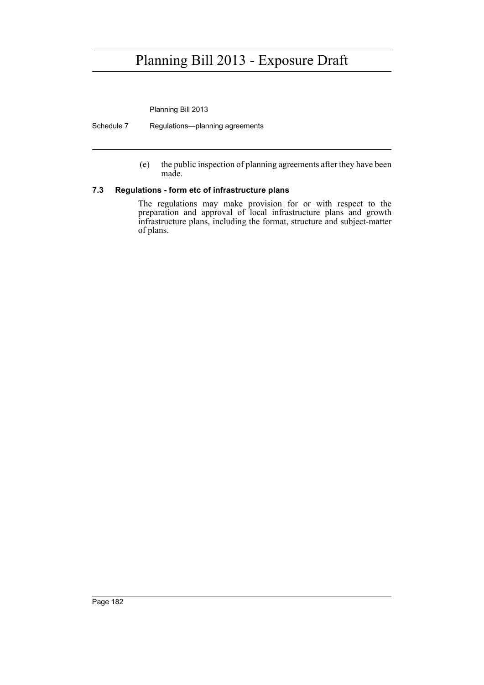Planning Bill 2013

Schedule 7 Regulations—planning agreements

(e) the public inspection of planning agreements after they have been made.

### **7.3 Regulations - form etc of infrastructure plans**

The regulations may make provision for or with respect to the preparation and approval of local infrastructure plans and growth infrastructure plans, including the format, structure and subject-matter of plans.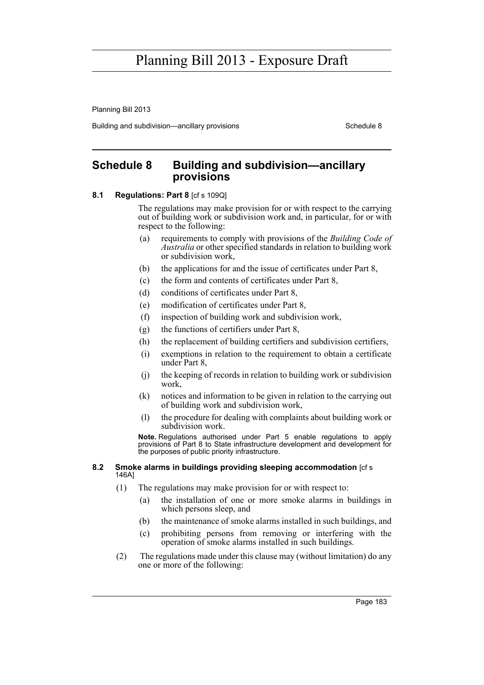Planning Bill 2013

Building and subdivision—ancillary provisions Schedule 8 Schedule 8

### **Schedule 8 Building and subdivision—ancillary provisions**

### **8.1 Regulations: Part 8** [cf s 109Q]

The regulations may make provision for or with respect to the carrying out of building work or subdivision work and, in particular, for or with respect to the following:

- (a) requirements to comply with provisions of the *Building Code of Australia* or other specified standards in relation to building work or subdivision work,
- (b) the applications for and the issue of certificates under Part 8,
- (c) the form and contents of certificates under Part 8,
- (d) conditions of certificates under Part 8,
- (e) modification of certificates under Part 8,
- (f) inspection of building work and subdivision work,
- (g) the functions of certifiers under Part 8,
- (h) the replacement of building certifiers and subdivision certifiers,
- (i) exemptions in relation to the requirement to obtain a certificate under Part 8,
- (j) the keeping of records in relation to building work or subdivision work,
- (k) notices and information to be given in relation to the carrying out of building work and subdivision work,
- (l) the procedure for dealing with complaints about building work or subdivision work.

**Note.** Regulations authorised under Part 5 enable regulations to apply provisions of Part 8 to State infrastructure development and development for the purposes of public priority infrastructure.

#### **8.2 Smoke alarms in buildings providing sleeping accommodation** [cf s 146A]

- (1) The regulations may make provision for or with respect to:
	- (a) the installation of one or more smoke alarms in buildings in which persons sleep, and
	- (b) the maintenance of smoke alarms installed in such buildings, and
	- (c) prohibiting persons from removing or interfering with the operation of smoke alarms installed in such buildings.
- (2) The regulations made under this clause may (without limitation) do any one or more of the following: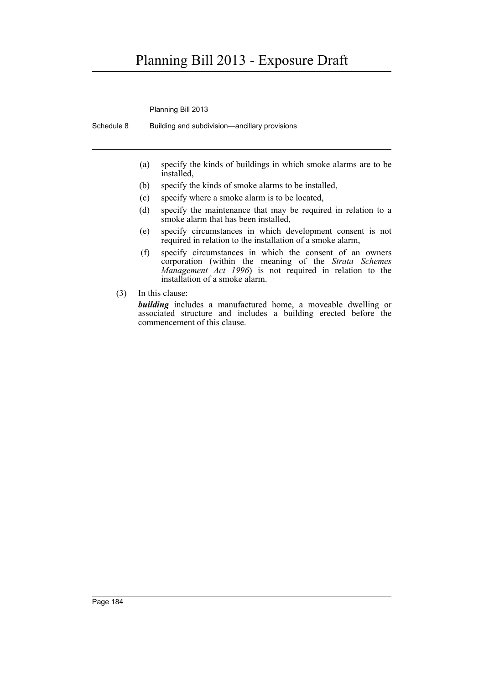Planning Bill 2013

Schedule 8 Building and subdivision—ancillary provisions

- (a) specify the kinds of buildings in which smoke alarms are to be installed,
- (b) specify the kinds of smoke alarms to be installed,
- (c) specify where a smoke alarm is to be located,
- (d) specify the maintenance that may be required in relation to a smoke alarm that has been installed,
- (e) specify circumstances in which development consent is not required in relation to the installation of a smoke alarm,
- (f) specify circumstances in which the consent of an owners corporation (within the meaning of the *Strata Schemes Management Act 1996*) is not required in relation to the installation of a smoke alarm.
- (3) In this clause:

*building* includes a manufactured home, a moveable dwelling or associated structure and includes a building erected before the commencement of this clause.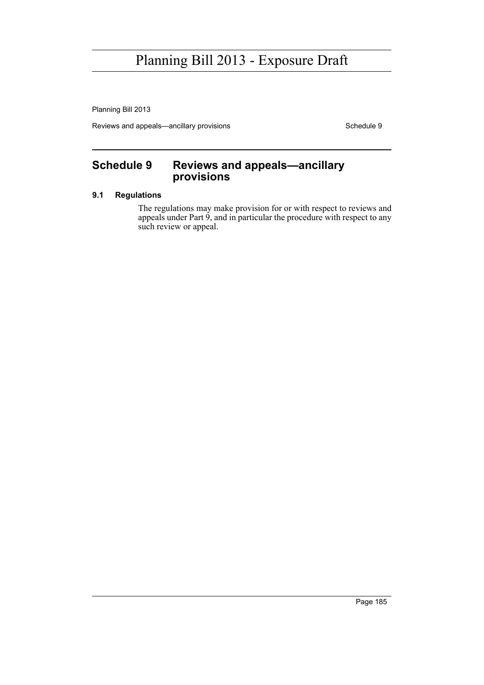Planning Bill 2013

Reviews and appeals—ancillary provisions Schedule 9

### **Schedule 9 Reviews and appeals—ancillary provisions**

### **9.1 Regulations**

The regulations may make provision for or with respect to reviews and appeals under Part 9, and in particular the procedure with respect to any such review or appeal.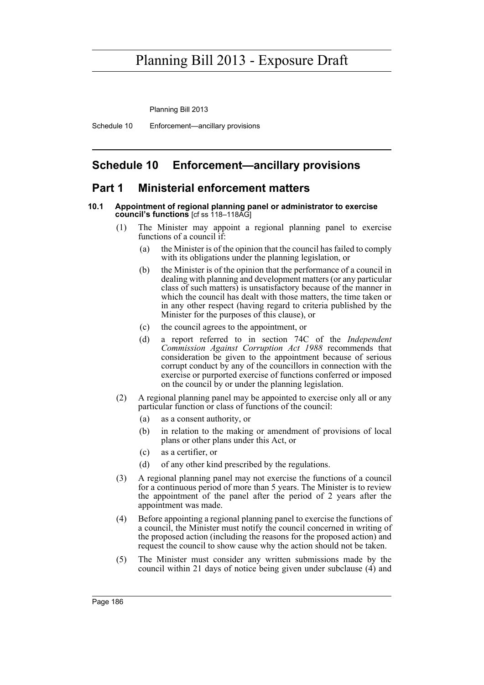Planning Bill 2013

Schedule 10 Enforcement—ancillary provisions

### **Schedule 10 Enforcement—ancillary provisions**

### **Part 1 Ministerial enforcement matters**

#### **10.1 Appointment of regional planning panel or administrator to exercise council's functions** [cf ss 118–118AG]

- (1) The Minister may appoint a regional planning panel to exercise functions of a council if:
	- (a) the Minister is of the opinion that the council has failed to comply with its obligations under the planning legislation, or
	- (b) the Minister is of the opinion that the performance of a council in dealing with planning and development matters (or any particular class of such matters) is unsatisfactory because of the manner in which the council has dealt with those matters, the time taken or in any other respect (having regard to criteria published by the Minister for the purposes of this clause), or
	- (c) the council agrees to the appointment, or
	- (d) a report referred to in section 74C of the *Independent Commission Against Corruption Act 1988* recommends that consideration be given to the appointment because of serious corrupt conduct by any of the councillors in connection with the exercise or purported exercise of functions conferred or imposed on the council by or under the planning legislation.
- (2) A regional planning panel may be appointed to exercise only all or any particular function or class of functions of the council:
	- (a) as a consent authority, or
	- (b) in relation to the making or amendment of provisions of local plans or other plans under this Act, or
	- (c) as a certifier, or
	- (d) of any other kind prescribed by the regulations.
- (3) A regional planning panel may not exercise the functions of a council for a continuous period of more than 5 years. The Minister is to review the appointment of the panel after the period of 2 years after the appointment was made.
- (4) Before appointing a regional planning panel to exercise the functions of a council, the Minister must notify the council concerned in writing of the proposed action (including the reasons for the proposed action) and request the council to show cause why the action should not be taken.
- (5) The Minister must consider any written submissions made by the council within 21 days of notice being given under subclause (4) and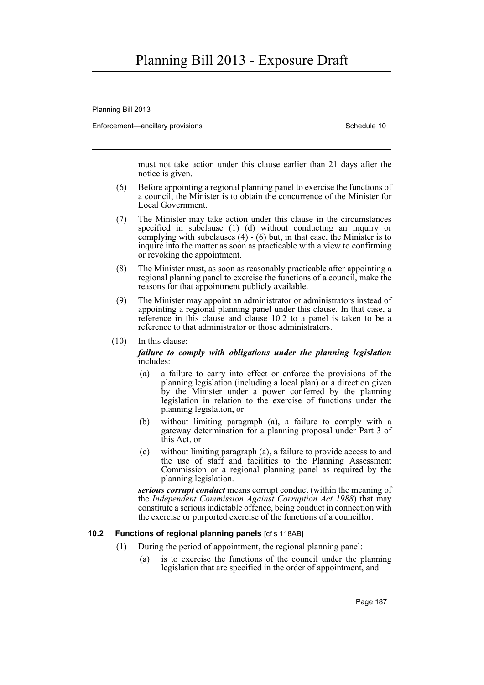Planning Bill 2013

Enforcement—ancillary provisions Schedule 10

must not take action under this clause earlier than 21 days after the notice is given.

- (6) Before appointing a regional planning panel to exercise the functions of a council, the Minister is to obtain the concurrence of the Minister for Local Government.
- (7) The Minister may take action under this clause in the circumstances specified in subclause (1) (d) without conducting an inquiry or complying with subclauses (4) - (6) but, in that case, the Minister is to inquire into the matter as soon as practicable with a view to confirming or revoking the appointment.
- (8) The Minister must, as soon as reasonably practicable after appointing a regional planning panel to exercise the functions of a council, make the reasons for that appointment publicly available.
- (9) The Minister may appoint an administrator or administrators instead of appointing a regional planning panel under this clause. In that case, a reference in this clause and clause 10.2 to a panel is taken to be a reference to that administrator or those administrators.

(10) In this clause:

#### *failure to comply with obligations under the planning legislation* includes:

- (a) a failure to carry into effect or enforce the provisions of the planning legislation (including a local plan) or a direction given by the Minister under a power conferred by the planning legislation in relation to the exercise of functions under the planning legislation, or
- (b) without limiting paragraph (a), a failure to comply with a gateway determination for a planning proposal under Part 3 of this Act, or
- (c) without limiting paragraph (a), a failure to provide access to and the use of staff and facilities to the Planning Assessment Commission or a regional planning panel as required by the planning legislation.

*serious corrupt conduct* means corrupt conduct (within the meaning of the *Independent Commission Against Corruption Act 1988*) that may constitute a serious indictable offence, being conduct in connection with the exercise or purported exercise of the functions of a councillor.

#### **10.2 Functions of regional planning panels** [cf s 118AB]

- (1) During the period of appointment, the regional planning panel:
	- (a) is to exercise the functions of the council under the planning legislation that are specified in the order of appointment, and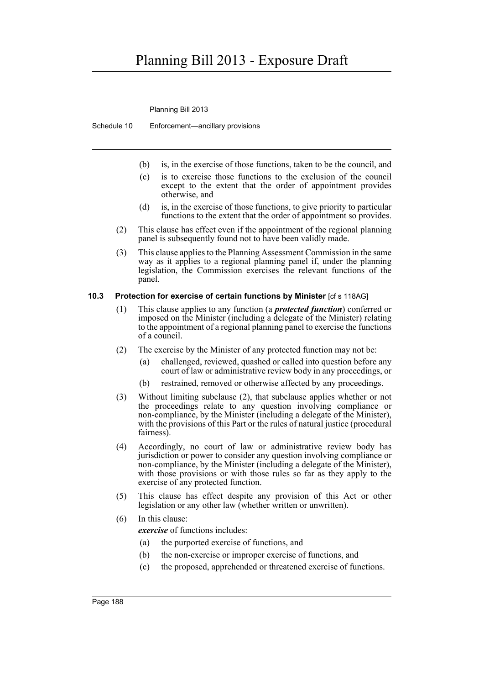Planning Bill 2013

Schedule 10 Enforcement—ancillary provisions

- (b) is, in the exercise of those functions, taken to be the council, and
- (c) is to exercise those functions to the exclusion of the council except to the extent that the order of appointment provides otherwise, and
- (d) is, in the exercise of those functions, to give priority to particular functions to the extent that the order of appointment so provides.
- (2) This clause has effect even if the appointment of the regional planning panel is subsequently found not to have been validly made.
- (3) This clause applies to the Planning Assessment Commission in the same way as it applies to a regional planning panel if, under the planning legislation, the Commission exercises the relevant functions of the panel.

### **10.3 Protection for exercise of certain functions by Minister** [cf s 118AG]

- (1) This clause applies to any function (a *protected function*) conferred or imposed on the Minister (including a delegate of the Minister) relating to the appointment of a regional planning panel to exercise the functions of a council.
- (2) The exercise by the Minister of any protected function may not be:
	- (a) challenged, reviewed, quashed or called into question before any court of law or administrative review body in any proceedings, or
	- (b) restrained, removed or otherwise affected by any proceedings.
- (3) Without limiting subclause (2), that subclause applies whether or not the proceedings relate to any question involving compliance or non-compliance, by the Minister (including a delegate of the Minister), with the provisions of this Part or the rules of natural justice (procedural fairness).
- (4) Accordingly, no court of law or administrative review body has jurisdiction or power to consider any question involving compliance or non-compliance, by the Minister (including a delegate of the Minister), with those provisions or with those rules so far as they apply to the exercise of any protected function.
- (5) This clause has effect despite any provision of this Act or other legislation or any other law (whether written or unwritten).

### (6) In this clause:

*exercise* of functions includes:

- (a) the purported exercise of functions, and
- (b) the non-exercise or improper exercise of functions, and
- (c) the proposed, apprehended or threatened exercise of functions.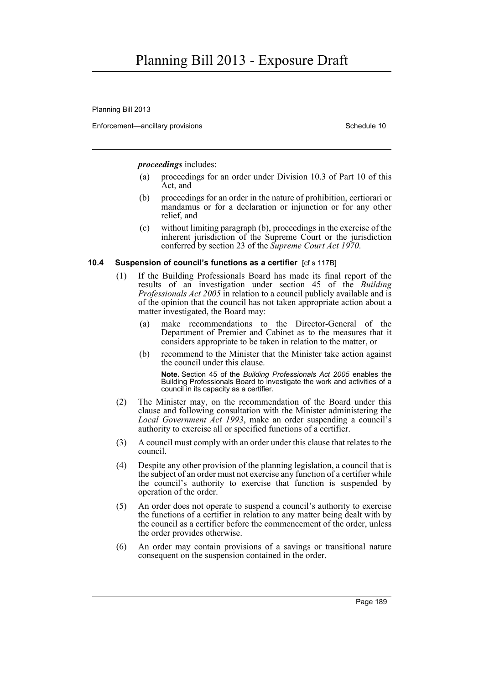Planning Bill 2013

Enforcement—ancillary provisions Schedule 10

*proceedings* includes:

- (a) proceedings for an order under Division 10.3 of Part 10 of this Act, and
- (b) proceedings for an order in the nature of prohibition, certiorari or mandamus or for a declaration or injunction or for any other relief, and
- (c) without limiting paragraph (b), proceedings in the exercise of the inherent jurisdiction of the Supreme Court or the jurisdiction conferred by section 23 of the *Supreme Court Act 1970*.

### **10.4 Suspension of council's functions as a certifier** [cf s 117B]

- (1) If the Building Professionals Board has made its final report of the results of an investigation under section 45 of the *Building Professionals Act 2005* in relation to a council publicly available and is of the opinion that the council has not taken appropriate action about a matter investigated, the Board may:
	- (a) make recommendations to the Director-General of the Department of Premier and Cabinet as to the measures that it considers appropriate to be taken in relation to the matter, or
	- (b) recommend to the Minister that the Minister take action against the council under this clause.

**Note.** Section 45 of the *Building Professionals Act 2005* enables the Building Professionals Board to investigate the work and activities of a council in its capacity as a certifier.

- (2) The Minister may, on the recommendation of the Board under this clause and following consultation with the Minister administering the *Local Government Act 1993*, make an order suspending a council's authority to exercise all or specified functions of a certifier.
- (3) A council must comply with an order under this clause that relates to the council.
- (4) Despite any other provision of the planning legislation, a council that is the subject of an order must not exercise any function of a certifier while the council's authority to exercise that function is suspended by operation of the order.
- (5) An order does not operate to suspend a council's authority to exercise the functions of a certifier in relation to any matter being dealt with by the council as a certifier before the commencement of the order, unless the order provides otherwise.
- (6) An order may contain provisions of a savings or transitional nature consequent on the suspension contained in the order.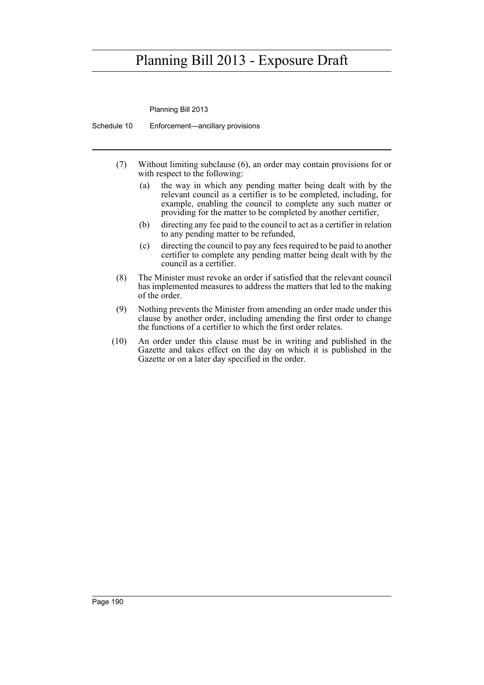Planning Bill 2013

Schedule 10 Enforcement—ancillary provisions

- (7) Without limiting subclause (6), an order may contain provisions for or with respect to the following:
	- (a) the way in which any pending matter being dealt with by the relevant council as a certifier is to be completed, including, for example, enabling the council to complete any such matter or providing for the matter to be completed by another certifier,
	- (b) directing any fee paid to the council to act as a certifier in relation to any pending matter to be refunded,
	- (c) directing the council to pay any fees required to be paid to another certifier to complete any pending matter being dealt with by the council as a certifier.
- (8) The Minister must revoke an order if satisfied that the relevant council has implemented measures to address the matters that led to the making of the order.
- (9) Nothing prevents the Minister from amending an order made under this clause by another order, including amending the first order to change the functions of a certifier to which the first order relates.
- (10) An order under this clause must be in writing and published in the Gazette and takes effect on the day on which it is published in the Gazette or on a later day specified in the order.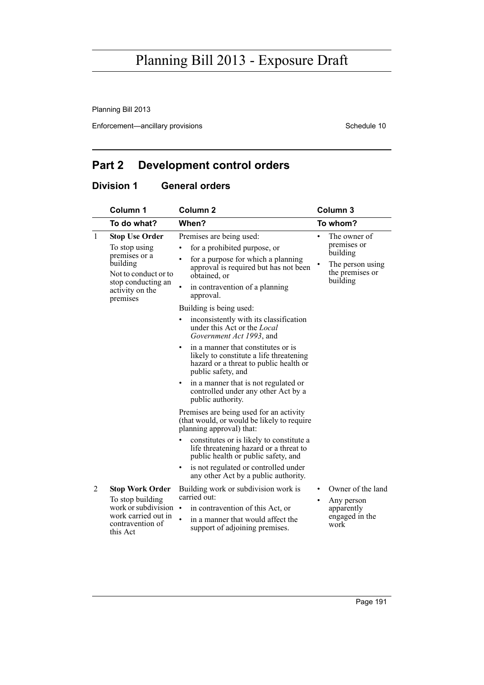Planning Bill 2013

Enforcement—ancillary provisions Schedule 10

### **Part 2 Development control orders**

### **Division 1 General orders**

|              | Column 1                                                                                               | Column <sub>2</sub>                                                                                                                                | Column <sub>3</sub>                                         |
|--------------|--------------------------------------------------------------------------------------------------------|----------------------------------------------------------------------------------------------------------------------------------------------------|-------------------------------------------------------------|
|              | To do what?                                                                                            | When?                                                                                                                                              | To whom?                                                    |
| $\mathbf{1}$ | <b>Stop Use Order</b><br>To stop using                                                                 | Premises are being used:<br>for a prohibited purpose, or                                                                                           | The owner of<br>$\bullet$<br>premises or                    |
|              | premises or a<br>building<br>Not to conduct or to<br>stop conducting an<br>activity on the<br>premises | for a purpose for which a planning<br>٠<br>approval is required but has not been<br>obtained, or                                                   | building<br>The person using<br>the premises or<br>building |
|              |                                                                                                        | $\bullet$<br>in contravention of a planning<br>approval.                                                                                           |                                                             |
|              |                                                                                                        | Building is being used:                                                                                                                            |                                                             |
|              |                                                                                                        | inconsistently with its classification<br>under this Act or the <i>Local</i><br>Government Act 1993, and                                           |                                                             |
|              |                                                                                                        | in a manner that constitutes or is<br>٠<br>likely to constitute a life threatening<br>hazard or a threat to public health or<br>public safety, and |                                                             |
|              |                                                                                                        | in a manner that is not regulated or<br>٠<br>controlled under any other Act by a<br>public authority.                                              |                                                             |
|              |                                                                                                        | Premises are being used for an activity<br>(that would, or would be likely to require<br>planning approval) that:                                  |                                                             |
|              |                                                                                                        | constitutes or is likely to constitute a<br>life threatening hazard or a threat to<br>public health or public safety, and                          |                                                             |
|              |                                                                                                        | is not regulated or controlled under<br>٠<br>any other Act by a public authority.                                                                  |                                                             |
| 2            | <b>Stop Work Order</b><br>To stop building<br>work or subdivision                                      | Building work or subdivision work is<br>carried out:                                                                                               | Owner of the land<br>٠<br>Any person                        |
|              |                                                                                                        | in contravention of this Act, or<br>$\bullet$                                                                                                      | apparently                                                  |
|              | work carried out in<br>contravention of<br>this Act                                                    | in a manner that would affect the<br>support of adjoining premises.                                                                                | engaged in the<br>work                                      |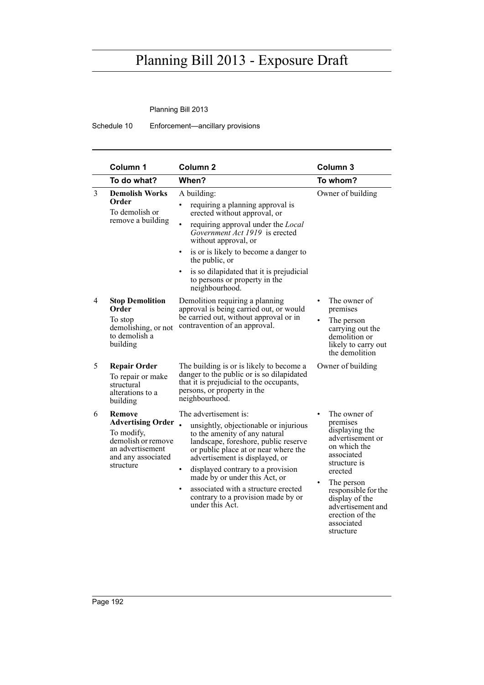Planning Bill 2013

Schedule 10 Enforcement—ancillary provisions

|                | Column 1                                                                                                                      | Column <sub>2</sub>                                                                                                                                                                                                                                                                                                                                                                                               | Column <sub>3</sub>                                                                                                                                                                                                                                            |
|----------------|-------------------------------------------------------------------------------------------------------------------------------|-------------------------------------------------------------------------------------------------------------------------------------------------------------------------------------------------------------------------------------------------------------------------------------------------------------------------------------------------------------------------------------------------------------------|----------------------------------------------------------------------------------------------------------------------------------------------------------------------------------------------------------------------------------------------------------------|
|                | To do what?                                                                                                                   | When?                                                                                                                                                                                                                                                                                                                                                                                                             | To whom?                                                                                                                                                                                                                                                       |
| $\overline{3}$ | <b>Demolish Works</b><br>Order<br>To demolish or<br>remove a building                                                         | A building:<br>requiring a planning approval is<br>$\bullet$<br>erected without approval, or<br>requiring approval under the <i>Local</i><br>Government Act 1919 is erected<br>without approval, or<br>is or is likely to become a danger to<br>$\bullet$<br>the public, or<br>is so dilapidated that it is prejudicial<br>$\bullet$<br>to persons or property in the<br>neighbourhood.                           | Owner of building                                                                                                                                                                                                                                              |
| 4              | <b>Stop Demolition</b><br>Order<br>To stop<br>demolishing, or not<br>to demolish a<br>building                                | Demolition requiring a planning<br>approval is being carried out, or would<br>be carried out, without approval or in<br>contravention of an approval.                                                                                                                                                                                                                                                             | The owner of<br>premises<br>The person<br>carrying out the<br>demolition or<br>likely to carry out<br>the demolition                                                                                                                                           |
| 5              | <b>Repair Order</b><br>To repair or make<br>structural<br>alterations to a<br>building                                        | The building is or is likely to become a<br>danger to the public or is so dilapidated<br>that it is prejudicial to the occupants,<br>persons, or property in the<br>neighbourhood.                                                                                                                                                                                                                                | Owner of building                                                                                                                                                                                                                                              |
| 6              | Remove<br><b>Advertising Order</b><br>To modify,<br>demolish or remove<br>an advertisement<br>and any associated<br>structure | The advertisement is:<br>unsightly, objectionable or injurious<br>to the amenity of any natural<br>landscape, foreshore, public reserve<br>or public place at or near where the<br>advertisement is displayed, or<br>displayed contrary to a provision<br>$\bullet$<br>made by or under this Act, or<br>associated with a structure erected<br>$\bullet$<br>contrary to a provision made by or<br>under this Act. | The owner of<br>premises<br>displaying the<br>advertisement or<br>on which the<br>associated<br>structure is<br>erected<br>The person<br>$\bullet$<br>responsible for the<br>display of the<br>advertisement and<br>erection of the<br>associated<br>structure |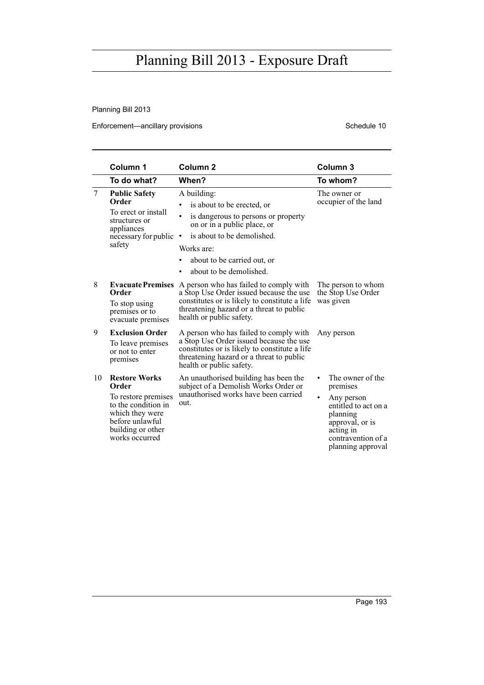Planning Bill 2013

Enforcement—ancillary provisions Schedule 10

|                | Column 1                                                                                                                                                 | Column <sub>2</sub>                                                                                                                                                                                                                                       | Column <sub>3</sub>                                                                                                                                       |
|----------------|----------------------------------------------------------------------------------------------------------------------------------------------------------|-----------------------------------------------------------------------------------------------------------------------------------------------------------------------------------------------------------------------------------------------------------|-----------------------------------------------------------------------------------------------------------------------------------------------------------|
|                | To do what?                                                                                                                                              | When?                                                                                                                                                                                                                                                     | To whom?                                                                                                                                                  |
| $\overline{7}$ | <b>Public Safety</b><br>Order<br>To erect or install<br>structures or<br>appliances<br>necessary for public<br>safety                                    | A building:<br>is about to be erected, or<br>٠<br>$\bullet$<br>is dangerous to persons or property<br>on or in a public place, or<br>is about to be demolished.<br>$\bullet$<br>Works are:<br>about to be carried out, or<br>about to be demolished.<br>٠ | The owner or<br>occupier of the land                                                                                                                      |
| 8              | <b>Evacuate Premises</b><br>Order<br>To stop using<br>premises or to<br>evacuate premises                                                                | A person who has failed to comply with<br>a Stop Use Order issued because the use<br>constitutes or is likely to constitute a life<br>threatening hazard or a threat to public<br>health or public safety.                                                | The person to whom<br>the Stop Use Order<br>was given                                                                                                     |
| 9              | <b>Exclusion Order</b><br>To leave premises<br>or not to enter<br>premises                                                                               | A person who has failed to comply with<br>a Stop Use Order issued because the use<br>constitutes or is likely to constitute a life<br>threatening hazard or a threat to public<br>health or public safety.                                                | Any person                                                                                                                                                |
| 10             | <b>Restore Works</b><br>Order<br>To restore premises<br>to the condition in<br>which they were<br>before unlawful<br>building or other<br>works occurred | An unauthorised building has been the<br>subject of a Demolish Works Order or<br>unauthorised works have been carried<br>out.                                                                                                                             | The owner of the<br>premises<br>Any person<br>entitled to act on a<br>planning<br>approval, or is<br>acting in<br>contravention of a<br>planning approval |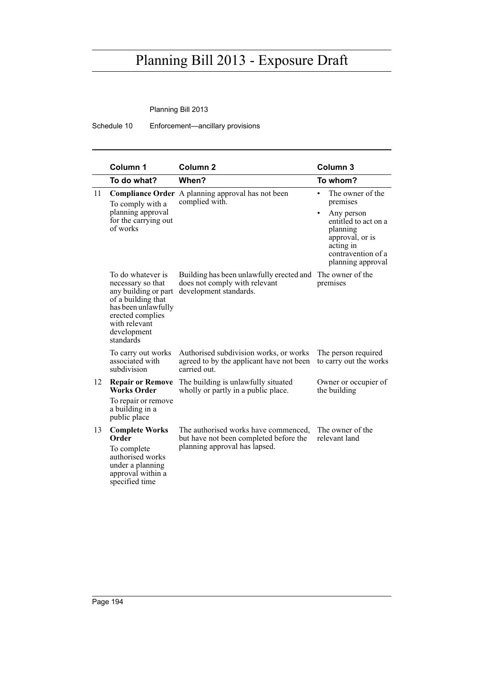Planning Bill 2013

Schedule 10 Enforcement—ancillary provisions

|    | Column 1                                                                                                                                                                     | Column <sub>2</sub>                                                                                             | Column <sub>3</sub>                                                                                                                                                         |
|----|------------------------------------------------------------------------------------------------------------------------------------------------------------------------------|-----------------------------------------------------------------------------------------------------------------|-----------------------------------------------------------------------------------------------------------------------------------------------------------------------------|
|    | To do what?                                                                                                                                                                  | When?                                                                                                           | To whom?                                                                                                                                                                    |
| 11 | To comply with a<br>planning approval<br>for the carrying out<br>of works                                                                                                    | Compliance Order A planning approval has not been<br>complied with.                                             | The owner of the<br>$\bullet$<br>premises<br>Any person<br>٠<br>entitled to act on a<br>planning<br>approval, or is<br>acting in<br>contravention of a<br>planning approval |
|    | To do whatever is<br>necessary so that<br>any building or part<br>of a building that<br>has been unlawfully<br>erected complies<br>with relevant<br>development<br>standards | Building has been unlawfully erected and<br>does not comply with relevant<br>development standards.             | The owner of the<br>premises                                                                                                                                                |
|    | To carry out works<br>associated with<br>subdivision                                                                                                                         | Authorised subdivision works, or works<br>agreed to by the applicant have not been<br>carried out.              | The person required<br>to carry out the works                                                                                                                               |
| 12 | <b>Repair or Remove</b><br><b>Works Order</b><br>To repair or remove<br>a building in a<br>public place                                                                      | The building is unlawfully situated<br>wholly or partly in a public place.                                      | Owner or occupier of<br>the building                                                                                                                                        |
| 13 | <b>Complete Works</b><br>Order<br>To complete<br>authorised works<br>under a planning<br>approval within a<br>specified time                                                 | The authorised works have commenced,<br>but have not been completed before the<br>planning approval has lapsed. | The owner of the<br>relevant land                                                                                                                                           |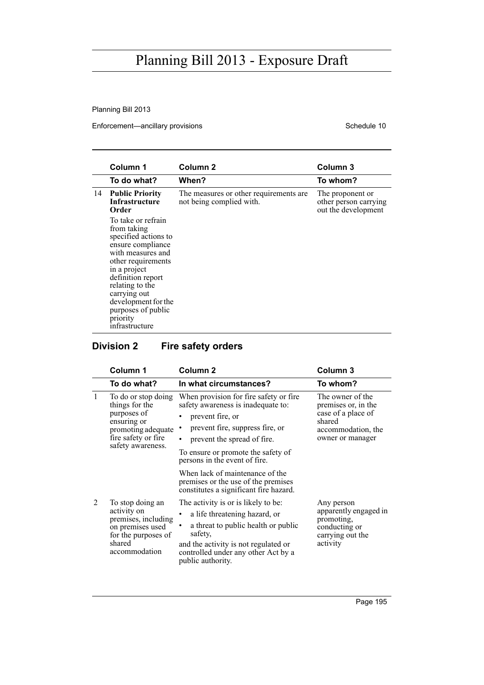Planning Bill 2013

Enforcement—ancillary provisions Schedule 10

|    | Column 1                                                                                                                                                                                                                                                                     | Column <sub>2</sub>                                                | Column 3                                                         |
|----|------------------------------------------------------------------------------------------------------------------------------------------------------------------------------------------------------------------------------------------------------------------------------|--------------------------------------------------------------------|------------------------------------------------------------------|
|    | To do what?                                                                                                                                                                                                                                                                  | When?                                                              | To whom?                                                         |
| 14 | <b>Public Priority</b><br><b>Infrastructure</b><br>Order                                                                                                                                                                                                                     | The measures or other requirements are<br>not being complied with. | The proponent or<br>other person carrying<br>out the development |
|    | To take or refrain<br>from taking<br>specified actions to<br>ensure compliance<br>with measures and<br>other requirements<br>in a project<br>definition report<br>relating to the<br>carrying out<br>development for the<br>purposes of public<br>priority<br>infrastructure |                                                                    |                                                                  |

### **Division 2 Fire safety orders**

|   | Column 1                                                                                                                              | Column <sub>2</sub>                                                                                                                                                                                                                                                                                                                                                           | Column <sub>3</sub>                                                                                               |
|---|---------------------------------------------------------------------------------------------------------------------------------------|-------------------------------------------------------------------------------------------------------------------------------------------------------------------------------------------------------------------------------------------------------------------------------------------------------------------------------------------------------------------------------|-------------------------------------------------------------------------------------------------------------------|
|   | To do what?                                                                                                                           | In what circumstances?                                                                                                                                                                                                                                                                                                                                                        | To whom?                                                                                                          |
| 1 | To do or stop doing<br>things for the<br>purposes of<br>ensuring or<br>promoting adequate<br>fire safety or fire<br>safety awareness. | When provision for fire safety or fire.<br>safety awareness is inadequate to:<br>prevent fire, or<br>٠<br>prevent fire, suppress fire, or<br>٠<br>prevent the spread of fire.<br>٠<br>To ensure or promote the safety of<br>persons in the event of fire.<br>When lack of maintenance of the<br>premises or the use of the premises<br>constitutes a significant fire hazard. | The owner of the<br>premises or, in the<br>case of a place of<br>shared<br>accommodation, the<br>owner or manager |
| 2 | To stop doing an<br>activity on<br>premises, including<br>on premises used<br>for the purposes of<br>shared<br>accommodation          | The activity is or is likely to be:<br>a life threatening hazard, or<br>a threat to public health or public<br>safety,<br>and the activity is not regulated or<br>controlled under any other Act by a<br>public authority.                                                                                                                                                    | Any person<br>apparently engaged in<br>promoting,<br>conducting or<br>carrying out the<br>activity                |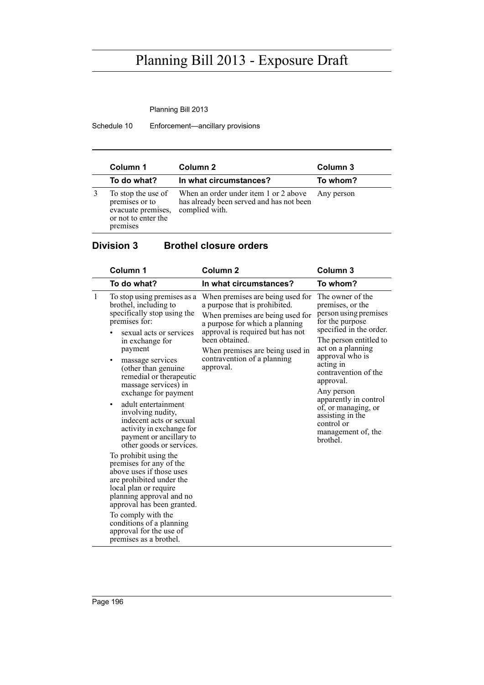Planning Bill 2013

Schedule 10 Enforcement—ancillary provisions

| Column 1                                                                                      | Column 2                                                                                            | Column 3   |
|-----------------------------------------------------------------------------------------------|-----------------------------------------------------------------------------------------------------|------------|
| To do what?                                                                                   | In what circumstances?                                                                              | To whom?   |
| To stop the use of<br>premises or to<br>evacuate premises,<br>or not to enter the<br>premises | When an order under item 1 or 2 above<br>has already been served and has not been<br>complied with. | Any person |

### **Division 3 Brothel closure orders**

| Column 1                                                                                                                                                                                                                                                                                                                                                                                                                                                                                                                                                                                                                                                                                                                                                                       | Column <sub>2</sub>                                                                                                                                                                                                                                                          | Column <sub>3</sub>                                                                                                                                                                                                                                                                                                                                               |
|--------------------------------------------------------------------------------------------------------------------------------------------------------------------------------------------------------------------------------------------------------------------------------------------------------------------------------------------------------------------------------------------------------------------------------------------------------------------------------------------------------------------------------------------------------------------------------------------------------------------------------------------------------------------------------------------------------------------------------------------------------------------------------|------------------------------------------------------------------------------------------------------------------------------------------------------------------------------------------------------------------------------------------------------------------------------|-------------------------------------------------------------------------------------------------------------------------------------------------------------------------------------------------------------------------------------------------------------------------------------------------------------------------------------------------------------------|
| To do what?                                                                                                                                                                                                                                                                                                                                                                                                                                                                                                                                                                                                                                                                                                                                                                    | In what circumstances?                                                                                                                                                                                                                                                       | To whom?                                                                                                                                                                                                                                                                                                                                                          |
| $\mathbf{1}$<br>To stop using premises as a<br>brothel, including to<br>specifically stop using the<br>premises for:<br>sexual acts or services<br>in exchange for<br>payment<br>massage services<br>٠<br>(other than genuine)<br>remedial or therapeutic<br>massage services) in<br>exchange for payment<br>adult entertainment<br>٠<br>involving nudity,<br>indecent acts or sexual<br>activity in exchange for<br>payment or ancillary to<br>other goods or services.<br>To prohibit using the<br>premises for any of the<br>above uses if those uses<br>are prohibited under the<br>local plan or require<br>planning approval and no<br>approval has been granted.<br>To comply with the<br>conditions of a planning<br>approval for the use of<br>premises as a brothel. | When premises are being used for<br>a purpose that is prohibited.<br>When premises are being used for<br>a purpose for which a planning<br>approval is required but has not<br>been obtained.<br>When premises are being used in<br>contravention of a planning<br>approval. | The owner of the<br>premises, or the<br>person using premises<br>for the purpose<br>specified in the order.<br>The person entitled to<br>act on a planning<br>approval who is<br>acting in<br>contravention of the<br>approval.<br>Any person<br>apparently in control<br>of, or managing, or<br>assisting in the<br>control or<br>management of, the<br>brothel. |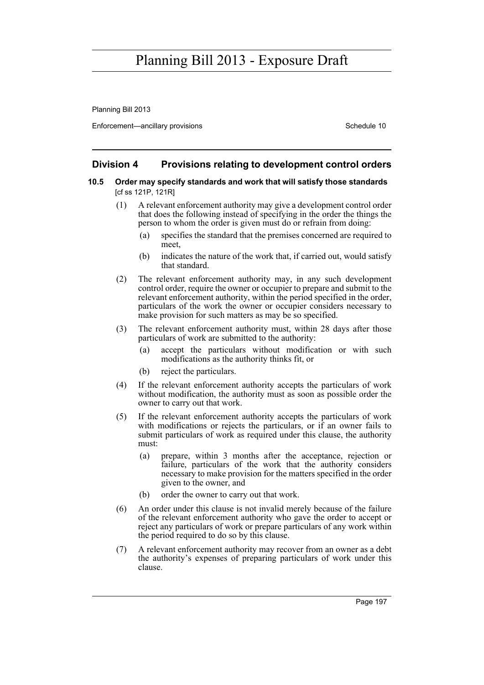Planning Bill 2013

Enforcement—ancillary provisions Schedule 10

### **Division 4 Provisions relating to development control orders**

#### **10.5 Order may specify standards and work that will satisfy those standards**  [cf ss 121P, 121R]

- (1) A relevant enforcement authority may give a development control order that does the following instead of specifying in the order the things the person to whom the order is given must do or refrain from doing:
	- (a) specifies the standard that the premises concerned are required to meet,
	- (b) indicates the nature of the work that, if carried out, would satisfy that standard.
- (2) The relevant enforcement authority may, in any such development control order, require the owner or occupier to prepare and submit to the relevant enforcement authority, within the period specified in the order, particulars of the work the owner or occupier considers necessary to make provision for such matters as may be so specified.
- (3) The relevant enforcement authority must, within 28 days after those particulars of work are submitted to the authority:
	- (a) accept the particulars without modification or with such modifications as the authority thinks fit, or
	- (b) reject the particulars.
- (4) If the relevant enforcement authority accepts the particulars of work without modification, the authority must as soon as possible order the owner to carry out that work.
- (5) If the relevant enforcement authority accepts the particulars of work with modifications or rejects the particulars, or if an owner fails to submit particulars of work as required under this clause, the authority must:
	- (a) prepare, within 3 months after the acceptance, rejection or failure, particulars of the work that the authority considers necessary to make provision for the matters specified in the order given to the owner, and
	- (b) order the owner to carry out that work.
- (6) An order under this clause is not invalid merely because of the failure of the relevant enforcement authority who gave the order to accept or reject any particulars of work or prepare particulars of any work within the period required to do so by this clause.
- (7) A relevant enforcement authority may recover from an owner as a debt the authority's expenses of preparing particulars of work under this clause.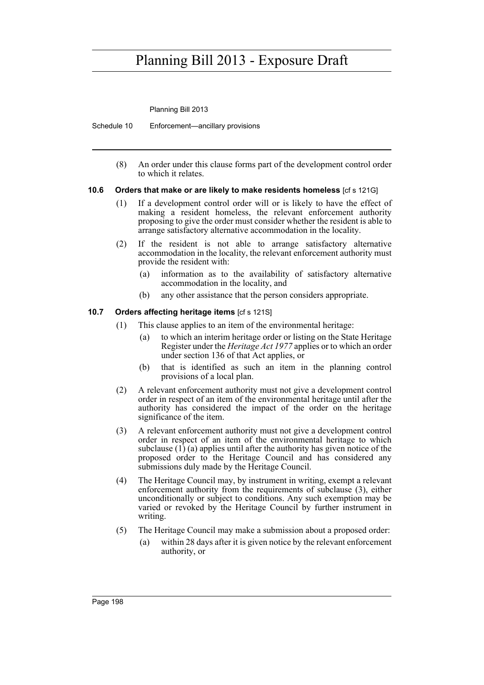Planning Bill 2013

Schedule 10 Enforcement—ancillary provisions

(8) An order under this clause forms part of the development control order to which it relates.

### **10.6 Orders that make or are likely to make residents homeless** [cf s 121G]

- (1) If a development control order will or is likely to have the effect of making a resident homeless, the relevant enforcement authority proposing to give the order must consider whether the resident is able to arrange satisfactory alternative accommodation in the locality.
- (2) If the resident is not able to arrange satisfactory alternative accommodation in the locality, the relevant enforcement authority must provide the resident with:
	- (a) information as to the availability of satisfactory alternative accommodation in the locality, and
	- (b) any other assistance that the person considers appropriate.

### **10.7 Orders affecting heritage items** [cf s 121S]

- (1) This clause applies to an item of the environmental heritage:
	- (a) to which an interim heritage order or listing on the State Heritage Register under the *Heritage Act 1977* applies or to which an order under section 136 of that Act applies, or
	- (b) that is identified as such an item in the planning control provisions of a local plan.
- (2) A relevant enforcement authority must not give a development control order in respect of an item of the environmental heritage until after the authority has considered the impact of the order on the heritage significance of the item.
- (3) A relevant enforcement authority must not give a development control order in respect of an item of the environmental heritage to which subclause  $(1)$  (a) applies until after the authority has given notice of the proposed order to the Heritage Council and has considered any submissions duly made by the Heritage Council.
- (4) The Heritage Council may, by instrument in writing, exempt a relevant enforcement authority from the requirements of subclause (3), either unconditionally or subject to conditions. Any such exemption may be varied or revoked by the Heritage Council by further instrument in writing.
- (5) The Heritage Council may make a submission about a proposed order:
	- (a) within 28 days after it is given notice by the relevant enforcement authority, or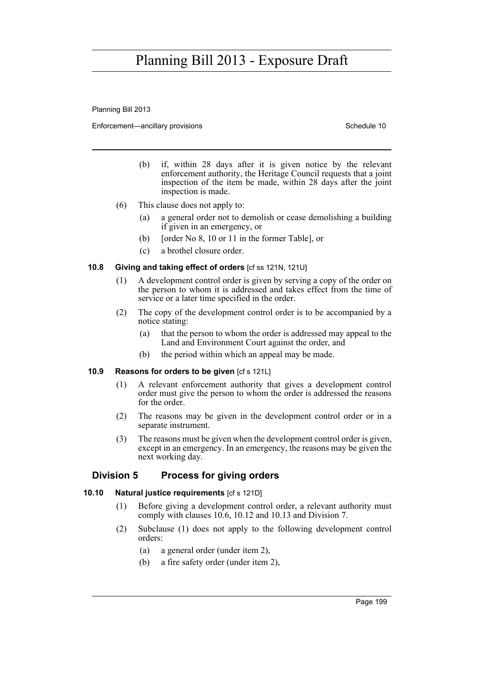Planning Bill 2013

Enforcement—ancillary provisions Schedule 10

- (b) if, within 28 days after it is given notice by the relevant enforcement authority, the Heritage Council requests that a joint inspection of the item be made, within 28 days after the joint inspection is made.
- (6) This clause does not apply to:
	- (a) a general order not to demolish or cease demolishing a building if given in an emergency, or
	- (b) [order No 8, 10 or 11 in the former Table], or
	- (c) a brothel closure order.

### **10.8 Giving and taking effect of orders** [cf ss 121N, 121U]

- (1) A development control order is given by serving a copy of the order on the person to whom it is addressed and takes effect from the time of service or a later time specified in the order.
- (2) The copy of the development control order is to be accompanied by a notice stating:
	- (a) that the person to whom the order is addressed may appeal to the Land and Environment Court against the order, and
	- (b) the period within which an appeal may be made.

#### **10.9 Reasons for orders to be given** [cf s 121L]

- (1) A relevant enforcement authority that gives a development control order must give the person to whom the order is addressed the reasons for the order
- (2) The reasons may be given in the development control order or in a separate instrument.
- (3) The reasons must be given when the development control order is given, except in an emergency. In an emergency, the reasons may be given the next working day.

### **Division 5 Process for giving orders**

#### **10.10 Natural justice requirements** [cf s 121D]

- (1) Before giving a development control order, a relevant authority must comply with clauses 10.6, 10.12 and 10.13 and Division 7.
- (2) Subclause (1) does not apply to the following development control orders:
	- (a) a general order (under item 2),
	- (b) a fire safety order (under item 2),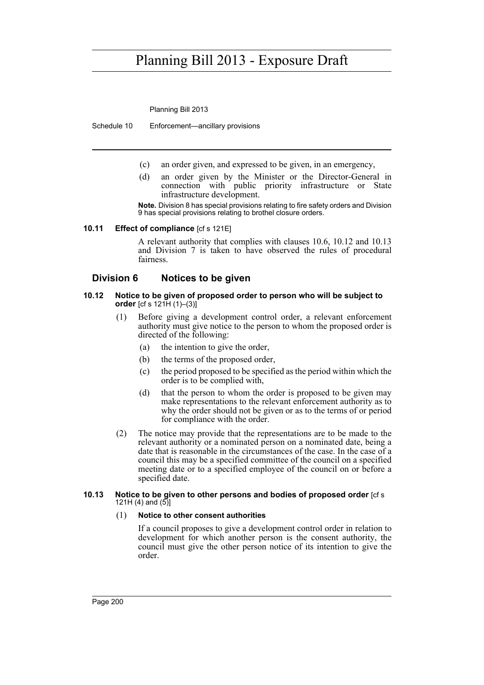Planning Bill 2013

Schedule 10 Enforcement—ancillary provisions

- (c) an order given, and expressed to be given, in an emergency,
- (d) an order given by the Minister or the Director-General in connection with public priority infrastructure or State infrastructure development.

**Note.** Division 8 has special provisions relating to fire safety orders and Division 9 has special provisions relating to brothel closure orders.

#### **10.11 Effect of compliance** [cf s 121E]

A relevant authority that complies with clauses 10.6, 10.12 and 10.13 and Division 7 is taken to have observed the rules of procedural fairness.

### **Division 6 Notices to be given**

#### **10.12 Notice to be given of proposed order to person who will be subject to order** [cf s 121H (1)–(3)]

- (1) Before giving a development control order, a relevant enforcement authority must give notice to the person to whom the proposed order is directed of the following:
	- (a) the intention to give the order,
	- (b) the terms of the proposed order,
	- (c) the period proposed to be specified as the period within which the order is to be complied with,
	- (d) that the person to whom the order is proposed to be given may make representations to the relevant enforcement authority as to why the order should not be given or as to the terms of or period for compliance with the order.
- (2) The notice may provide that the representations are to be made to the relevant authority or a nominated person on a nominated date, being a date that is reasonable in the circumstances of the case. In the case of a council this may be a specified committee of the council on a specified meeting date or to a specified employee of the council on or before a specified date.

#### **10.13 Notice to be given to other persons and bodies of proposed order** [cf s 121H (4) and  $(5)$ ]

#### (1) **Notice to other consent authorities**

If a council proposes to give a development control order in relation to development for which another person is the consent authority, the council must give the other person notice of its intention to give the order.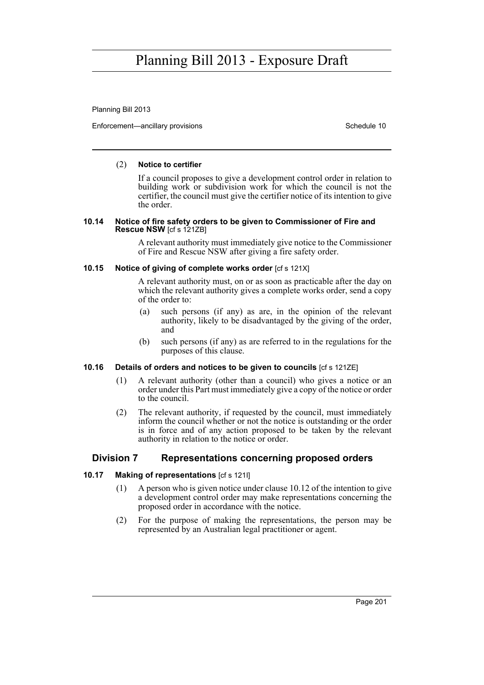Planning Bill 2013

Enforcement—ancillary provisions Schedule 10

### (2) **Notice to certifier**

If a council proposes to give a development control order in relation to building work or subdivision work for which the council is not the certifier, the council must give the certifier notice of its intention to give the order.

#### **10.14 Notice of fire safety orders to be given to Commissioner of Fire and Rescue NSW** [cf s 121ZB]

A relevant authority must immediately give notice to the Commissioner of Fire and Rescue NSW after giving a fire safety order.

### **10.15** Notice of giving of complete works order [cf s 121X]

A relevant authority must, on or as soon as practicable after the day on which the relevant authority gives a complete works order, send a copy of the order to:

- (a) such persons (if any) as are, in the opinion of the relevant authority, likely to be disadvantaged by the giving of the order, and
- (b) such persons (if any) as are referred to in the regulations for the purposes of this clause.

#### **10.16 Details of orders and notices to be given to councils** [cf s 121ZE]

- (1) A relevant authority (other than a council) who gives a notice or an order under this Part must immediately give a copy of the notice or order to the council.
- (2) The relevant authority, if requested by the council, must immediately inform the council whether or not the notice is outstanding or the order is in force and of any action proposed to be taken by the relevant authority in relation to the notice or order.

### **Division 7 Representations concerning proposed orders**

### **10.17 Making of representations** [cf s 121I]

- (1) A person who is given notice under clause 10.12 of the intention to give a development control order may make representations concerning the proposed order in accordance with the notice.
- (2) For the purpose of making the representations, the person may be represented by an Australian legal practitioner or agent.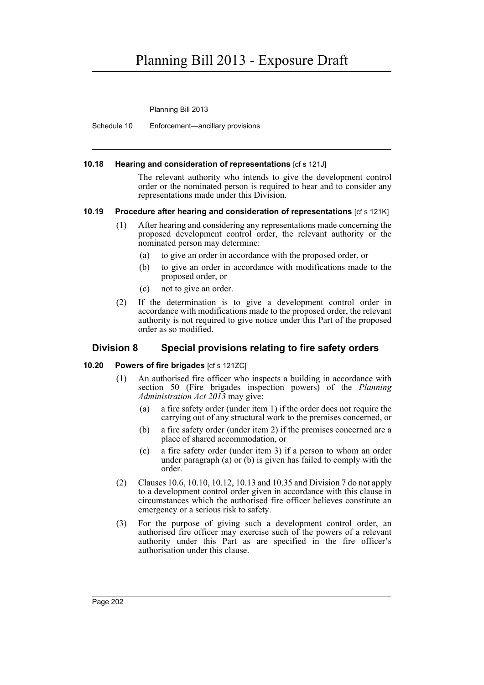Planning Bill 2013

Schedule 10 Enforcement—ancillary provisions

#### **10.18 Hearing and consideration of representations** [cf s 121J]

The relevant authority who intends to give the development control order or the nominated person is required to hear and to consider any representations made under this Division.

### **10.19 Procedure after hearing and consideration of representations** [cf s 121K]

- (1) After hearing and considering any representations made concerning the proposed development control order, the relevant authority or the nominated person may determine:
	- (a) to give an order in accordance with the proposed order, or
	- (b) to give an order in accordance with modifications made to the proposed order, or
	- (c) not to give an order.
- (2) If the determination is to give a development control order in accordance with modifications made to the proposed order, the relevant authority is not required to give notice under this Part of the proposed order as so modified.

### **Division 8 Special provisions relating to fire safety orders**

### **10.20 Powers of fire brigades** [cf s 121ZC]

- (1) An authorised fire officer who inspects a building in accordance with section 50 (Fire brigades inspection powers) of the *Planning Administration Act 2013* may give:
	- (a) a fire safety order (under item 1) if the order does not require the carrying out of any structural work to the premises concerned, or
	- (b) a fire safety order (under item 2) if the premises concerned are a place of shared accommodation, or
	- (c) a fire safety order (under item 3) if a person to whom an order under paragraph (a) or (b) is given has failed to comply with the order.
- (2) Clauses 10.6, 10.10, 10.12, 10.13 and 10.35 and Division 7 do not apply to a development control order given in accordance with this clause in circumstances which the authorised fire officer believes constitute an emergency or a serious risk to safety.
- (3) For the purpose of giving such a development control order, an authorised fire officer may exercise such of the powers of a relevant authority under this Part as are specified in the fire officer's authorisation under this clause.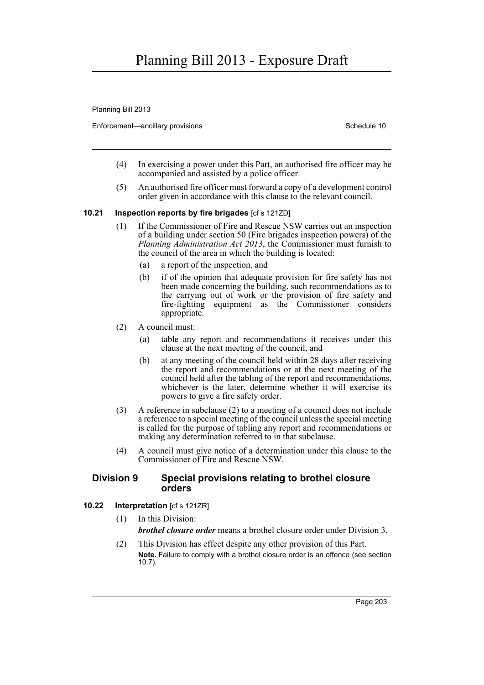Planning Bill 2013

Enforcement—ancillary provisions Schedule 10

- (4) In exercising a power under this Part, an authorised fire officer may be accompanied and assisted by a police officer.
- (5) An authorised fire officer must forward a copy of a development control order given in accordance with this clause to the relevant council.

### **10.21 Inspection reports by fire brigades** [cf s 121ZD]

- (1) If the Commissioner of Fire and Rescue NSW carries out an inspection of a building under section 50 (Fire brigades inspection powers) of the *Planning Administration Act 2013*, the Commissioner must furnish to the council of the area in which the building is located:
	- (a) a report of the inspection, and
	- (b) if of the opinion that adequate provision for fire safety has not been made concerning the building, such recommendations as to the carrying out of work or the provision of fire safety and fire-fighting equipment as the Commissioner considers appropriate.
- (2) A council must:
	- (a) table any report and recommendations it receives under this clause at the next meeting of the council, and
	- (b) at any meeting of the council held within 28 days after receiving the report and recommendations or at the next meeting of the council held after the tabling of the report and recommendations, whichever is the later, determine whether it will exercise its powers to give a fire safety order.
- (3) A reference in subclause (2) to a meeting of a council does not include a reference to a special meeting of the council unless the special meeting is called for the purpose of tabling any report and recommendations or making any determination referred to in that subclause.
- (4) A council must give notice of a determination under this clause to the Commissioner of Fire and Rescue NSW.

### **Division 9 Special provisions relating to brothel closure orders**

### **10.22 Interpretation** [cf s 121ZR]

- (1) In this Division: *brothel closure order* means a brothel closure order under Division 3.
- (2) This Division has effect despite any other provision of this Part. **Note.** Failure to comply with a brothel closure order is an offence (see section 10.7).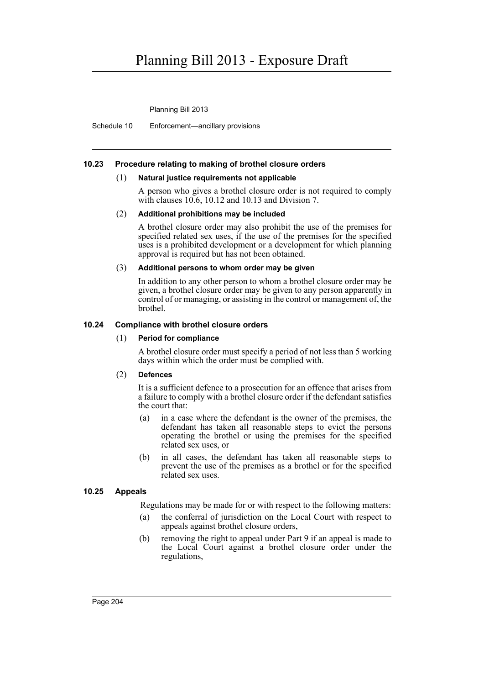Planning Bill 2013

Schedule 10 Enforcement—ancillary provisions

#### **10.23 Procedure relating to making of brothel closure orders**

#### (1) **Natural justice requirements not applicable**

A person who gives a brothel closure order is not required to comply with clauses 10.6, 10.12 and 10.13 and Division 7.

#### (2) **Additional prohibitions may be included**

A brothel closure order may also prohibit the use of the premises for specified related sex uses, if the use of the premises for the specified uses is a prohibited development or a development for which planning approval is required but has not been obtained.

#### (3) **Additional persons to whom order may be given**

In addition to any other person to whom a brothel closure order may be given, a brothel closure order may be given to any person apparently in control of or managing, or assisting in the control or management of, the brothel.

### **10.24 Compliance with brothel closure orders**

#### (1) **Period for compliance**

A brothel closure order must specify a period of not less than 5 working days within which the order must be complied with.

#### (2) **Defences**

It is a sufficient defence to a prosecution for an offence that arises from a failure to comply with a brothel closure order if the defendant satisfies the court that:

- (a) in a case where the defendant is the owner of the premises, the defendant has taken all reasonable steps to evict the persons operating the brothel or using the premises for the specified related sex uses, or
- (b) in all cases, the defendant has taken all reasonable steps to prevent the use of the premises as a brothel or for the specified related sex uses.

#### **10.25 Appeals**

Regulations may be made for or with respect to the following matters:

- (a) the conferral of jurisdiction on the Local Court with respect to appeals against brothel closure orders,
- (b) removing the right to appeal under Part 9 if an appeal is made to the Local Court against a brothel closure order under the regulations,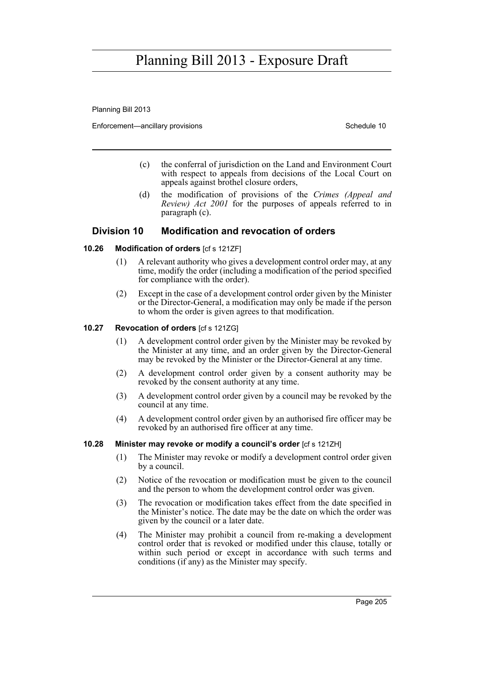Planning Bill 2013

Enforcement—ancillary provisions Schedule 10

- (c) the conferral of jurisdiction on the Land and Environment Court with respect to appeals from decisions of the Local Court on appeals against brothel closure orders,
- (d) the modification of provisions of the *Crimes (Appeal and Review) Act 2001* for the purposes of appeals referred to in paragraph (c).

### **Division 10 Modification and revocation of orders**

### **10.26 Modification of orders** [cf s 121ZF]

- (1) A relevant authority who gives a development control order may, at any time, modify the order (including a modification of the period specified for compliance with the order).
- (2) Except in the case of a development control order given by the Minister or the Director-General, a modification may only be made if the person to whom the order is given agrees to that modification.

#### **10.27 Revocation of orders** [cf s 121ZG]

- (1) A development control order given by the Minister may be revoked by the Minister at any time, and an order given by the Director-General may be revoked by the Minister or the Director-General at any time.
- (2) A development control order given by a consent authority may be revoked by the consent authority at any time.
- (3) A development control order given by a council may be revoked by the council at any time.
- (4) A development control order given by an authorised fire officer may be revoked by an authorised fire officer at any time.

### **10.28 Minister may revoke or modify a council's order** [cf s 121ZH]

- (1) The Minister may revoke or modify a development control order given by a council.
- (2) Notice of the revocation or modification must be given to the council and the person to whom the development control order was given.
- (3) The revocation or modification takes effect from the date specified in the Minister's notice. The date may be the date on which the order was given by the council or a later date.
- (4) The Minister may prohibit a council from re-making a development control order that is revoked or modified under this clause, totally or within such period or except in accordance with such terms and conditions (if any) as the Minister may specify.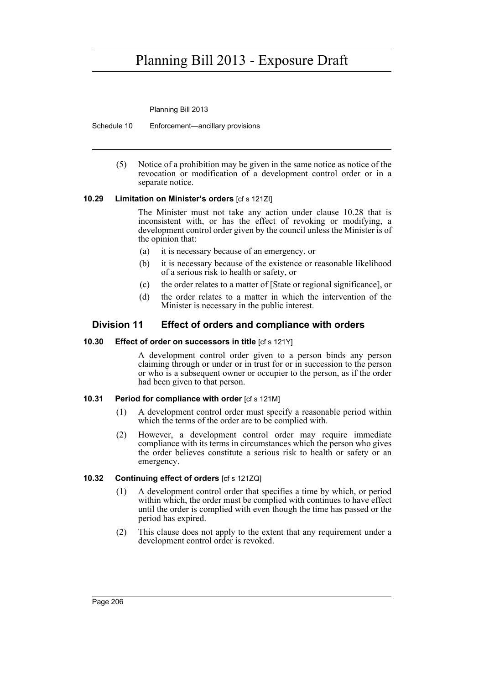Planning Bill 2013

Schedule 10 Enforcement—ancillary provisions

(5) Notice of a prohibition may be given in the same notice as notice of the revocation or modification of a development control order or in a separate notice.

### **10.29 Limitation on Minister's orders** [cf s 121ZI]

The Minister must not take any action under clause 10.28 that is inconsistent with, or has the effect of revoking or modifying, a development control order given by the council unless the Minister is of the opinion that:

- (a) it is necessary because of an emergency, or
- (b) it is necessary because of the existence or reasonable likelihood of a serious risk to health or safety, or
- (c) the order relates to a matter of [State or regional significance], or
- (d) the order relates to a matter in which the intervention of the Minister is necessary in the public interest.

### **Division 11 Effect of orders and compliance with orders**

### **10.30 Effect of order on successors in title** [cf s 121Y]

A development control order given to a person binds any person claiming through or under or in trust for or in succession to the person or who is a subsequent owner or occupier to the person, as if the order had been given to that person.

### **10.31 Period for compliance with order** [cf s 121M]

- (1) A development control order must specify a reasonable period within which the terms of the order are to be complied with.
- (2) However, a development control order may require immediate compliance with its terms in circumstances which the person who gives the order believes constitute a serious risk to health or safety or an emergency.

### **10.32 Continuing effect of orders** [cf s 121ZQ]

- (1) A development control order that specifies a time by which, or period within which, the order must be complied with continues to have effect until the order is complied with even though the time has passed or the period has expired.
- (2) This clause does not apply to the extent that any requirement under a development control order is revoked.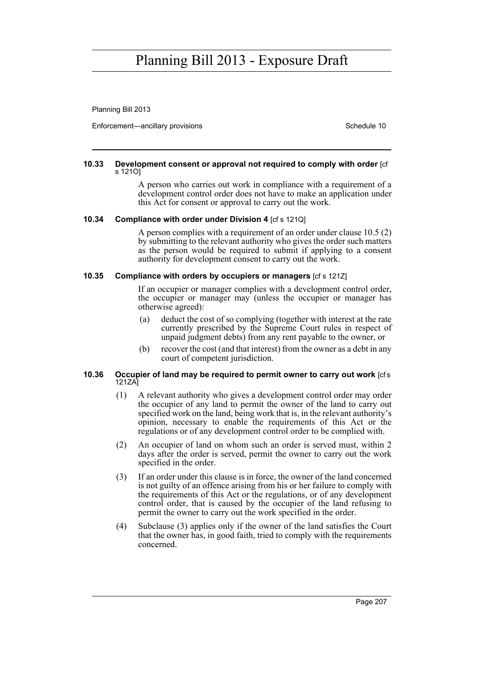Planning Bill 2013

Enforcement—ancillary provisions Schedule 10

#### **10.33 Development consent or approval not required to comply with order** [cf s 121O]

A person who carries out work in compliance with a requirement of a development control order does not have to make an application under this Act for consent or approval to carry out the work.

#### **10.34 Compliance with order under Division 4** [cf s 121Q]

A person complies with a requirement of an order under clause 10.5 (2) by submitting to the relevant authority who gives the order such matters as the person would be required to submit if applying to a consent authority for development consent to carry out the work.

#### **10.35 Compliance with orders by occupiers or managers** [cf s 121Z]

If an occupier or manager complies with a development control order, the occupier or manager may (unless the occupier or manager has otherwise agreed):

- (a) deduct the cost of so complying (together with interest at the rate currently prescribed by the Supreme Court rules in respect of unpaid judgment debts) from any rent payable to the owner, or
- (b) recover the cost (and that interest) from the owner as a debt in any court of competent jurisdiction.

#### **10.36 Occupier of land may be required to permit owner to carry out work [cfs]** 121ZA]

- (1) A relevant authority who gives a development control order may order the occupier of any land to permit the owner of the land to carry out specified work on the land, being work that is, in the relevant authority's opinion, necessary to enable the requirements of this Act or the regulations or of any development control order to be complied with.
- (2) An occupier of land on whom such an order is served must, within 2 days after the order is served, permit the owner to carry out the work specified in the order.
- (3) If an order under this clause is in force, the owner of the land concerned is not guilty of an offence arising from his or her failure to comply with the requirements of this Act or the regulations, or of any development control order, that is caused by the occupier of the land refusing to permit the owner to carry out the work specified in the order.
- (4) Subclause (3) applies only if the owner of the land satisfies the Court that the owner has, in good faith, tried to comply with the requirements concerned.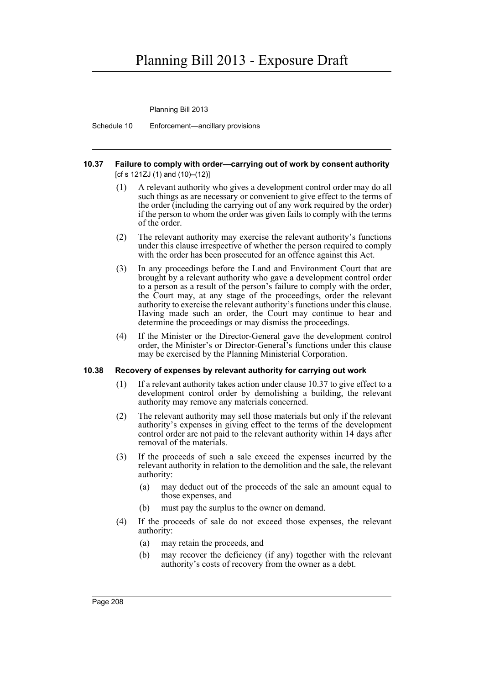Planning Bill 2013

Schedule 10 Enforcement—ancillary provisions

#### **10.37 Failure to comply with order—carrying out of work by consent authority**  [cf s 121ZJ (1) and (10)–(12)]

- (1) A relevant authority who gives a development control order may do all such things as are necessary or convenient to give effect to the terms of the order (including the carrying out of any work required by the order) if the person to whom the order was given fails to comply with the terms of the order.
- (2) The relevant authority may exercise the relevant authority's functions under this clause irrespective of whether the person required to comply with the order has been prosecuted for an offence against this Act.
- (3) In any proceedings before the Land and Environment Court that are brought by a relevant authority who gave a development control order to a person as a result of the person's failure to comply with the order, the Court may, at any stage of the proceedings, order the relevant authority to exercise the relevant authority's functions under this clause. Having made such an order, the Court may continue to hear and determine the proceedings or may dismiss the proceedings.
- (4) If the Minister or the Director-General gave the development control order, the Minister's or Director-General's functions under this clause may be exercised by the Planning Ministerial Corporation.

### **10.38 Recovery of expenses by relevant authority for carrying out work**

- (1) If a relevant authority takes action under clause 10.37 to give effect to a development control order by demolishing a building, the relevant authority may remove any materials concerned.
- (2) The relevant authority may sell those materials but only if the relevant authority's expenses in giving effect to the terms of the development control order are not paid to the relevant authority within 14 days after removal of the materials.
- (3) If the proceeds of such a sale exceed the expenses incurred by the relevant authority in relation to the demolition and the sale, the relevant authority:
	- (a) may deduct out of the proceeds of the sale an amount equal to those expenses, and
	- (b) must pay the surplus to the owner on demand.
- (4) If the proceeds of sale do not exceed those expenses, the relevant authority:
	- (a) may retain the proceeds, and
	- (b) may recover the deficiency (if any) together with the relevant authority's costs of recovery from the owner as a debt.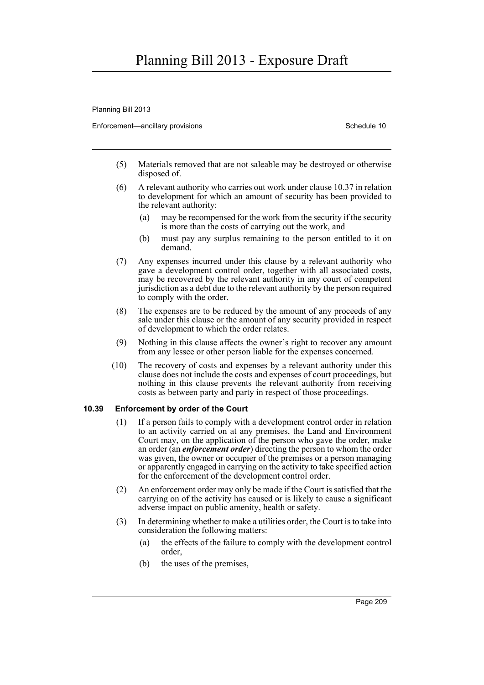Planning Bill 2013

Enforcement—ancillary provisions Schedule 10

- (5) Materials removed that are not saleable may be destroyed or otherwise disposed of.
- (6) A relevant authority who carries out work under clause 10.37 in relation to development for which an amount of security has been provided to the relevant authority:
	- (a) may be recompensed for the work from the security if the security is more than the costs of carrying out the work, and
	- (b) must pay any surplus remaining to the person entitled to it on demand.
- (7) Any expenses incurred under this clause by a relevant authority who gave a development control order, together with all associated costs, may be recovered by the relevant authority in any court of competent jurisdiction as a debt due to the relevant authority by the person required to comply with the order.
- (8) The expenses are to be reduced by the amount of any proceeds of any sale under this clause or the amount of any security provided in respect of development to which the order relates.
- (9) Nothing in this clause affects the owner's right to recover any amount from any lessee or other person liable for the expenses concerned.
- (10) The recovery of costs and expenses by a relevant authority under this clause does not include the costs and expenses of court proceedings, but nothing in this clause prevents the relevant authority from receiving costs as between party and party in respect of those proceedings.

### **10.39 Enforcement by order of the Court**

- (1) If a person fails to comply with a development control order in relation to an activity carried on at any premises, the Land and Environment Court may, on the application of the person who gave the order, make an order (an *enforcement order*) directing the person to whom the order was given, the owner or occupier of the premises or a person managing or apparently engaged in carrying on the activity to take specified action for the enforcement of the development control order.
- (2) An enforcement order may only be made if the Court is satisfied that the carrying on of the activity has caused or is likely to cause a significant adverse impact on public amenity, health or safety.
- (3) In determining whether to make a utilities order, the Court is to take into consideration the following matters:
	- (a) the effects of the failure to comply with the development control order,
	- (b) the uses of the premises,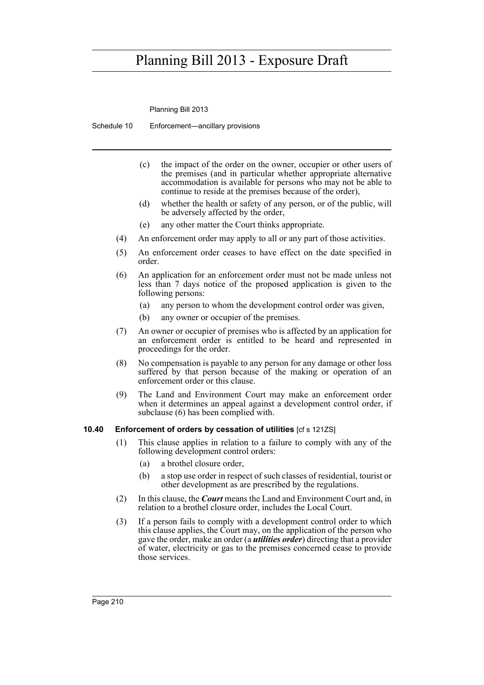Planning Bill 2013

Schedule 10 Enforcement—ancillary provisions

- (c) the impact of the order on the owner, occupier or other users of the premises (and in particular whether appropriate alternative accommodation is available for persons who may not be able to continue to reside at the premises because of the order),
- (d) whether the health or safety of any person, or of the public, will be adversely affected by the order,
- (e) any other matter the Court thinks appropriate.
- (4) An enforcement order may apply to all or any part of those activities.
- (5) An enforcement order ceases to have effect on the date specified in order.
- (6) An application for an enforcement order must not be made unless not less than 7 days notice of the proposed application is given to the following persons:
	- (a) any person to whom the development control order was given,
	- (b) any owner or occupier of the premises.
- (7) An owner or occupier of premises who is affected by an application for an enforcement order is entitled to be heard and represented in proceedings for the order.
- (8) No compensation is payable to any person for any damage or other loss suffered by that person because of the making or operation of an enforcement order or this clause.
- (9) The Land and Environment Court may make an enforcement order when it determines an appeal against a development control order, if subclause (6) has been complied with.

#### **10.40 Enforcement of orders by cessation of utilities** [cf s 121ZS]

- (1) This clause applies in relation to a failure to comply with any of the following development control orders:
	- (a) a brothel closure order,
	- (b) a stop use order in respect of such classes of residential, tourist or other development as are prescribed by the regulations.
- (2) In this clause, the *Court* means the Land and Environment Court and, in relation to a brothel closure order, includes the Local Court.
- (3) If a person fails to comply with a development control order to which this clause applies, the Court may, on the application of the person who gave the order, make an order (a *utilities order*) directing that a provider of water, electricity or gas to the premises concerned cease to provide those services.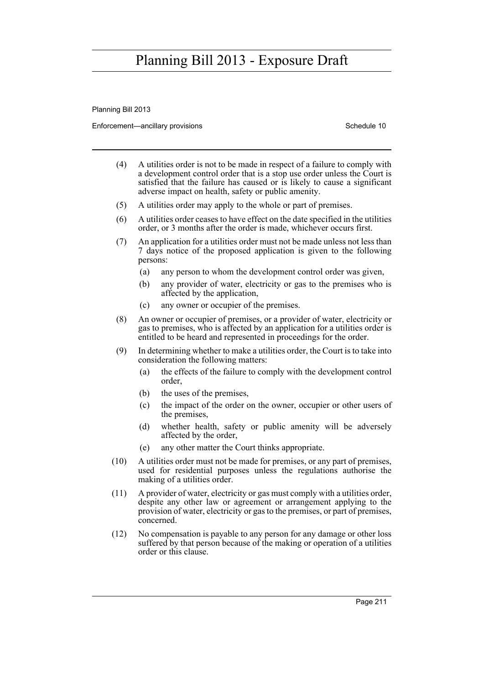Planning Bill 2013

Enforcement—ancillary provisions Schedule 10

- (4) A utilities order is not to be made in respect of a failure to comply with a development control order that is a stop use order unless the Court is satisfied that the failure has caused or is likely to cause a significant adverse impact on health, safety or public amenity.
- (5) A utilities order may apply to the whole or part of premises.
- (6) A utilities order ceases to have effect on the date specified in the utilities order, or 3 months after the order is made, whichever occurs first.
- (7) An application for a utilities order must not be made unless not less than 7 days notice of the proposed application is given to the following persons:
	- (a) any person to whom the development control order was given,
	- (b) any provider of water, electricity or gas to the premises who is affected by the application,
	- (c) any owner or occupier of the premises.
- (8) An owner or occupier of premises, or a provider of water, electricity or gas to premises, who is affected by an application for a utilities order is entitled to be heard and represented in proceedings for the order.
- (9) In determining whether to make a utilities order, the Court is to take into consideration the following matters:
	- (a) the effects of the failure to comply with the development control order,
	- (b) the uses of the premises,
	- (c) the impact of the order on the owner, occupier or other users of the premises,
	- (d) whether health, safety or public amenity will be adversely affected by the order,
	- (e) any other matter the Court thinks appropriate.
- (10) A utilities order must not be made for premises, or any part of premises, used for residential purposes unless the regulations authorise the making of a utilities order.
- (11) A provider of water, electricity or gas must comply with a utilities order, despite any other law or agreement or arrangement applying to the provision of water, electricity or gas to the premises, or part of premises, concerned.
- (12) No compensation is payable to any person for any damage or other loss suffered by that person because of the making or operation of a utilities order or this clause.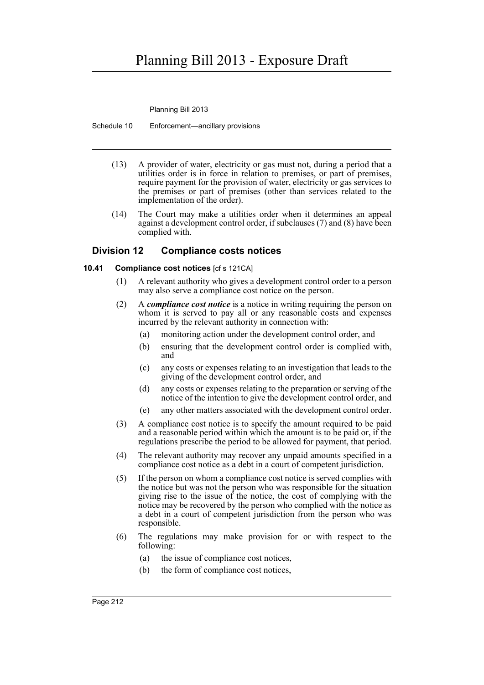Planning Bill 2013

Schedule 10 Enforcement—ancillary provisions

- (13) A provider of water, electricity or gas must not, during a period that a utilities order is in force in relation to premises, or part of premises, require payment for the provision of water, electricity or gas services to the premises or part of premises (other than services related to the implementation of the order).
- (14) The Court may make a utilities order when it determines an appeal against a development control order, if subclauses (7) and (8) have been complied with.

### **Division 12 Compliance costs notices**

### **10.41 Compliance cost notices** [cf s 121CA]

- (1) A relevant authority who gives a development control order to a person may also serve a compliance cost notice on the person.
- (2) A *compliance cost notice* is a notice in writing requiring the person on whom it is served to pay all or any reasonable costs and expenses incurred by the relevant authority in connection with:
	- (a) monitoring action under the development control order, and
	- (b) ensuring that the development control order is complied with, and
	- (c) any costs or expenses relating to an investigation that leads to the giving of the development control order, and
	- (d) any costs or expenses relating to the preparation or serving of the notice of the intention to give the development control order, and
	- (e) any other matters associated with the development control order.
- (3) A compliance cost notice is to specify the amount required to be paid and a reasonable period within which the amount is to be paid or, if the regulations prescribe the period to be allowed for payment, that period.
- (4) The relevant authority may recover any unpaid amounts specified in a compliance cost notice as a debt in a court of competent jurisdiction.
- (5) If the person on whom a compliance cost notice is served complies with the notice but was not the person who was responsible for the situation giving rise to the issue of the notice, the cost of complying with the notice may be recovered by the person who complied with the notice as a debt in a court of competent jurisdiction from the person who was responsible.
- (6) The regulations may make provision for or with respect to the following:
	- (a) the issue of compliance cost notices,
	- (b) the form of compliance cost notices,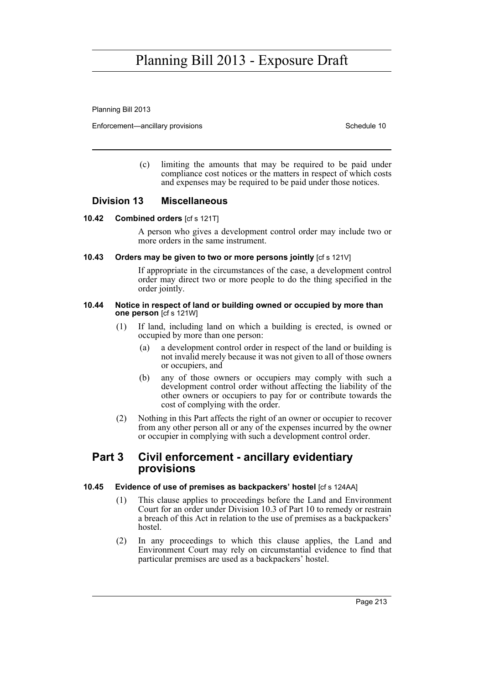Planning Bill 2013

Enforcement—ancillary provisions Schedule 10

(c) limiting the amounts that may be required to be paid under compliance cost notices or the matters in respect of which costs and expenses may be required to be paid under those notices.

### **Division 13 Miscellaneous**

#### **10.42 Combined orders** [cf s 121T]

A person who gives a development control order may include two or more orders in the same instrument.

#### **10.43** Orders may be given to two or more persons jointly  $[c \sin \theta]$  is 121V]

If appropriate in the circumstances of the case, a development control order may direct two or more people to do the thing specified in the order jointly.

#### **10.44 Notice in respect of land or building owned or occupied by more than one person** [cf s 121W]

- (1) If land, including land on which a building is erected, is owned or occupied by more than one person:
	- (a) a development control order in respect of the land or building is not invalid merely because it was not given to all of those owners or occupiers, and
	- (b) any of those owners or occupiers may comply with such a development control order without affecting the liability of the other owners or occupiers to pay for or contribute towards the cost of complying with the order.
- (2) Nothing in this Part affects the right of an owner or occupier to recover from any other person all or any of the expenses incurred by the owner or occupier in complying with such a development control order.

### **Part 3 Civil enforcement - ancillary evidentiary provisions**

### **10.45 Evidence of use of premises as backpackers' hostel** [cf s 124AA]

- (1) This clause applies to proceedings before the Land and Environment Court for an order under Division 10.3 of Part 10 to remedy or restrain a breach of this Act in relation to the use of premises as a backpackers' hostel.
- (2) In any proceedings to which this clause applies, the Land and Environment Court may rely on circumstantial evidence to find that particular premises are used as a backpackers' hostel.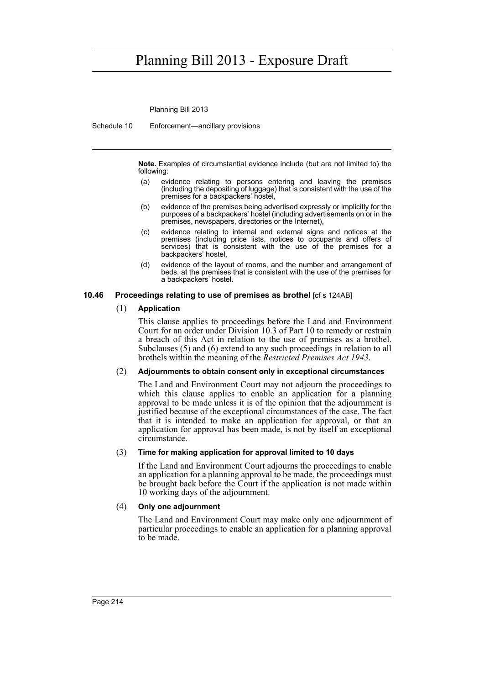Planning Bill 2013

Schedule 10 Enforcement—ancillary provisions

**Note.** Examples of circumstantial evidence include (but are not limited to) the following:

- (a) evidence relating to persons entering and leaving the premises (including the depositing of luggage) that is consistent with the use of the premises for a backpackers' hostel,
- (b) evidence of the premises being advertised expressly or implicitly for the purposes of a backpackers' hostel (including advertisements on or in the premises, newspapers, directories or the Internet),
- (c) evidence relating to internal and external signs and notices at the premises (including price lists, notices to occupants and offers of services) that is consistent with the use of the premises for a backpackers' hostel,
- (d) evidence of the layout of rooms, and the number and arrangement of beds, at the premises that is consistent with the use of the premises for a backpackers' hostel.

### **10.46 Proceedings relating to use of premises as brothel** [cf s 124AB]

### (1) **Application**

This clause applies to proceedings before the Land and Environment Court for an order under Division 10.3 of Part 10 to remedy or restrain a breach of this Act in relation to the use of premises as a brothel. Subclauses (5) and (6) extend to any such proceedings in relation to all brothels within the meaning of the *Restricted Premises Act 1943*.

### (2) **Adjournments to obtain consent only in exceptional circumstances**

The Land and Environment Court may not adjourn the proceedings to which this clause applies to enable an application for a planning approval to be made unless it is of the opinion that the adjournment is justified because of the exceptional circumstances of the case. The fact that it is intended to make an application for approval, or that an application for approval has been made, is not by itself an exceptional circumstance.

### (3) **Time for making application for approval limited to 10 days**

If the Land and Environment Court adjourns the proceedings to enable an application for a planning approval to be made, the proceedings must be brought back before the Court if the application is not made within 10 working days of the adjournment.

#### (4) **Only one adjournment**

The Land and Environment Court may make only one adjournment of particular proceedings to enable an application for a planning approval to be made.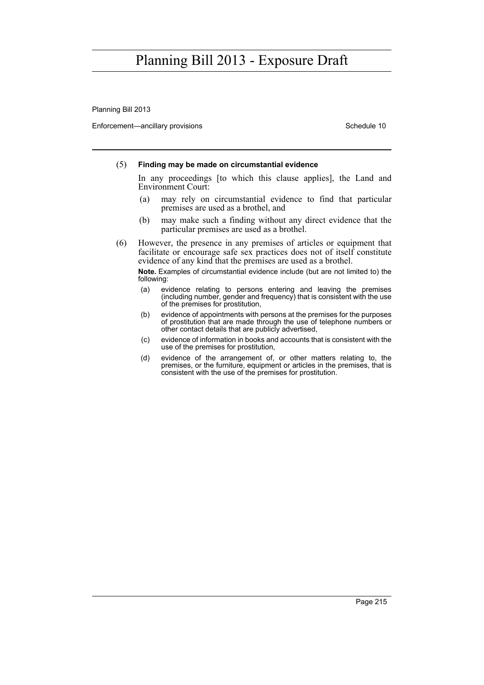Planning Bill 2013

Enforcement—ancillary provisions Schedule 10

### (5) **Finding may be made on circumstantial evidence**

In any proceedings [to which this clause applies], the Land and Environment Court:

- (a) may rely on circumstantial evidence to find that particular premises are used as a brothel, and
- (b) may make such a finding without any direct evidence that the particular premises are used as a brothel.
- (6) However, the presence in any premises of articles or equipment that facilitate or encourage safe sex practices does not of itself constitute evidence of any kind that the premises are used as a brothel.

**Note.** Examples of circumstantial evidence include (but are not limited to) the following:

- (a) evidence relating to persons entering and leaving the premises (including number, gender and frequency) that is consistent with the use of the premises for prostitution,
- (b) evidence of appointments with persons at the premises for the purposes of prostitution that are made through the use of telephone numbers or other contact details that are publicly advertised,
- (c) evidence of information in books and accounts that is consistent with the use of the premises for prostitution,
- (d) evidence of the arrangement of, or other matters relating to, the premises, or the furniture, equipment or articles in the premises, that is consistent with the use of the premises for prostitution.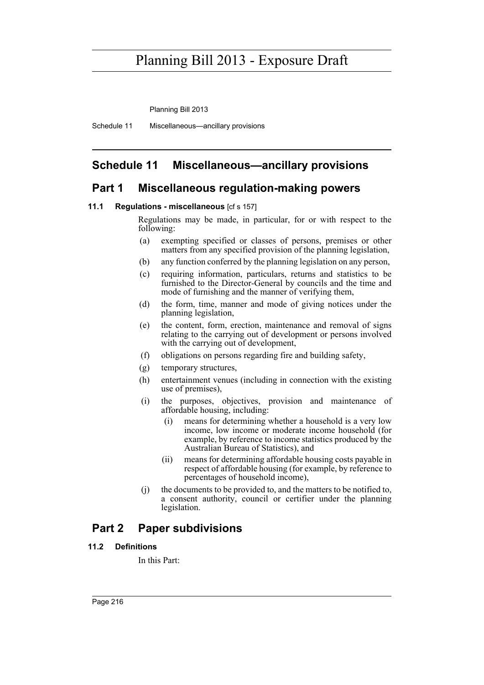Planning Bill 2013

Schedule 11 Miscellaneous—ancillary provisions

### **Schedule 11 Miscellaneous—ancillary provisions**

### **Part 1 Miscellaneous regulation-making powers**

#### **11.1 Regulations - miscellaneous** [cf s 157]

Regulations may be made, in particular, for or with respect to the following:

- (a) exempting specified or classes of persons, premises or other matters from any specified provision of the planning legislation,
- (b) any function conferred by the planning legislation on any person,
- (c) requiring information, particulars, returns and statistics to be furnished to the Director-General by councils and the time and mode of furnishing and the manner of verifying them,
- (d) the form, time, manner and mode of giving notices under the planning legislation,
- (e) the content, form, erection, maintenance and removal of signs relating to the carrying out of development or persons involved with the carrying out of development,
- (f) obligations on persons regarding fire and building safety,
- (g) temporary structures,
- (h) entertainment venues (including in connection with the existing use of premises),
- (i) the purposes, objectives, provision and maintenance of affordable housing, including:
	- (i) means for determining whether a household is a very low income, low income or moderate income household (for example, by reference to income statistics produced by the Australian Bureau of Statistics), and
	- (ii) means for determining affordable housing costs payable in respect of affordable housing (for example, by reference to percentages of household income),
- (j) the documents to be provided to, and the matters to be notified to, a consent authority, council or certifier under the planning legislation.

### **Part 2 Paper subdivisions**

### **11.2 Definitions**

In this Part: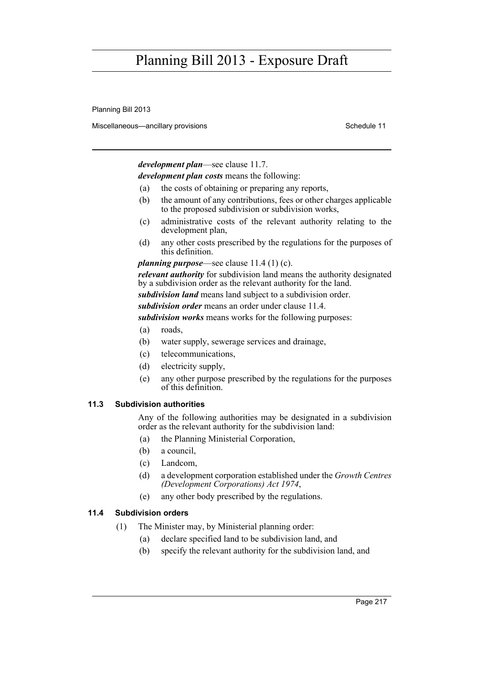Planning Bill 2013

Miscellaneous—ancillary provisions Schedule 11 and Schedule 11

*development plan*—see clause 11.7.

*development plan costs* means the following:

- (a) the costs of obtaining or preparing any reports,
- (b) the amount of any contributions, fees or other charges applicable to the proposed subdivision or subdivision works,
- (c) administrative costs of the relevant authority relating to the development plan,
- (d) any other costs prescribed by the regulations for the purposes of this definition.

*planning purpose*—see clause 11.4 (1) (c).

*relevant authority* for subdivision land means the authority designated by a subdivision order as the relevant authority for the land.

*subdivision land* means land subject to a subdivision order.

*subdivision order* means an order under clause 11.4.

*subdivision works* means works for the following purposes:

- (a) roads,
- (b) water supply, sewerage services and drainage,
- (c) telecommunications,
- (d) electricity supply,
- (e) any other purpose prescribed by the regulations for the purposes of this definition.

#### **11.3 Subdivision authorities**

Any of the following authorities may be designated in a subdivision order as the relevant authority for the subdivision land:

- (a) the Planning Ministerial Corporation,
- (b) a council,
- (c) Landcom,
- (d) a development corporation established under the *Growth Centres (Development Corporations) Act 1974*,
- (e) any other body prescribed by the regulations.

### **11.4 Subdivision orders**

- (1) The Minister may, by Ministerial planning order:
	- (a) declare specified land to be subdivision land, and
	- (b) specify the relevant authority for the subdivision land, and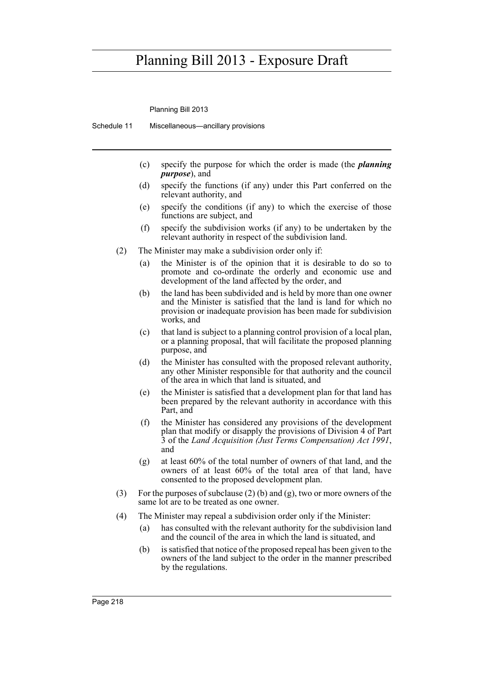Planning Bill 2013

Schedule 11 Miscellaneous—ancillary provisions

- (c) specify the purpose for which the order is made (the *planning purpose*), and
- (d) specify the functions (if any) under this Part conferred on the relevant authority, and
- (e) specify the conditions (if any) to which the exercise of those functions are subject, and
- (f) specify the subdivision works (if any) to be undertaken by the relevant authority in respect of the subdivision land.
- (2) The Minister may make a subdivision order only if:
	- (a) the Minister is of the opinion that it is desirable to do so to promote and co-ordinate the orderly and economic use and development of the land affected by the order, and
	- (b) the land has been subdivided and is held by more than one owner and the Minister is satisfied that the land is land for which no provision or inadequate provision has been made for subdivision works, and
	- (c) that land is subject to a planning control provision of a local plan, or a planning proposal, that will facilitate the proposed planning purpose, and
	- (d) the Minister has consulted with the proposed relevant authority, any other Minister responsible for that authority and the council of the area in which that land is situated, and
	- (e) the Minister is satisfied that a development plan for that land has been prepared by the relevant authority in accordance with this Part, and
	- (f) the Minister has considered any provisions of the development plan that modify or disapply the provisions of Division 4 of Part 3 of the *Land Acquisition (Just Terms Compensation) Act 1991*, and
	- (g) at least 60% of the total number of owners of that land, and the owners of at least 60% of the total area of that land, have consented to the proposed development plan.
- (3) For the purposes of subclause (2) (b) and (g), two or more owners of the same lot are to be treated as one owner.
- (4) The Minister may repeal a subdivision order only if the Minister:
	- (a) has consulted with the relevant authority for the subdivision land and the council of the area in which the land is situated, and
	- (b) is satisfied that notice of the proposed repeal has been given to the owners of the land subject to the order in the manner prescribed by the regulations.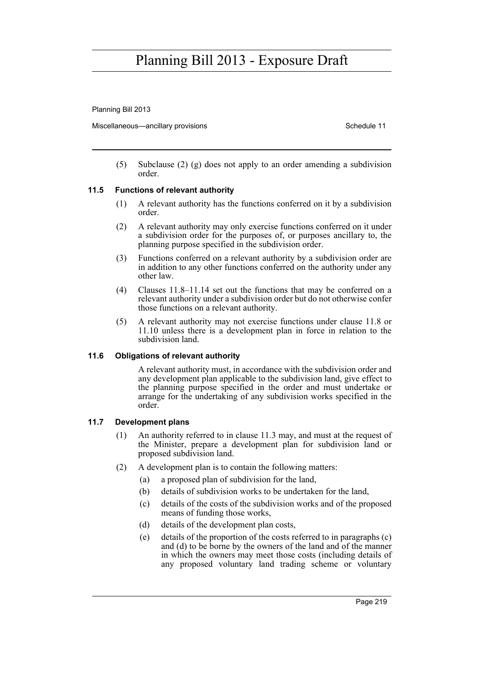Planning Bill 2013

Miscellaneous—ancillary provisions Schedule 11 and Schedule 11

(5) Subclause (2) (g) does not apply to an order amending a subdivision order.

### **11.5 Functions of relevant authority**

- (1) A relevant authority has the functions conferred on it by a subdivision order.
- (2) A relevant authority may only exercise functions conferred on it under a subdivision order for the purposes of, or purposes ancillary to, the planning purpose specified in the subdivision order.
- (3) Functions conferred on a relevant authority by a subdivision order are in addition to any other functions conferred on the authority under any other law.
- (4) Clauses 11.8–11.14 set out the functions that may be conferred on a relevant authority under a subdivision order but do not otherwise confer those functions on a relevant authority.
- (5) A relevant authority may not exercise functions under clause 11.8 or 11.10 unless there is a development plan in force in relation to the subdivision land.

### **11.6 Obligations of relevant authority**

A relevant authority must, in accordance with the subdivision order and any development plan applicable to the subdivision land, give effect to the planning purpose specified in the order and must undertake or arrange for the undertaking of any subdivision works specified in the order.

### **11.7 Development plans**

- (1) An authority referred to in clause 11.3 may, and must at the request of the Minister, prepare a development plan for subdivision land or proposed subdivision land.
- (2) A development plan is to contain the following matters:
	- (a) a proposed plan of subdivision for the land,
	- (b) details of subdivision works to be undertaken for the land,
	- (c) details of the costs of the subdivision works and of the proposed means of funding those works,
	- (d) details of the development plan costs,
	- (e) details of the proportion of the costs referred to in paragraphs (c) and (d) to be borne by the owners of the land and of the manner in which the owners may meet those costs (including details of any proposed voluntary land trading scheme or voluntary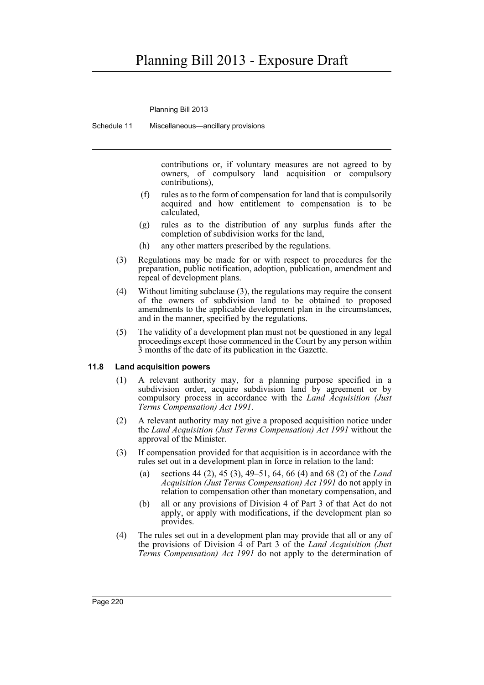Planning Bill 2013

Schedule 11 Miscellaneous—ancillary provisions

contributions or, if voluntary measures are not agreed to by owners, of compulsory land acquisition or compulsory contributions),

- (f) rules as to the form of compensation for land that is compulsorily acquired and how entitlement to compensation is to be calculated,
- (g) rules as to the distribution of any surplus funds after the completion of subdivision works for the land,
- (h) any other matters prescribed by the regulations.
- (3) Regulations may be made for or with respect to procedures for the preparation, public notification, adoption, publication, amendment and repeal of development plans.
- (4) Without limiting subclause (3), the regulations may require the consent of the owners of subdivision land to be obtained to proposed amendments to the applicable development plan in the circumstances, and in the manner, specified by the regulations.
- (5) The validity of a development plan must not be questioned in any legal proceedings except those commenced in the Court by any person within 3 months of the date of its publication in the Gazette.

### **11.8 Land acquisition powers**

- (1) A relevant authority may, for a planning purpose specified in a subdivision order, acquire subdivision land by agreement or by compulsory process in accordance with the *Land Acquisition (Just Terms Compensation) Act 1991*.
- (2) A relevant authority may not give a proposed acquisition notice under the *Land Acquisition (Just Terms Compensation) Act 1991* without the approval of the Minister.
- (3) If compensation provided for that acquisition is in accordance with the rules set out in a development plan in force in relation to the land:
	- (a) sections 44 (2), 45 (3), 49–51, 64, 66 (4) and 68 (2) of the *Land Acquisition (Just Terms Compensation) Act 1991* do not apply in relation to compensation other than monetary compensation, and
	- (b) all or any provisions of Division 4 of Part 3 of that Act do not apply, or apply with modifications, if the development plan so provides.
- (4) The rules set out in a development plan may provide that all or any of the provisions of Division 4 of Part 3 of the *Land Acquisition (Just Terms Compensation) Act 1991* do not apply to the determination of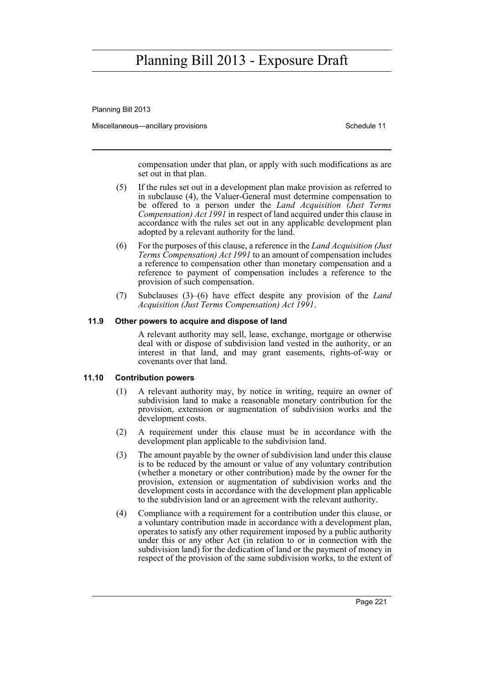Planning Bill 2013

Miscellaneous—ancillary provisions Schedule 11 and Schedule 11

compensation under that plan, or apply with such modifications as are set out in that plan.

- (5) If the rules set out in a development plan make provision as referred to in subclause (4), the Valuer-General must determine compensation to be offered to a person under the *Land Acquisition (Just Terms Compensation) Act 1991* in respect of land acquired under this clause in accordance with the rules set out in any applicable development plan adopted by a relevant authority for the land.
- (6) For the purposes of this clause, a reference in the *Land Acquisition (Just Terms Compensation) Act 1991* to an amount of compensation includes a reference to compensation other than monetary compensation and a reference to payment of compensation includes a reference to the provision of such compensation.
- (7) Subclauses (3)–(6) have effect despite any provision of the *Land Acquisition (Just Terms Compensation) Act 1991*.

#### **11.9 Other powers to acquire and dispose of land**

A relevant authority may sell, lease, exchange, mortgage or otherwise deal with or dispose of subdivision land vested in the authority, or an interest in that land, and may grant easements, rights-of-way or covenants over that land.

### **11.10 Contribution powers**

- (1) A relevant authority may, by notice in writing, require an owner of subdivision land to make a reasonable monetary contribution for the provision, extension or augmentation of subdivision works and the development costs.
- (2) A requirement under this clause must be in accordance with the development plan applicable to the subdivision land.
- (3) The amount payable by the owner of subdivision land under this clause is to be reduced by the amount or value of any voluntary contribution (whether a monetary or other contribution) made by the owner for the provision, extension or augmentation of subdivision works and the development costs in accordance with the development plan applicable to the subdivision land or an agreement with the relevant authority.
- (4) Compliance with a requirement for a contribution under this clause, or a voluntary contribution made in accordance with a development plan, operates to satisfy any other requirement imposed by a public authority under this or any other Act (in relation to or in connection with the subdivision land) for the dedication of land or the payment of money in respect of the provision of the same subdivision works, to the extent of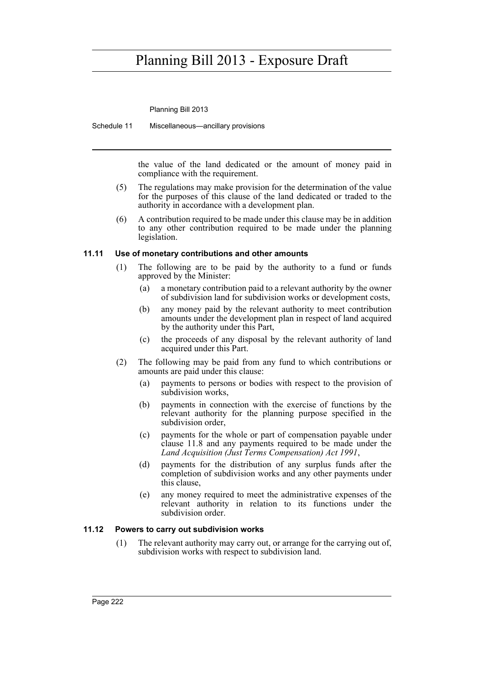Planning Bill 2013

Schedule 11 Miscellaneous—ancillary provisions

the value of the land dedicated or the amount of money paid in compliance with the requirement.

- (5) The regulations may make provision for the determination of the value for the purposes of this clause of the land dedicated or traded to the authority in accordance with a development plan.
- (6) A contribution required to be made under this clause may be in addition to any other contribution required to be made under the planning legislation.

### **11.11 Use of monetary contributions and other amounts**

- (1) The following are to be paid by the authority to a fund or funds approved by the Minister:
	- (a) a monetary contribution paid to a relevant authority by the owner of subdivision land for subdivision works or development costs,
	- (b) any money paid by the relevant authority to meet contribution amounts under the development plan in respect of land acquired by the authority under this Part,
	- (c) the proceeds of any disposal by the relevant authority of land acquired under this Part.
- (2) The following may be paid from any fund to which contributions or amounts are paid under this clause:
	- (a) payments to persons or bodies with respect to the provision of subdivision works,
	- (b) payments in connection with the exercise of functions by the relevant authority for the planning purpose specified in the subdivision order,
	- (c) payments for the whole or part of compensation payable under clause 11.8 and any payments required to be made under the *Land Acquisition (Just Terms Compensation) Act 1991*,
	- (d) payments for the distribution of any surplus funds after the completion of subdivision works and any other payments under this clause,
	- (e) any money required to meet the administrative expenses of the relevant authority in relation to its functions under the subdivision order.

#### **11.12 Powers to carry out subdivision works**

(1) The relevant authority may carry out, or arrange for the carrying out of, subdivision works with respect to subdivision land.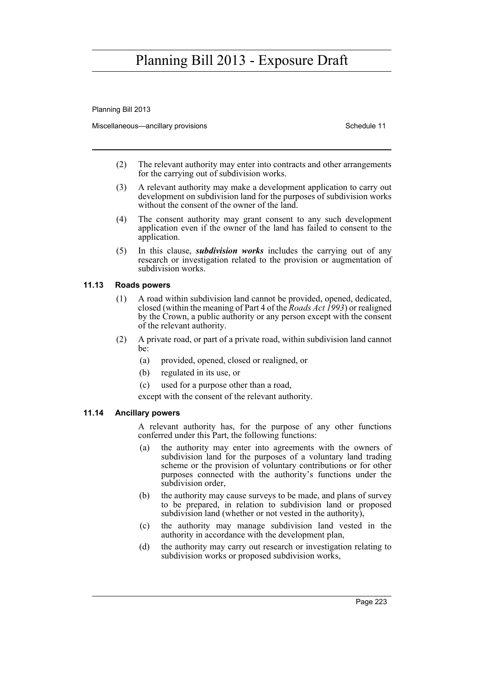Planning Bill 2013

Miscellaneous—ancillary provisions Schedule 11 and Schedule 11

- (2) The relevant authority may enter into contracts and other arrangements for the carrying out of subdivision works.
- (3) A relevant authority may make a development application to carry out development on subdivision land for the purposes of subdivision works without the consent of the owner of the land.
- (4) The consent authority may grant consent to any such development application even if the owner of the land has failed to consent to the application.
- (5) In this clause, *subdivision works* includes the carrying out of any research or investigation related to the provision or augmentation of subdivision works.

### **11.13 Roads powers**

- (1) A road within subdivision land cannot be provided, opened, dedicated, closed (within the meaning of Part 4 of the *Roads Act 1993*) or realigned by the Crown, a public authority or any person except with the consent of the relevant authority.
- (2) A private road, or part of a private road, within subdivision land cannot be:
	- (a) provided, opened, closed or realigned, or
	- (b) regulated in its use, or
	- (c) used for a purpose other than a road,
	- except with the consent of the relevant authority.

### **11.14 Ancillary powers**

A relevant authority has, for the purpose of any other functions conferred under this Part, the following functions:

- (a) the authority may enter into agreements with the owners of subdivision land for the purposes of a voluntary land trading scheme or the provision of voluntary contributions or for other purposes connected with the authority's functions under the subdivision order,
- (b) the authority may cause surveys to be made, and plans of survey to be prepared, in relation to subdivision land or proposed subdivision land (whether or not vested in the authority),
- (c) the authority may manage subdivision land vested in the authority in accordance with the development plan,
- (d) the authority may carry out research or investigation relating to subdivision works or proposed subdivision works,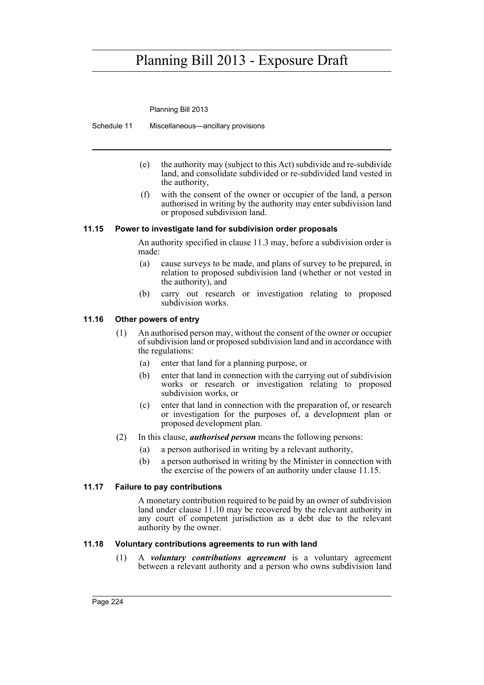Planning Bill 2013

Schedule 11 Miscellaneous—ancillary provisions

- (e) the authority may (subject to this Act) subdivide and re-subdivide land, and consolidate subdivided or re-subdivided land vested in the authority,
- (f) with the consent of the owner or occupier of the land, a person authorised in writing by the authority may enter subdivision land or proposed subdivision land.

#### **11.15 Power to investigate land for subdivision order proposals**

An authority specified in clause 11.3 may, before a subdivision order is made:

- (a) cause surveys to be made, and plans of survey to be prepared, in relation to proposed subdivision land (whether or not vested in the authority), and
- (b) carry out research or investigation relating to proposed subdivision works.

#### **11.16 Other powers of entry**

- (1) An authorised person may, without the consent of the owner or occupier of subdivision land or proposed subdivision land and in accordance with the regulations:
	- (a) enter that land for a planning purpose, or
	- (b) enter that land in connection with the carrying out of subdivision works or research or investigation relating to proposed subdivision works, or
	- (c) enter that land in connection with the preparation of, or research or investigation for the purposes of, a development plan or proposed development plan.
- (2) In this clause, *authorised person* means the following persons:
	- (a) a person authorised in writing by a relevant authority,
	- (b) a person authorised in writing by the Minister in connection with the exercise of the powers of an authority under clause 11.15.

#### **11.17 Failure to pay contributions**

A monetary contribution required to be paid by an owner of subdivision land under clause 11.10 may be recovered by the relevant authority in any court of competent jurisdiction as a debt due to the relevant authority by the owner.

#### **11.18 Voluntary contributions agreements to run with land**

(1) A *voluntary contributions agreement* is a voluntary agreement between a relevant authority and a person who owns subdivision land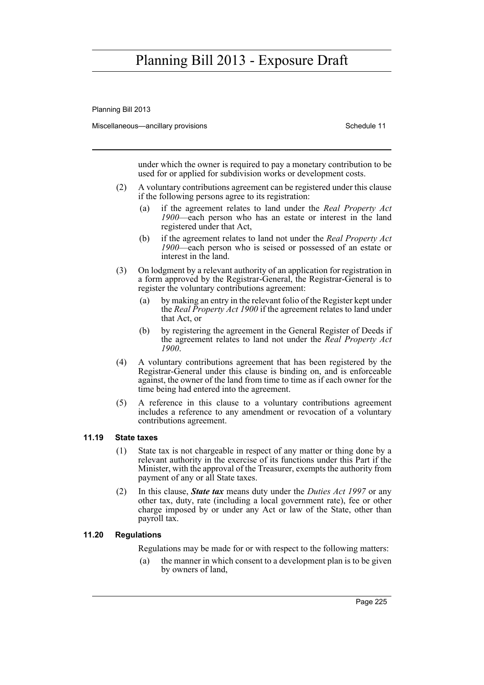Planning Bill 2013

Miscellaneous—ancillary provisions Schedule 11 and Schedule 11

under which the owner is required to pay a monetary contribution to be used for or applied for subdivision works or development costs.

- (2) A voluntary contributions agreement can be registered under this clause if the following persons agree to its registration:
	- (a) if the agreement relates to land under the *Real Property Act 1900*—each person who has an estate or interest in the land registered under that Act,
	- (b) if the agreement relates to land not under the *Real Property Act 1900*—each person who is seised or possessed of an estate or interest in the land.
- (3) On lodgment by a relevant authority of an application for registration in a form approved by the Registrar-General, the Registrar-General is to register the voluntary contributions agreement:
	- (a) by making an entry in the relevant folio of the Register kept under the *Real Property Act 1900* if the agreement relates to land under that Act, or
	- (b) by registering the agreement in the General Register of Deeds if the agreement relates to land not under the *Real Property Act 1900*.
- (4) A voluntary contributions agreement that has been registered by the Registrar-General under this clause is binding on, and is enforceable against, the owner of the land from time to time as if each owner for the time being had entered into the agreement.
- (5) A reference in this clause to a voluntary contributions agreement includes a reference to any amendment or revocation of a voluntary contributions agreement.

#### **11.19 State taxes**

- (1) State tax is not chargeable in respect of any matter or thing done by a relevant authority in the exercise of its functions under this Part if the Minister, with the approval of the Treasurer, exempts the authority from payment of any or all State taxes.
- (2) In this clause, *State tax* means duty under the *Duties Act 1997* or any other tax, duty, rate (including a local government rate), fee or other charge imposed by or under any Act or law of the State, other than payroll tax.

#### **11.20 Regulations**

Regulations may be made for or with respect to the following matters:

(a) the manner in which consent to a development plan is to be given by owners of land,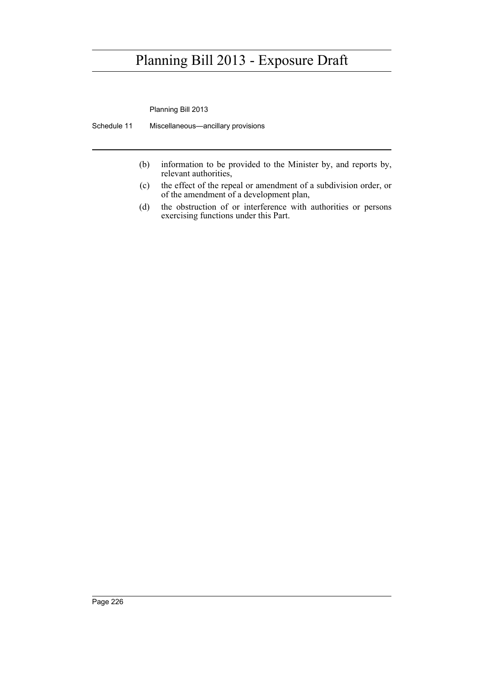Planning Bill 2013

Schedule 11 Miscellaneous—ancillary provisions

- (b) information to be provided to the Minister by, and reports by, relevant authorities,
- (c) the effect of the repeal or amendment of a subdivision order, or of the amendment of a development plan,
- (d) the obstruction of or interference with authorities or persons exercising functions under this Part.